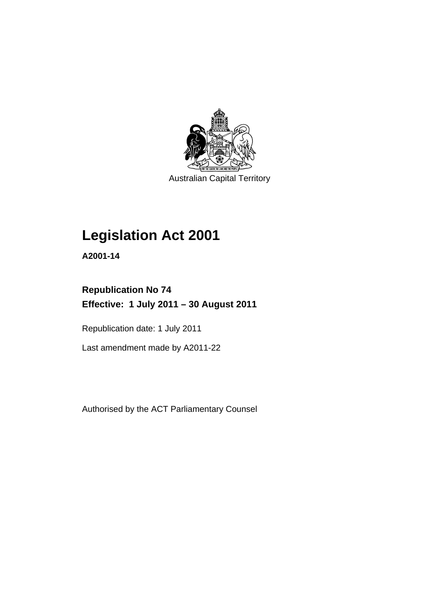

Australian Capital Territory

## **Legislation Act 2001**

**A2001-14** 

### **Republication No 74 Effective: 1 July 2011 – 30 August 2011**

Republication date: 1 July 2011

Last amendment made by A2011-22

Authorised by the ACT Parliamentary Counsel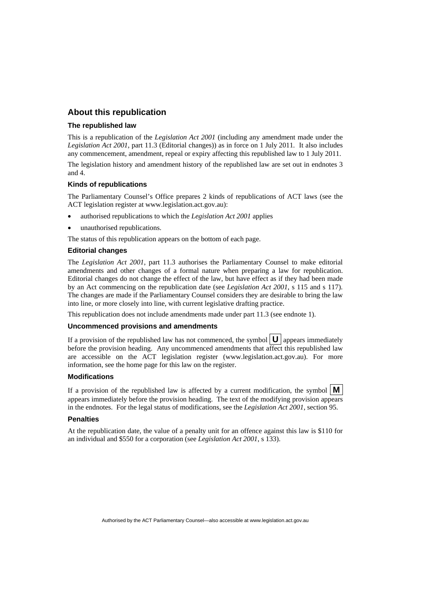### **About this republication**

### **The republished law**

This is a republication of the *Legislation Act 2001* (including any amendment made under the *Legislation Act 2001*, part 11.3 (Editorial changes)) as in force on 1 July 2011*.* It also includes any commencement, amendment, repeal or expiry affecting this republished law to 1 July 2011.

The legislation history and amendment history of the republished law are set out in endnotes 3 and 4.

### **Kinds of republications**

The Parliamentary Counsel's Office prepares 2 kinds of republications of ACT laws (see the ACT legislation register at www.legislation.act.gov.au):

- authorised republications to which the *Legislation Act 2001* applies
- unauthorised republications.

The status of this republication appears on the bottom of each page.

### **Editorial changes**

The *Legislation Act 2001*, part 11.3 authorises the Parliamentary Counsel to make editorial amendments and other changes of a formal nature when preparing a law for republication. Editorial changes do not change the effect of the law, but have effect as if they had been made by an Act commencing on the republication date (see *Legislation Act 2001*, s 115 and s 117). The changes are made if the Parliamentary Counsel considers they are desirable to bring the law into line, or more closely into line, with current legislative drafting practice.

This republication does not include amendments made under part 11.3 (see endnote 1).

### **Uncommenced provisions and amendments**

If a provision of the republished law has not commenced, the symbol  $\mathbf{U}$  appears immediately before the provision heading. Any uncommenced amendments that affect this republished law are accessible on the ACT legislation register (www.legislation.act.gov.au). For more information, see the home page for this law on the register.

### **Modifications**

If a provision of the republished law is affected by a current modification, the symbol  $\mathbf{M}$ appears immediately before the provision heading. The text of the modifying provision appears in the endnotes. For the legal status of modifications, see the *Legislation Act 2001*, section 95.

#### **Penalties**

At the republication date, the value of a penalty unit for an offence against this law is \$110 for an individual and \$550 for a corporation (see *Legislation Act 2001*, s 133).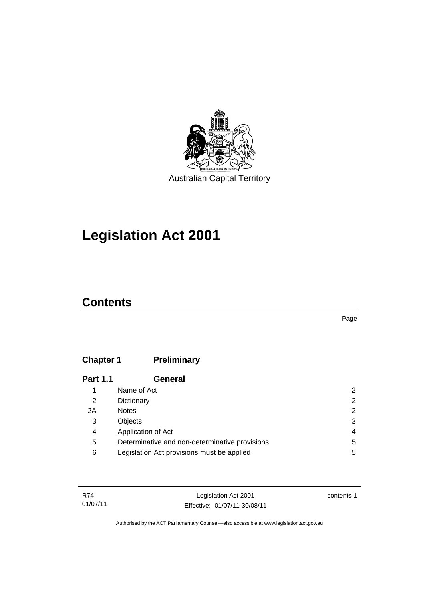

## **Legislation Act 2001**

### **Contents**

Page

### **Chapter 1 [Preliminary](#page-17-0)**

| <b>Part 1.1</b> | General                                        |   |
|-----------------|------------------------------------------------|---|
|                 | Name of Act                                    | 2 |
| 2               | Dictionary                                     | 2 |
| 2A              | <b>Notes</b>                                   | 2 |
| 3               | Objects                                        | 3 |
| 4               | Application of Act                             | 4 |
| 5               | Determinative and non-determinative provisions | 5 |
| 6               | Legislation Act provisions must be applied     | 5 |

| R74      | Legislation Act 2001         | contents 1 |
|----------|------------------------------|------------|
| 01/07/11 | Effective: 01/07/11-30/08/11 |            |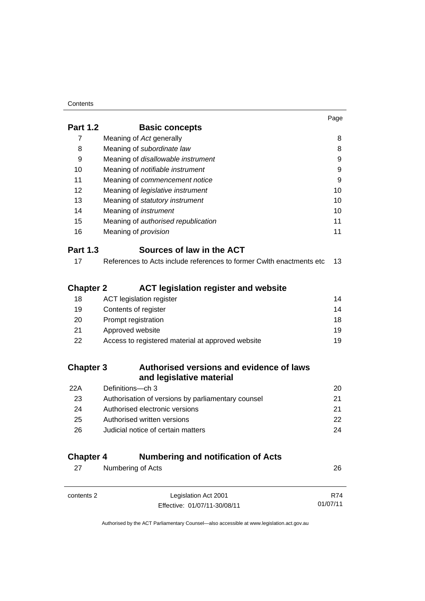### **Contents**

|                  |                                                                      | Page |
|------------------|----------------------------------------------------------------------|------|
| <b>Part 1.2</b>  | <b>Basic concepts</b>                                                |      |
| $\overline{7}$   | Meaning of Act generally                                             | 8    |
| 8                | Meaning of subordinate law                                           | 8    |
| 9                | Meaning of disallowable instrument                                   | 9    |
| 10               | Meaning of <i>notifiable instrument</i>                              | 9    |
| 11               | Meaning of commencement notice                                       | 9    |
| 12               | Meaning of <i>legislative</i> instrument                             | 10   |
| 13               | Meaning of statutory instrument                                      | 10   |
| 14               | Meaning of <i>instrument</i>                                         | 10   |
| 15               | Meaning of authorised republication                                  | 11   |
| 16               | Meaning of provision                                                 | 11   |
| <b>Part 1.3</b>  | Sources of law in the ACT                                            |      |
| 17               | References to Acts include references to former Cwlth enactments etc | 13   |
|                  |                                                                      |      |
| <b>Chapter 2</b> | <b>ACT legislation register and website</b>                          |      |
| 18               | <b>ACT</b> legislation register                                      | 14   |
| 19               | Contents of register                                                 | 14   |
| 20               | Prompt registration                                                  | 18   |
| 21               | Approved website                                                     | 19   |
| 22               | Access to registered material at approved website                    | 19   |
| <b>Chapter 3</b> | Authorised versions and evidence of laws                             |      |
|                  | and legislative material                                             |      |
| 22A              | Definitions-ch 3                                                     | 20   |
| 23               | Authorisation of versions by parliamentary counsel                   | 21   |
| 24               | Authorised electronic versions                                       | 21   |
| 25               | Authorised written versions                                          | 22   |
| 26               | Judicial notice of certain matters                                   | 24   |
|                  |                                                                      |      |

### **Chapter 4 [Numbering and notification of Acts](#page-41-0)**

| 27         | Numbering of Acts            | 26         |
|------------|------------------------------|------------|
|            |                              |            |
| contents 2 | Legislation Act 2001         | <b>R74</b> |
|            | Effective: 01/07/11-30/08/11 | 01/07/11   |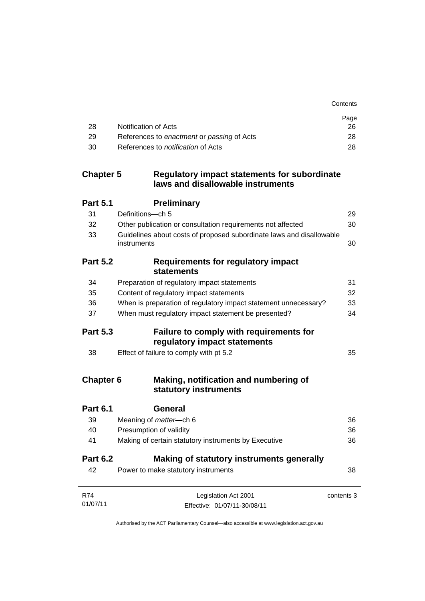**Contents** 

|     |                                            | Page |
|-----|--------------------------------------------|------|
| -28 | Notification of Acts                       | 26   |
| -29 | References to enactment or passing of Acts | 28   |
| -30 | References to <i>notification</i> of Acts  | 28   |

### **Chapter 5 [Regulatory impact statements for subordinate](#page-44-0)  [laws and disallowable instruments](#page-44-0)**

| <b>Part 5.1</b>        | <b>Preliminary</b>                                                                  |            |
|------------------------|-------------------------------------------------------------------------------------|------------|
| 31                     | Definitions-ch 5                                                                    | 29         |
| 32                     | Other publication or consultation requirements not affected                         | 30         |
| 33                     | Guidelines about costs of proposed subordinate laws and disallowable<br>instruments | 30         |
| <b>Part 5.2</b>        | <b>Requirements for regulatory impact</b><br><b>statements</b>                      |            |
| 34                     | Preparation of regulatory impact statements                                         | 31         |
| 35                     | Content of regulatory impact statements                                             | 32         |
| 36                     | When is preparation of regulatory impact statement unnecessary?                     | 33         |
| 37                     | When must regulatory impact statement be presented?                                 | 34         |
| <b>Part 5.3</b>        | Failure to comply with requirements for<br>regulatory impact statements             |            |
| 38                     | Effect of failure to comply with pt 5.2                                             | 35         |
| <b>Chapter 6</b>       | Making, notification and numbering of<br>statutory instruments                      |            |
| <b>Part 6.1</b>        | General                                                                             |            |
| 39                     | Meaning of <i>matter</i> -ch 6                                                      | 36         |
| 40                     | Presumption of validity                                                             | 36         |
| 41                     | Making of certain statutory instruments by Executive                                | 36         |
| <b>Part 6.2</b>        | Making of statutory instruments generally                                           |            |
| 42                     | Power to make statutory instruments                                                 | 38         |
| <b>R74</b><br>01/07/11 | Legislation Act 2001<br>Effective: 01/07/11-30/08/11                                | contents 3 |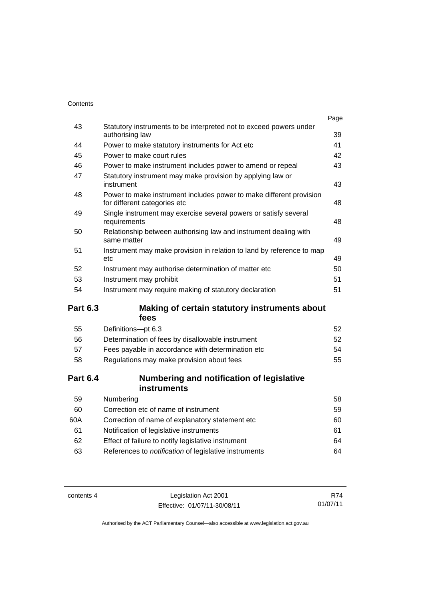|                 |                                                                                                     | Page |
|-----------------|-----------------------------------------------------------------------------------------------------|------|
| 43              | Statutory instruments to be interpreted not to exceed powers under<br>authorising law               | 39   |
| 44              | Power to make statutory instruments for Act etc                                                     | 41   |
| 45              | Power to make court rules                                                                           | 42   |
| 46              | Power to make instrument includes power to amend or repeal                                          | 43   |
| 47              | Statutory instrument may make provision by applying law or<br>instrument                            | 43   |
| 48              | Power to make instrument includes power to make different provision<br>for different categories etc | 48   |
| 49              | Single instrument may exercise several powers or satisfy several<br>requirements                    | 48   |
| 50              | Relationship between authorising law and instrument dealing with<br>same matter                     | 49   |
| 51              | Instrument may make provision in relation to land by reference to map<br>etc                        | 49   |
| 52              | Instrument may authorise determination of matter etc                                                | 50   |
| 53              | Instrument may prohibit                                                                             | 51   |
| 54              | Instrument may require making of statutory declaration                                              | 51   |
| <b>Part 6.3</b> | Making of certain statutory instruments about<br>fees                                               |      |
| 55              | Definitions-pt 6.3                                                                                  | 52   |
| 56              | Determination of fees by disallowable instrument                                                    | 52   |
| 57              | Fees payable in accordance with determination etc                                                   | 54   |
| 58              | Regulations may make provision about fees                                                           | 55   |
| <b>Part 6.4</b> | Numbering and notification of legislative<br>instruments                                            |      |
| 59              | Numbering                                                                                           | 58   |
| 60              | Correction etc of name of instrument                                                                | 59   |
| 60A             | Correction of name of explanatory statement etc                                                     | 60   |
| 61              | Notification of legislative instruments                                                             | 61   |
| 62              | Effect of failure to notify legislative instrument                                                  | 64   |

| -63 | References to <i>notification</i> of legislative instruments | 64 |
|-----|--------------------------------------------------------------|----|
|     |                                                              |    |

contents 4 Legislation Act 2001 Effective: 01/07/11-30/08/11

R74 01/07/11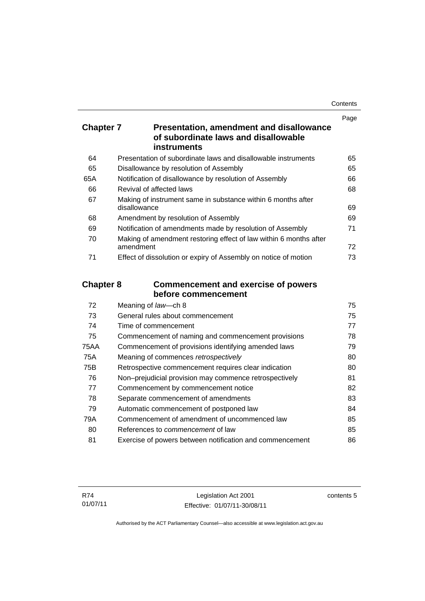| Contents |
|----------|
|----------|

|                  |                                                                                                        | Page |
|------------------|--------------------------------------------------------------------------------------------------------|------|
| <b>Chapter 7</b> | <b>Presentation, amendment and disallowance</b><br>of subordinate laws and disallowable<br>instruments |      |
| 64               | Presentation of subordinate laws and disallowable instruments                                          | 65   |
| 65               | Disallowance by resolution of Assembly                                                                 | 65   |
| 65A              | Notification of disallowance by resolution of Assembly                                                 | 66   |
| 66               | Revival of affected laws                                                                               | 68   |
| 67               | Making of instrument same in substance within 6 months after<br>disallowance                           | 69   |
| 68               | Amendment by resolution of Assembly                                                                    | 69   |
| 69               | Notification of amendments made by resolution of Assembly                                              | 71   |
| 70               | Making of amendment restoring effect of law within 6 months after<br>amendment                         | 72   |
| 71               | Effect of dissolution or expiry of Assembly on notice of motion                                        | 73   |
| <b>Chapter 8</b> | <b>Commencement and exercise of powers</b><br>before commencement                                      |      |
| 72               | Meaning of law-ch 8                                                                                    | 75   |
| 73               | General rules about commencement                                                                       | 75   |
| 74               | Time of commencement                                                                                   | 77   |
| 75               | Commencement of naming and commencement provisions                                                     | 78   |
| <b>75AA</b>      | Commencement of provisions identifying amended laws                                                    | 79   |
| 75A              | Meaning of commences retrospectively                                                                   | 80   |
| 75B              | Retrospective commencement requires clear indication                                                   | 80   |
| 76               | Non-prejudicial provision may commence retrospectively                                                 | 81   |
| 77               | Commencement by commencement notice                                                                    | 82   |
| 78               | Separate commencement of amendments                                                                    | 83   |

| - 79 | Automatic commencement of postponed law                  | 84  |
|------|----------------------------------------------------------|-----|
| 79A  | Commencement of amendment of uncommenced law             | 85. |
| 80   | References to <i>commencement</i> of law                 | 85  |
| -81  | Exercise of powers between notification and commencement | 86  |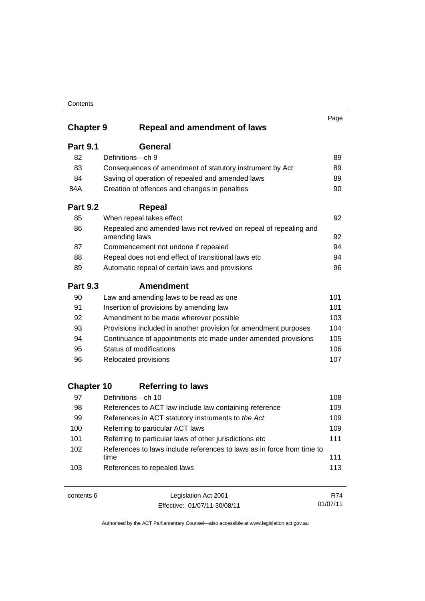|                   |                                                                                   | Page |
|-------------------|-----------------------------------------------------------------------------------|------|
| <b>Chapter 9</b>  | <b>Repeal and amendment of laws</b>                                               |      |
| <b>Part 9.1</b>   | General                                                                           |      |
| 82                | Definitions-ch 9                                                                  | 89   |
| 83                | Consequences of amendment of statutory instrument by Act                          | 89   |
| 84                | Saving of operation of repealed and amended laws                                  | 89   |
| 84A               | Creation of offences and changes in penalties                                     | 90   |
| <b>Part 9.2</b>   | <b>Repeal</b>                                                                     |      |
| 85                | When repeal takes effect                                                          | 92   |
| 86                | Repealed and amended laws not revived on repeal of repealing and<br>amending laws | 92   |
| 87                | Commencement not undone if repealed                                               | 94   |
| 88                | Repeal does not end effect of transitional laws etc                               | 94   |
| 89                | Automatic repeal of certain laws and provisions                                   | 96   |
| <b>Part 9.3</b>   | <b>Amendment</b>                                                                  |      |
| 90                | Law and amending laws to be read as one                                           | 101  |
| 91                | Insertion of provisions by amending law                                           | 101  |
| 92                | Amendment to be made wherever possible                                            | 103  |
| 93                | Provisions included in another provision for amendment purposes                   | 104  |
| 94                | Continuance of appointments etc made under amended provisions                     | 105  |
| 95                | Status of modifications                                                           | 106  |
| 96                | Relocated provisions                                                              | 107  |
| <b>Chapter 10</b> | <b>Referring to laws</b>                                                          |      |
| 97                | Definitions-ch 10                                                                 | 108  |
| 98                | References to ACT law include law containing reference                            | 109  |
| 99                | References in ACT statutory instruments to the Act                                | 109  |
| 100               | Referring to particular ACT laws                                                  | 109  |
| 101               | Referring to particular laws of other jurisdictions etc                           | 111  |
| 102               | References to laws include references to laws as in force from time to            |      |
|                   | time                                                                              | 111  |
| 103               | References to repealed laws                                                       | 113  |

| contents 6 | Legislation Act 2001         | R74      |
|------------|------------------------------|----------|
|            | Effective: 01/07/11-30/08/11 | 01/07/11 |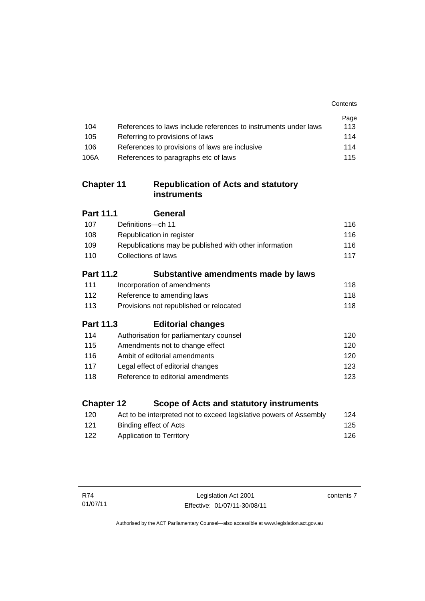|                   |                                                                    | Contents |
|-------------------|--------------------------------------------------------------------|----------|
|                   |                                                                    | Page     |
| 104               | References to laws include references to instruments under laws    | 113      |
| 105               | Referring to provisions of laws                                    | 114      |
| 106               | References to provisions of laws are inclusive                     | 114      |
| 106A              | References to paragraphs etc of laws                               | 115      |
| <b>Chapter 11</b> | <b>Republication of Acts and statutory</b><br>instruments          |          |
| <b>Part 11.1</b>  | General                                                            |          |
| 107               | Definitions-ch 11                                                  | 116      |
| 108               | Republication in register                                          | 116      |
| 109               | Republications may be published with other information             | 116      |
| 110               | Collections of laws                                                | 117      |
| <b>Part 11.2</b>  | Substantive amendments made by laws                                |          |
| 111               | Incorporation of amendments                                        | 118      |
| 112               | Reference to amending laws                                         | 118      |
| 113               | Provisions not republished or relocated                            | 118      |
| <b>Part 11.3</b>  | <b>Editorial changes</b>                                           |          |
| 114               | Authorisation for parliamentary counsel                            | 120      |
| 115               | Amendments not to change effect                                    | 120      |
| 116               | Ambit of editorial amendments                                      | 120      |
| 117               | Legal effect of editorial changes                                  | 123      |
| 118               | Reference to editorial amendments                                  | 123      |
| <b>Chapter 12</b> | Scope of Acts and statutory instruments                            |          |
| 120               | Act to be interpreted not to exceed legislative powers of Assembly | 124      |

121 Binding effect of Acts 122 Application to Territory **126** 

J.

contents 7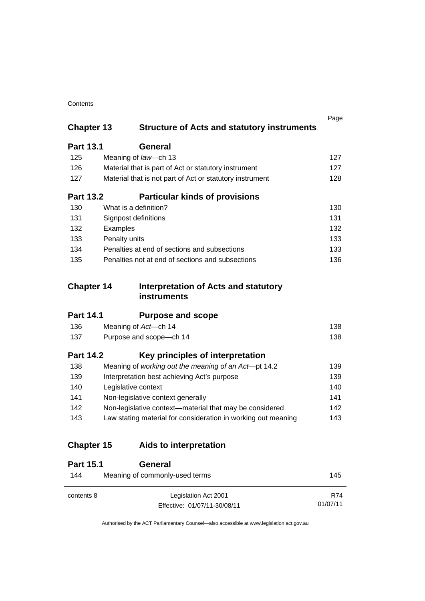| Contents |
|----------|
|----------|

| <b>Chapter 13</b> | <b>Structure of Acts and statutory instruments</b>            | Page |
|-------------------|---------------------------------------------------------------|------|
|                   |                                                               |      |
| <b>Part 13.1</b>  | <b>General</b>                                                |      |
| 125               | Meaning of law-ch 13                                          | 127  |
| 126               | Material that is part of Act or statutory instrument          | 127  |
| 127               | Material that is not part of Act or statutory instrument      | 128  |
| <b>Part 13.2</b>  | <b>Particular kinds of provisions</b>                         |      |
| 130               | What is a definition?                                         | 130  |
| 131               | Signpost definitions                                          | 131  |
| 132               | Examples                                                      | 132  |
| 133               | Penalty units                                                 | 133  |
| 134               | Penalties at end of sections and subsections                  | 133  |
| 135               | Penalties not at end of sections and subsections              | 136  |
| <b>Chapter 14</b> | Interpretation of Acts and statutory                          |      |
|                   | instruments                                                   |      |
| <b>Part 14.1</b>  | <b>Purpose and scope</b>                                      |      |
| 136               | Meaning of Act-ch 14                                          | 138  |
| 137               | Purpose and scope-ch 14                                       | 138  |
| <b>Part 14.2</b>  | Key principles of interpretation                              |      |
| 138               | Meaning of working out the meaning of an Act-pt 14.2          | 139  |
| 139               | Interpretation best achieving Act's purpose                   | 139  |
| 140               | Legislative context                                           | 140  |
| 141               | Non-legislative context generally                             | 141  |
| 142               | Non-legislative context-material that may be considered       | 142  |
| 143               | Law stating material for consideration in working out meaning | 143  |
| <b>Chapter 15</b> | Aids to interpretation                                        |      |
| <b>Part 15.1</b>  | General                                                       |      |
| 144               | Meaning of commonly-used terms                                | 145  |
| contents 8        | Legislation Act 2001                                          | R74  |

Authorised by the ACT Parliamentary Counsel—also accessible at www.legislation.act.gov.au

01/07/11

Effective: 01/07/11-30/08/11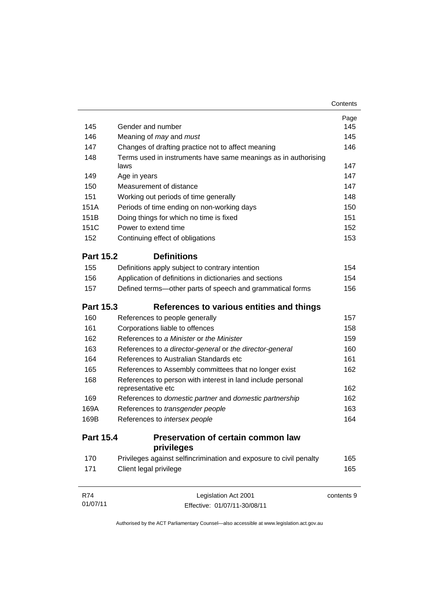|                  |                                                                                   | Contents   |
|------------------|-----------------------------------------------------------------------------------|------------|
|                  |                                                                                   | Page       |
| 145              | Gender and number                                                                 | 145        |
| 146              | Meaning of may and must                                                           | 145        |
| 147              | Changes of drafting practice not to affect meaning                                | 146        |
| 148              | Terms used in instruments have same meanings as in authorising<br>laws            | 147        |
| 149              | Age in years                                                                      | 147        |
| 150              | Measurement of distance                                                           | 147        |
| 151              | Working out periods of time generally                                             | 148        |
| 151A             | Periods of time ending on non-working days                                        | 150        |
| 151B             | Doing things for which no time is fixed                                           | 151        |
| 151C             | Power to extend time                                                              | 152        |
| 152              | Continuing effect of obligations                                                  | 153        |
| <b>Part 15.2</b> | <b>Definitions</b>                                                                |            |
| 155              | Definitions apply subject to contrary intention                                   | 154        |
| 156              | Application of definitions in dictionaries and sections                           | 154        |
| 157              | Defined terms-other parts of speech and grammatical forms                         | 156        |
| <b>Part 15.3</b> | References to various entities and things                                         |            |
| 160              | References to people generally                                                    | 157        |
| 161              | Corporations liable to offences                                                   | 158        |
| 162              | References to a Minister or the Minister                                          | 159        |
| 163              | References to a director-general or the director-general                          | 160        |
| 164              | References to Australian Standards etc                                            | 161        |
| 165              | References to Assembly committees that no longer exist                            | 162        |
| 168              | References to person with interest in land include personal<br>representative etc | 162        |
| 169              | References to domestic partner and domestic partnership                           | 162        |
| 169A             | References to transgender people                                                  | 163        |
| 169B             | References to intersex people                                                     | 164        |
| <b>Part 15.4</b> | Preservation of certain common law<br>privileges                                  |            |
| 170              | Privileges against selfincrimination and exposure to civil penalty                | 165        |
| 171              | Client legal privilege                                                            | 165        |
| <b>R74</b>       | Legislation Act 2001                                                              | contents 9 |
| 01/07/11         | Effective: 01/07/11-30/08/11                                                      |            |

Authorised by the ACT Parliamentary Counsel—also accessible at www.legislation.act.gov.au

Effective: 01/07/11-30/08/11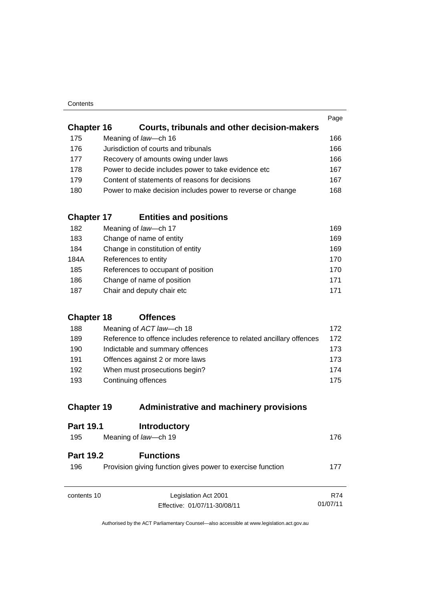| Contents |
|----------|
|----------|

| <b>Chapter 16</b> | <b>Courts, tribunals and other decision-makers</b>         | Page |
|-------------------|------------------------------------------------------------|------|
| 175               | Meaning of law-ch 16                                       | 166  |
| 176               | Jurisdiction of courts and tribunals                       | 166  |
| 177               | Recovery of amounts owing under laws                       | 166  |
| 178               | Power to decide includes power to take evidence etc        | 167  |
| 179               | Content of statements of reasons for decisions             | 167  |
| 180               | Power to make decision includes power to reverse or change | 168  |
|                   |                                                            |      |

### **Chapter 17 [Entities and positions](#page-184-0)**

| 182  | Meaning of law-ch 17               | 169 |
|------|------------------------------------|-----|
| 183  | Change of name of entity           | 169 |
| 184  | Change in constitution of entity   | 169 |
| 184A | References to entity               | 170 |
| 185  | References to occupant of position | 170 |
| 186  | Change of name of position         | 171 |
| 187  | Chair and deputy chair etc         | 171 |

### **[Chapter 18](#page-187-0) Offences**

| 188 | Meaning of ACT law—ch 18                                              | 172  |
|-----|-----------------------------------------------------------------------|------|
| 189 | Reference to offence includes reference to related ancillary offences | 172  |
| 190 | Indictable and summary offences                                       | 173. |
| 191 | Offences against 2 or more laws                                       | 173  |
| 192 | When must prosecutions begin?                                         | 174  |
| 193 | Continuing offences                                                   | 175  |

### **Chapter 19 [Administrative and machinery provisions](#page-191-0)**

| <b>Part 19.1</b>        | <b>Introductory</b>                                                            |            |
|-------------------------|--------------------------------------------------------------------------------|------------|
| 195                     | Meaning of law-ch 19                                                           | 176        |
| <b>Part 19.2</b><br>196 | <b>Functions</b><br>Provision giving function gives power to exercise function | 177        |
| contents 10             | Legislation Act 2001                                                           | <b>R74</b> |
|                         | Effective: 01/07/11-30/08/11                                                   | 01/07/11   |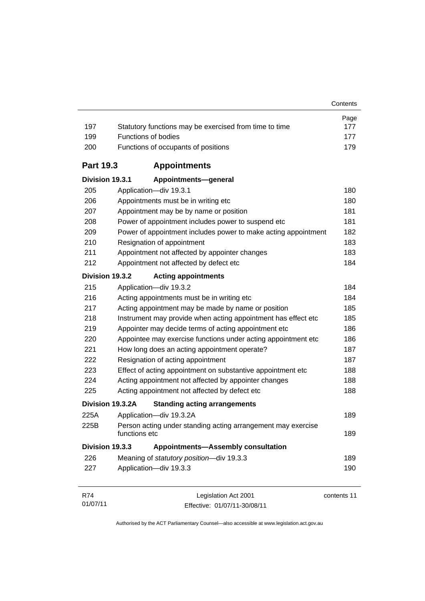|     |                                                        | Page |
|-----|--------------------------------------------------------|------|
| 197 | Statutory functions may be exercised from time to time | 177  |
| 199 | <b>Functions of bodies</b>                             | 177  |
| 200 | Functions of occupants of positions                    | 179  |

**Contents** 

### **Part 19.3 [Appointments](#page-195-0)**

| Division 19.3.1 | Appointments-general                                                                 |     |  |  |  |  |  |
|-----------------|--------------------------------------------------------------------------------------|-----|--|--|--|--|--|
| 205             | Application-div 19.3.1                                                               |     |  |  |  |  |  |
| 206             | Appointments must be in writing etc                                                  |     |  |  |  |  |  |
| 207             | Appointment may be by name or position                                               |     |  |  |  |  |  |
| 208             | Power of appointment includes power to suspend etc                                   |     |  |  |  |  |  |
| 209             | Power of appointment includes power to make acting appointment                       |     |  |  |  |  |  |
| 210             | Resignation of appointment                                                           | 183 |  |  |  |  |  |
| 211             | Appointment not affected by appointer changes                                        |     |  |  |  |  |  |
| 212             | Appointment not affected by defect etc                                               |     |  |  |  |  |  |
| Division 19.3.2 | <b>Acting appointments</b>                                                           |     |  |  |  |  |  |
| 215             | Application-div 19.3.2                                                               | 184 |  |  |  |  |  |
| 216             | Acting appointments must be in writing etc                                           | 184 |  |  |  |  |  |
| 217             | Acting appointment may be made by name or position                                   | 185 |  |  |  |  |  |
| 218             | Instrument may provide when acting appointment has effect etc                        |     |  |  |  |  |  |
| 219             | Appointer may decide terms of acting appointment etc                                 |     |  |  |  |  |  |
| 220             | Appointee may exercise functions under acting appointment etc                        | 186 |  |  |  |  |  |
| 221             | How long does an acting appointment operate?                                         | 187 |  |  |  |  |  |
| 222             | Resignation of acting appointment                                                    | 187 |  |  |  |  |  |
| 223             | Effect of acting appointment on substantive appointment etc                          | 188 |  |  |  |  |  |
| 224             | Acting appointment not affected by appointer changes                                 |     |  |  |  |  |  |
| 225             | Acting appointment not affected by defect etc                                        |     |  |  |  |  |  |
|                 | Division 19.3.2A<br><b>Standing acting arrangements</b>                              |     |  |  |  |  |  |
| 225A            | Application-div 19.3.2A                                                              | 189 |  |  |  |  |  |
| 225B            | Person acting under standing acting arrangement may exercise<br>functions etc<br>189 |     |  |  |  |  |  |
| Division 19.3.3 | <b>Appointments-Assembly consultation</b>                                            |     |  |  |  |  |  |
| 226             | Meaning of statutory position-div 19.3.3                                             | 189 |  |  |  |  |  |
| 227             | Application-div 19.3.3                                                               | 190 |  |  |  |  |  |
|                 |                                                                                      |     |  |  |  |  |  |

| R74      | Legislation Act 2001         | contents 11 |
|----------|------------------------------|-------------|
| 01/07/11 | Effective: 01/07/11-30/08/11 |             |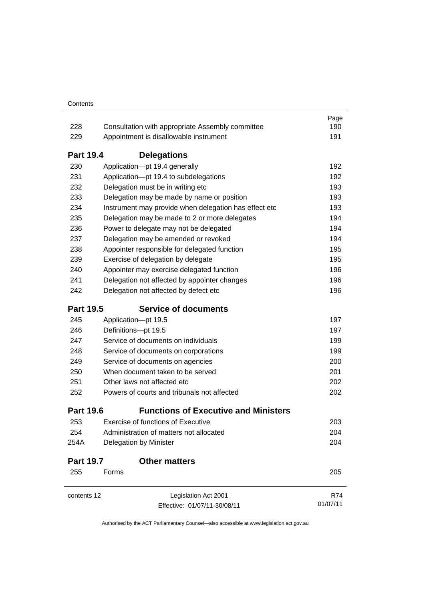| 228              | Consultation with appropriate Assembly committee                                                             | Page<br>190              |  |  |  |  |
|------------------|--------------------------------------------------------------------------------------------------------------|--------------------------|--|--|--|--|
|                  | 229<br>Appointment is disallowable instrument                                                                |                          |  |  |  |  |
|                  |                                                                                                              | 191                      |  |  |  |  |
| <b>Part 19.4</b> | <b>Delegations</b>                                                                                           |                          |  |  |  |  |
| 230              | Application-pt 19.4 generally                                                                                | 192                      |  |  |  |  |
| 231              | Application-pt 19.4 to subdelegations                                                                        | 192                      |  |  |  |  |
| 232              | Delegation must be in writing etc                                                                            | 193                      |  |  |  |  |
| 233              | Delegation may be made by name or position                                                                   | 193<br>193               |  |  |  |  |
| 234              | Instrument may provide when delegation has effect etc                                                        |                          |  |  |  |  |
| 235              | Delegation may be made to 2 or more delegates                                                                | 194                      |  |  |  |  |
| 236              | Power to delegate may not be delegated                                                                       | 194                      |  |  |  |  |
| 237              | Delegation may be amended or revoked                                                                         | 194                      |  |  |  |  |
| 238              | Appointer responsible for delegated function                                                                 | 195                      |  |  |  |  |
| 239              | Exercise of delegation by delegate                                                                           | 195<br>196               |  |  |  |  |
| 240              | Appointer may exercise delegated function                                                                    |                          |  |  |  |  |
| 241              | Delegation not affected by appointer changes                                                                 | 196                      |  |  |  |  |
| 242              | Delegation not affected by defect etc                                                                        | 196                      |  |  |  |  |
| <b>Part 19.5</b> | <b>Service of documents</b>                                                                                  |                          |  |  |  |  |
| 245              | Application-pt 19.5                                                                                          | 197                      |  |  |  |  |
| 246              | Definitions-pt 19.5                                                                                          | 197                      |  |  |  |  |
| 247              | Service of documents on individuals                                                                          | 199                      |  |  |  |  |
| 248              | Service of documents on corporations<br>Service of documents on agencies<br>When document taken to be served | 199<br>200<br>201<br>202 |  |  |  |  |
| 249              |                                                                                                              |                          |  |  |  |  |
| 250              |                                                                                                              |                          |  |  |  |  |
| 251              | Other laws not affected etc                                                                                  |                          |  |  |  |  |
| 252              | Powers of courts and tribunals not affected                                                                  | 202                      |  |  |  |  |
| <b>Part 19.6</b> | <b>Functions of Executive and Ministers</b>                                                                  |                          |  |  |  |  |
| 253              | <b>Exercise of functions of Executive</b>                                                                    | 203                      |  |  |  |  |
| 254              | Administration of matters not allocated                                                                      | 204<br>204               |  |  |  |  |
| 254A             | Delegation by Minister                                                                                       |                          |  |  |  |  |
| <b>Part 19.7</b> | <b>Other matters</b>                                                                                         |                          |  |  |  |  |
| 255              | Forms                                                                                                        | 205                      |  |  |  |  |
| contents 12      | Legislation Act 2001                                                                                         | R74                      |  |  |  |  |
|                  | Effective: 01/07/11-30/08/11                                                                                 | 01/07/11                 |  |  |  |  |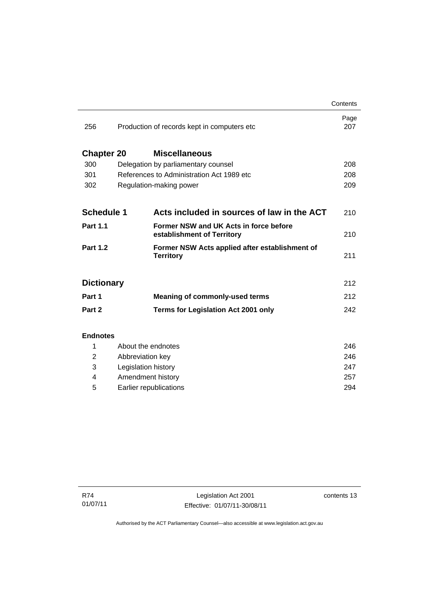|                   |                                              |                                                                      | Contents    |
|-------------------|----------------------------------------------|----------------------------------------------------------------------|-------------|
| 256               | Production of records kept in computers etc. |                                                                      | Page<br>207 |
| <b>Chapter 20</b> |                                              | <b>Miscellaneous</b>                                                 |             |
| 300               | Delegation by parliamentary counsel          |                                                                      | 208         |
| 301               | References to Administration Act 1989 etc    |                                                                      | 208         |
| 302               |                                              | Regulation-making power                                              | 209         |
| <b>Schedule 1</b> |                                              | Acts included in sources of law in the ACT                           | 210         |
|                   |                                              |                                                                      |             |
| <b>Part 1.1</b>   |                                              | Former NSW and UK Acts in force before<br>establishment of Territory | 210         |
| <b>Part 1.2</b>   |                                              | Former NSW Acts applied after establishment of<br><b>Territory</b>   | 211         |
| <b>Dictionary</b> |                                              |                                                                      | 212         |
| Part 1            |                                              | <b>Meaning of commonly-used terms</b>                                | 212         |
| Part 2            |                                              | <b>Terms for Legislation Act 2001 only</b>                           | 242         |
| <b>Endnotes</b>   |                                              |                                                                      |             |
| 1                 | About the endnotes                           |                                                                      | 246         |
| 2                 | Abbreviation key                             |                                                                      | 246         |
| 3                 | Legislation history                          |                                                                      | 247         |
| 4                 | Amendment history                            |                                                                      | 257         |

5 [Earlier republications 294](#page-309-0)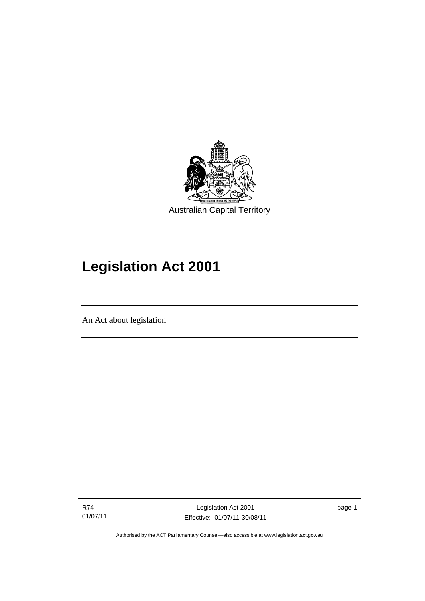

# **Legislation Act 2001**

An Act about legislation

R74 01/07/11

l

Legislation Act 2001 Effective: 01/07/11-30/08/11 page 1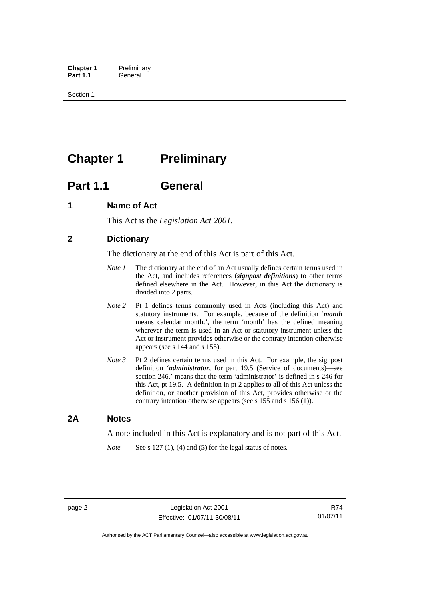**Chapter 1** Preliminary<br>**Part 1.1** General General

Section 1

## <span id="page-17-0"></span>**Chapter 1 Preliminary**

### <span id="page-17-1"></span>**Part 1.1 General**

### <span id="page-17-2"></span>**1 Name of Act**

This Act is the *Legislation Act 2001.* 

### <span id="page-17-3"></span>**2 Dictionary**

The dictionary at the end of this Act is part of this Act.

- *Note 1* The dictionary at the end of an Act usually defines certain terms used in the Act, and includes references (*signpost definitions*) to other terms defined elsewhere in the Act. However, in this Act the dictionary is divided into 2 parts.
- *Note 2* Pt 1 defines terms commonly used in Acts (including this Act) and statutory instruments. For example, because of the definition '*month* means calendar month.', the term 'month' has the defined meaning wherever the term is used in an Act or statutory instrument unless the Act or instrument provides otherwise or the contrary intention otherwise appears (see s 144 and s 155).
- *Note 3* Pt 2 defines certain terms used in this Act. For example, the signpost definition '*administrator*, for part 19.5 (Service of documents)—see section 246.' means that the term 'administrator' is defined in s 246 for this Act, pt 19.5. A definition in pt 2 applies to all of this Act unless the definition, or another provision of this Act, provides otherwise or the contrary intention otherwise appears (see s 155 and s 156 (1)).

### <span id="page-17-4"></span>**2A Notes**

A note included in this Act is explanatory and is not part of this Act.

*Note* See s 127 (1), (4) and (5) for the legal status of notes.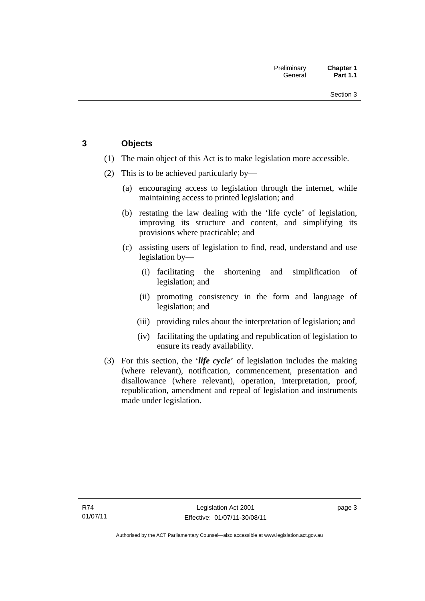### <span id="page-18-0"></span>**3 Objects**

- (1) The main object of this Act is to make legislation more accessible.
- (2) This is to be achieved particularly by—
	- (a) encouraging access to legislation through the internet, while maintaining access to printed legislation; and
	- (b) restating the law dealing with the 'life cycle' of legislation, improving its structure and content, and simplifying its provisions where practicable; and
	- (c) assisting users of legislation to find, read, understand and use legislation by—
		- (i) facilitating the shortening and simplification of legislation; and
		- (ii) promoting consistency in the form and language of legislation; and
		- (iii) providing rules about the interpretation of legislation; and
		- (iv) facilitating the updating and republication of legislation to ensure its ready availability.
- (3) For this section, the '*life cycle*' of legislation includes the making (where relevant), notification, commencement, presentation and disallowance (where relevant), operation, interpretation, proof, republication, amendment and repeal of legislation and instruments made under legislation.

page 3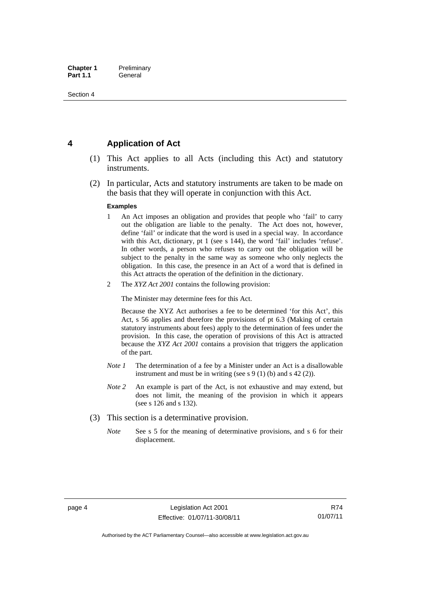### <span id="page-19-0"></span>**4 Application of Act**

- (1) This Act applies to all Acts (including this Act) and statutory instruments.
- (2) In particular, Acts and statutory instruments are taken to be made on the basis that they will operate in conjunction with this Act.

#### **Examples**

- 1 An Act imposes an obligation and provides that people who 'fail' to carry out the obligation are liable to the penalty. The Act does not, however, define 'fail' or indicate that the word is used in a special way. In accordance with this Act, dictionary, pt 1 (see s 144), the word 'fail' includes 'refuse'. In other words, a person who refuses to carry out the obligation will be subject to the penalty in the same way as someone who only neglects the obligation. In this case, the presence in an Act of a word that is defined in this Act attracts the operation of the definition in the dictionary.
- 2 The *XYZ Act 2001* contains the following provision:

The Minister may determine fees for this Act.

Because the XYZ Act authorises a fee to be determined 'for this Act', this Act, s 56 applies and therefore the provisions of pt 6.3 (Making of certain statutory instruments about fees) apply to the determination of fees under the provision. In this case, the operation of provisions of this Act is attracted because the *XYZ Act 2001* contains a provision that triggers the application of the part.

- *Note 1* The determination of a fee by a Minister under an Act is a disallowable instrument and must be in writing (see s 9 (1) (b) and s 42 (2)).
- *Note 2* An example is part of the Act, is not exhaustive and may extend, but does not limit, the meaning of the provision in which it appears (see s 126 and s 132).
- (3) This section is a determinative provision.
	- *Note* See s 5 for the meaning of determinative provisions, and s 6 for their displacement.

R74 01/07/11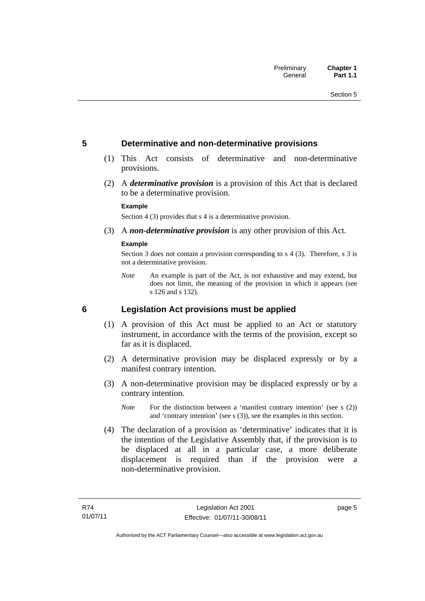### <span id="page-20-0"></span>**5 Determinative and non-determinative provisions**

- (1) This Act consists of determinative and non-determinative provisions.
- (2) A *determinative provision* is a provision of this Act that is declared to be a determinative provision.

### **Example**

Section 4 (3) provides that s 4 is a determinative provision.

(3) A *non-determinative provision* is any other provision of this Act.

### **Example**

Section 3 does not contain a provision corresponding to s 4 (3). Therefore, s 3 is not a determinative provision.

*Note* An example is part of the Act, is not exhaustive and may extend, but does not limit, the meaning of the provision in which it appears (see s 126 and s 132).

### <span id="page-20-1"></span>**6 Legislation Act provisions must be applied**

- (1) A provision of this Act must be applied to an Act or statutory instrument, in accordance with the terms of the provision, except so far as it is displaced.
- (2) A determinative provision may be displaced expressly or by a manifest contrary intention.
- (3) A non-determinative provision may be displaced expressly or by a contrary intention.
	- *Note* For the distinction between a 'manifest contrary intention' (see s (2)) and 'contrary intention' (see s (3)), see the examples in this section.
- (4) The declaration of a provision as 'determinative' indicates that it is the intention of the Legislative Assembly that, if the provision is to be displaced at all in a particular case, a more deliberate displacement is required than if the provision were a non-determinative provision.

page 5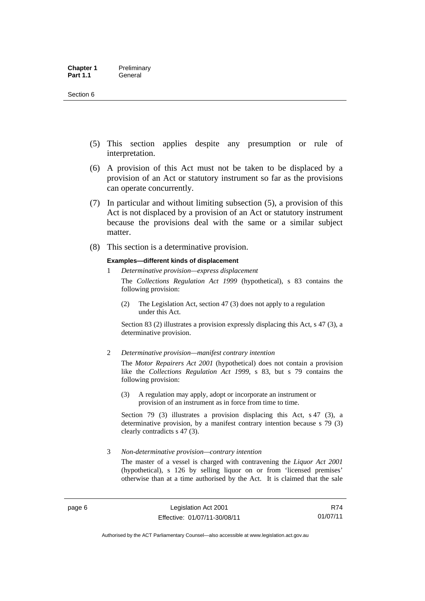- (5) This section applies despite any presumption or rule of interpretation.
- (6) A provision of this Act must not be taken to be displaced by a provision of an Act or statutory instrument so far as the provisions can operate concurrently.
- (7) In particular and without limiting subsection (5), a provision of this Act is not displaced by a provision of an Act or statutory instrument because the provisions deal with the same or a similar subject matter.
- (8) This section is a determinative provision.

#### **Examples—different kinds of displacement**

- 1 *Determinative provision—express displacement* The *Collections Regulation Act 1999* (hypothetical), s 83 contains the following provision:
	- (2) The Legislation Act, section 47 (3) does not apply to a regulation under this Act.

Section 83 (2) illustrates a provision expressly displacing this Act, s 47 (3), a determinative provision.

2 *Determinative provision—manifest contrary intention*

The *Motor Repairers Act 2001* (hypothetical) does not contain a provision like the *Collections Regulation Act 1999*, s 83, but s 79 contains the following provision:

(3) A regulation may apply, adopt or incorporate an instrument or provision of an instrument as in force from time to time.

Section 79 (3) illustrates a provision displacing this Act, s 47 (3), a determinative provision, by a manifest contrary intention because s 79 (3) clearly contradicts s 47 (3).

3 *Non-determinative provision—contrary intention*

The master of a vessel is charged with contravening the *Liquor Act 2001* (hypothetical), s 126 by selling liquor on or from 'licensed premises' otherwise than at a time authorised by the Act. It is claimed that the sale

R74 01/07/11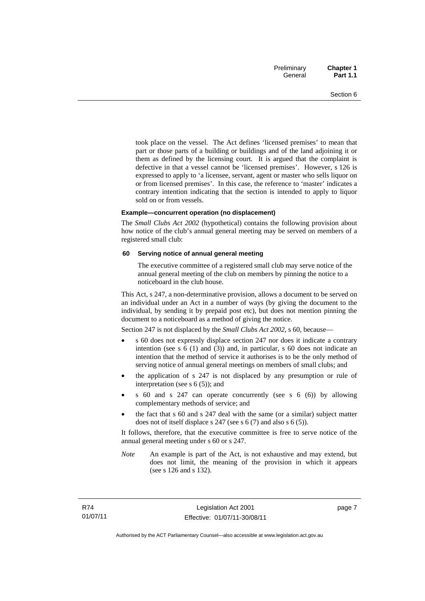took place on the vessel. The Act defines 'licensed premises' to mean that part or those parts of a building or buildings and of the land adjoining it or them as defined by the licensing court. It is argued that the complaint is defective in that a vessel cannot be 'licensed premises'. However, s 126 is expressed to apply to 'a licensee, servant, agent or master who sells liquor on or from licensed premises'. In this case, the reference to 'master' indicates a contrary intention indicating that the section is intended to apply to liquor sold on or from vessels.

#### **Example—concurrent operation (no displacement)**

The *Small Clubs Act 2002* (hypothetical) contains the following provision about how notice of the club's annual general meeting may be served on members of a registered small club:

#### **60 Serving notice of annual general meeting**

The executive committee of a registered small club may serve notice of the annual general meeting of the club on members by pinning the notice to a noticeboard in the club house.

This Act, s 247, a non-determinative provision, allows a document to be served on an individual under an Act in a number of ways (by giving the document to the individual, by sending it by prepaid post etc), but does not mention pinning the document to a noticeboard as a method of giving the notice.

Section 247 is not displaced by the *Small Clubs Act 2002*, s 60, because—

- s 60 does not expressly displace section 247 nor does it indicate a contrary intention (see s 6 (1) and (3)) and, in particular, s 60 does not indicate an intention that the method of service it authorises is to be the only method of serving notice of annual general meetings on members of small clubs; and
- the application of s 247 is not displaced by any presumption or rule of interpretation (see s 6 (5)); and
- s 60 and s 247 can operate concurrently (see s 6 (6)) by allowing complementary methods of service; and
- the fact that s 60 and s 247 deal with the same (or a similar) subject matter does not of itself displace s 247 (see s 6 (7) and also s 6 (5)).

It follows, therefore, that the executive committee is free to serve notice of the annual general meeting under s 60 or s 247.

*Note* An example is part of the Act, is not exhaustive and may extend, but does not limit, the meaning of the provision in which it appears (see s 126 and s 132).

page 7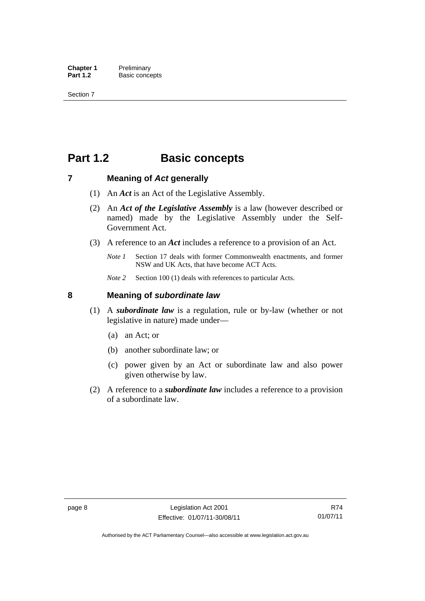### <span id="page-23-0"></span>**Part 1.2 Basic concepts**

### <span id="page-23-1"></span>**7 Meaning of** *Act* **generally**

- (1) An *Act* is an Act of the Legislative Assembly.
- (2) An *Act of the Legislative Assembly* is a law (however described or named) made by the Legislative Assembly under the Self-Government Act.
- (3) A reference to an *Act* includes a reference to a provision of an Act.
	- *Note 1* Section 17 deals with former Commonwealth enactments, and former NSW and UK Acts, that have become ACT Acts.
	- *Note 2* Section 100 (1) deals with references to particular Acts.

### <span id="page-23-2"></span>**8 Meaning of** *subordinate law*

- (1) A *subordinate law* is a regulation, rule or by-law (whether or not legislative in nature) made under—
	- (a) an Act; or
	- (b) another subordinate law; or
	- (c) power given by an Act or subordinate law and also power given otherwise by law.
- (2) A reference to a *subordinate law* includes a reference to a provision of a subordinate law.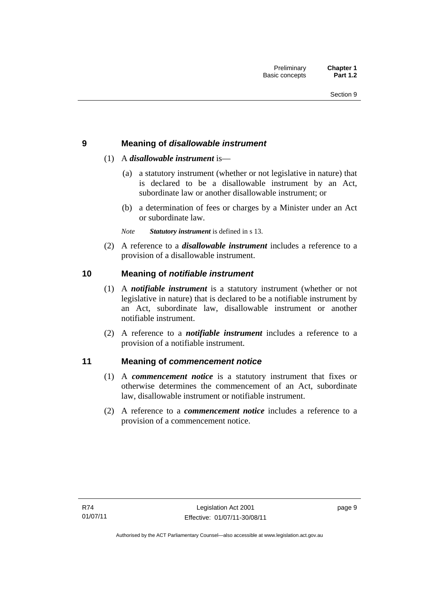### <span id="page-24-0"></span>**9 Meaning of** *disallowable instrument*

### (1) A *disallowable instrument* is—

- (a) a statutory instrument (whether or not legislative in nature) that is declared to be a disallowable instrument by an Act, subordinate law or another disallowable instrument; or
- (b) a determination of fees or charges by a Minister under an Act or subordinate law.

*Note Statutory instrument* is defined in s 13.

 (2) A reference to a *disallowable instrument* includes a reference to a provision of a disallowable instrument.

### <span id="page-24-1"></span>**10 Meaning of** *notifiable instrument*

- (1) A *notifiable instrument* is a statutory instrument (whether or not legislative in nature) that is declared to be a notifiable instrument by an Act, subordinate law, disallowable instrument or another notifiable instrument.
- (2) A reference to a *notifiable instrument* includes a reference to a provision of a notifiable instrument.

### <span id="page-24-2"></span>**11 Meaning of** *commencement notice*

- (1) A *commencement notice* is a statutory instrument that fixes or otherwise determines the commencement of an Act, subordinate law, disallowable instrument or notifiable instrument.
- (2) A reference to a *commencement notice* includes a reference to a provision of a commencement notice.

page 9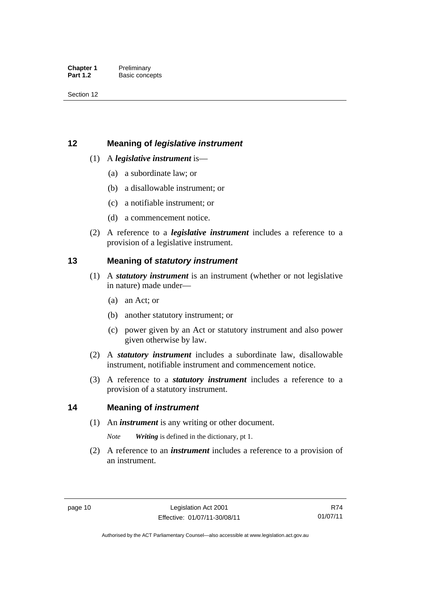### <span id="page-25-0"></span>**12 Meaning of** *legislative instrument*

### (1) A *legislative instrument* is—

- (a) a subordinate law; or
- (b) a disallowable instrument; or
- (c) a notifiable instrument; or
- (d) a commencement notice.
- (2) A reference to a *legislative instrument* includes a reference to a provision of a legislative instrument.

### <span id="page-25-1"></span>**13 Meaning of** *statutory instrument*

- (1) A *statutory instrument* is an instrument (whether or not legislative in nature) made under—
	- (a) an Act; or
	- (b) another statutory instrument; or
	- (c) power given by an Act or statutory instrument and also power given otherwise by law.
- (2) A *statutory instrument* includes a subordinate law, disallowable instrument, notifiable instrument and commencement notice.
- (3) A reference to a *statutory instrument* includes a reference to a provision of a statutory instrument.

### <span id="page-25-2"></span>**14 Meaning of** *instrument*

(1) An *instrument* is any writing or other document.

*Note Writing* is defined in the dictionary, pt 1.

 (2) A reference to an *instrument* includes a reference to a provision of an instrument.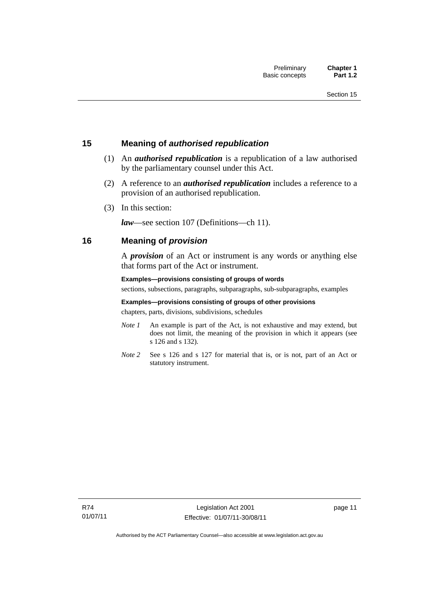### <span id="page-26-0"></span>**15 Meaning of** *authorised republication*

- (1) An *authorised republication* is a republication of a law authorised by the parliamentary counsel under this Act.
- (2) A reference to an *authorised republication* includes a reference to a provision of an authorised republication.
- (3) In this section:

*law*—see section 107 (Definitions—ch 11).

### <span id="page-26-1"></span>**16 Meaning of** *provision*

A *provision* of an Act or instrument is any words or anything else that forms part of the Act or instrument.

### **Examples—provisions consisting of groups of words**

sections, subsections, paragraphs, subparagraphs, sub-subparagraphs, examples

### **Examples—provisions consisting of groups of other provisions**

chapters, parts, divisions, subdivisions, schedules

- *Note 1* An example is part of the Act, is not exhaustive and may extend, but does not limit, the meaning of the provision in which it appears (see s 126 and s 132).
- *Note 2* See s 126 and s 127 for material that is, or is not, part of an Act or statutory instrument.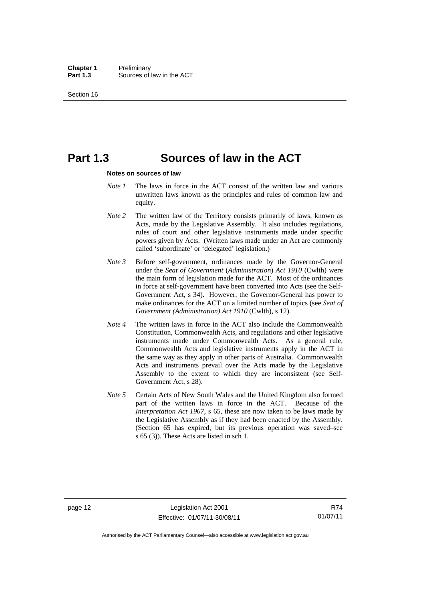### <span id="page-27-0"></span>**Part 1.3 Sources of law in the ACT**

#### **Notes on sources of law**

- *Note 1* The laws in force in the ACT consist of the written law and various unwritten laws known as the principles and rules of common law and equity.
- *Note* 2 The written law of the Territory consists primarily of laws, known as Acts, made by the Legislative Assembly. It also includes regulations, rules of court and other legislative instruments made under specific powers given by Acts. (Written laws made under an Act are commonly called 'subordinate' or 'delegated' legislation.)
- *Note 3* Before self-government, ordinances made by the Governor-General under the *Seat of Government* (*Administration*) *Act 1910* (Cwlth) were the main form of legislation made for the ACT. Most of the ordinances in force at self-government have been converted into Acts (see the Self-Government Act, s 34). However, the Governor-General has power to make ordinances for the ACT on a limited number of topics (see *Seat of Government (Administration) Act 1910* (Cwlth), s 12).
- *Note 4* The written laws in force in the ACT also include the Commonwealth Constitution, Commonwealth Acts, and regulations and other legislative instruments made under Commonwealth Acts. As a general rule, Commonwealth Acts and legislative instruments apply in the ACT in the same way as they apply in other parts of Australia. Commonwealth Acts and instruments prevail over the Acts made by the Legislative Assembly to the extent to which they are inconsistent (see Self-Government Act, s 28).
- *Note 5* Certain Acts of New South Wales and the United Kingdom also formed part of the written laws in force in the ACT. Because of the *Interpretation Act 1967*, s 65, these are now taken to be laws made by the Legislative Assembly as if they had been enacted by the Assembly. (Section 65 has expired, but its previous operation was saved–see s 65 (3)). These Acts are listed in sch 1.

R74 01/07/11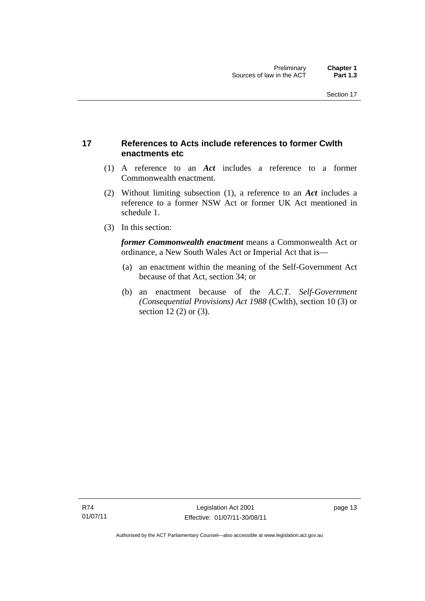### <span id="page-28-0"></span>**17 References to Acts include references to former Cwlth enactments etc**

- (1) A reference to an *Act* includes a reference to a former Commonwealth enactment.
- (2) Without limiting subsection (1), a reference to an *Act* includes a reference to a former NSW Act or former UK Act mentioned in schedule 1.
- (3) In this section:

*former Commonwealth enactment* means a Commonwealth Act or ordinance, a New South Wales Act or Imperial Act that is—

- (a) an enactment within the meaning of the Self-Government Act because of that Act, section 34; or
- (b) an enactment because of the *A.C.T*. *Self-Government (Consequential Provisions) Act 1988* (Cwlth), section 10 (3) or section 12 (2) or (3).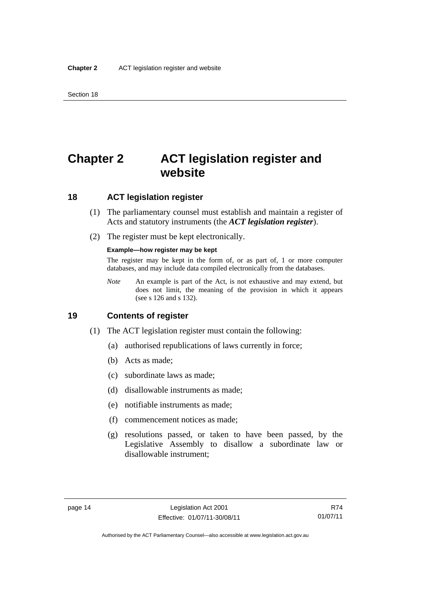### <span id="page-29-0"></span>**Chapter 2 ACT legislation register and website**

### <span id="page-29-1"></span>**18 ACT legislation register**

- (1) The parliamentary counsel must establish and maintain a register of Acts and statutory instruments (the *ACT legislation register*).
- (2) The register must be kept electronically.

#### **Example—how register may be kept**

The register may be kept in the form of, or as part of, 1 or more computer databases, and may include data compiled electronically from the databases.

*Note* An example is part of the Act, is not exhaustive and may extend, but does not limit, the meaning of the provision in which it appears (see s 126 and s 132).

### <span id="page-29-2"></span>**19 Contents of register**

- (1) The ACT legislation register must contain the following:
	- (a) authorised republications of laws currently in force;
	- (b) Acts as made;
	- (c) subordinate laws as made;
	- (d) disallowable instruments as made;
	- (e) notifiable instruments as made;
	- (f) commencement notices as made;
	- (g) resolutions passed, or taken to have been passed, by the Legislative Assembly to disallow a subordinate law or disallowable instrument;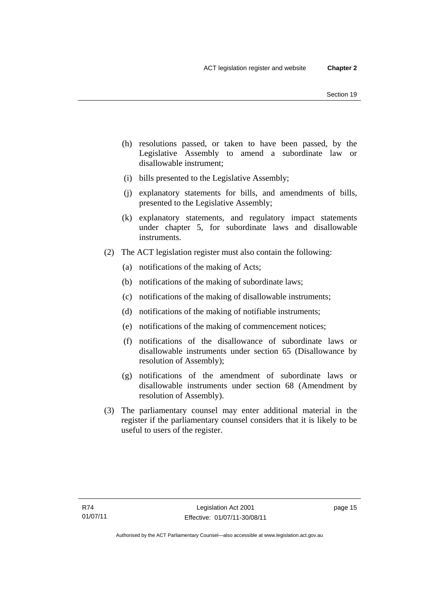- (h) resolutions passed, or taken to have been passed, by the Legislative Assembly to amend a subordinate law or disallowable instrument;
- (i) bills presented to the Legislative Assembly;
- (j) explanatory statements for bills, and amendments of bills, presented to the Legislative Assembly;
- (k) explanatory statements, and regulatory impact statements under chapter 5, for subordinate laws and disallowable instruments.
- (2) The ACT legislation register must also contain the following:
	- (a) notifications of the making of Acts;
	- (b) notifications of the making of subordinate laws;
	- (c) notifications of the making of disallowable instruments;
	- (d) notifications of the making of notifiable instruments;
	- (e) notifications of the making of commencement notices;
	- (f) notifications of the disallowance of subordinate laws or disallowable instruments under section 65 (Disallowance by resolution of Assembly);
	- (g) notifications of the amendment of subordinate laws or disallowable instruments under section 68 (Amendment by resolution of Assembly).
- (3) The parliamentary counsel may enter additional material in the register if the parliamentary counsel considers that it is likely to be useful to users of the register.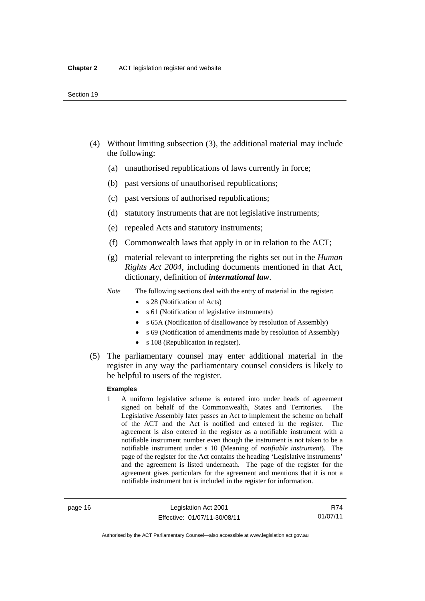- (4) Without limiting subsection (3), the additional material may include the following:
	- (a) unauthorised republications of laws currently in force;
	- (b) past versions of unauthorised republications;
	- (c) past versions of authorised republications;
	- (d) statutory instruments that are not legislative instruments;
	- (e) repealed Acts and statutory instruments;
	- (f) Commonwealth laws that apply in or in relation to the ACT;
	- (g) material relevant to interpreting the rights set out in the *Human Rights Act 2004*, including documents mentioned in that Act, dictionary, definition of *international law*.
	- *Note* The following sections deal with the entry of material in the register:
		- s 28 (Notification of Acts)
		- s 61 (Notification of legislative instruments)
		- s 65A (Notification of disallowance by resolution of Assembly)
		- s 69 (Notification of amendments made by resolution of Assembly)
		- s 108 (Republication in register).
- (5) The parliamentary counsel may enter additional material in the register in any way the parliamentary counsel considers is likely to be helpful to users of the register.

### **Examples**

1 A uniform legislative scheme is entered into under heads of agreement signed on behalf of the Commonwealth, States and Territories. The Legislative Assembly later passes an Act to implement the scheme on behalf of the ACT and the Act is notified and entered in the register. The agreement is also entered in the register as a notifiable instrument with a notifiable instrument number even though the instrument is not taken to be a notifiable instrument under s 10 (Meaning of *notifiable instrument*). The page of the register for the Act contains the heading 'Legislative instruments' and the agreement is listed underneath. The page of the register for the agreement gives particulars for the agreement and mentions that it is not a notifiable instrument but is included in the register for information.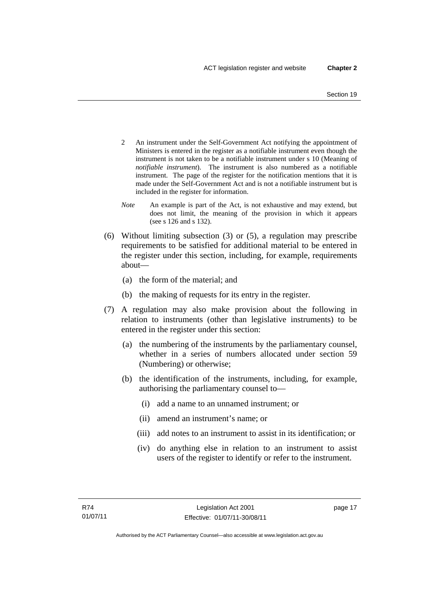- 2 An instrument under the Self-Government Act notifying the appointment of Ministers is entered in the register as a notifiable instrument even though the instrument is not taken to be a notifiable instrument under s 10 (Meaning of *notifiable instrument*). The instrument is also numbered as a notifiable instrument. The page of the register for the notification mentions that it is made under the Self-Government Act and is not a notifiable instrument but is included in the register for information.
- *Note* An example is part of the Act, is not exhaustive and may extend, but does not limit, the meaning of the provision in which it appears (see s 126 and s 132).
- (6) Without limiting subsection (3) or (5), a regulation may prescribe requirements to be satisfied for additional material to be entered in the register under this section, including, for example, requirements about—
	- (a) the form of the material; and
	- (b) the making of requests for its entry in the register.
- (7) A regulation may also make provision about the following in relation to instruments (other than legislative instruments) to be entered in the register under this section:
	- (a) the numbering of the instruments by the parliamentary counsel, whether in a series of numbers allocated under section 59 (Numbering) or otherwise;
	- (b) the identification of the instruments, including, for example, authorising the parliamentary counsel to—
		- (i) add a name to an unnamed instrument; or
		- (ii) amend an instrument's name; or
		- (iii) add notes to an instrument to assist in its identification; or
		- (iv) do anything else in relation to an instrument to assist users of the register to identify or refer to the instrument.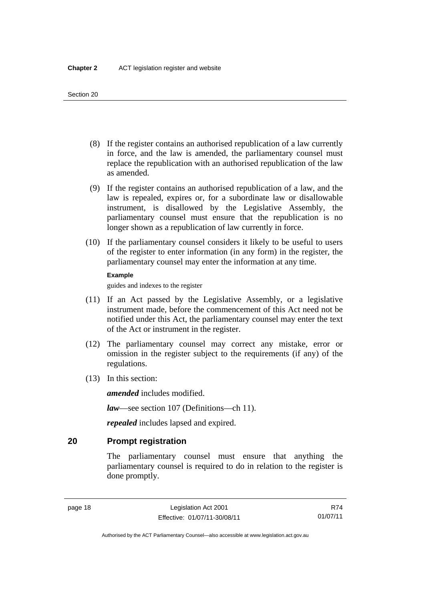- (8) If the register contains an authorised republication of a law currently in force, and the law is amended, the parliamentary counsel must replace the republication with an authorised republication of the law as amended.
- (9) If the register contains an authorised republication of a law, and the law is repealed, expires or, for a subordinate law or disallowable instrument, is disallowed by the Legislative Assembly, the parliamentary counsel must ensure that the republication is no longer shown as a republication of law currently in force.
- (10) If the parliamentary counsel considers it likely to be useful to users of the register to enter information (in any form) in the register, the parliamentary counsel may enter the information at any time.

### **Example**

guides and indexes to the register

- (11) If an Act passed by the Legislative Assembly, or a legislative instrument made, before the commencement of this Act need not be notified under this Act, the parliamentary counsel may enter the text of the Act or instrument in the register.
- (12) The parliamentary counsel may correct any mistake, error or omission in the register subject to the requirements (if any) of the regulations.
- (13) In this section:

*amended* includes modified.

*law*—see section 107 (Definitions—ch 11).

*repealed* includes lapsed and expired.

### <span id="page-33-0"></span>**20 Prompt registration**

The parliamentary counsel must ensure that anything the parliamentary counsel is required to do in relation to the register is done promptly.

R74 01/07/11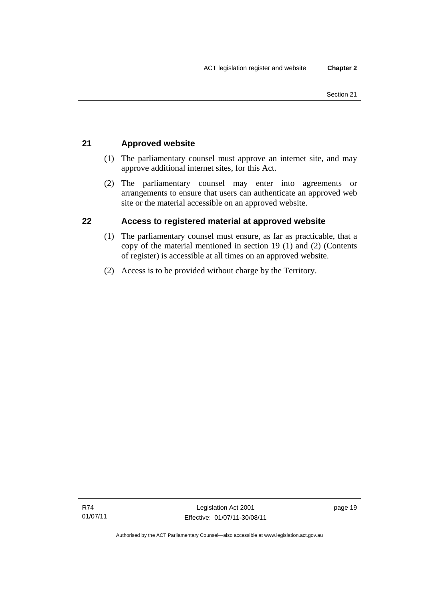### <span id="page-34-0"></span>**21 Approved website**

- (1) The parliamentary counsel must approve an internet site, and may approve additional internet sites, for this Act.
- (2) The parliamentary counsel may enter into agreements or arrangements to ensure that users can authenticate an approved web site or the material accessible on an approved website.

### <span id="page-34-1"></span>**22 Access to registered material at approved website**

- (1) The parliamentary counsel must ensure, as far as practicable, that a copy of the material mentioned in section 19 (1) and (2) (Contents of register) is accessible at all times on an approved website.
- (2) Access is to be provided without charge by the Territory.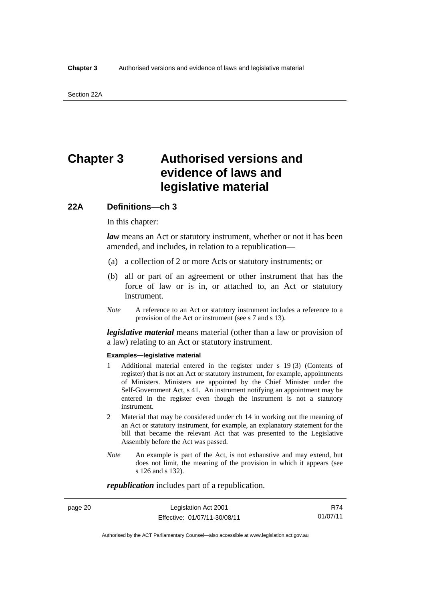### <span id="page-35-0"></span>**Chapter 3 Authorised versions and evidence of laws and legislative material**

### <span id="page-35-1"></span>**22A Definitions—ch 3**

In this chapter:

*law* means an Act or statutory instrument, whether or not it has been amended, and includes, in relation to a republication—

- (a) a collection of 2 or more Acts or statutory instruments; or
- (b) all or part of an agreement or other instrument that has the force of law or is in, or attached to, an Act or statutory instrument.
- *Note* A reference to an Act or statutory instrument includes a reference to a provision of the Act or instrument (see s 7 and s 13).

*legislative material* means material (other than a law or provision of a law) relating to an Act or statutory instrument.

#### **Examples—legislative material**

- 1 Additional material entered in the register under s 19 (3) (Contents of register) that is not an Act or statutory instrument, for example, appointments of Ministers. Ministers are appointed by the Chief Minister under the Self-Government Act, s 41. An instrument notifying an appointment may be entered in the register even though the instrument is not a statutory instrument.
- 2 Material that may be considered under ch 14 in working out the meaning of an Act or statutory instrument, for example, an explanatory statement for the bill that became the relevant Act that was presented to the Legislative Assembly before the Act was passed.
- *Note* An example is part of the Act, is not exhaustive and may extend, but does not limit, the meaning of the provision in which it appears (see s 126 and s 132).

*republication* includes part of a republication.

page 20 Legislation Act 2001 Effective: 01/07/11-30/08/11

R74 01/07/11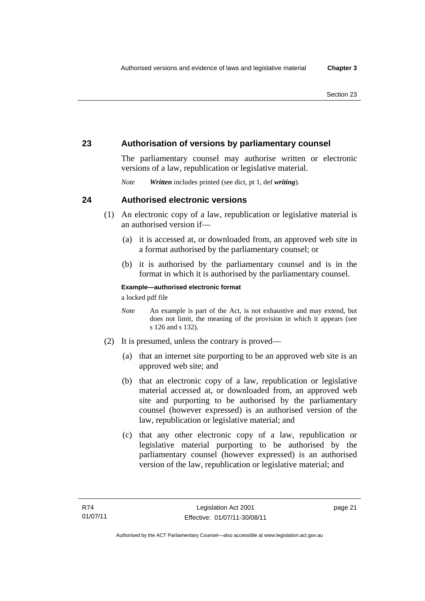# **23 Authorisation of versions by parliamentary counsel**

The parliamentary counsel may authorise written or electronic versions of a law, republication or legislative material.

*Note Written* includes printed (see dict, pt 1, def *writing*).

# **24 Authorised electronic versions**

- (1) An electronic copy of a law, republication or legislative material is an authorised version if—
	- (a) it is accessed at, or downloaded from, an approved web site in a format authorised by the parliamentary counsel; or
	- (b) it is authorised by the parliamentary counsel and is in the format in which it is authorised by the parliamentary counsel.

**Example—authorised electronic format** 

a locked pdf file

- *Note* An example is part of the Act, is not exhaustive and may extend, but does not limit, the meaning of the provision in which it appears (see s 126 and s 132).
- (2) It is presumed, unless the contrary is proved—
	- (a) that an internet site purporting to be an approved web site is an approved web site; and
	- (b) that an electronic copy of a law, republication or legislative material accessed at, or downloaded from, an approved web site and purporting to be authorised by the parliamentary counsel (however expressed) is an authorised version of the law, republication or legislative material; and
	- (c) that any other electronic copy of a law, republication or legislative material purporting to be authorised by the parliamentary counsel (however expressed) is an authorised version of the law, republication or legislative material; and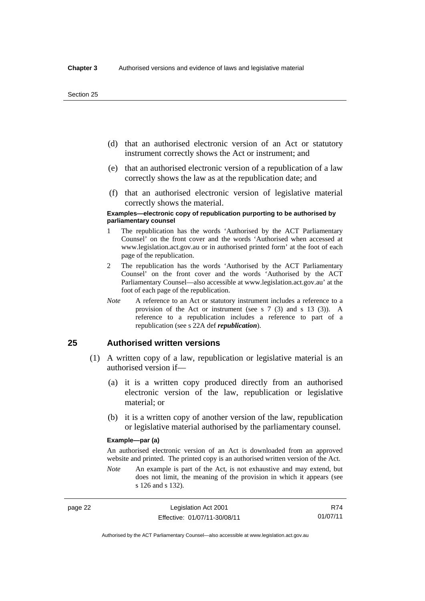- (d) that an authorised electronic version of an Act or statutory instrument correctly shows the Act or instrument; and
- (e) that an authorised electronic version of a republication of a law correctly shows the law as at the republication date; and
- (f) that an authorised electronic version of legislative material correctly shows the material.

#### **Examples—electronic copy of republication purporting to be authorised by parliamentary counsel**

- 1 The republication has the words 'Authorised by the ACT Parliamentary Counsel' on the front cover and the words 'Authorised when accessed at www.legislation.act.gov.au or in authorised printed form' at the foot of each page of the republication.
- 2 The republication has the words 'Authorised by the ACT Parliamentary Counsel' on the front cover and the words 'Authorised by the ACT Parliamentary Counsel—also accessible at www.legislation.act.gov.au' at the foot of each page of the republication.
- *Note* A reference to an Act or statutory instrument includes a reference to a provision of the Act or instrument (see s 7 (3) and s 13 (3)). A reference to a republication includes a reference to part of a republication (see s 22A def *republication*).

## **25 Authorised written versions**

- (1) A written copy of a law, republication or legislative material is an authorised version if—
	- (a) it is a written copy produced directly from an authorised electronic version of the law, republication or legislative material; or
	- (b) it is a written copy of another version of the law, republication or legislative material authorised by the parliamentary counsel.

#### **Example—par (a)**

An authorised electronic version of an Act is downloaded from an approved website and printed. The printed copy is an authorised written version of the Act.

*Note* An example is part of the Act, is not exhaustive and may extend, but does not limit, the meaning of the provision in which it appears (see s 126 and s 132).

page 22 Legislation Act 2001 Effective: 01/07/11-30/08/11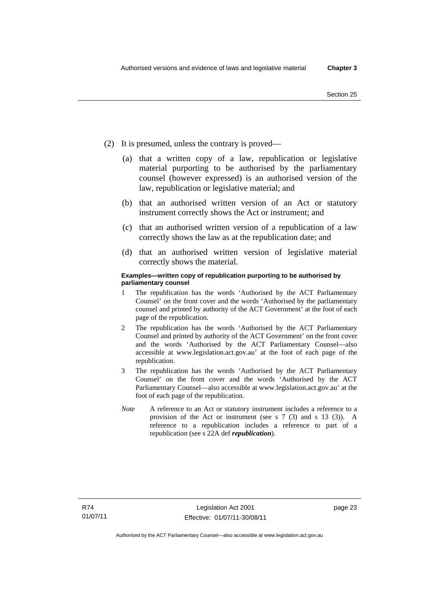- (2) It is presumed, unless the contrary is proved—
	- (a) that a written copy of a law, republication or legislative material purporting to be authorised by the parliamentary counsel (however expressed) is an authorised version of the law, republication or legislative material; and
	- (b) that an authorised written version of an Act or statutory instrument correctly shows the Act or instrument; and
	- (c) that an authorised written version of a republication of a law correctly shows the law as at the republication date; and
	- (d) that an authorised written version of legislative material correctly shows the material.

#### **Examples—written copy of republication purporting to be authorised by parliamentary counsel**

- 1 The republication has the words 'Authorised by the ACT Parliamentary Counsel' on the front cover and the words 'Authorised by the parliamentary counsel and printed by authority of the ACT Government' at the foot of each page of the republication.
- 2 The republication has the words 'Authorised by the ACT Parliamentary Counsel and printed by authority of the ACT Government' on the front cover and the words 'Authorised by the ACT Parliamentary Counsel—also accessible at www.legislation.act.gov.au' at the foot of each page of the republication.
- 3 The republication has the words 'Authorised by the ACT Parliamentary Counsel' on the front cover and the words 'Authorised by the ACT Parliamentary Counsel—also accessible at www.legislation.act.gov.au' at the foot of each page of the republication.
- *Note* A reference to an Act or statutory instrument includes a reference to a provision of the Act or instrument (see s 7 (3) and s 13 (3)). A reference to a republication includes a reference to part of a republication (see s 22A def *republication*).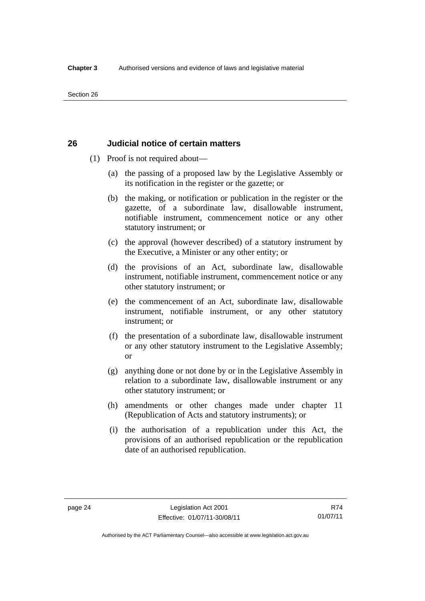# **26 Judicial notice of certain matters**

- (1) Proof is not required about—
	- (a) the passing of a proposed law by the Legislative Assembly or its notification in the register or the gazette; or
	- (b) the making, or notification or publication in the register or the gazette, of a subordinate law, disallowable instrument, notifiable instrument, commencement notice or any other statutory instrument; or
	- (c) the approval (however described) of a statutory instrument by the Executive, a Minister or any other entity; or
	- (d) the provisions of an Act, subordinate law, disallowable instrument, notifiable instrument, commencement notice or any other statutory instrument; or
	- (e) the commencement of an Act, subordinate law, disallowable instrument, notifiable instrument, or any other statutory instrument; or
	- (f) the presentation of a subordinate law, disallowable instrument or any other statutory instrument to the Legislative Assembly; or
	- (g) anything done or not done by or in the Legislative Assembly in relation to a subordinate law, disallowable instrument or any other statutory instrument; or
	- (h) amendments or other changes made under chapter 11 (Republication of Acts and statutory instruments); or
	- (i) the authorisation of a republication under this Act, the provisions of an authorised republication or the republication date of an authorised republication.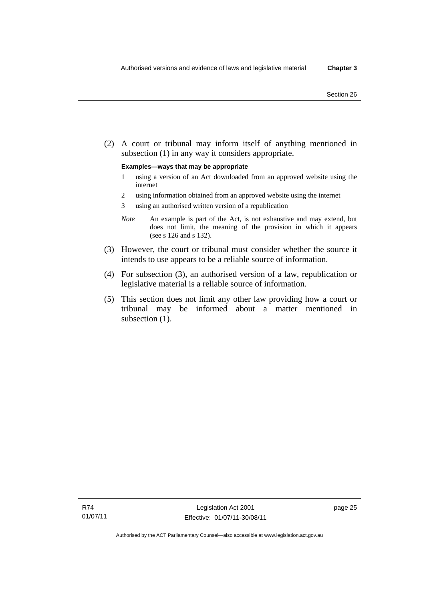(2) A court or tribunal may inform itself of anything mentioned in subsection (1) in any way it considers appropriate.

#### **Examples—ways that may be appropriate**

- 1 using a version of an Act downloaded from an approved website using the internet
- 2 using information obtained from an approved website using the internet
- 3 using an authorised written version of a republication
- *Note* An example is part of the Act, is not exhaustive and may extend, but does not limit, the meaning of the provision in which it appears (see s 126 and s 132).
- (3) However, the court or tribunal must consider whether the source it intends to use appears to be a reliable source of information.
- (4) For subsection (3), an authorised version of a law, republication or legislative material is a reliable source of information.
- (5) This section does not limit any other law providing how a court or tribunal may be informed about a matter mentioned in subsection  $(1)$ .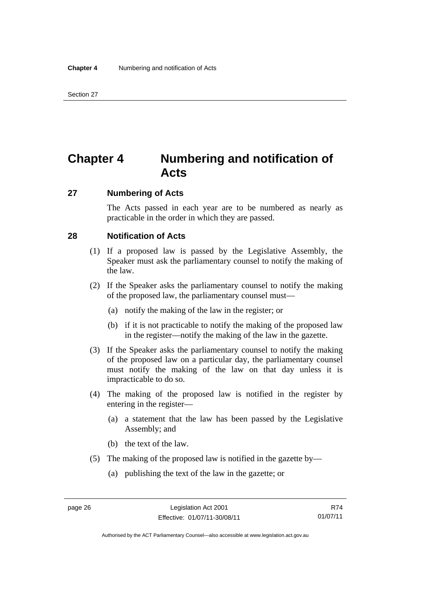# **Chapter 4 Numbering and notification of Acts**

# **27 Numbering of Acts**

The Acts passed in each year are to be numbered as nearly as practicable in the order in which they are passed.

# **28 Notification of Acts**

- (1) If a proposed law is passed by the Legislative Assembly, the Speaker must ask the parliamentary counsel to notify the making of the law.
- (2) If the Speaker asks the parliamentary counsel to notify the making of the proposed law, the parliamentary counsel must—
	- (a) notify the making of the law in the register; or
	- (b) if it is not practicable to notify the making of the proposed law in the register—notify the making of the law in the gazette.
- (3) If the Speaker asks the parliamentary counsel to notify the making of the proposed law on a particular day, the parliamentary counsel must notify the making of the law on that day unless it is impracticable to do so.
- (4) The making of the proposed law is notified in the register by entering in the register—
	- (a) a statement that the law has been passed by the Legislative Assembly; and
	- (b) the text of the law.
- (5) The making of the proposed law is notified in the gazette by—
	- (a) publishing the text of the law in the gazette; or

R74 01/07/11

Authorised by the ACT Parliamentary Counsel—also accessible at www.legislation.act.gov.au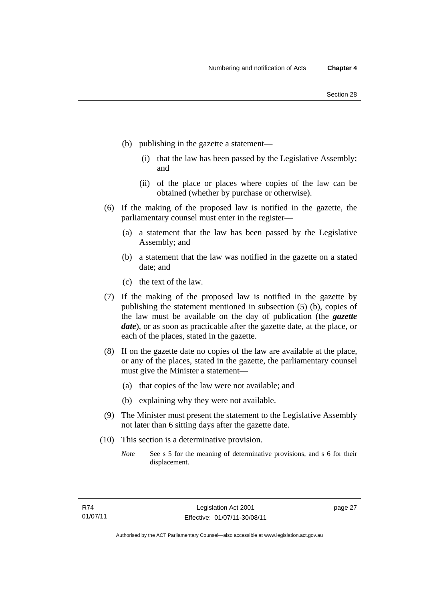- (b) publishing in the gazette a statement—
	- (i) that the law has been passed by the Legislative Assembly; and
	- (ii) of the place or places where copies of the law can be obtained (whether by purchase or otherwise).
- (6) If the making of the proposed law is notified in the gazette, the parliamentary counsel must enter in the register—
	- (a) a statement that the law has been passed by the Legislative Assembly; and
	- (b) a statement that the law was notified in the gazette on a stated date; and
	- (c) the text of the law.
- (7) If the making of the proposed law is notified in the gazette by publishing the statement mentioned in subsection (5) (b), copies of the law must be available on the day of publication (the *gazette date*), or as soon as practicable after the gazette date, at the place, or each of the places, stated in the gazette.
- (8) If on the gazette date no copies of the law are available at the place, or any of the places, stated in the gazette, the parliamentary counsel must give the Minister a statement—
	- (a) that copies of the law were not available; and
	- (b) explaining why they were not available.
- (9) The Minister must present the statement to the Legislative Assembly not later than 6 sitting days after the gazette date.
- (10) This section is a determinative provision.
	- *Note* See s 5 for the meaning of determinative provisions, and s 6 for their displacement.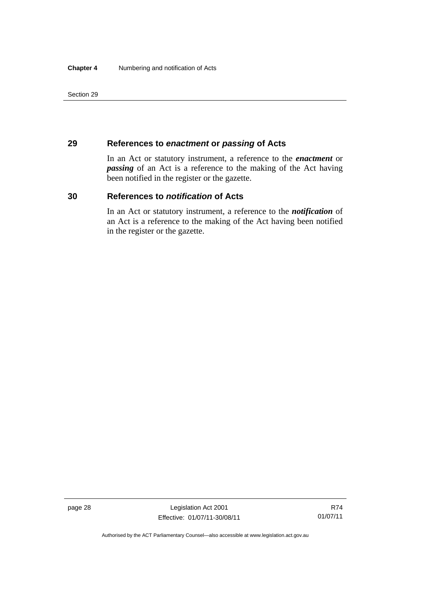Section 29

# **29 References to** *enactment* **or** *passing* **of Acts**

In an Act or statutory instrument, a reference to the *enactment* or *passing* of an Act is a reference to the making of the Act having been notified in the register or the gazette.

# **30 References to** *notification* **of Acts**

In an Act or statutory instrument, a reference to the *notification* of an Act is a reference to the making of the Act having been notified in the register or the gazette.

Authorised by the ACT Parliamentary Counsel—also accessible at www.legislation.act.gov.au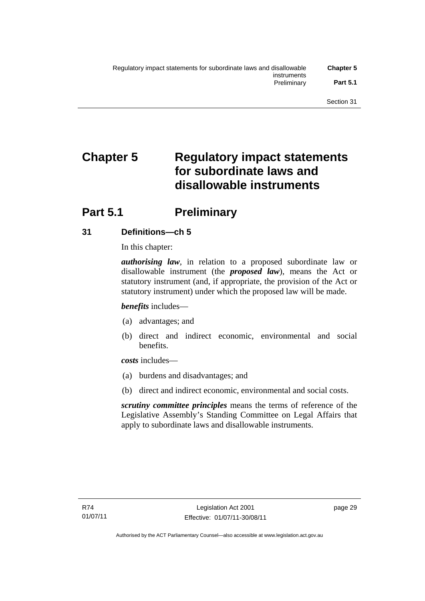# **Chapter 5 Regulatory impact statements for subordinate laws and disallowable instruments**

# **Part 5.1** Preliminary

# **31 Definitions—ch 5**

In this chapter:

*authorising law*, in relation to a proposed subordinate law or disallowable instrument (the *proposed law*), means the Act or statutory instrument (and, if appropriate, the provision of the Act or statutory instrument) under which the proposed law will be made.

*benefits* includes—

- (a) advantages; and
- (b) direct and indirect economic, environmental and social benefits.

*costs* includes—

- (a) burdens and disadvantages; and
- (b) direct and indirect economic, environmental and social costs.

*scrutiny committee principles* means the terms of reference of the Legislative Assembly's Standing Committee on Legal Affairs that apply to subordinate laws and disallowable instruments.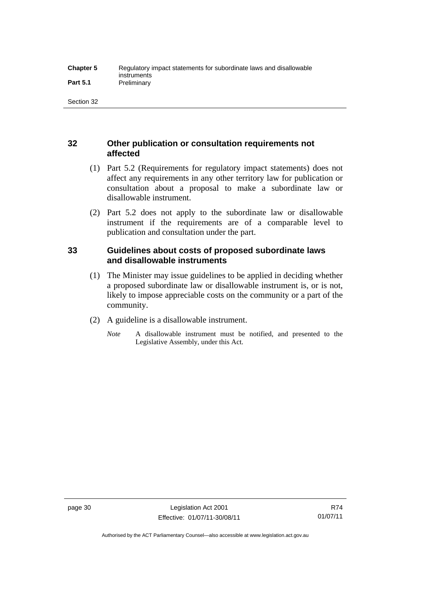# **32 Other publication or consultation requirements not affected**

- (1) Part 5.2 (Requirements for regulatory impact statements) does not affect any requirements in any other territory law for publication or consultation about a proposal to make a subordinate law or disallowable instrument.
- (2) Part 5.2 does not apply to the subordinate law or disallowable instrument if the requirements are of a comparable level to publication and consultation under the part.

# **33 Guidelines about costs of proposed subordinate laws and disallowable instruments**

- (1) The Minister may issue guidelines to be applied in deciding whether a proposed subordinate law or disallowable instrument is, or is not, likely to impose appreciable costs on the community or a part of the community.
- (2) A guideline is a disallowable instrument.
	- *Note* A disallowable instrument must be notified, and presented to the Legislative Assembly, under this Act.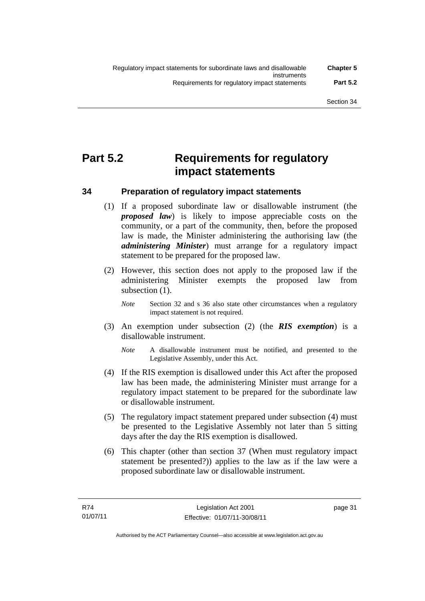# **Part 5.2 Requirements for regulatory impact statements**

# **34 Preparation of regulatory impact statements**

- (1) If a proposed subordinate law or disallowable instrument (the *proposed law*) is likely to impose appreciable costs on the community, or a part of the community, then, before the proposed law is made, the Minister administering the authorising law (the *administering Minister*) must arrange for a regulatory impact statement to be prepared for the proposed law.
- (2) However, this section does not apply to the proposed law if the administering Minister exempts the proposed law from subsection  $(1)$ .
	- *Note* Section 32 and s 36 also state other circumstances when a regulatory impact statement is not required.
- (3) An exemption under subsection (2) (the *RIS exemption*) is a disallowable instrument.
	- *Note* A disallowable instrument must be notified, and presented to the Legislative Assembly, under this Act.
- (4) If the RIS exemption is disallowed under this Act after the proposed law has been made, the administering Minister must arrange for a regulatory impact statement to be prepared for the subordinate law or disallowable instrument.
- (5) The regulatory impact statement prepared under subsection (4) must be presented to the Legislative Assembly not later than 5 sitting days after the day the RIS exemption is disallowed.
- (6) This chapter (other than section 37 (When must regulatory impact statement be presented?)) applies to the law as if the law were a proposed subordinate law or disallowable instrument.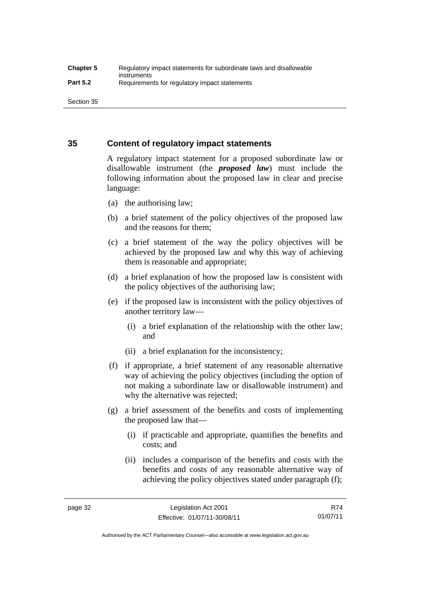Section 35

# **35 Content of regulatory impact statements**

A regulatory impact statement for a proposed subordinate law or disallowable instrument (the *proposed law*) must include the following information about the proposed law in clear and precise language:

- (a) the authorising law;
- (b) a brief statement of the policy objectives of the proposed law and the reasons for them;
- (c) a brief statement of the way the policy objectives will be achieved by the proposed law and why this way of achieving them is reasonable and appropriate;
- (d) a brief explanation of how the proposed law is consistent with the policy objectives of the authorising law;
- (e) if the proposed law is inconsistent with the policy objectives of another territory law—
	- (i) a brief explanation of the relationship with the other law; and
	- (ii) a brief explanation for the inconsistency;
- (f) if appropriate, a brief statement of any reasonable alternative way of achieving the policy objectives (including the option of not making a subordinate law or disallowable instrument) and why the alternative was rejected;
- (g) a brief assessment of the benefits and costs of implementing the proposed law that—
	- (i) if practicable and appropriate, quantifies the benefits and costs; and
	- (ii) includes a comparison of the benefits and costs with the benefits and costs of any reasonable alternative way of achieving the policy objectives stated under paragraph (f);

R74 01/07/11

Authorised by the ACT Parliamentary Counsel—also accessible at www.legislation.act.gov.au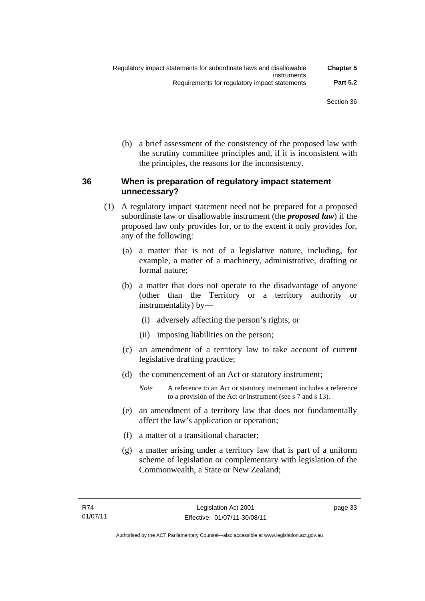(h) a brief assessment of the consistency of the proposed law with the scrutiny committee principles and, if it is inconsistent with the principles, the reasons for the inconsistency.

# **36 When is preparation of regulatory impact statement unnecessary?**

- (1) A regulatory impact statement need not be prepared for a proposed subordinate law or disallowable instrument (the *proposed law*) if the proposed law only provides for, or to the extent it only provides for, any of the following:
	- (a) a matter that is not of a legislative nature, including, for example, a matter of a machinery, administrative, drafting or formal nature;
	- (b) a matter that does not operate to the disadvantage of anyone (other than the Territory or a territory authority or instrumentality) by—
		- (i) adversely affecting the person's rights; or
		- (ii) imposing liabilities on the person;
	- (c) an amendment of a territory law to take account of current legislative drafting practice;
	- (d) the commencement of an Act or statutory instrument;
		- *Note* A reference to an Act or statutory instrument includes a reference to a provision of the Act or instrument (see s 7 and s 13).
	- (e) an amendment of a territory law that does not fundamentally affect the law's application or operation;
	- (f) a matter of a transitional character;
	- (g) a matter arising under a territory law that is part of a uniform scheme of legislation or complementary with legislation of the Commonwealth, a State or New Zealand;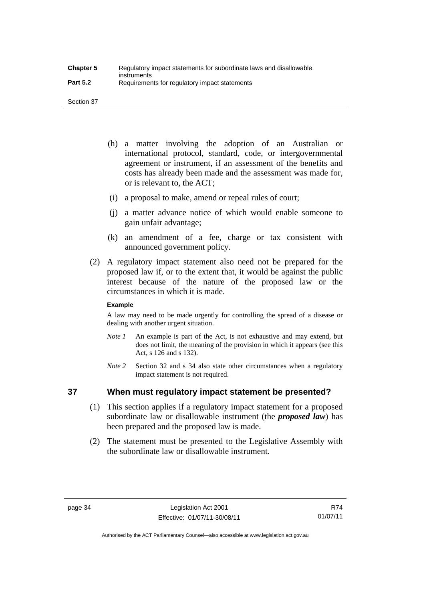Section 37

- (h) a matter involving the adoption of an Australian or international protocol, standard, code, or intergovernmental agreement or instrument, if an assessment of the benefits and costs has already been made and the assessment was made for, or is relevant to, the ACT;
- (i) a proposal to make, amend or repeal rules of court;
- (j) a matter advance notice of which would enable someone to gain unfair advantage;
- (k) an amendment of a fee, charge or tax consistent with announced government policy.
- (2) A regulatory impact statement also need not be prepared for the proposed law if, or to the extent that, it would be against the public interest because of the nature of the proposed law or the circumstances in which it is made.

#### **Example**

A law may need to be made urgently for controlling the spread of a disease or dealing with another urgent situation.

- *Note 1* An example is part of the Act, is not exhaustive and may extend, but does not limit, the meaning of the provision in which it appears (see this Act, s 126 and s 132).
- *Note* 2 Section 32 and s 34 also state other circumstances when a regulatory impact statement is not required.

# **37 When must regulatory impact statement be presented?**

- (1) This section applies if a regulatory impact statement for a proposed subordinate law or disallowable instrument (the *proposed law*) has been prepared and the proposed law is made.
- (2) The statement must be presented to the Legislative Assembly with the subordinate law or disallowable instrument.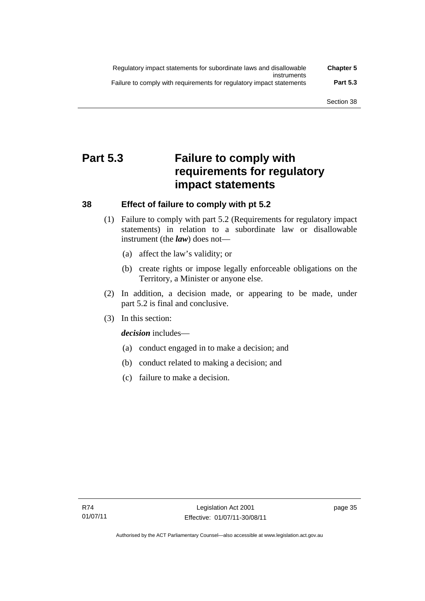| Regulatory impact statements for subordinate laws and disallowable   | <b>Chapter 5</b> |
|----------------------------------------------------------------------|------------------|
| instruments                                                          |                  |
| Failure to comply with requirements for regulatory impact statements | <b>Part 5.3</b>  |

# **Part 5.3 Failure to comply with requirements for regulatory impact statements**

# **38 Effect of failure to comply with pt 5.2**

- (1) Failure to comply with part 5.2 (Requirements for regulatory impact statements) in relation to a subordinate law or disallowable instrument (the *law*) does not—
	- (a) affect the law's validity; or
	- (b) create rights or impose legally enforceable obligations on the Territory, a Minister or anyone else.
- (2) In addition, a decision made, or appearing to be made, under part 5.2 is final and conclusive.
- (3) In this section:

*decision* includes—

- (a) conduct engaged in to make a decision; and
- (b) conduct related to making a decision; and
- (c) failure to make a decision.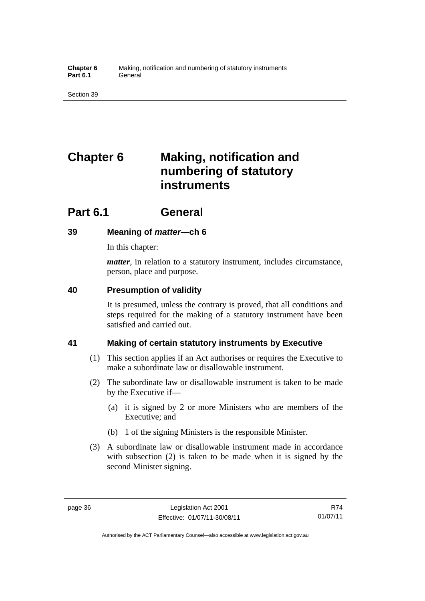# **Chapter 6 Making, notification and numbering of statutory instruments**

# **Part 6.1 General**

# **39 Meaning of** *matter***—ch 6**

In this chapter:

*matter*, in relation to a statutory instrument, includes circumstance, person, place and purpose.

# **40 Presumption of validity**

It is presumed, unless the contrary is proved, that all conditions and steps required for the making of a statutory instrument have been satisfied and carried out.

# **41 Making of certain statutory instruments by Executive**

- (1) This section applies if an Act authorises or requires the Executive to make a subordinate law or disallowable instrument.
- (2) The subordinate law or disallowable instrument is taken to be made by the Executive if—
	- (a) it is signed by 2 or more Ministers who are members of the Executive; and
	- (b) 1 of the signing Ministers is the responsible Minister.
- (3) A subordinate law or disallowable instrument made in accordance with subsection (2) is taken to be made when it is signed by the second Minister signing.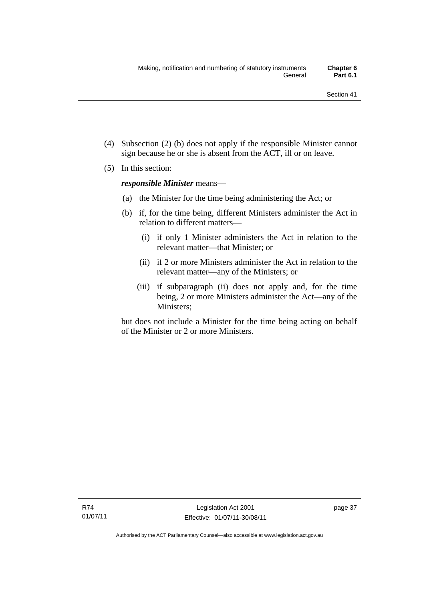- (4) Subsection (2) (b) does not apply if the responsible Minister cannot sign because he or she is absent from the ACT, ill or on leave.
- (5) In this section:

*responsible Minister* means—

- (a) the Minister for the time being administering the Act; or
- (b) if, for the time being, different Ministers administer the Act in relation to different matters—
	- (i) if only 1 Minister administers the Act in relation to the relevant matter—that Minister; or
	- (ii) if 2 or more Ministers administer the Act in relation to the relevant matter—any of the Ministers; or
	- (iii) if subparagraph (ii) does not apply and, for the time being, 2 or more Ministers administer the Act—any of the Ministers;

but does not include a Minister for the time being acting on behalf of the Minister or 2 or more Ministers.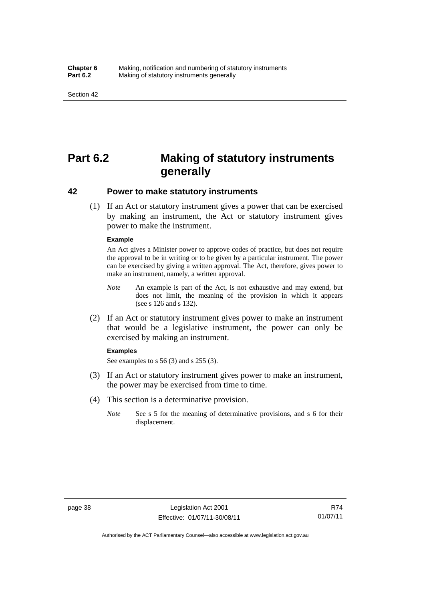# **Part 6.2 Making of statutory instruments generally**

### **42 Power to make statutory instruments**

 (1) If an Act or statutory instrument gives a power that can be exercised by making an instrument, the Act or statutory instrument gives power to make the instrument.

#### **Example**

An Act gives a Minister power to approve codes of practice, but does not require the approval to be in writing or to be given by a particular instrument. The power can be exercised by giving a written approval. The Act, therefore, gives power to make an instrument, namely, a written approval.

- *Note* An example is part of the Act, is not exhaustive and may extend, but does not limit, the meaning of the provision in which it appears (see s 126 and s 132).
- (2) If an Act or statutory instrument gives power to make an instrument that would be a legislative instrument, the power can only be exercised by making an instrument.

#### **Examples**

See examples to s 56 (3) and s 255 (3).

- (3) If an Act or statutory instrument gives power to make an instrument, the power may be exercised from time to time.
- (4) This section is a determinative provision.
	- *Note* See s 5 for the meaning of determinative provisions, and s 6 for their displacement.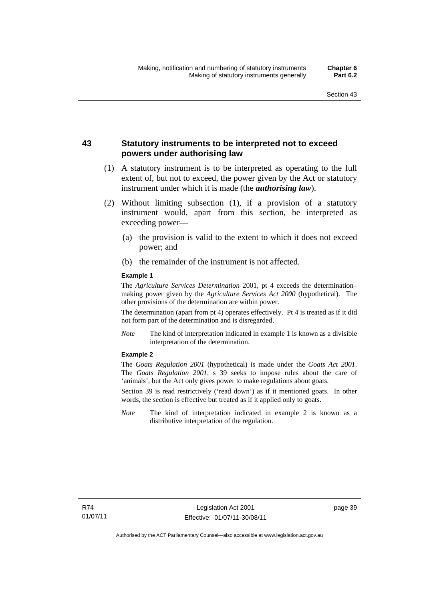# **43 Statutory instruments to be interpreted not to exceed powers under authorising law**

- (1) A statutory instrument is to be interpreted as operating to the full extent of, but not to exceed, the power given by the Act or statutory instrument under which it is made (the *authorising law*).
- (2) Without limiting subsection (1), if a provision of a statutory instrument would, apart from this section, be interpreted as exceeding power—
	- (a) the provision is valid to the extent to which it does not exceed power; and
	- (b) the remainder of the instrument is not affected.

### **Example 1**

The *Agriculture Services Determination* 2001, pt 4 exceeds the determination– making power given by the *Agriculture Services Act 2000* (hypothetical). The other provisions of the determination are within power.

The determination (apart from pt 4) operates effectively. Pt 4 is treated as if it did not form part of the determination and is disregarded.

*Note* The kind of interpretation indicated in example 1 is known as a divisible interpretation of the determination.

#### **Example 2**

The *Goats Regulation 2001* (hypothetical) is made under the *Goats Act 2001*. The *Goats Regulation 2001*, s 39 seeks to impose rules about the care of 'animals', but the Act only gives power to make regulations about goats.

Section 39 is read restrictively ('read down') as if it mentioned goats. In other words, the section is effective but treated as if it applied only to goats.

*Note* The kind of interpretation indicated in example 2 is known as a distributive interpretation of the regulation.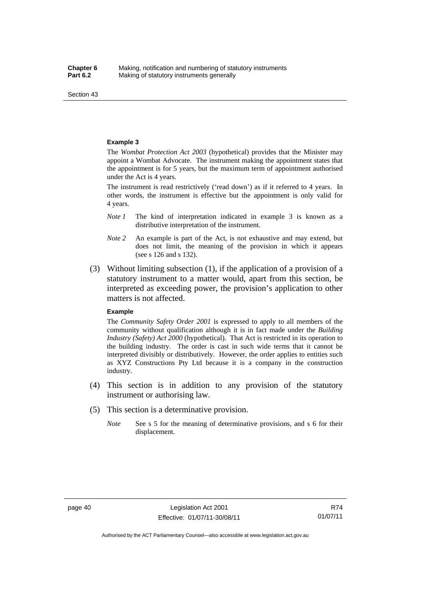Section 43

#### **Example 3**

The *Wombat Protection Act 2003* (hypothetical) provides that the Minister may appoint a Wombat Advocate. The instrument making the appointment states that the appointment is for 5 years, but the maximum term of appointment authorised under the Act is 4 years.

The instrument is read restrictively ('read down') as if it referred to 4 years. In other words, the instrument is effective but the appointment is only valid for 4 years.

- *Note 1* The kind of interpretation indicated in example 3 is known as a distributive interpretation of the instrument.
- *Note 2* An example is part of the Act, is not exhaustive and may extend, but does not limit, the meaning of the provision in which it appears (see s 126 and s 132).
- (3) Without limiting subsection (1), if the application of a provision of a statutory instrument to a matter would, apart from this section, be interpreted as exceeding power, the provision's application to other matters is not affected.

#### **Example**

The *Community Safety Order 2001* is expressed to apply to all members of the community without qualification although it is in fact made under the *Building Industry (Safety) Act 2000* (hypothetical). That Act is restricted in its operation to the building industry. The order is cast in such wide terms that it cannot be interpreted divisibly or distributively. However, the order applies to entities such as XYZ Constructions Pty Ltd because it is a company in the construction industry.

- (4) This section is in addition to any provision of the statutory instrument or authorising law.
- (5) This section is a determinative provision.
	- *Note* See s 5 for the meaning of determinative provisions, and s 6 for their displacement.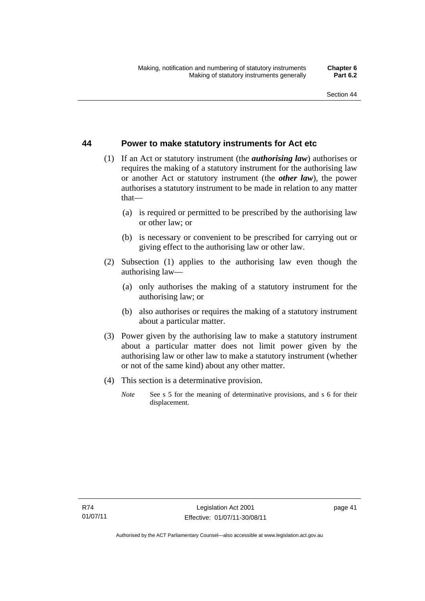# **44 Power to make statutory instruments for Act etc**

- (1) If an Act or statutory instrument (the *authorising law*) authorises or requires the making of a statutory instrument for the authorising law or another Act or statutory instrument (the *other law*), the power authorises a statutory instrument to be made in relation to any matter that—
	- (a) is required or permitted to be prescribed by the authorising law or other law; or
	- (b) is necessary or convenient to be prescribed for carrying out or giving effect to the authorising law or other law.
- (2) Subsection (1) applies to the authorising law even though the authorising law—
	- (a) only authorises the making of a statutory instrument for the authorising law; or
	- (b) also authorises or requires the making of a statutory instrument about a particular matter.
- (3) Power given by the authorising law to make a statutory instrument about a particular matter does not limit power given by the authorising law or other law to make a statutory instrument (whether or not of the same kind) about any other matter.
- (4) This section is a determinative provision.
	- *Note* See s 5 for the meaning of determinative provisions, and s 6 for their displacement.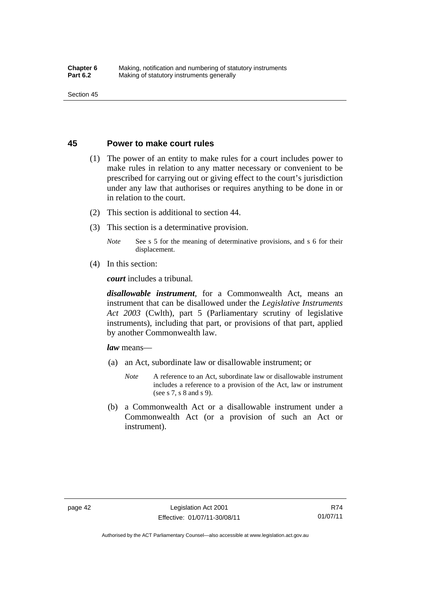## **45 Power to make court rules**

- (1) The power of an entity to make rules for a court includes power to make rules in relation to any matter necessary or convenient to be prescribed for carrying out or giving effect to the court's jurisdiction under any law that authorises or requires anything to be done in or in relation to the court.
- (2) This section is additional to section 44.
- (3) This section is a determinative provision.

*Note* See s 5 for the meaning of determinative provisions, and s 6 for their displacement.

(4) In this section:

*court* includes a tribunal*.*

*disallowable instrument*, for a Commonwealth Act, means an instrument that can be disallowed under the *Legislative Instruments Act 2003* (Cwlth), part 5 (Parliamentary scrutiny of legislative instruments), including that part, or provisions of that part, applied by another Commonwealth law.

*law* means—

- (a) an Act, subordinate law or disallowable instrument; or
	- *Note* A reference to an Act, subordinate law or disallowable instrument includes a reference to a provision of the Act, law or instrument (see s 7, s 8 and s 9).
- (b) a Commonwealth Act or a disallowable instrument under a Commonwealth Act (or a provision of such an Act or instrument).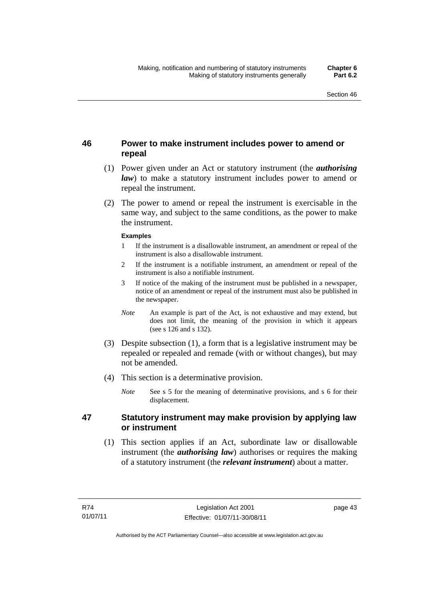# **46 Power to make instrument includes power to amend or repeal**

- (1) Power given under an Act or statutory instrument (the *authorising law*) to make a statutory instrument includes power to amend or repeal the instrument.
- (2) The power to amend or repeal the instrument is exercisable in the same way, and subject to the same conditions, as the power to make the instrument.

### **Examples**

- 1 If the instrument is a disallowable instrument, an amendment or repeal of the instrument is also a disallowable instrument.
- 2 If the instrument is a notifiable instrument, an amendment or repeal of the instrument is also a notifiable instrument.
- 3 If notice of the making of the instrument must be published in a newspaper, notice of an amendment or repeal of the instrument must also be published in the newspaper.
- *Note* An example is part of the Act, is not exhaustive and may extend, but does not limit, the meaning of the provision in which it appears (see s 126 and s 132).
- (3) Despite subsection (1), a form that is a legislative instrument may be repealed or repealed and remade (with or without changes), but may not be amended.
- (4) This section is a determinative provision.
	- *Note* See s 5 for the meaning of determinative provisions, and s 6 for their displacement.

# **47 Statutory instrument may make provision by applying law or instrument**

 (1) This section applies if an Act, subordinate law or disallowable instrument (the *authorising law*) authorises or requires the making of a statutory instrument (the *relevant instrument*) about a matter.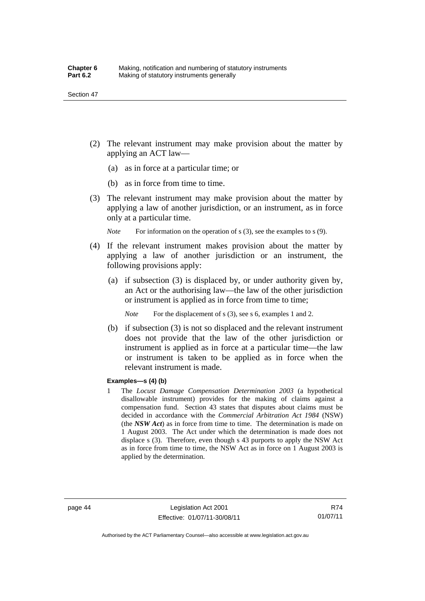- (2) The relevant instrument may make provision about the matter by applying an ACT law—
	- (a) as in force at a particular time; or
	- (b) as in force from time to time.
- (3) The relevant instrument may make provision about the matter by applying a law of another jurisdiction, or an instrument, as in force only at a particular time.

*Note* For information on the operation of s (3), see the examples to s (9).

- (4) If the relevant instrument makes provision about the matter by applying a law of another jurisdiction or an instrument, the following provisions apply:
	- (a) if subsection (3) is displaced by, or under authority given by, an Act or the authorising law—the law of the other jurisdiction or instrument is applied as in force from time to time;

*Note* For the displacement of s (3), see s 6, examples 1 and 2.

 (b) if subsection (3) is not so displaced and the relevant instrument does not provide that the law of the other jurisdiction or instrument is applied as in force at a particular time—the law or instrument is taken to be applied as in force when the relevant instrument is made.

### **Examples—s (4) (b)**

1 The *Locust Damage Compensation Determination 2003* (a hypothetical disallowable instrument) provides for the making of claims against a compensation fund. Section 43 states that disputes about claims must be decided in accordance with the *Commercial Arbitration Act 1984* (NSW) (the *NSW Act*) as in force from time to time. The determination is made on 1 August 2003. The Act under which the determination is made does not displace s (3). Therefore, even though s 43 purports to apply the NSW Act as in force from time to time, the NSW Act as in force on 1 August 2003 is applied by the determination.

Authorised by the ACT Parliamentary Counsel—also accessible at www.legislation.act.gov.au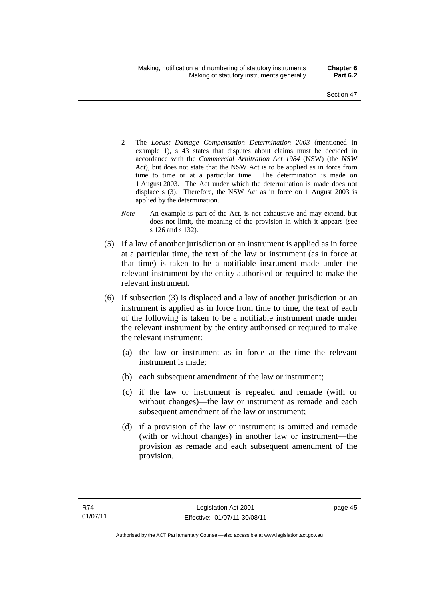- 2 The *Locust Damage Compensation Determination 2003* (mentioned in example 1), s 43 states that disputes about claims must be decided in accordance with the *Commercial Arbitration Act 1984* (NSW) (the *NSW Act*), but does not state that the NSW Act is to be applied as in force from time to time or at a particular time. The determination is made on 1 August 2003. The Act under which the determination is made does not displace s (3). Therefore, the NSW Act as in force on 1 August 2003 is applied by the determination.
- *Note* An example is part of the Act, is not exhaustive and may extend, but does not limit, the meaning of the provision in which it appears (see s 126 and s 132).
- (5) If a law of another jurisdiction or an instrument is applied as in force at a particular time, the text of the law or instrument (as in force at that time) is taken to be a notifiable instrument made under the relevant instrument by the entity authorised or required to make the relevant instrument.
- (6) If subsection (3) is displaced and a law of another jurisdiction or an instrument is applied as in force from time to time, the text of each of the following is taken to be a notifiable instrument made under the relevant instrument by the entity authorised or required to make the relevant instrument:
	- (a) the law or instrument as in force at the time the relevant instrument is made;
	- (b) each subsequent amendment of the law or instrument;
	- (c) if the law or instrument is repealed and remade (with or without changes)—the law or instrument as remade and each subsequent amendment of the law or instrument;
	- (d) if a provision of the law or instrument is omitted and remade (with or without changes) in another law or instrument—the provision as remade and each subsequent amendment of the provision.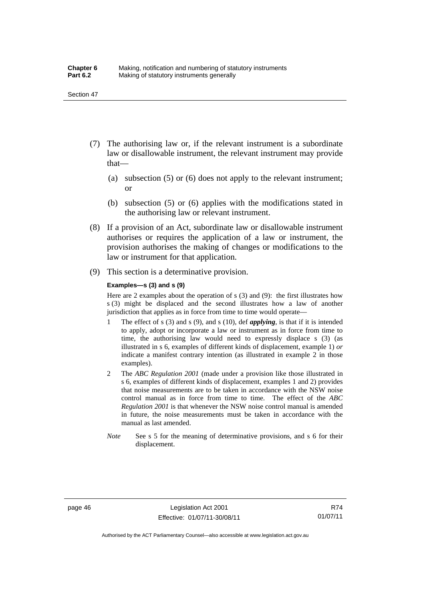- (7) The authorising law or, if the relevant instrument is a subordinate law or disallowable instrument, the relevant instrument may provide that—
	- (a) subsection (5) or (6) does not apply to the relevant instrument; or
	- (b) subsection (5) or (6) applies with the modifications stated in the authorising law or relevant instrument.
- (8) If a provision of an Act, subordinate law or disallowable instrument authorises or requires the application of a law or instrument, the provision authorises the making of changes or modifications to the law or instrument for that application.
- (9) This section is a determinative provision.

#### **Examples—s (3) and s (9)**

Here are 2 examples about the operation of s (3) and (9): the first illustrates how s (3) might be displaced and the second illustrates how a law of another jurisdiction that applies as in force from time to time would operate—

- 1 The effect of s (3) and s (9), and s (10), def *applying*, is that if it is intended to apply, adopt or incorporate a law or instrument as in force from time to time, the authorising law would need to expressly displace s (3) (as illustrated in s 6, examples of different kinds of displacement, example 1) *or* indicate a manifest contrary intention (as illustrated in example 2 in those examples).
- 2 The *ABC Regulation 2001* (made under a provision like those illustrated in s 6, examples of different kinds of displacement, examples 1 and 2) provides that noise measurements are to be taken in accordance with the NSW noise control manual as in force from time to time. The effect of the *ABC Regulation 2001* is that whenever the NSW noise control manual is amended in future, the noise measurements must be taken in accordance with the manual as last amended.
- *Note* See s 5 for the meaning of determinative provisions, and s 6 for their displacement.

R74 01/07/11

Authorised by the ACT Parliamentary Counsel—also accessible at www.legislation.act.gov.au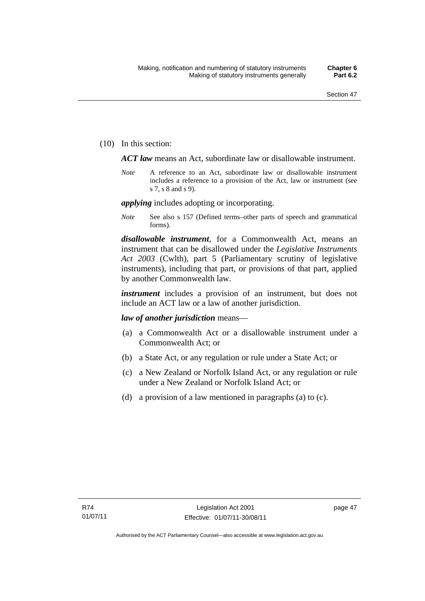(10) In this section:

*ACT law* means an Act, subordinate law or disallowable instrument.

*Note* A reference to an Act, subordinate law or disallowable instrument includes a reference to a provision of the Act, law or instrument (see s 7, s 8 and s 9).

*applying* includes adopting or incorporating.

*Note* See also s 157 (Defined terms–other parts of speech and grammatical forms).

*disallowable instrument*, for a Commonwealth Act, means an instrument that can be disallowed under the *Legislative Instruments Act 2003* (Cwlth), part 5 (Parliamentary scrutiny of legislative instruments), including that part, or provisions of that part, applied by another Commonwealth law.

*instrument* includes a provision of an instrument, but does not include an ACT law or a law of another jurisdiction.

### *law of another jurisdiction* means—

- (a) a Commonwealth Act or a disallowable instrument under a Commonwealth Act; or
- (b) a State Act, or any regulation or rule under a State Act; or
- (c) a New Zealand or Norfolk Island Act, or any regulation or rule under a New Zealand or Norfolk Island Act; or
- (d) a provision of a law mentioned in paragraphs (a) to (c).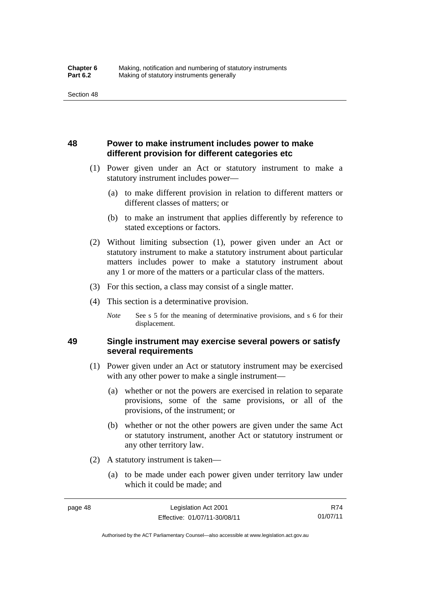# **48 Power to make instrument includes power to make different provision for different categories etc**

- (1) Power given under an Act or statutory instrument to make a statutory instrument includes power—
	- (a) to make different provision in relation to different matters or different classes of matters; or
	- (b) to make an instrument that applies differently by reference to stated exceptions or factors.
- (2) Without limiting subsection (1), power given under an Act or statutory instrument to make a statutory instrument about particular matters includes power to make a statutory instrument about any 1 or more of the matters or a particular class of the matters.
- (3) For this section, a class may consist of a single matter.
- (4) This section is a determinative provision.
	- *Note* See s 5 for the meaning of determinative provisions, and s 6 for their displacement.

# **49 Single instrument may exercise several powers or satisfy several requirements**

- (1) Power given under an Act or statutory instrument may be exercised with any other power to make a single instrument—
	- (a) whether or not the powers are exercised in relation to separate provisions, some of the same provisions, or all of the provisions, of the instrument; or
	- (b) whether or not the other powers are given under the same Act or statutory instrument, another Act or statutory instrument or any other territory law.
- (2) A statutory instrument is taken—
	- (a) to be made under each power given under territory law under which it could be made; and

R74 01/07/11

Authorised by the ACT Parliamentary Counsel—also accessible at www.legislation.act.gov.au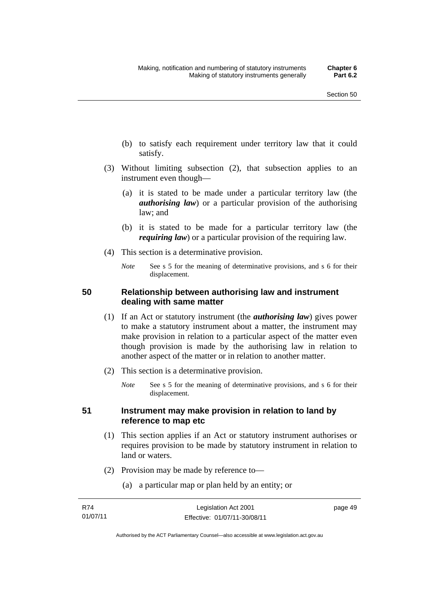- (b) to satisfy each requirement under territory law that it could satisfy.
- (3) Without limiting subsection (2), that subsection applies to an instrument even though—
	- (a) it is stated to be made under a particular territory law (the *authorising law*) or a particular provision of the authorising law; and
	- (b) it is stated to be made for a particular territory law (the *requiring law*) or a particular provision of the requiring law.
- (4) This section is a determinative provision.
	- *Note* See s 5 for the meaning of determinative provisions, and s 6 for their displacement.

# **50 Relationship between authorising law and instrument dealing with same matter**

- (1) If an Act or statutory instrument (the *authorising law*) gives power to make a statutory instrument about a matter, the instrument may make provision in relation to a particular aspect of the matter even though provision is made by the authorising law in relation to another aspect of the matter or in relation to another matter.
- (2) This section is a determinative provision.
	- *Note* See s 5 for the meaning of determinative provisions, and s 6 for their displacement.

# **51 Instrument may make provision in relation to land by reference to map etc**

- (1) This section applies if an Act or statutory instrument authorises or requires provision to be made by statutory instrument in relation to land or waters.
- (2) Provision may be made by reference to—
	- (a) a particular map or plan held by an entity; or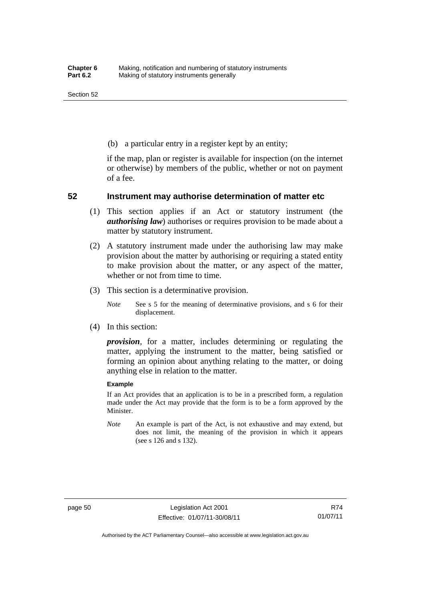(b) a particular entry in a register kept by an entity;

if the map, plan or register is available for inspection (on the internet or otherwise) by members of the public, whether or not on payment of a fee.

### **52 Instrument may authorise determination of matter etc**

- (1) This section applies if an Act or statutory instrument (the *authorising law*) authorises or requires provision to be made about a matter by statutory instrument.
- (2) A statutory instrument made under the authorising law may make provision about the matter by authorising or requiring a stated entity to make provision about the matter, or any aspect of the matter, whether or not from time to time.
- (3) This section is a determinative provision.

*Note* See s 5 for the meaning of determinative provisions, and s 6 for their displacement.

(4) In this section:

*provision*, for a matter, includes determining or regulating the matter, applying the instrument to the matter, being satisfied or forming an opinion about anything relating to the matter, or doing anything else in relation to the matter.

#### **Example**

If an Act provides that an application is to be in a prescribed form, a regulation made under the Act may provide that the form is to be a form approved by the Minister.

*Note* An example is part of the Act, is not exhaustive and may extend, but does not limit, the meaning of the provision in which it appears (see s 126 and s 132).

R74 01/07/11

Authorised by the ACT Parliamentary Counsel—also accessible at www.legislation.act.gov.au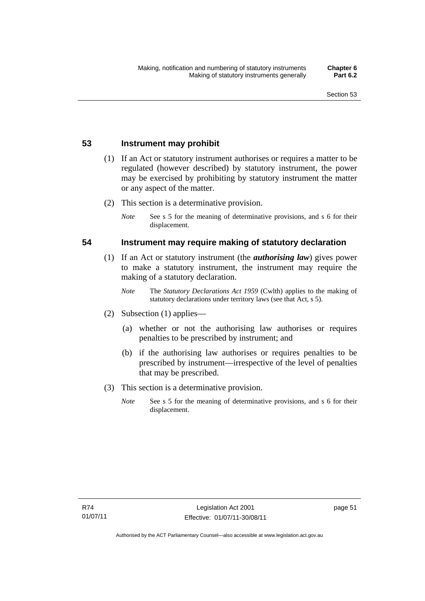# **53 Instrument may prohibit**

- (1) If an Act or statutory instrument authorises or requires a matter to be regulated (however described) by statutory instrument, the power may be exercised by prohibiting by statutory instrument the matter or any aspect of the matter.
- (2) This section is a determinative provision.
	- *Note* See s 5 for the meaning of determinative provisions, and s 6 for their displacement.

### **54 Instrument may require making of statutory declaration**

- (1) If an Act or statutory instrument (the *authorising law*) gives power to make a statutory instrument, the instrument may require the making of a statutory declaration.
	- *Note* The *Statutory Declarations Act 1959* (Cwlth) applies to the making of statutory declarations under territory laws (see that Act, s 5).
- (2) Subsection (1) applies—
	- (a) whether or not the authorising law authorises or requires penalties to be prescribed by instrument; and
	- (b) if the authorising law authorises or requires penalties to be prescribed by instrument—irrespective of the level of penalties that may be prescribed.
- (3) This section is a determinative provision.
	- *Note* See s 5 for the meaning of determinative provisions, and s 6 for their displacement.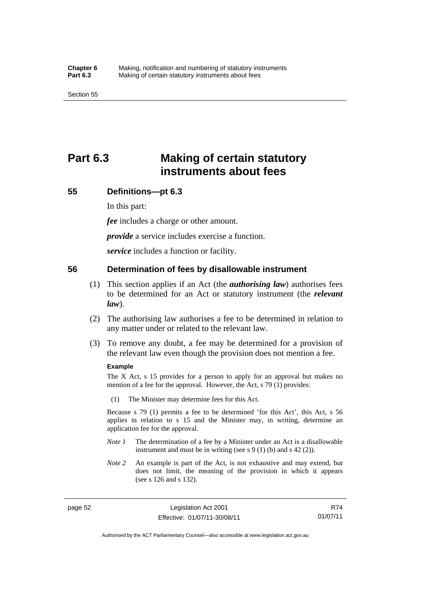# **Part 6.3 Making of certain statutory instruments about fees**

## **55 Definitions—pt 6.3**

In this part:

*fee* includes a charge or other amount.

*provide* a service includes exercise a function.

*service* includes a function or facility.

### **56 Determination of fees by disallowable instrument**

- (1) This section applies if an Act (the *authorising law*) authorises fees to be determined for an Act or statutory instrument (the *relevant law*).
- (2) The authorising law authorises a fee to be determined in relation to any matter under or related to the relevant law.
- (3) To remove any doubt, a fee may be determined for a provision of the relevant law even though the provision does not mention a fee.

#### **Example**

The X Act, s 15 provides for a person to apply for an approval but makes no mention of a fee for the approval. However, the Act, s 79 (1) provides:

(1) The Minister may determine fees for this Act.

Because s 79 (1) permits a fee to be determined 'for this Act', this Act, s 56 applies in relation to s 15 and the Minister may, in writing, determine an application fee for the approval.

- *Note 1* The determination of a fee by a Minister under an Act is a disallowable instrument and must be in writing (see s 9 (1) (b) and s 42 (2)).
- *Note 2* An example is part of the Act, is not exhaustive and may extend, but does not limit, the meaning of the provision in which it appears (see s 126 and s 132).

page 52 Legislation Act 2001 Effective: 01/07/11-30/08/11

R74 01/07/11

Authorised by the ACT Parliamentary Counsel—also accessible at www.legislation.act.gov.au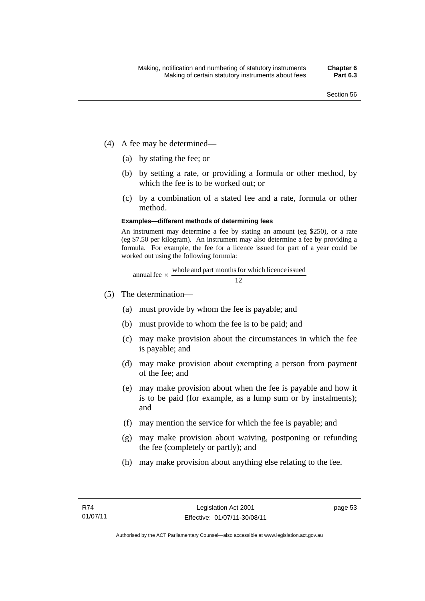- (4) A fee may be determined—
	- (a) by stating the fee; or
	- (b) by setting a rate, or providing a formula or other method, by which the fee is to be worked out; or
	- (c) by a combination of a stated fee and a rate, formula or other method.

#### **Examples—different methods of determining fees**

An instrument may determine a fee by stating an amount (eg \$250), or a rate (eg \$7.50 per kilogram). An instrument may also determine a fee by providing a formula. For example, the fee for a licence issued for part of a year could be worked out using the following formula:

annual fee 
$$
\times
$$
 whole and part months for which licence issued  
12

- (5) The determination—
	- (a) must provide by whom the fee is payable; and
	- (b) must provide to whom the fee is to be paid; and
	- (c) may make provision about the circumstances in which the fee is payable; and
	- (d) may make provision about exempting a person from payment of the fee; and
	- (e) may make provision about when the fee is payable and how it is to be paid (for example, as a lump sum or by instalments); and
	- (f) may mention the service for which the fee is payable; and
	- (g) may make provision about waiving, postponing or refunding the fee (completely or partly); and
	- (h) may make provision about anything else relating to the fee.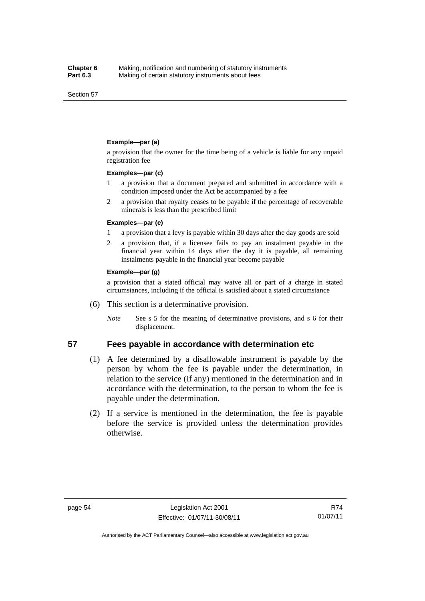Section 57

#### **Example—par (a)**

a provision that the owner for the time being of a vehicle is liable for any unpaid registration fee

#### **Examples—par (c)**

- 1 a provision that a document prepared and submitted in accordance with a condition imposed under the Act be accompanied by a fee
- 2 a provision that royalty ceases to be payable if the percentage of recoverable minerals is less than the prescribed limit

#### **Examples—par (e)**

- 1 a provision that a levy is payable within 30 days after the day goods are sold
- 2 a provision that, if a licensee fails to pay an instalment payable in the financial year within 14 days after the day it is payable, all remaining instalments payable in the financial year become payable

#### **Example—par (g)**

a provision that a stated official may waive all or part of a charge in stated circumstances, including if the official is satisfied about a stated circumstance

- (6) This section is a determinative provision.
	- *Note* See s 5 for the meaning of determinative provisions, and s 6 for their displacement.

### **57 Fees payable in accordance with determination etc**

- (1) A fee determined by a disallowable instrument is payable by the person by whom the fee is payable under the determination, in relation to the service (if any) mentioned in the determination and in accordance with the determination, to the person to whom the fee is payable under the determination.
- (2) If a service is mentioned in the determination, the fee is payable before the service is provided unless the determination provides otherwise.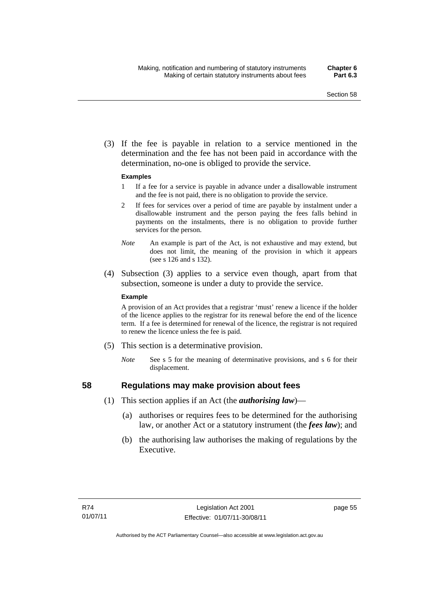(3) If the fee is payable in relation to a service mentioned in the determination and the fee has not been paid in accordance with the determination, no-one is obliged to provide the service.

### **Examples**

- 1 If a fee for a service is payable in advance under a disallowable instrument and the fee is not paid, there is no obligation to provide the service.
- 2 If fees for services over a period of time are payable by instalment under a disallowable instrument and the person paying the fees falls behind in payments on the instalments, there is no obligation to provide further services for the person.
- *Note* An example is part of the Act, is not exhaustive and may extend, but does not limit, the meaning of the provision in which it appears (see s 126 and s 132).
- (4) Subsection (3) applies to a service even though, apart from that subsection, someone is under a duty to provide the service.

#### **Example**

A provision of an Act provides that a registrar 'must' renew a licence if the holder of the licence applies to the registrar for its renewal before the end of the licence term. If a fee is determined for renewal of the licence, the registrar is not required to renew the licence unless the fee is paid.

- (5) This section is a determinative provision.
	- *Note* See s 5 for the meaning of determinative provisions, and s 6 for their displacement.

# **58 Regulations may make provision about fees**

- (1) This section applies if an Act (the *authorising law*)—
	- (a) authorises or requires fees to be determined for the authorising law, or another Act or a statutory instrument (the *fees law*); and
	- (b) the authorising law authorises the making of regulations by the Executive.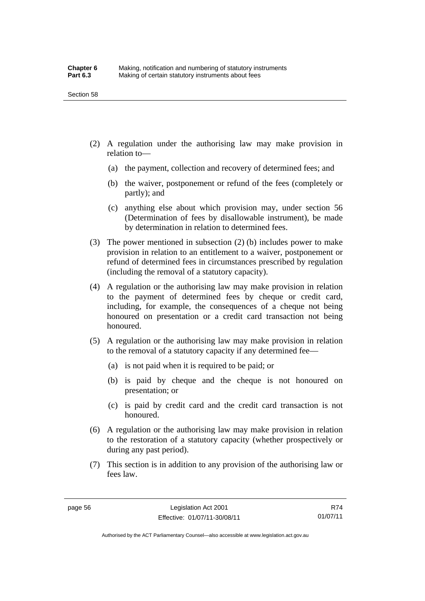- (2) A regulation under the authorising law may make provision in relation to—
	- (a) the payment, collection and recovery of determined fees; and
	- (b) the waiver, postponement or refund of the fees (completely or partly); and
	- (c) anything else about which provision may, under section 56 (Determination of fees by disallowable instrument), be made by determination in relation to determined fees.
- (3) The power mentioned in subsection (2) (b) includes power to make provision in relation to an entitlement to a waiver, postponement or refund of determined fees in circumstances prescribed by regulation (including the removal of a statutory capacity).
- (4) A regulation or the authorising law may make provision in relation to the payment of determined fees by cheque or credit card, including, for example, the consequences of a cheque not being honoured on presentation or a credit card transaction not being honoured.
- (5) A regulation or the authorising law may make provision in relation to the removal of a statutory capacity if any determined fee—
	- (a) is not paid when it is required to be paid; or
	- (b) is paid by cheque and the cheque is not honoured on presentation; or
	- (c) is paid by credit card and the credit card transaction is not honoured.
- (6) A regulation or the authorising law may make provision in relation to the restoration of a statutory capacity (whether prospectively or during any past period).
- (7) This section is in addition to any provision of the authorising law or fees law.

Authorised by the ACT Parliamentary Counsel—also accessible at www.legislation.act.gov.au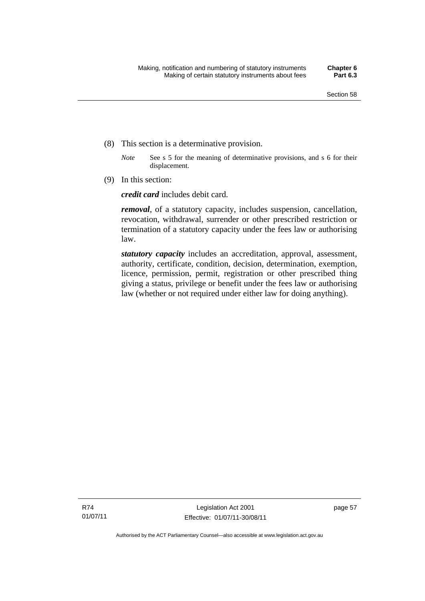- (8) This section is a determinative provision.
	- *Note* See s 5 for the meaning of determinative provisions, and s 6 for their displacement.
- (9) In this section:

*credit card* includes debit card.

*removal*, of a statutory capacity, includes suspension, cancellation, revocation, withdrawal, surrender or other prescribed restriction or termination of a statutory capacity under the fees law or authorising law.

*statutory capacity* includes an accreditation, approval, assessment, authority, certificate, condition, decision, determination, exemption, licence, permission, permit, registration or other prescribed thing giving a status, privilege or benefit under the fees law or authorising law (whether or not required under either law for doing anything).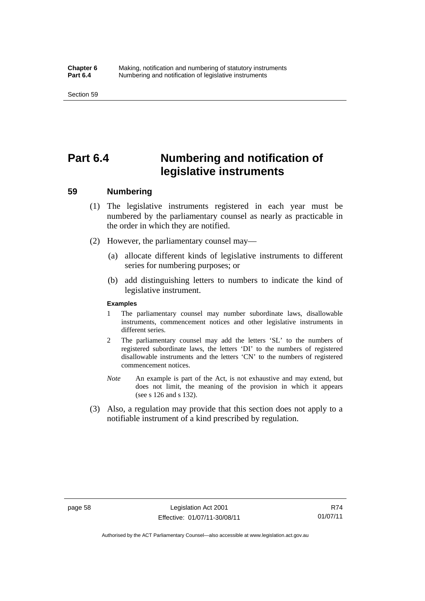# **Part 6.4 Numbering and notification of legislative instruments**

## **59 Numbering**

- (1) The legislative instruments registered in each year must be numbered by the parliamentary counsel as nearly as practicable in the order in which they are notified.
- (2) However, the parliamentary counsel may—
	- (a) allocate different kinds of legislative instruments to different series for numbering purposes; or
	- (b) add distinguishing letters to numbers to indicate the kind of legislative instrument.

#### **Examples**

- 1 The parliamentary counsel may number subordinate laws, disallowable instruments, commencement notices and other legislative instruments in different series.
- 2 The parliamentary counsel may add the letters 'SL' to the numbers of registered subordinate laws, the letters 'DI' to the numbers of registered disallowable instruments and the letters 'CN' to the numbers of registered commencement notices.
- *Note* An example is part of the Act, is not exhaustive and may extend, but does not limit, the meaning of the provision in which it appears (see s 126 and s 132).
- (3) Also, a regulation may provide that this section does not apply to a notifiable instrument of a kind prescribed by regulation.

R74 01/07/11

Authorised by the ACT Parliamentary Counsel—also accessible at www.legislation.act.gov.au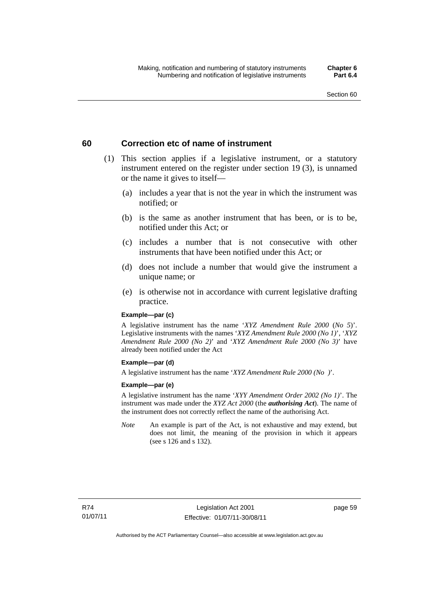## **60 Correction etc of name of instrument**

- (1) This section applies if a legislative instrument, or a statutory instrument entered on the register under section 19 (3), is unnamed or the name it gives to itself—
	- (a) includes a year that is not the year in which the instrument was notified; or
	- (b) is the same as another instrument that has been, or is to be, notified under this Act; or
	- (c) includes a number that is not consecutive with other instruments that have been notified under this Act; or
	- (d) does not include a number that would give the instrument a unique name; or
	- (e) is otherwise not in accordance with current legislative drafting practice.

### **Example—par (c)**

A legislative instrument has the name '*XYZ Amendment Rule 2000* (*No 5*)'. Legislative instruments with the names '*XYZ Amendment Rule 2000 (No 1)*', '*XYZ Amendment Rule 2000 (No 2)*' and '*XYZ Amendment Rule 2000 (No 3)*' have already been notified under the Act

### **Example—par (d)**

A legislative instrument has the name '*XYZ Amendment Rule 2000 (No )*'.

### **Example—par (e)**

A legislative instrument has the name '*XYY Amendment Order 2002 (No 1)*'. The instrument was made under the *XYZ Act 2000* (the *authorising Act*). The name of the instrument does not correctly reflect the name of the authorising Act.

*Note* An example is part of the Act, is not exhaustive and may extend, but does not limit, the meaning of the provision in which it appears (see s 126 and s 132).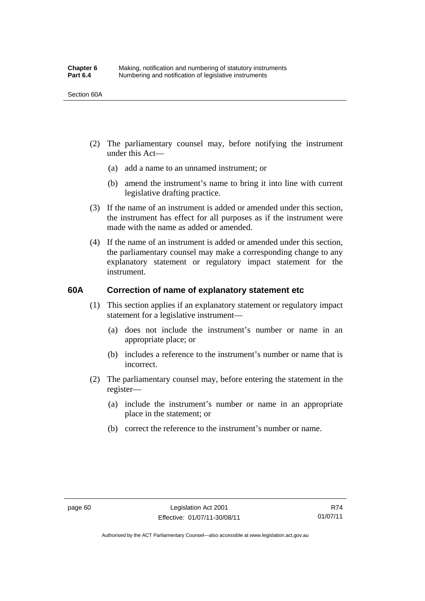- (2) The parliamentary counsel may, before notifying the instrument under this Act—
	- (a) add a name to an unnamed instrument; or
	- (b) amend the instrument's name to bring it into line with current legislative drafting practice.
- (3) If the name of an instrument is added or amended under this section, the instrument has effect for all purposes as if the instrument were made with the name as added or amended.
- (4) If the name of an instrument is added or amended under this section, the parliamentary counsel may make a corresponding change to any explanatory statement or regulatory impact statement for the instrument.

## **60A Correction of name of explanatory statement etc**

- (1) This section applies if an explanatory statement or regulatory impact statement for a legislative instrument—
	- (a) does not include the instrument's number or name in an appropriate place; or
	- (b) includes a reference to the instrument's number or name that is incorrect.
- (2) The parliamentary counsel may, before entering the statement in the register—
	- (a) include the instrument's number or name in an appropriate place in the statement; or
	- (b) correct the reference to the instrument's number or name.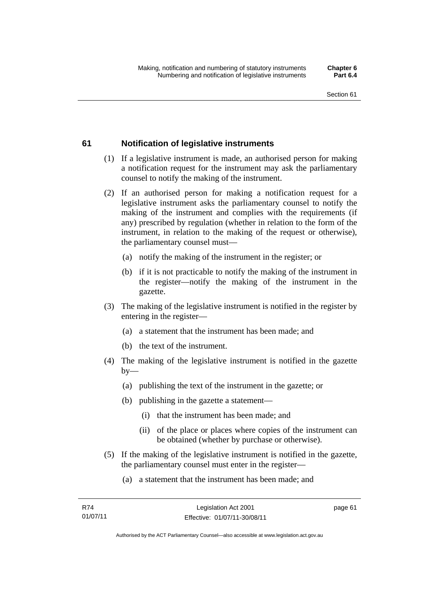## Section 61

## **61 Notification of legislative instruments**

- (1) If a legislative instrument is made, an authorised person for making a notification request for the instrument may ask the parliamentary counsel to notify the making of the instrument.
- (2) If an authorised person for making a notification request for a legislative instrument asks the parliamentary counsel to notify the making of the instrument and complies with the requirements (if any) prescribed by regulation (whether in relation to the form of the instrument, in relation to the making of the request or otherwise), the parliamentary counsel must—
	- (a) notify the making of the instrument in the register; or
	- (b) if it is not practicable to notify the making of the instrument in the register—notify the making of the instrument in the gazette.
- (3) The making of the legislative instrument is notified in the register by entering in the register—
	- (a) a statement that the instrument has been made; and
	- (b) the text of the instrument.
- (4) The making of the legislative instrument is notified in the gazette  $by-$ 
	- (a) publishing the text of the instrument in the gazette; or
	- (b) publishing in the gazette a statement—
		- (i) that the instrument has been made; and
		- (ii) of the place or places where copies of the instrument can be obtained (whether by purchase or otherwise).
- (5) If the making of the legislative instrument is notified in the gazette, the parliamentary counsel must enter in the register—
	- (a) a statement that the instrument has been made; and

page 61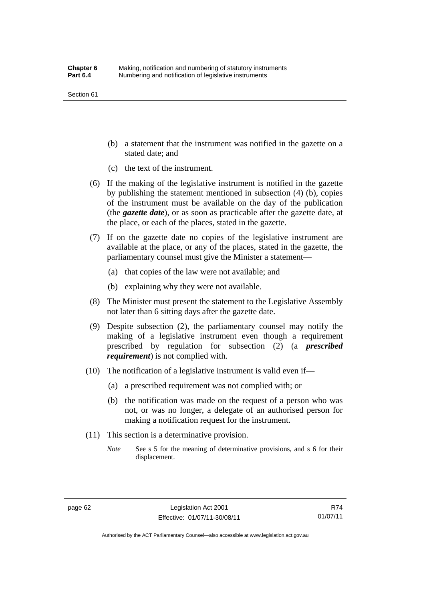#### Section 61

- (b) a statement that the instrument was notified in the gazette on a stated date; and
- (c) the text of the instrument.
- (6) If the making of the legislative instrument is notified in the gazette by publishing the statement mentioned in subsection (4) (b), copies of the instrument must be available on the day of the publication (the *gazette date*), or as soon as practicable after the gazette date, at the place, or each of the places, stated in the gazette.
- (7) If on the gazette date no copies of the legislative instrument are available at the place, or any of the places, stated in the gazette, the parliamentary counsel must give the Minister a statement—
	- (a) that copies of the law were not available; and
	- (b) explaining why they were not available.
- (8) The Minister must present the statement to the Legislative Assembly not later than 6 sitting days after the gazette date.
- (9) Despite subsection (2), the parliamentary counsel may notify the making of a legislative instrument even though a requirement prescribed by regulation for subsection (2) (a *prescribed requirement*) is not complied with.
- (10) The notification of a legislative instrument is valid even if—
	- (a) a prescribed requirement was not complied with; or
	- (b) the notification was made on the request of a person who was not, or was no longer, a delegate of an authorised person for making a notification request for the instrument.
- (11) This section is a determinative provision.
	- *Note* See s 5 for the meaning of determinative provisions, and s 6 for their displacement.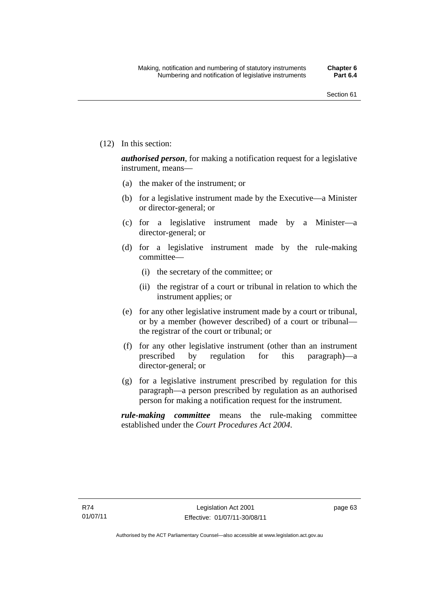(12) In this section:

*authorised person*, for making a notification request for a legislative instrument, means—

- (a) the maker of the instrument; or
- (b) for a legislative instrument made by the Executive—a Minister or director-general; or
- (c) for a legislative instrument made by a Minister—a director-general; or
- (d) for a legislative instrument made by the rule-making committee—
	- (i) the secretary of the committee; or
	- (ii) the registrar of a court or tribunal in relation to which the instrument applies; or
- (e) for any other legislative instrument made by a court or tribunal, or by a member (however described) of a court or tribunal the registrar of the court or tribunal; or
- (f) for any other legislative instrument (other than an instrument prescribed by regulation for this paragraph)—a director-general; or
- (g) for a legislative instrument prescribed by regulation for this paragraph—a person prescribed by regulation as an authorised person for making a notification request for the instrument.

*rule-making committee* means the rule-making committee established under the *Court Procedures Act 2004*.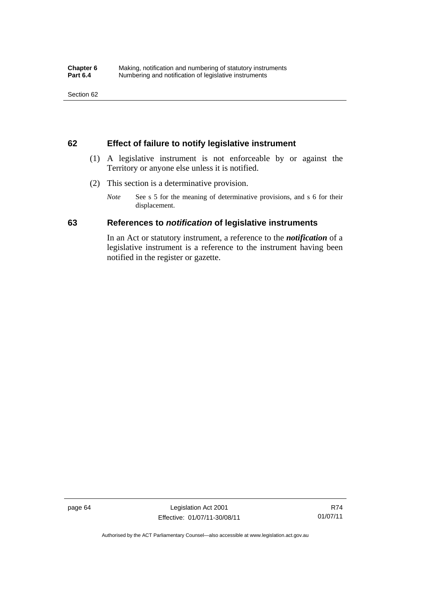## **62 Effect of failure to notify legislative instrument**

- (1) A legislative instrument is not enforceable by or against the Territory or anyone else unless it is notified.
- (2) This section is a determinative provision.
	- *Note* See s 5 for the meaning of determinative provisions, and s 6 for their displacement.

## **63 References to** *notification* **of legislative instruments**

In an Act or statutory instrument, a reference to the *notification* of a legislative instrument is a reference to the instrument having been notified in the register or gazette.

page 64 Legislation Act 2001 Effective: 01/07/11-30/08/11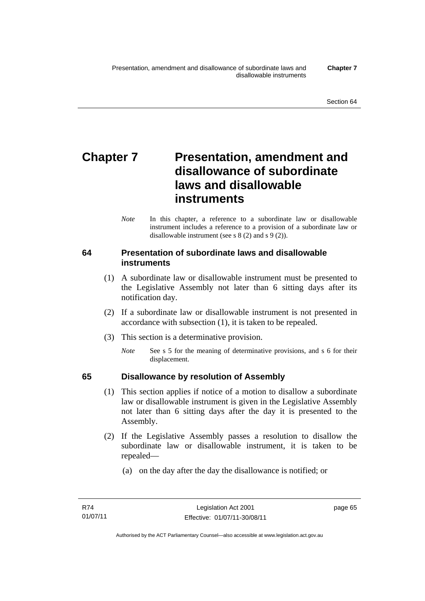# **Chapter 7** Presentation, amendment and **disallowance of subordinate laws and disallowable instruments**

*Note* In this chapter, a reference to a subordinate law or disallowable instrument includes a reference to a provision of a subordinate law or disallowable instrument (see s 8 (2) and s 9 (2)).

## **64 Presentation of subordinate laws and disallowable instruments**

- (1) A subordinate law or disallowable instrument must be presented to the Legislative Assembly not later than 6 sitting days after its notification day.
- (2) If a subordinate law or disallowable instrument is not presented in accordance with subsection (1), it is taken to be repealed.
- (3) This section is a determinative provision.
	- *Note* See s 5 for the meaning of determinative provisions, and s 6 for their displacement.

## **65 Disallowance by resolution of Assembly**

- (1) This section applies if notice of a motion to disallow a subordinate law or disallowable instrument is given in the Legislative Assembly not later than 6 sitting days after the day it is presented to the Assembly.
- (2) If the Legislative Assembly passes a resolution to disallow the subordinate law or disallowable instrument, it is taken to be repealed—
	- (a) on the day after the day the disallowance is notified; or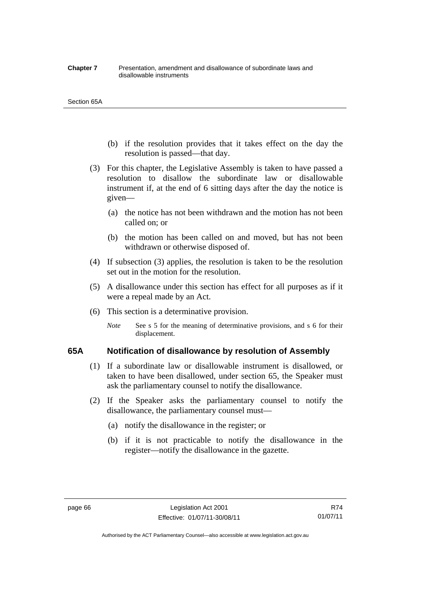#### **Chapter 7** Presentation, amendment and disallowance of subordinate laws and disallowable instruments

#### Section 65A

- (b) if the resolution provides that it takes effect on the day the resolution is passed—that day.
- (3) For this chapter, the Legislative Assembly is taken to have passed a resolution to disallow the subordinate law or disallowable instrument if, at the end of 6 sitting days after the day the notice is given—
	- (a) the notice has not been withdrawn and the motion has not been called on; or
	- (b) the motion has been called on and moved, but has not been withdrawn or otherwise disposed of.
- (4) If subsection (3) applies, the resolution is taken to be the resolution set out in the motion for the resolution.
- (5) A disallowance under this section has effect for all purposes as if it were a repeal made by an Act.
- (6) This section is a determinative provision.
	- *Note* See s 5 for the meaning of determinative provisions, and s 6 for their displacement.

## **65A Notification of disallowance by resolution of Assembly**

- (1) If a subordinate law or disallowable instrument is disallowed, or taken to have been disallowed, under section 65, the Speaker must ask the parliamentary counsel to notify the disallowance.
- (2) If the Speaker asks the parliamentary counsel to notify the disallowance, the parliamentary counsel must—
	- (a) notify the disallowance in the register; or
	- (b) if it is not practicable to notify the disallowance in the register—notify the disallowance in the gazette.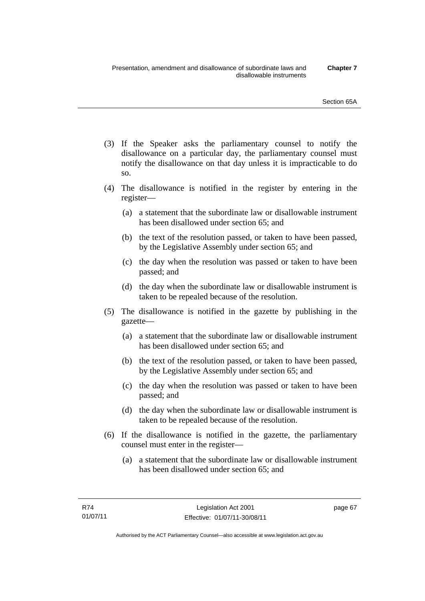- (3) If the Speaker asks the parliamentary counsel to notify the disallowance on a particular day, the parliamentary counsel must notify the disallowance on that day unless it is impracticable to do so.
- (4) The disallowance is notified in the register by entering in the register—
	- (a) a statement that the subordinate law or disallowable instrument has been disallowed under section 65; and
	- (b) the text of the resolution passed, or taken to have been passed, by the Legislative Assembly under section 65; and
	- (c) the day when the resolution was passed or taken to have been passed; and
	- (d) the day when the subordinate law or disallowable instrument is taken to be repealed because of the resolution.
- (5) The disallowance is notified in the gazette by publishing in the gazette—
	- (a) a statement that the subordinate law or disallowable instrument has been disallowed under section 65; and
	- (b) the text of the resolution passed, or taken to have been passed, by the Legislative Assembly under section 65; and
	- (c) the day when the resolution was passed or taken to have been passed; and
	- (d) the day when the subordinate law or disallowable instrument is taken to be repealed because of the resolution.
- (6) If the disallowance is notified in the gazette, the parliamentary counsel must enter in the register—
	- (a) a statement that the subordinate law or disallowable instrument has been disallowed under section 65; and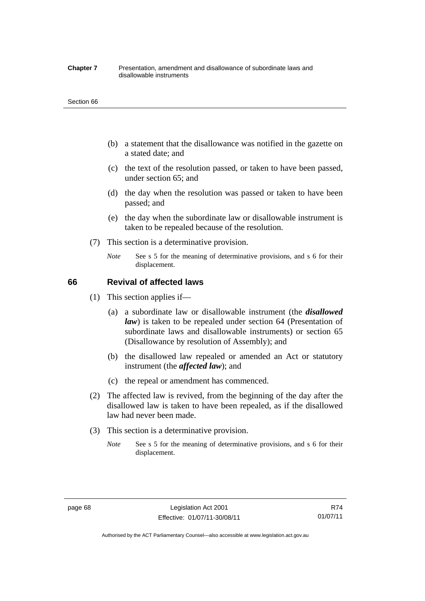#### **Chapter 7** Presentation, amendment and disallowance of subordinate laws and disallowable instruments

#### Section 66

- (b) a statement that the disallowance was notified in the gazette on a stated date; and
- (c) the text of the resolution passed, or taken to have been passed, under section 65; and
- (d) the day when the resolution was passed or taken to have been passed; and
- (e) the day when the subordinate law or disallowable instrument is taken to be repealed because of the resolution.
- (7) This section is a determinative provision.
	- *Note* See s 5 for the meaning of determinative provisions, and s 6 for their displacement.

## **66 Revival of affected laws**

- (1) This section applies if—
	- (a) a subordinate law or disallowable instrument (the *disallowed law*) is taken to be repealed under section 64 (Presentation of subordinate laws and disallowable instruments) or section 65 (Disallowance by resolution of Assembly); and
	- (b) the disallowed law repealed or amended an Act or statutory instrument (the *affected law*); and
	- (c) the repeal or amendment has commenced.
- (2) The affected law is revived, from the beginning of the day after the disallowed law is taken to have been repealed, as if the disallowed law had never been made.
- (3) This section is a determinative provision.
	- *Note* See s 5 for the meaning of determinative provisions, and s 6 for their displacement.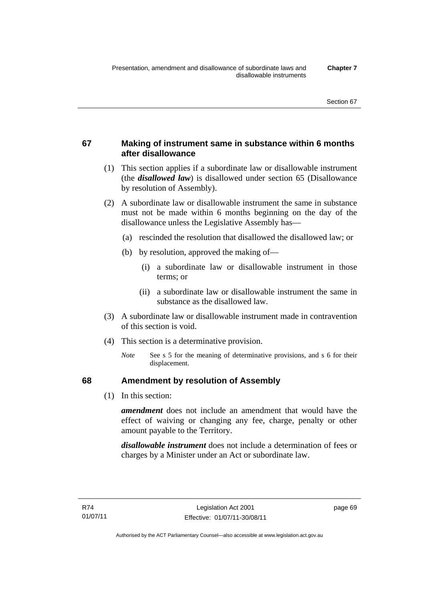## **67 Making of instrument same in substance within 6 months after disallowance**

- (1) This section applies if a subordinate law or disallowable instrument (the *disallowed law*) is disallowed under section 65 (Disallowance by resolution of Assembly).
- (2) A subordinate law or disallowable instrument the same in substance must not be made within 6 months beginning on the day of the disallowance unless the Legislative Assembly has—
	- (a) rescinded the resolution that disallowed the disallowed law; or
	- (b) by resolution, approved the making of—
		- (i) a subordinate law or disallowable instrument in those terms; or
		- (ii) a subordinate law or disallowable instrument the same in substance as the disallowed law.
- (3) A subordinate law or disallowable instrument made in contravention of this section is void.
- (4) This section is a determinative provision.
	- *Note* See s 5 for the meaning of determinative provisions, and s 6 for their displacement.

## **68 Amendment by resolution of Assembly**

(1) In this section:

*amendment* does not include an amendment that would have the effect of waiving or changing any fee, charge, penalty or other amount payable to the Territory.

*disallowable instrument* does not include a determination of fees or charges by a Minister under an Act or subordinate law.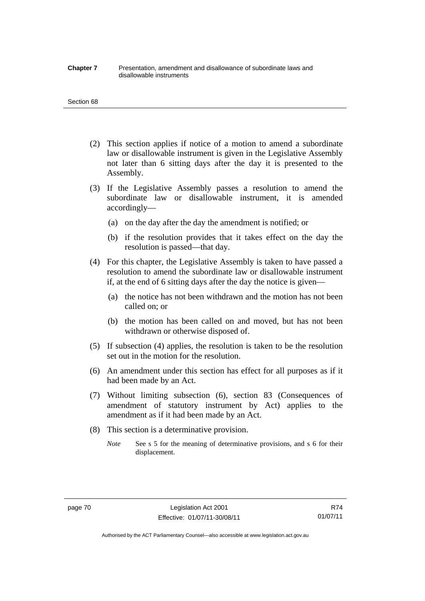#### **Chapter 7** Presentation, amendment and disallowance of subordinate laws and disallowable instruments

#### Section 68

- (2) This section applies if notice of a motion to amend a subordinate law or disallowable instrument is given in the Legislative Assembly not later than 6 sitting days after the day it is presented to the Assembly.
- (3) If the Legislative Assembly passes a resolution to amend the subordinate law or disallowable instrument, it is amended accordingly—
	- (a) on the day after the day the amendment is notified; or
	- (b) if the resolution provides that it takes effect on the day the resolution is passed—that day.
- (4) For this chapter, the Legislative Assembly is taken to have passed a resolution to amend the subordinate law or disallowable instrument if, at the end of 6 sitting days after the day the notice is given—
	- (a) the notice has not been withdrawn and the motion has not been called on; or
	- (b) the motion has been called on and moved, but has not been withdrawn or otherwise disposed of.
- (5) If subsection (4) applies, the resolution is taken to be the resolution set out in the motion for the resolution.
- (6) An amendment under this section has effect for all purposes as if it had been made by an Act.
- (7) Without limiting subsection (6), section 83 (Consequences of amendment of statutory instrument by Act) applies to the amendment as if it had been made by an Act.
- (8) This section is a determinative provision.
	- *Note* See s 5 for the meaning of determinative provisions, and s 6 for their displacement.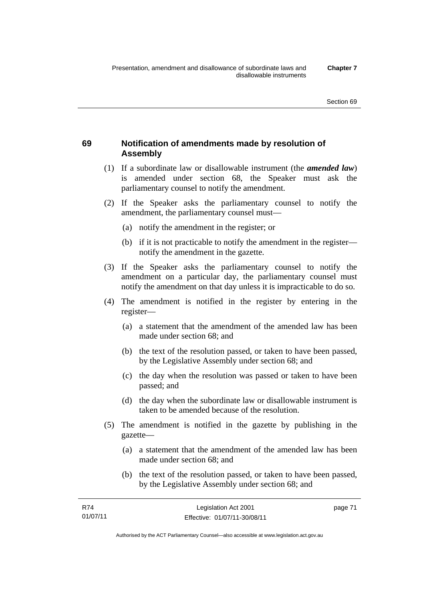## **69 Notification of amendments made by resolution of Assembly**

- (1) If a subordinate law or disallowable instrument (the *amended law*) is amended under section 68, the Speaker must ask the parliamentary counsel to notify the amendment.
- (2) If the Speaker asks the parliamentary counsel to notify the amendment, the parliamentary counsel must—
	- (a) notify the amendment in the register; or
	- (b) if it is not practicable to notify the amendment in the register notify the amendment in the gazette.
- (3) If the Speaker asks the parliamentary counsel to notify the amendment on a particular day, the parliamentary counsel must notify the amendment on that day unless it is impracticable to do so.
- (4) The amendment is notified in the register by entering in the register—
	- (a) a statement that the amendment of the amended law has been made under section 68; and
	- (b) the text of the resolution passed, or taken to have been passed, by the Legislative Assembly under section 68; and
	- (c) the day when the resolution was passed or taken to have been passed; and
	- (d) the day when the subordinate law or disallowable instrument is taken to be amended because of the resolution.
- (5) The amendment is notified in the gazette by publishing in the gazette—
	- (a) a statement that the amendment of the amended law has been made under section 68; and
	- (b) the text of the resolution passed, or taken to have been passed, by the Legislative Assembly under section 68; and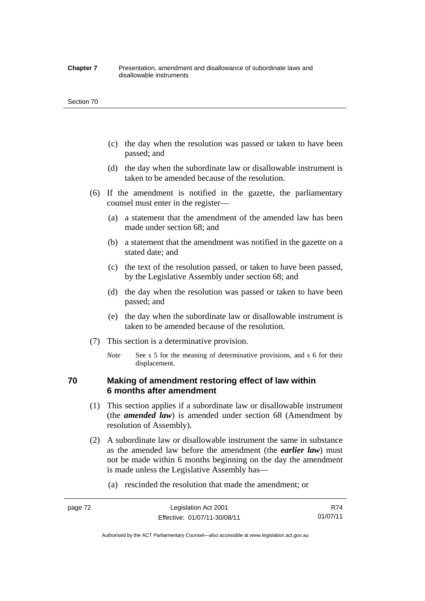#### **Chapter 7** Presentation, amendment and disallowance of subordinate laws and disallowable instruments

#### Section 70

- (c) the day when the resolution was passed or taken to have been passed; and
- (d) the day when the subordinate law or disallowable instrument is taken to be amended because of the resolution.
- (6) If the amendment is notified in the gazette, the parliamentary counsel must enter in the register—
	- (a) a statement that the amendment of the amended law has been made under section 68; and
	- (b) a statement that the amendment was notified in the gazette on a stated date; and
	- (c) the text of the resolution passed, or taken to have been passed, by the Legislative Assembly under section 68; and
	- (d) the day when the resolution was passed or taken to have been passed; and
	- (e) the day when the subordinate law or disallowable instrument is taken to be amended because of the resolution.
- (7) This section is a determinative provision.
	- *Note* See s 5 for the meaning of determinative provisions, and s 6 for their displacement.

## **70 Making of amendment restoring effect of law within 6 months after amendment**

- (1) This section applies if a subordinate law or disallowable instrument (the *amended law*) is amended under section 68 (Amendment by resolution of Assembly).
- (2) A subordinate law or disallowable instrument the same in substance as the amended law before the amendment (the *earlier law*) must not be made within 6 months beginning on the day the amendment is made unless the Legislative Assembly has—
	- (a) rescinded the resolution that made the amendment; or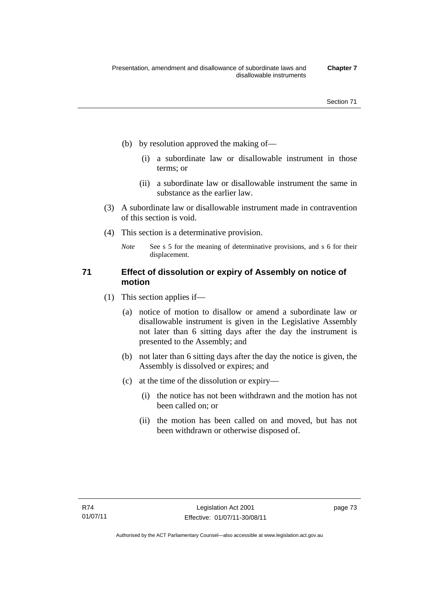- (b) by resolution approved the making of—
	- (i) a subordinate law or disallowable instrument in those terms; or
	- (ii) a subordinate law or disallowable instrument the same in substance as the earlier law.
- (3) A subordinate law or disallowable instrument made in contravention of this section is void.
- (4) This section is a determinative provision.
	- *Note* See s 5 for the meaning of determinative provisions, and s 6 for their displacement.

## **71 Effect of dissolution or expiry of Assembly on notice of motion**

- (1) This section applies if—
	- (a) notice of motion to disallow or amend a subordinate law or disallowable instrument is given in the Legislative Assembly not later than 6 sitting days after the day the instrument is presented to the Assembly; and
	- (b) not later than 6 sitting days after the day the notice is given, the Assembly is dissolved or expires; and
	- (c) at the time of the dissolution or expiry—
		- (i) the notice has not been withdrawn and the motion has not been called on; or
		- (ii) the motion has been called on and moved, but has not been withdrawn or otherwise disposed of.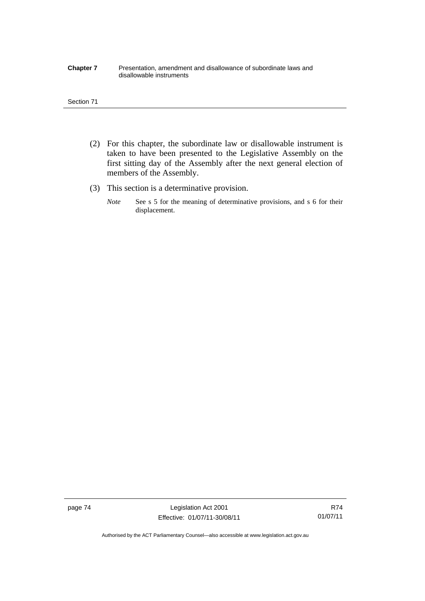#### **Chapter 7** Presentation, amendment and disallowance of subordinate laws and disallowable instruments

#### Section 71

- (2) For this chapter, the subordinate law or disallowable instrument is taken to have been presented to the Legislative Assembly on the first sitting day of the Assembly after the next general election of members of the Assembly.
- (3) This section is a determinative provision.
	- *Note* See s 5 for the meaning of determinative provisions, and s 6 for their displacement.

page 74 Legislation Act 2001 Effective: 01/07/11-30/08/11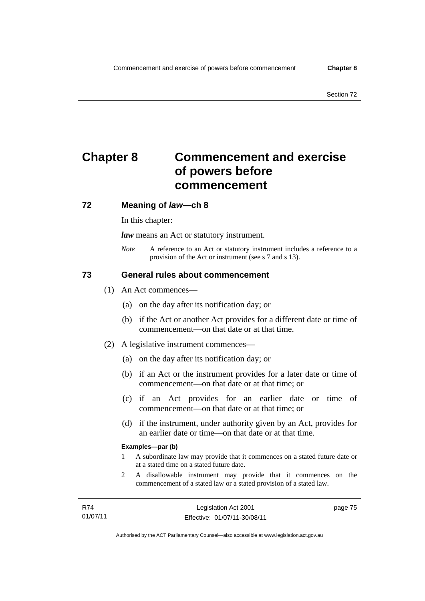# **Chapter 8 Commencement and exercise of powers before commencement**

## **72 Meaning of** *law***—ch 8**

In this chapter:

*law* means an Act or statutory instrument.

*Note* A reference to an Act or statutory instrument includes a reference to a provision of the Act or instrument (see s 7 and s 13).

## **73 General rules about commencement**

- (1) An Act commences—
	- (a) on the day after its notification day; or
	- (b) if the Act or another Act provides for a different date or time of commencement—on that date or at that time.
- (2) A legislative instrument commences—
	- (a) on the day after its notification day; or
	- (b) if an Act or the instrument provides for a later date or time of commencement—on that date or at that time; or
	- (c) if an Act provides for an earlier date or time of commencement—on that date or at that time; or
	- (d) if the instrument, under authority given by an Act, provides for an earlier date or time—on that date or at that time.

### **Examples—par (b)**

- 1 A subordinate law may provide that it commences on a stated future date or at a stated time on a stated future date.
- 2 A disallowable instrument may provide that it commences on the commencement of a stated law or a stated provision of a stated law.

page 75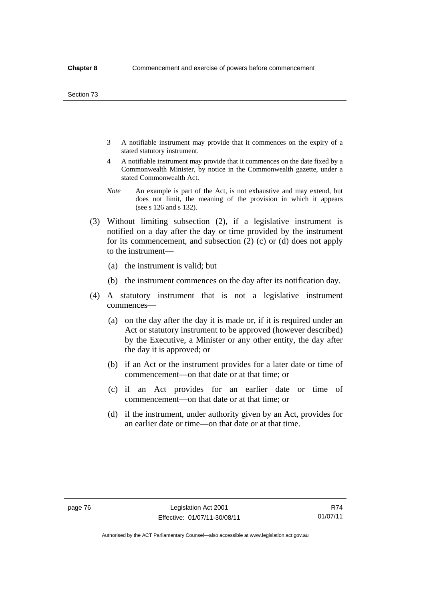- 3 A notifiable instrument may provide that it commences on the expiry of a stated statutory instrument.
- 4 A notifiable instrument may provide that it commences on the date fixed by a Commonwealth Minister, by notice in the Commonwealth gazette, under a stated Commonwealth Act.
- *Note* An example is part of the Act, is not exhaustive and may extend, but does not limit, the meaning of the provision in which it appears (see s 126 and s 132).
- (3) Without limiting subsection (2), if a legislative instrument is notified on a day after the day or time provided by the instrument for its commencement, and subsection (2) (c) or (d) does not apply to the instrument—
	- (a) the instrument is valid; but
	- (b) the instrument commences on the day after its notification day.
- (4) A statutory instrument that is not a legislative instrument commences—
	- (a) on the day after the day it is made or, if it is required under an Act or statutory instrument to be approved (however described) by the Executive, a Minister or any other entity, the day after the day it is approved; or
	- (b) if an Act or the instrument provides for a later date or time of commencement—on that date or at that time; or
	- (c) if an Act provides for an earlier date or time of commencement—on that date or at that time; or
	- (d) if the instrument, under authority given by an Act, provides for an earlier date or time—on that date or at that time.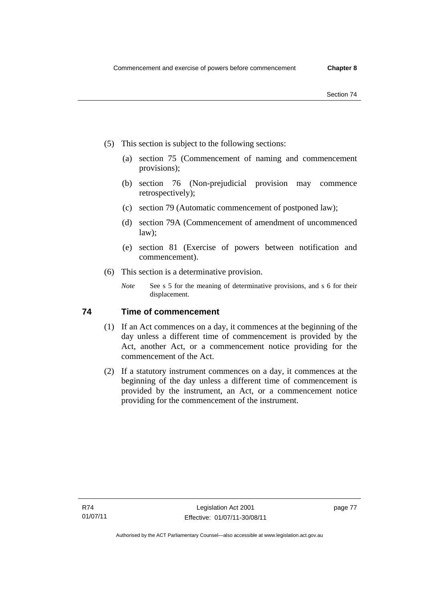- Section 74
- (5) This section is subject to the following sections:
	- (a) section 75 (Commencement of naming and commencement provisions);
	- (b) section 76 (Non-prejudicial provision may commence retrospectively);
	- (c) section 79 (Automatic commencement of postponed law);
	- (d) section 79A (Commencement of amendment of uncommenced law);
	- (e) section 81 (Exercise of powers between notification and commencement).
- (6) This section is a determinative provision.
	- *Note* See s 5 for the meaning of determinative provisions, and s 6 for their displacement.

## **74 Time of commencement**

- (1) If an Act commences on a day, it commences at the beginning of the day unless a different time of commencement is provided by the Act, another Act, or a commencement notice providing for the commencement of the Act.
- (2) If a statutory instrument commences on a day, it commences at the beginning of the day unless a different time of commencement is provided by the instrument, an Act, or a commencement notice providing for the commencement of the instrument.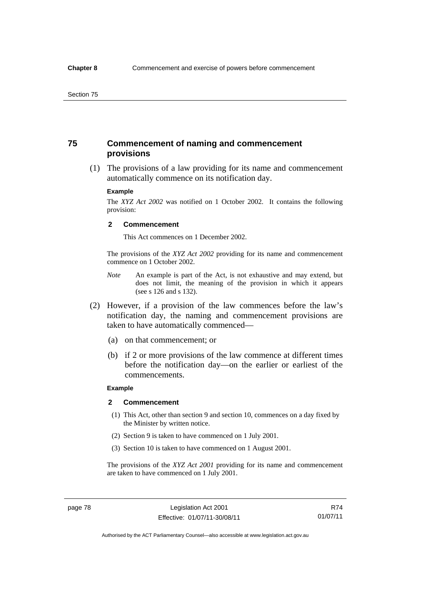## **75 Commencement of naming and commencement provisions**

 (1) The provisions of a law providing for its name and commencement automatically commence on its notification day.

#### **Example**

The *XYZ Act 2002* was notified on 1 October 2002. It contains the following provision:

#### **2 Commencement**

This Act commences on 1 December 2002.

The provisions of the *XYZ Act 2002* providing for its name and commencement commence on 1 October 2002.

- *Note* An example is part of the Act, is not exhaustive and may extend, but does not limit, the meaning of the provision in which it appears (see s 126 and s 132).
- (2) However, if a provision of the law commences before the law's notification day, the naming and commencement provisions are taken to have automatically commenced—
	- (a) on that commencement; or
	- (b) if 2 or more provisions of the law commence at different times before the notification day—on the earlier or earliest of the commencements.

### **Example**

#### **2 Commencement**

- (1) This Act, other than section 9 and section 10, commences on a day fixed by the Minister by written notice.
- (2) Section 9 is taken to have commenced on 1 July 2001.
- (3) Section 10 is taken to have commenced on 1 August 2001.

The provisions of the *XYZ Act 2001* providing for its name and commencement are taken to have commenced on 1 July 2001.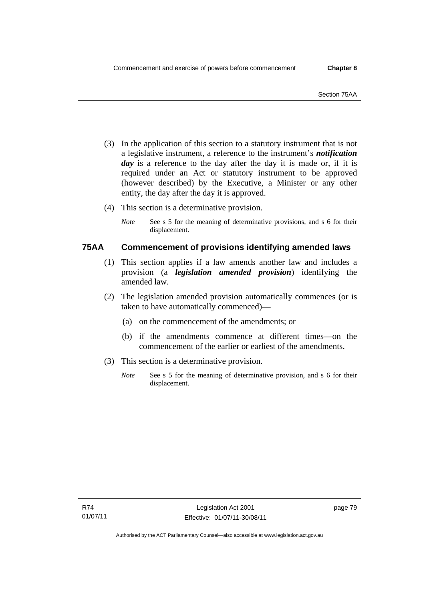- (3) In the application of this section to a statutory instrument that is not a legislative instrument, a reference to the instrument's *notification*  day is a reference to the day after the day it is made or, if it is required under an Act or statutory instrument to be approved (however described) by the Executive, a Minister or any other entity, the day after the day it is approved.
- (4) This section is a determinative provision.
	- *Note* See s 5 for the meaning of determinative provisions, and s 6 for their displacement.

## **75AA Commencement of provisions identifying amended laws**

- (1) This section applies if a law amends another law and includes a provision (a *legislation amended provision*) identifying the amended law.
- (2) The legislation amended provision automatically commences (or is taken to have automatically commenced)—
	- (a) on the commencement of the amendments; or
	- (b) if the amendments commence at different times—on the commencement of the earlier or earliest of the amendments.
- (3) This section is a determinative provision.
	- *Note* See s 5 for the meaning of determinative provision, and s 6 for their displacement.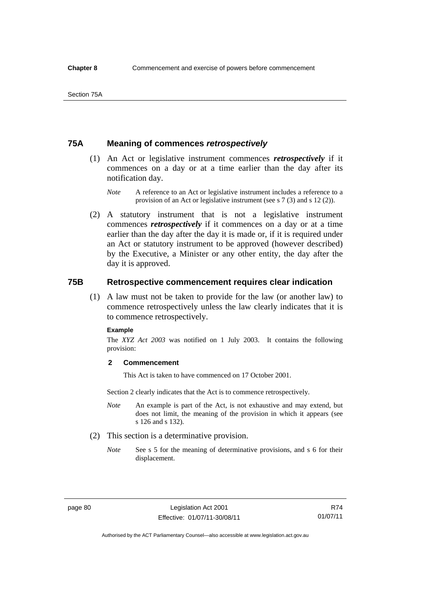## **75A Meaning of commences** *retrospectively*

- (1) An Act or legislative instrument commences *retrospectively* if it commences on a day or at a time earlier than the day after its notification day.
	- *Note* A reference to an Act or legislative instrument includes a reference to a provision of an Act or legislative instrument (see s 7 (3) and s 12 (2)).
- (2) A statutory instrument that is not a legislative instrument commences *retrospectively* if it commences on a day or at a time earlier than the day after the day it is made or, if it is required under an Act or statutory instrument to be approved (however described) by the Executive, a Minister or any other entity, the day after the day it is approved.

## **75B Retrospective commencement requires clear indication**

(1) A law must not be taken to provide for the law (or another law) to commence retrospectively unless the law clearly indicates that it is to commence retrospectively.

#### **Example**

The *XYZ Act 2003* was notified on 1 July 2003. It contains the following provision:

#### **2 Commencement**

This Act is taken to have commenced on 17 October 2001.

Section 2 clearly indicates that the Act is to commence retrospectively.

- *Note* An example is part of the Act, is not exhaustive and may extend, but does not limit, the meaning of the provision in which it appears (see s 126 and s 132).
- (2) This section is a determinative provision.
	- *Note* See s 5 for the meaning of determinative provisions, and s 6 for their displacement.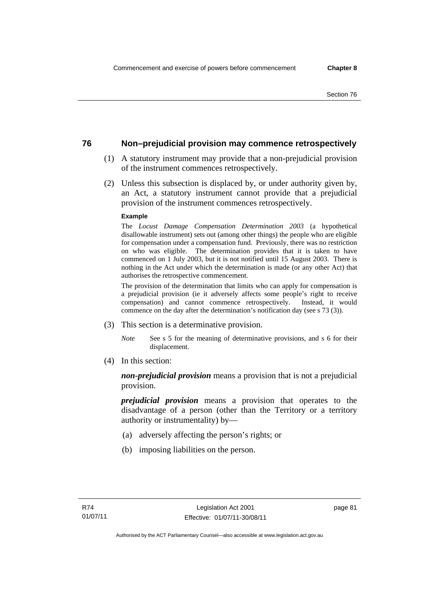## **76 Non–prejudicial provision may commence retrospectively**

- (1) A statutory instrument may provide that a non-prejudicial provision of the instrument commences retrospectively.
- (2) Unless this subsection is displaced by, or under authority given by, an Act, a statutory instrument cannot provide that a prejudicial provision of the instrument commences retrospectively.

### **Example**

The *Locust Damage Compensation Determination 2003* (a hypothetical disallowable instrument) sets out (among other things) the people who are eligible for compensation under a compensation fund. Previously, there was no restriction on who was eligible. The determination provides that it is taken to have commenced on 1 July 2003, but it is not notified until 15 August 2003. There is nothing in the Act under which the determination is made (or any other Act) that authorises the retrospective commencement.

The provision of the determination that limits who can apply for compensation is a prejudicial provision (ie it adversely affects some people's right to receive compensation) and cannot commence retrospectively. Instead, it would commence on the day after the determination's notification day (see s 73 (3)).

- (3) This section is a determinative provision.
	- *Note* See s 5 for the meaning of determinative provisions, and s 6 for their displacement.
- (4) In this section:

*non-prejudicial provision* means a provision that is not a prejudicial provision.

*prejudicial provision* means a provision that operates to the disadvantage of a person (other than the Territory or a territory authority or instrumentality) by—

- (a) adversely affecting the person's rights; or
- (b) imposing liabilities on the person.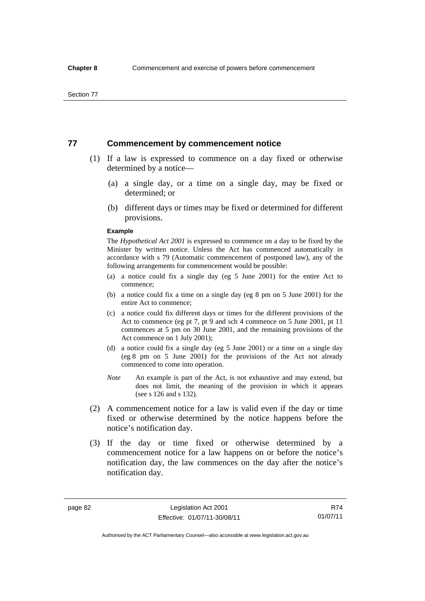## **77 Commencement by commencement notice**

- (1) If a law is expressed to commence on a day fixed or otherwise determined by a notice—
	- (a) a single day, or a time on a single day, may be fixed or determined; or
	- (b) different days or times may be fixed or determined for different provisions.

### **Example**

The *Hypothetical Act 2001* is expressed to commence on a day to be fixed by the Minister by written notice. Unless the Act has commenced automatically in accordance with s 79 (Automatic commencement of postponed law), any of the following arrangements for commencement would be possible:

- (a) a notice could fix a single day (eg 5 June 2001) for the entire Act to commence;
- (b) a notice could fix a time on a single day (eg 8 pm on 5 June 2001) for the entire Act to commence;
- (c) a notice could fix different days or times for the different provisions of the Act to commence (eg pt 7, pt 9 and sch 4 commence on 5 June 2001, pt 11 commences at 5 pm on 30 June 2001, and the remaining provisions of the Act commence on 1 July 2001);
- (d) a notice could fix a single day (eg 5 June 2001) or a time on a single day (eg 8 pm on 5 June 2001) for the provisions of the Act not already commenced to come into operation.
- *Note* An example is part of the Act, is not exhaustive and may extend, but does not limit, the meaning of the provision in which it appears (see s 126 and s 132).
- (2) A commencement notice for a law is valid even if the day or time fixed or otherwise determined by the notice happens before the notice's notification day.
- (3) If the day or time fixed or otherwise determined by a commencement notice for a law happens on or before the notice's notification day, the law commences on the day after the notice's notification day.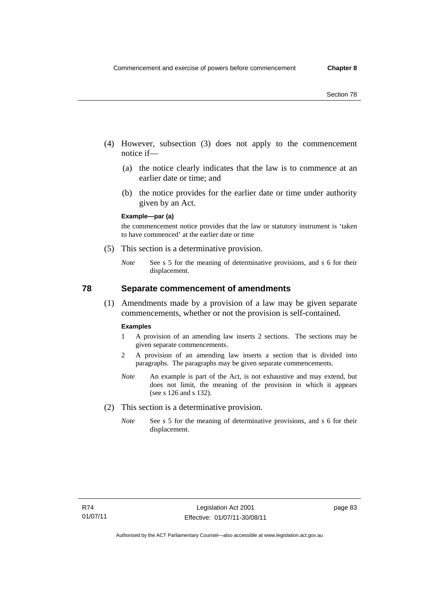- (4) However, subsection (3) does not apply to the commencement notice if—
	- (a) the notice clearly indicates that the law is to commence at an earlier date or time; and
	- (b) the notice provides for the earlier date or time under authority given by an Act.

### **Example—par (a)**

the commencement notice provides that the law or statutory instrument is 'taken to have commenced' at the earlier date or time

- (5) This section is a determinative provision.
	- *Note* See s 5 for the meaning of determinative provisions, and s 6 for their displacement.

## **78 Separate commencement of amendments**

 (1) Amendments made by a provision of a law may be given separate commencements, whether or not the provision is self-contained.

#### **Examples**

- 1 A provision of an amending law inserts 2 sections. The sections may be given separate commencements.
- 2 A provision of an amending law inserts a section that is divided into paragraphs. The paragraphs may be given separate commencements.
- *Note* An example is part of the Act, is not exhaustive and may extend, but does not limit, the meaning of the provision in which it appears (see s 126 and s 132).
- (2) This section is a determinative provision.
	- *Note* See s 5 for the meaning of determinative provisions, and s 6 for their displacement.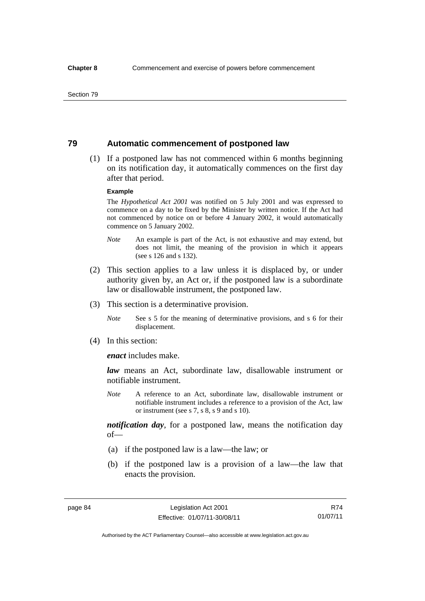Section 79

## **79 Automatic commencement of postponed law**

 (1) If a postponed law has not commenced within 6 months beginning on its notification day, it automatically commences on the first day after that period.

### **Example**

The *Hypothetical Act 2001* was notified on 5 July 2001 and was expressed to commence on a day to be fixed by the Minister by written notice. If the Act had not commenced by notice on or before 4 January 2002, it would automatically commence on 5 January 2002.

- *Note* An example is part of the Act, is not exhaustive and may extend, but does not limit, the meaning of the provision in which it appears (see s 126 and s 132).
- (2) This section applies to a law unless it is displaced by, or under authority given by, an Act or, if the postponed law is a subordinate law or disallowable instrument, the postponed law.
- (3) This section is a determinative provision.
	- *Note* See s 5 for the meaning of determinative provisions, and s 6 for their displacement.
- (4) In this section:

*enact* includes make.

*law* means an Act, subordinate law, disallowable instrument or notifiable instrument.

*Note* A reference to an Act, subordinate law, disallowable instrument or notifiable instrument includes a reference to a provision of the Act, law or instrument (see s 7, s 8, s 9 and s 10).

*notification day*, for a postponed law, means the notification day of—

- (a) if the postponed law is a law—the law; or
- (b) if the postponed law is a provision of a law—the law that enacts the provision.

R74 01/07/11

Authorised by the ACT Parliamentary Counsel—also accessible at www.legislation.act.gov.au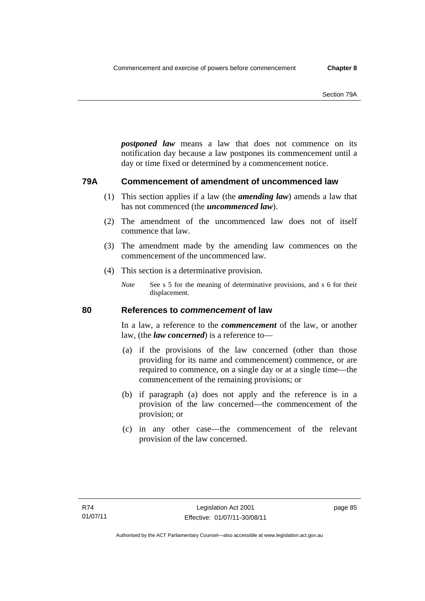*postponed law* means a law that does not commence on its notification day because a law postpones its commencement until a day or time fixed or determined by a commencement notice.

## **79A Commencement of amendment of uncommenced law**

- (1) This section applies if a law (the *amending law*) amends a law that has not commenced (the *uncommenced law*).
- (2) The amendment of the uncommenced law does not of itself commence that law.
- (3) The amendment made by the amending law commences on the commencement of the uncommenced law.
- (4) This section is a determinative provision.
	- *Note* See s 5 for the meaning of determinative provisions, and s 6 for their displacement.

## **80 References to** *commencement* **of law**

In a law, a reference to the *commencement* of the law, or another law, (the *law concerned*) is a reference to—

- (a) if the provisions of the law concerned (other than those providing for its name and commencement) commence, or are required to commence, on a single day or at a single time—the commencement of the remaining provisions; or
- (b) if paragraph (a) does not apply and the reference is in a provision of the law concerned—the commencement of the provision; or
- (c) in any other case—the commencement of the relevant provision of the law concerned.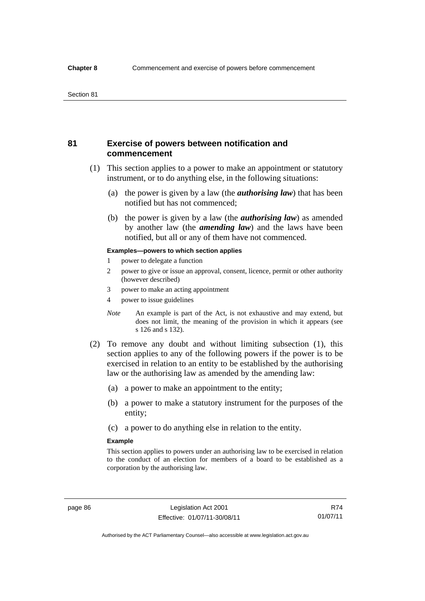## **81 Exercise of powers between notification and commencement**

- (1) This section applies to a power to make an appointment or statutory instrument, or to do anything else, in the following situations:
	- (a) the power is given by a law (the *authorising law*) that has been notified but has not commenced;
	- (b) the power is given by a law (the *authorising law*) as amended by another law (the *amending law*) and the laws have been notified, but all or any of them have not commenced.

#### **Examples—powers to which section applies**

- 1 power to delegate a function
- 2 power to give or issue an approval, consent, licence, permit or other authority (however described)
- 3 power to make an acting appointment
- 4 power to issue guidelines
- *Note* An example is part of the Act, is not exhaustive and may extend, but does not limit, the meaning of the provision in which it appears (see s 126 and s 132).
- (2) To remove any doubt and without limiting subsection (1), this section applies to any of the following powers if the power is to be exercised in relation to an entity to be established by the authorising law or the authorising law as amended by the amending law:
	- (a) a power to make an appointment to the entity;
	- (b) a power to make a statutory instrument for the purposes of the entity;
	- (c) a power to do anything else in relation to the entity.

### **Example**

This section applies to powers under an authorising law to be exercised in relation to the conduct of an election for members of a board to be established as a corporation by the authorising law.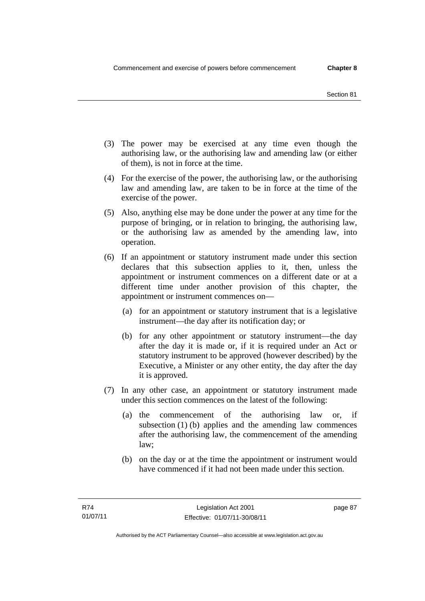- (3) The power may be exercised at any time even though the authorising law, or the authorising law and amending law (or either of them), is not in force at the time.
- (4) For the exercise of the power, the authorising law, or the authorising law and amending law, are taken to be in force at the time of the exercise of the power.
- (5) Also, anything else may be done under the power at any time for the purpose of bringing, or in relation to bringing, the authorising law, or the authorising law as amended by the amending law, into operation.
- (6) If an appointment or statutory instrument made under this section declares that this subsection applies to it, then, unless the appointment or instrument commences on a different date or at a different time under another provision of this chapter, the appointment or instrument commences on—
	- (a) for an appointment or statutory instrument that is a legislative instrument—the day after its notification day; or
	- (b) for any other appointment or statutory instrument—the day after the day it is made or, if it is required under an Act or statutory instrument to be approved (however described) by the Executive, a Minister or any other entity, the day after the day it is approved.
- (7) In any other case, an appointment or statutory instrument made under this section commences on the latest of the following:
	- (a) the commencement of the authorising law or, if subsection  $(1)$  (b) applies and the amending law commences after the authorising law, the commencement of the amending law;
	- (b) on the day or at the time the appointment or instrument would have commenced if it had not been made under this section.

page 87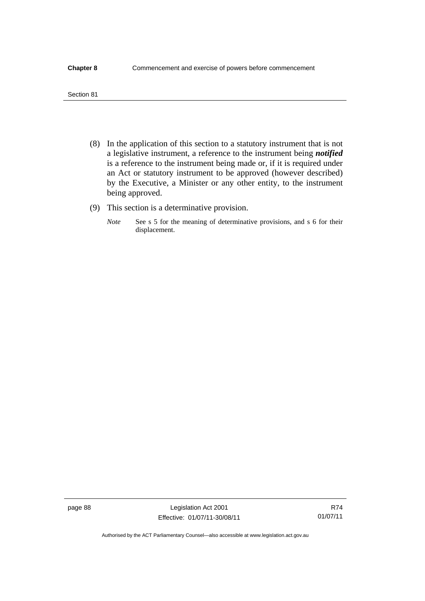#### **Chapter 8** Commencement and exercise of powers before commencement

| Section 81 |  |
|------------|--|

- (8) In the application of this section to a statutory instrument that is not a legislative instrument, a reference to the instrument being *notified*  is a reference to the instrument being made or, if it is required under an Act or statutory instrument to be approved (however described) by the Executive, a Minister or any other entity, to the instrument being approved.
- (9) This section is a determinative provision.
	- *Note* See s 5 for the meaning of determinative provisions, and s 6 for their displacement.

Authorised by the ACT Parliamentary Counsel—also accessible at www.legislation.act.gov.au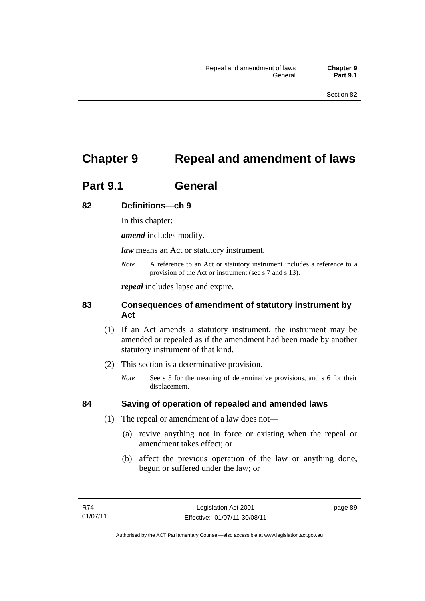# **Chapter 9 Repeal and amendment of laws**

# **Part 9.1 General**

## **82 Definitions—ch 9**

In this chapter:

*amend* includes modify.

*law* means an Act or statutory instrument.

*Note* A reference to an Act or statutory instrument includes a reference to a provision of the Act or instrument (see s 7 and s 13).

*repeal* includes lapse and expire.

## **83 Consequences of amendment of statutory instrument by Act**

- (1) If an Act amends a statutory instrument, the instrument may be amended or repealed as if the amendment had been made by another statutory instrument of that kind.
- (2) This section is a determinative provision.
	- *Note* See s 5 for the meaning of determinative provisions, and s 6 for their displacement.

## **84 Saving of operation of repealed and amended laws**

- (1) The repeal or amendment of a law does not—
	- (a) revive anything not in force or existing when the repeal or amendment takes effect; or
	- (b) affect the previous operation of the law or anything done, begun or suffered under the law; or

page 89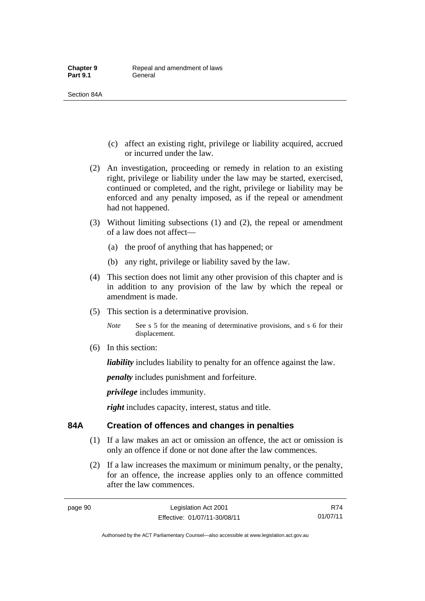Section 84A

- (c) affect an existing right, privilege or liability acquired, accrued or incurred under the law.
- (2) An investigation, proceeding or remedy in relation to an existing right, privilege or liability under the law may be started, exercised, continued or completed, and the right, privilege or liability may be enforced and any penalty imposed, as if the repeal or amendment had not happened.
- (3) Without limiting subsections (1) and (2), the repeal or amendment of a law does not affect—
	- (a) the proof of anything that has happened; or
	- (b) any right, privilege or liability saved by the law.
- (4) This section does not limit any other provision of this chapter and is in addition to any provision of the law by which the repeal or amendment is made.
- (5) This section is a determinative provision.
	- *Note* See s 5 for the meaning of determinative provisions, and s 6 for their displacement.
- (6) In this section:

*liability* includes liability to penalty for an offence against the law.

*penalty* includes punishment and forfeiture.

*privilege* includes immunity.

*right* includes capacity, interest, status and title.

## **84A Creation of offences and changes in penalties**

- (1) If a law makes an act or omission an offence, the act or omission is only an offence if done or not done after the law commences.
- (2) If a law increases the maximum or minimum penalty, or the penalty, for an offence, the increase applies only to an offence committed after the law commences.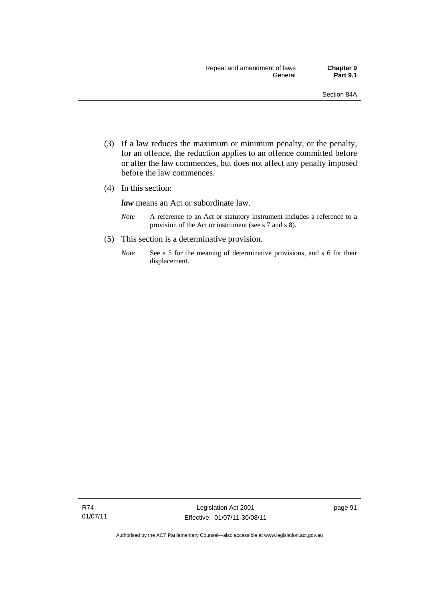- (3) If a law reduces the maximum or minimum penalty, or the penalty, for an offence, the reduction applies to an offence committed before or after the law commences, but does not affect any penalty imposed before the law commences.
- (4) In this section:

*law* means an Act or subordinate law.

- *Note* A reference to an Act or statutory instrument includes a reference to a provision of the Act or instrument (see s 7 and s 8).
- (5) This section is a determinative provision.
	- *Note* See s 5 for the meaning of determinative provisions, and s 6 for their displacement.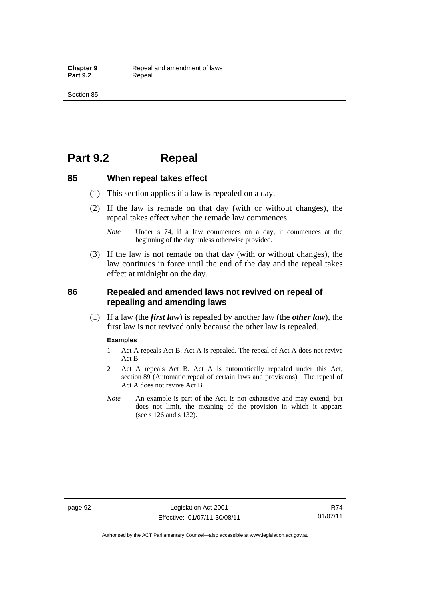# **Part 9.2 Repeal**

## **85 When repeal takes effect**

- (1) This section applies if a law is repealed on a day.
- (2) If the law is remade on that day (with or without changes), the repeal takes effect when the remade law commences.
	- *Note* Under s 74, if a law commences on a day, it commences at the beginning of the day unless otherwise provided.
- (3) If the law is not remade on that day (with or without changes), the law continues in force until the end of the day and the repeal takes effect at midnight on the day.

## **86 Repealed and amended laws not revived on repeal of repealing and amending laws**

 (1) If a law (the *first law*) is repealed by another law (the *other law*), the first law is not revived only because the other law is repealed.

### **Examples**

- 1 Act A repeals Act B. Act A is repealed. The repeal of Act A does not revive Act B.
- 2 Act A repeals Act B. Act A is automatically repealed under this Act, section 89 (Automatic repeal of certain laws and provisions). The repeal of Act A does not revive Act B.
- *Note* An example is part of the Act, is not exhaustive and may extend, but does not limit, the meaning of the provision in which it appears (see s 126 and s 132).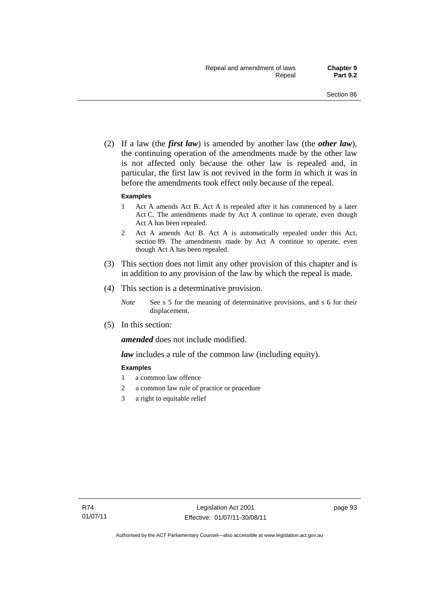(2) If a law (the *first law*) is amended by another law (the *other law*), the continuing operation of the amendments made by the other law is not affected only because the other law is repealed and, in particular, the first law is not revived in the form in which it was in before the amendments took effect only because of the repeal.

#### **Examples**

- 1 Act A amends Act B. Act A is repealed after it has commenced by a later Act C. The amendments made by Act A continue to operate, even though Act A has been repealed.
- 2 Act A amends Act B. Act A is automatically repealed under this Act, section 89. The amendments made by Act A continue to operate, even though Act A has been repealed.
- (3) This section does not limit any other provision of this chapter and is in addition to any provision of the law by which the repeal is made.
- (4) This section is a determinative provision.
	- *Note* See s 5 for the meaning of determinative provisions, and s 6 for their displacement.
- (5) In this section:

*amended* does not include modified.

*law* includes a rule of the common law (including equity).

#### **Examples**

- 1 a common law offence
- 2 a common law rule of practice or procedure
- 3 a right to equitable relief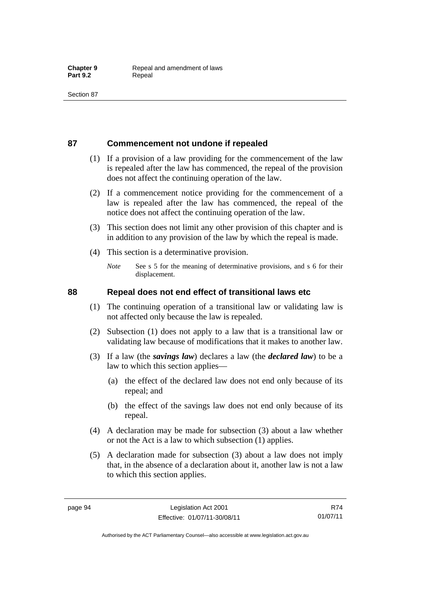# **87 Commencement not undone if repealed**

- (1) If a provision of a law providing for the commencement of the law is repealed after the law has commenced, the repeal of the provision does not affect the continuing operation of the law.
- (2) If a commencement notice providing for the commencement of a law is repealed after the law has commenced, the repeal of the notice does not affect the continuing operation of the law.
- (3) This section does not limit any other provision of this chapter and is in addition to any provision of the law by which the repeal is made.
- (4) This section is a determinative provision.
	- *Note* See s 5 for the meaning of determinative provisions, and s 6 for their displacement.

### **88 Repeal does not end effect of transitional laws etc**

- (1) The continuing operation of a transitional law or validating law is not affected only because the law is repealed.
- (2) Subsection (1) does not apply to a law that is a transitional law or validating law because of modifications that it makes to another law.
- (3) If a law (the *savings law*) declares a law (the *declared law*) to be a law to which this section applies—
	- (a) the effect of the declared law does not end only because of its repeal; and
	- (b) the effect of the savings law does not end only because of its repeal.
- (4) A declaration may be made for subsection (3) about a law whether or not the Act is a law to which subsection (1) applies.
- (5) A declaration made for subsection (3) about a law does not imply that, in the absence of a declaration about it, another law is not a law to which this section applies.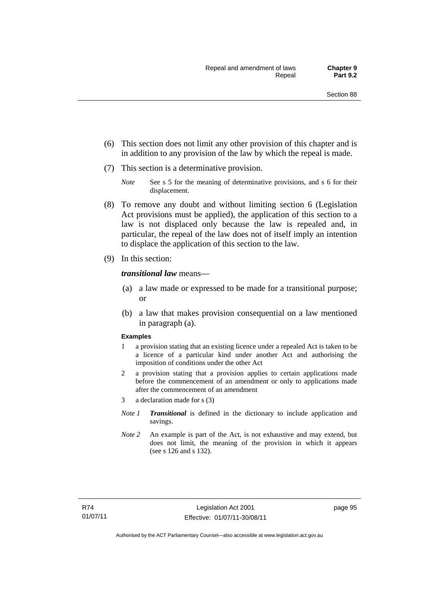- (6) This section does not limit any other provision of this chapter and is in addition to any provision of the law by which the repeal is made.
- (7) This section is a determinative provision.
	- *Note* See s 5 for the meaning of determinative provisions, and s 6 for their displacement.
- (8) To remove any doubt and without limiting section 6 (Legislation Act provisions must be applied), the application of this section to a law is not displaced only because the law is repealed and, in particular, the repeal of the law does not of itself imply an intention to displace the application of this section to the law.
- (9) In this section:

### *transitional law* means—

- (a) a law made or expressed to be made for a transitional purpose; or
- (b) a law that makes provision consequential on a law mentioned in paragraph (a).

#### **Examples**

- 1 a provision stating that an existing licence under a repealed Act is taken to be a licence of a particular kind under another Act and authorising the imposition of conditions under the other Act
- 2 a provision stating that a provision applies to certain applications made before the commencement of an amendment or only to applications made after the commencement of an amendment
- 3 a declaration made for s (3)
- *Note 1 Transitional* is defined in the dictionary to include application and savings.
- *Note 2* An example is part of the Act, is not exhaustive and may extend, but does not limit, the meaning of the provision in which it appears (see s 126 and s 132).

page 95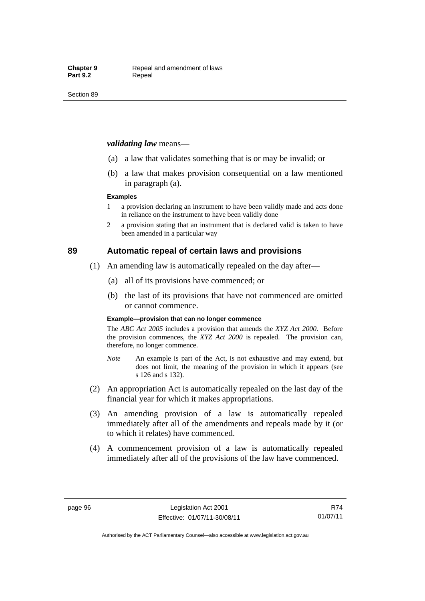### *validating law* means—

- (a) a law that validates something that is or may be invalid; or
- (b) a law that makes provision consequential on a law mentioned in paragraph (a).

#### **Examples**

- 1 a provision declaring an instrument to have been validly made and acts done in reliance on the instrument to have been validly done
- 2 a provision stating that an instrument that is declared valid is taken to have been amended in a particular way

### **89 Automatic repeal of certain laws and provisions**

- (1) An amending law is automatically repealed on the day after—
	- (a) all of its provisions have commenced; or
	- (b) the last of its provisions that have not commenced are omitted or cannot commence.

#### **Example—provision that can no longer commence**

The *ABC Act 2005* includes a provision that amends the *XYZ Act 2000*. Before the provision commences, the *XYZ Act 2000* is repealed. The provision can, therefore, no longer commence.

- *Note* An example is part of the Act, is not exhaustive and may extend, but does not limit, the meaning of the provision in which it appears (see s 126 and s 132).
- (2) An appropriation Act is automatically repealed on the last day of the financial year for which it makes appropriations.
- (3) An amending provision of a law is automatically repealed immediately after all of the amendments and repeals made by it (or to which it relates) have commenced.
- (4) A commencement provision of a law is automatically repealed immediately after all of the provisions of the law have commenced.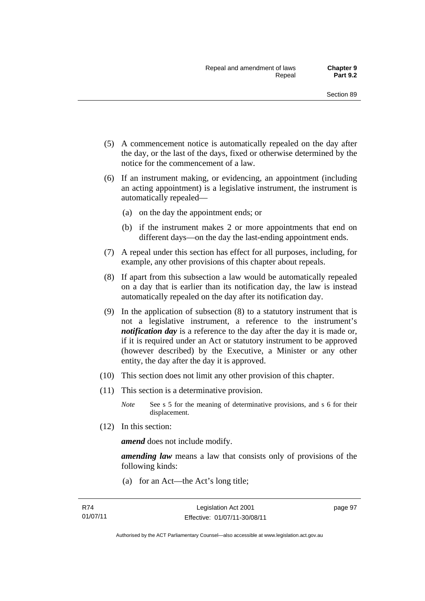- (5) A commencement notice is automatically repealed on the day after the day, or the last of the days, fixed or otherwise determined by the notice for the commencement of a law.
- (6) If an instrument making, or evidencing, an appointment (including an acting appointment) is a legislative instrument, the instrument is automatically repealed—
	- (a) on the day the appointment ends; or
	- (b) if the instrument makes 2 or more appointments that end on different days—on the day the last-ending appointment ends.
- (7) A repeal under this section has effect for all purposes, including, for example, any other provisions of this chapter about repeals.
- (8) If apart from this subsection a law would be automatically repealed on a day that is earlier than its notification day, the law is instead automatically repealed on the day after its notification day.
- (9) In the application of subsection (8) to a statutory instrument that is not a legislative instrument, a reference to the instrument's *notification day* is a reference to the day after the day it is made or, if it is required under an Act or statutory instrument to be approved (however described) by the Executive, a Minister or any other entity, the day after the day it is approved.
- (10) This section does not limit any other provision of this chapter.
- (11) This section is a determinative provision.
	- *Note* See s 5 for the meaning of determinative provisions, and s 6 for their displacement.
- (12) In this section:

*amend* does not include modify.

*amending law* means a law that consists only of provisions of the following kinds:

(a) for an Act—the Act's long title;

page 97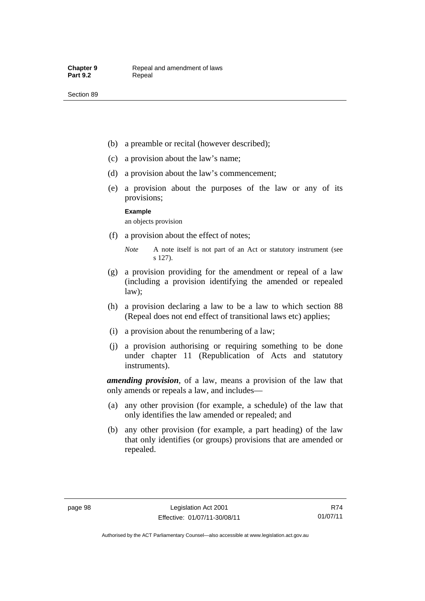- (b) a preamble or recital (however described);
- (c) a provision about the law's name;
- (d) a provision about the law's commencement;
- (e) a provision about the purposes of the law or any of its provisions;

**Example** 

an objects provision

- (f) a provision about the effect of notes;
	- *Note* A note itself is not part of an Act or statutory instrument (see s 127).
- (g) a provision providing for the amendment or repeal of a law (including a provision identifying the amended or repealed law);
- (h) a provision declaring a law to be a law to which section 88 (Repeal does not end effect of transitional laws etc) applies;
- (i) a provision about the renumbering of a law;
- (j) a provision authorising or requiring something to be done under chapter 11 (Republication of Acts and statutory instruments).

*amending provision*, of a law, means a provision of the law that only amends or repeals a law, and includes—

- (a) any other provision (for example, a schedule) of the law that only identifies the law amended or repealed; and
- (b) any other provision (for example, a part heading) of the law that only identifies (or groups) provisions that are amended or repealed.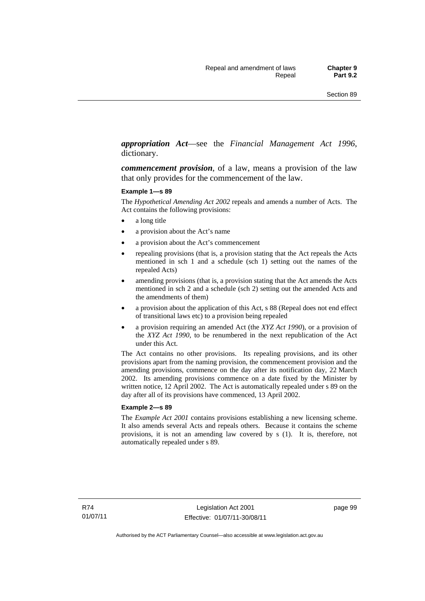# *appropriation Act*—see the *Financial Management Act 1996*, dictionary.

*commencement provision*, of a law, means a provision of the law that only provides for the commencement of the law.

#### **Example 1—s 89**

The *Hypothetical Amending Act 2002* repeals and amends a number of Acts. The Act contains the following provisions:

- a long title
- a provision about the Act's name
- a provision about the Act's commencement
- repealing provisions (that is, a provision stating that the Act repeals the Acts mentioned in sch 1 and a schedule (sch 1) setting out the names of the repealed Acts)
- amending provisions (that is, a provision stating that the Act amends the Acts mentioned in sch 2 and a schedule (sch 2) setting out the amended Acts and the amendments of them)
- a provision about the application of this Act, s 88 (Repeal does not end effect of transitional laws etc) to a provision being repealed
- a provision requiring an amended Act (the *XYZ Act 1990*), or a provision of the *XYZ Act 1990*, to be renumbered in the next republication of the Act under this Act.

The Act contains no other provisions. Its repealing provisions, and its other provisions apart from the naming provision, the commencement provision and the amending provisions, commence on the day after its notification day, 22 March 2002. Its amending provisions commence on a date fixed by the Minister by written notice, 12 April 2002. The Act is automatically repealed under s 89 on the day after all of its provisions have commenced, 13 April 2002.

#### **Example 2—s 89**

The *Example Act 2001* contains provisions establishing a new licensing scheme. It also amends several Acts and repeals others. Because it contains the scheme provisions, it is not an amending law covered by s (1). It is, therefore, not automatically repealed under s 89.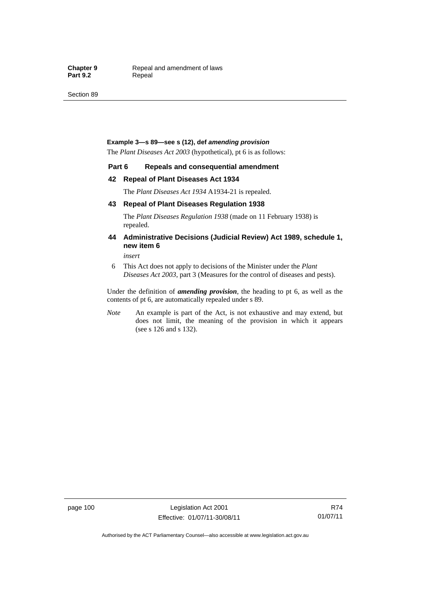Section 89

#### **Example 3—s 89—see s (12), def** *amending provision*

The *Plant Diseases Act 2003* (hypothetical), pt 6 is as follows:

#### **Part 6 Repeals and consequential amendment**

#### **42 Repeal of Plant Diseases Act 1934**

The *Plant Diseases Act 1934* A1934-21 is repealed.

#### **43 Repeal of Plant Diseases Regulation 1938**

The *Plant Diseases Regulation 1938* (made on 11 February 1938) is repealed.

### **44 Administrative Decisions (Judicial Review) Act 1989, schedule 1, new item 6**

*insert* 

6 This Act does not apply to decisions of the Minister under the *Plant Diseases Act 2003*, part 3 (Measures for the control of diseases and pests).

Under the definition of *amending provision*, the heading to pt 6, as well as the contents of pt 6, are automatically repealed under s 89.

*Note* An example is part of the Act, is not exhaustive and may extend, but does not limit, the meaning of the provision in which it appears (see s 126 and s 132).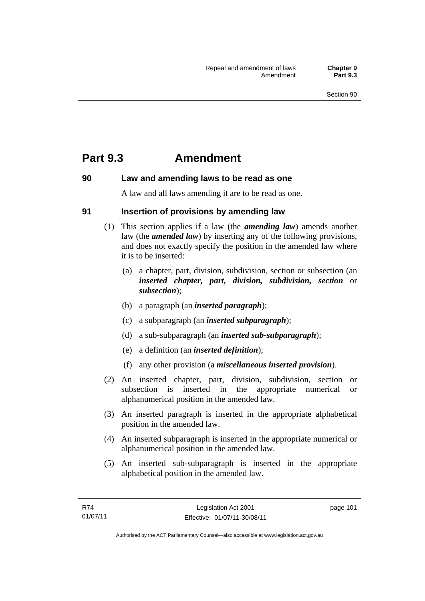# **Part 9.3 Amendment**

# **90 Law and amending laws to be read as one**

A law and all laws amending it are to be read as one.

# **91 Insertion of provisions by amending law**

- (1) This section applies if a law (the *amending law*) amends another law (the *amended law*) by inserting any of the following provisions, and does not exactly specify the position in the amended law where it is to be inserted:
	- (a) a chapter, part, division, subdivision, section or subsection (an *inserted chapter, part, division, subdivision, section* or *subsection*);
	- (b) a paragraph (an *inserted paragraph*);
	- (c) a subparagraph (an *inserted subparagraph*);
	- (d) a sub-subparagraph (an *inserted sub-subparagraph*);
	- (e) a definition (an *inserted definition*);
	- (f) any other provision (a *miscellaneous inserted provision*).
- (2) An inserted chapter, part, division, subdivision, section or subsection is inserted in the appropriate numerical or alphanumerical position in the amended law.
- (3) An inserted paragraph is inserted in the appropriate alphabetical position in the amended law.
- (4) An inserted subparagraph is inserted in the appropriate numerical or alphanumerical position in the amended law.
- (5) An inserted sub-subparagraph is inserted in the appropriate alphabetical position in the amended law.

page 101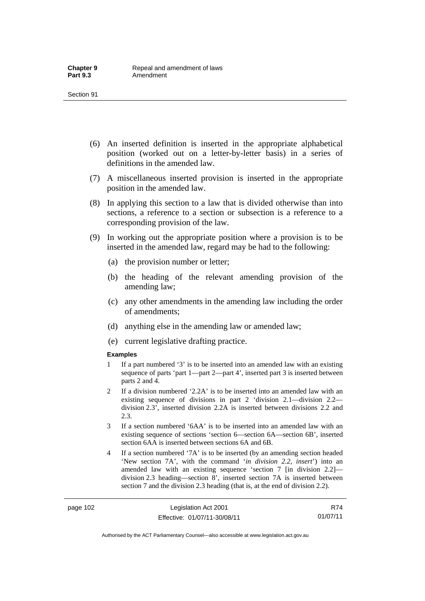- (6) An inserted definition is inserted in the appropriate alphabetical position (worked out on a letter-by-letter basis) in a series of definitions in the amended law.
- (7) A miscellaneous inserted provision is inserted in the appropriate position in the amended law.
- (8) In applying this section to a law that is divided otherwise than into sections, a reference to a section or subsection is a reference to a corresponding provision of the law.
- (9) In working out the appropriate position where a provision is to be inserted in the amended law, regard may be had to the following:
	- (a) the provision number or letter;
	- (b) the heading of the relevant amending provision of the amending law;
	- (c) any other amendments in the amending law including the order of amendments;
	- (d) anything else in the amending law or amended law;
	- (e) current legislative drafting practice.

#### **Examples**

- 1 If a part numbered '3' is to be inserted into an amended law with an existing sequence of parts 'part 1—part 2—part 4', inserted part 3 is inserted between parts 2 and 4.
- 2 If a division numbered '2.2A' is to be inserted into an amended law with an existing sequence of divisions in part 2 'division 2.1—division 2.2 division 2.3', inserted division 2.2A is inserted between divisions 2.2 and 2.3.
- 3 If a section numbered '6AA' is to be inserted into an amended law with an existing sequence of sections 'section 6—section 6A—section 6B', inserted section 6AA is inserted between sections 6A and 6B.
- 4 If a section numbered '7A' is to be inserted (by an amending section headed 'New section 7A', with the command '*in division 2.2, insert*') into an amended law with an existing sequence 'section 7 [in division 2.2] division 2.3 heading—section 8', inserted section 7A is inserted between section 7 and the division 2.3 heading (that is, at the end of division 2.2).

Authorised by the ACT Parliamentary Counsel—also accessible at www.legislation.act.gov.au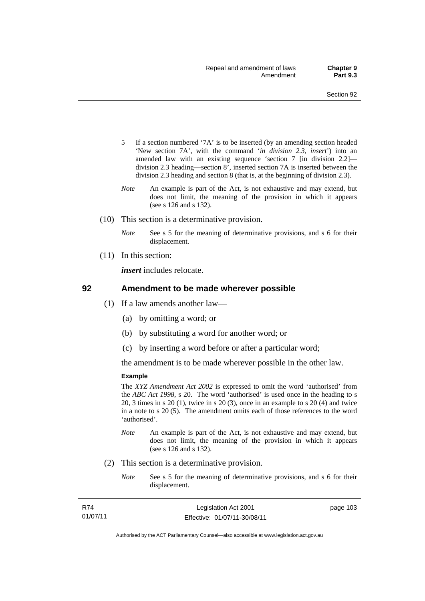- 5 If a section numbered '7A' is to be inserted (by an amending section headed 'New section 7A', with the command '*in division 2.3, insert*') into an amended law with an existing sequence 'section 7 [in division 2.2] division 2.3 heading—section 8', inserted section 7A is inserted between the division 2.3 heading and section 8 (that is, at the beginning of division 2.3).
- *Note* An example is part of the Act, is not exhaustive and may extend, but does not limit, the meaning of the provision in which it appears (see s 126 and s 132).
- (10) This section is a determinative provision.
	- *Note* See s 5 for the meaning of determinative provisions, and s 6 for their displacement.
- (11) In this section:

*insert* includes relocate.

### **92 Amendment to be made wherever possible**

- (1) If a law amends another law—
	- (a) by omitting a word; or
	- (b) by substituting a word for another word; or
	- (c) by inserting a word before or after a particular word;

the amendment is to be made wherever possible in the other law.

#### **Example**

The *XYZ Amendment Act 2002* is expressed to omit the word 'authorised' from the *ABC Act 1998*, s 20. The word 'authorised' is used once in the heading to s 20, 3 times in s 20 (1), twice in s 20 (3), once in an example to s 20 (4) and twice in a note to s 20 (5). The amendment omits each of those references to the word 'authorised'.

- *Note* An example is part of the Act, is not exhaustive and may extend, but does not limit, the meaning of the provision in which it appears (see s 126 and s 132).
- (2) This section is a determinative provision.
	- *Note* See s 5 for the meaning of determinative provisions, and s 6 for their displacement.

| R74      | Legislation Act 2001         | page 103 |
|----------|------------------------------|----------|
| 01/07/11 | Effective: 01/07/11-30/08/11 |          |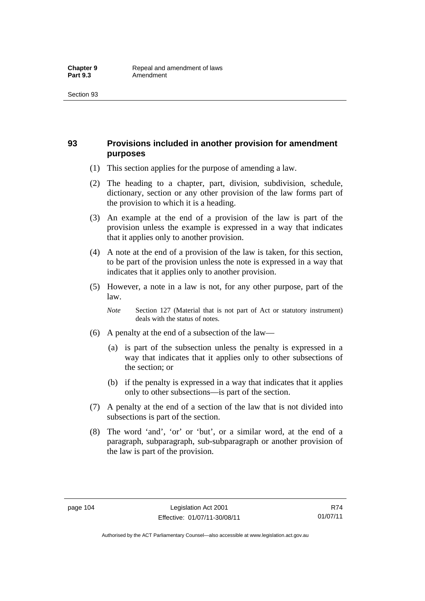# **93 Provisions included in another provision for amendment purposes**

- (1) This section applies for the purpose of amending a law.
- (2) The heading to a chapter, part, division, subdivision, schedule, dictionary, section or any other provision of the law forms part of the provision to which it is a heading.
- (3) An example at the end of a provision of the law is part of the provision unless the example is expressed in a way that indicates that it applies only to another provision.
- (4) A note at the end of a provision of the law is taken, for this section, to be part of the provision unless the note is expressed in a way that indicates that it applies only to another provision.
- (5) However, a note in a law is not, for any other purpose, part of the law.
	- *Note* Section 127 (Material that is not part of Act or statutory instrument) deals with the status of notes.
- (6) A penalty at the end of a subsection of the law—
	- (a) is part of the subsection unless the penalty is expressed in a way that indicates that it applies only to other subsections of the section; or
	- (b) if the penalty is expressed in a way that indicates that it applies only to other subsections—is part of the section.
- (7) A penalty at the end of a section of the law that is not divided into subsections is part of the section.
- (8) The word 'and', 'or' or 'but', or a similar word, at the end of a paragraph, subparagraph, sub-subparagraph or another provision of the law is part of the provision.

R74 01/07/11

Authorised by the ACT Parliamentary Counsel—also accessible at www.legislation.act.gov.au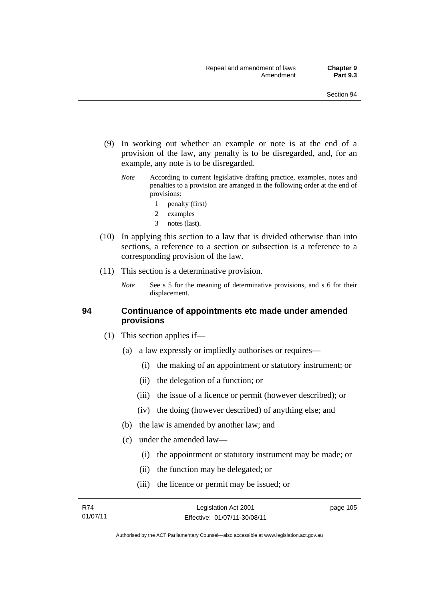- (9) In working out whether an example or note is at the end of a provision of the law, any penalty is to be disregarded, and, for an example, any note is to be disregarded.
	- *Note* According to current legislative drafting practice, examples, notes and penalties to a provision are arranged in the following order at the end of provisions:
		- 1 penalty (first)
		- 2 examples
		- 3 notes (last).
- (10) In applying this section to a law that is divided otherwise than into sections, a reference to a section or subsection is a reference to a corresponding provision of the law.
- (11) This section is a determinative provision.
	- *Note* See s 5 for the meaning of determinative provisions, and s 6 for their displacement.

# **94 Continuance of appointments etc made under amended provisions**

- (1) This section applies if—
	- (a) a law expressly or impliedly authorises or requires—
		- (i) the making of an appointment or statutory instrument; or
		- (ii) the delegation of a function; or
		- (iii) the issue of a licence or permit (however described); or
		- (iv) the doing (however described) of anything else; and
	- (b) the law is amended by another law; and
	- (c) under the amended law—
		- (i) the appointment or statutory instrument may be made; or
		- (ii) the function may be delegated; or
		- (iii) the licence or permit may be issued; or

Authorised by the ACT Parliamentary Counsel—also accessible at www.legislation.act.gov.au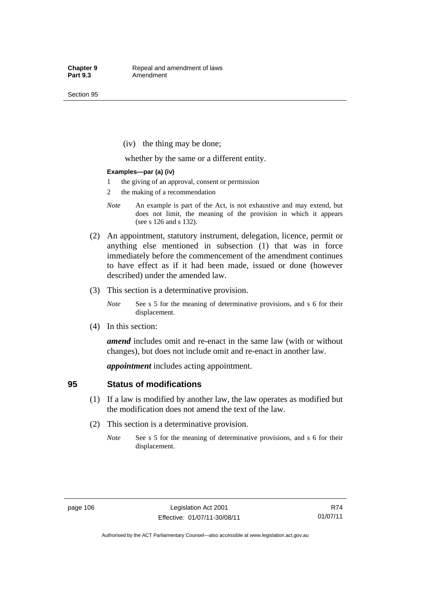Section 95

(iv) the thing may be done;

whether by the same or a different entity.

#### **Examples—par (a) (iv)**

- 1 the giving of an approval, consent or permission
- 2 the making of a recommendation
- *Note* An example is part of the Act, is not exhaustive and may extend, but does not limit, the meaning of the provision in which it appears (see s 126 and s 132).
- (2) An appointment, statutory instrument, delegation, licence, permit or anything else mentioned in subsection (1) that was in force immediately before the commencement of the amendment continues to have effect as if it had been made, issued or done (however described) under the amended law.
- (3) This section is a determinative provision.

*Note* See s 5 for the meaning of determinative provisions, and s 6 for their displacement.

(4) In this section:

*amend* includes omit and re-enact in the same law (with or without changes), but does not include omit and re-enact in another law.

*appointment* includes acting appointment.

# **95 Status of modifications**

- (1) If a law is modified by another law, the law operates as modified but the modification does not amend the text of the law.
- (2) This section is a determinative provision.
	- *Note* See s 5 for the meaning of determinative provisions, and s 6 for their displacement.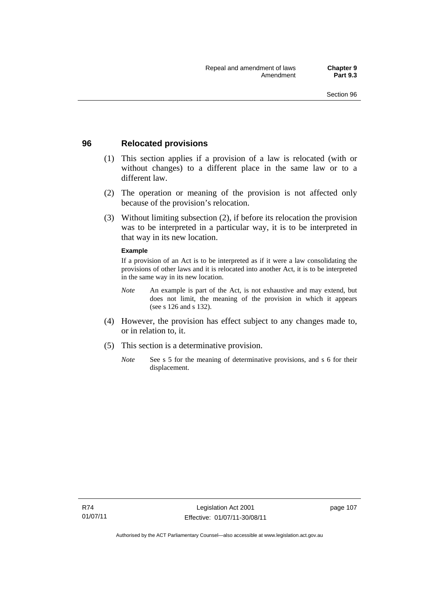# **96 Relocated provisions**

- (1) This section applies if a provision of a law is relocated (with or without changes) to a different place in the same law or to a different law.
- (2) The operation or meaning of the provision is not affected only because of the provision's relocation.
- (3) Without limiting subsection (2), if before its relocation the provision was to be interpreted in a particular way, it is to be interpreted in that way in its new location.

### **Example**

If a provision of an Act is to be interpreted as if it were a law consolidating the provisions of other laws and it is relocated into another Act, it is to be interpreted in the same way in its new location.

- *Note* An example is part of the Act, is not exhaustive and may extend, but does not limit, the meaning of the provision in which it appears (see s 126 and s 132).
- (4) However, the provision has effect subject to any changes made to, or in relation to, it.
- (5) This section is a determinative provision.
	- *Note* See s 5 for the meaning of determinative provisions, and s 6 for their displacement.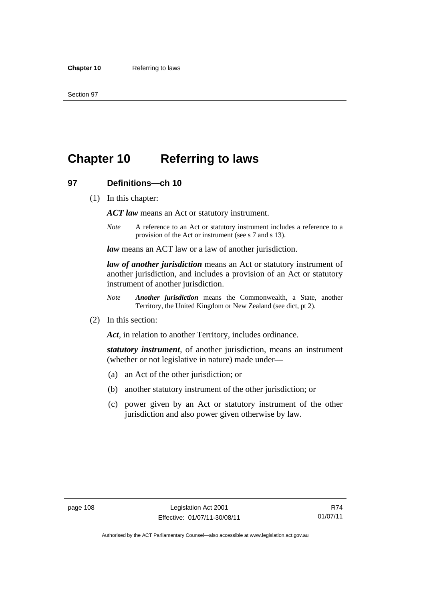# **Chapter 10 Referring to laws**

# **97 Definitions—ch 10**

(1) In this chapter:

*ACT law* means an Act or statutory instrument.

*Note* A reference to an Act or statutory instrument includes a reference to a provision of the Act or instrument (see s 7 and s 13).

*law* means an ACT law or a law of another jurisdiction.

*law of another jurisdiction* means an Act or statutory instrument of another jurisdiction, and includes a provision of an Act or statutory instrument of another jurisdiction.

- *Note Another jurisdiction* means the Commonwealth, a State, another Territory, the United Kingdom or New Zealand (see dict, pt 2).
- (2) In this section:

*Act*, in relation to another Territory, includes ordinance.

*statutory instrument*, of another jurisdiction, means an instrument (whether or not legislative in nature) made under—

- (a) an Act of the other jurisdiction; or
- (b) another statutory instrument of the other jurisdiction; or
- (c) power given by an Act or statutory instrument of the other jurisdiction and also power given otherwise by law.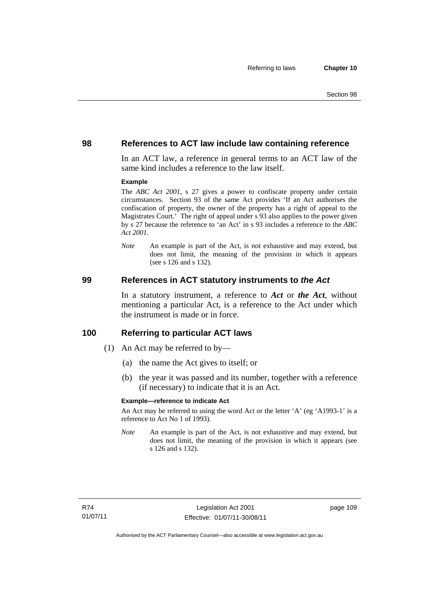# **98 References to ACT law include law containing reference**

In an ACT law, a reference in general terms to an ACT law of the same kind includes a reference to the law itself.

### **Example**

The *ABC Act 2001*, s 27 gives a power to confiscate property under certain circumstances. Section 93 of the same Act provides 'If an Act authorises the confiscation of property, the owner of the property has a right of appeal to the Magistrates Court.' The right of appeal under s 93 also applies to the power given by s 27 because the reference to 'an Act' in s 93 includes a reference to the *ABC Act 2001*.

*Note* An example is part of the Act, is not exhaustive and may extend, but does not limit, the meaning of the provision in which it appears (see s 126 and s 132).

### **99 References in ACT statutory instruments to** *the Act*

In a statutory instrument, a reference to *Act* or *the Act*, without mentioning a particular Act, is a reference to the Act under which the instrument is made or in force.

# **100 Referring to particular ACT laws**

- (1) An Act may be referred to by—
	- (a) the name the Act gives to itself; or
	- (b) the year it was passed and its number, together with a reference (if necessary) to indicate that it is an Act.

#### **Example—reference to indicate Act**

An Act may be referred to using the word Act or the letter 'A' (eg 'A1993-1' is a reference to Act No 1 of 1993).

*Note* An example is part of the Act, is not exhaustive and may extend, but does not limit, the meaning of the provision in which it appears (see s 126 and s 132).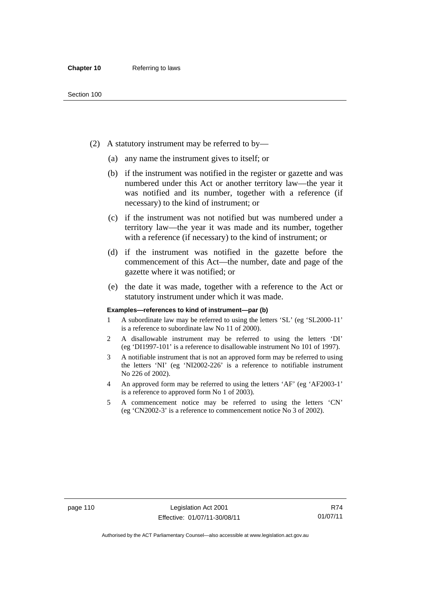- (2) A statutory instrument may be referred to by—
	- (a) any name the instrument gives to itself; or
	- (b) if the instrument was notified in the register or gazette and was numbered under this Act or another territory law—the year it was notified and its number, together with a reference (if necessary) to the kind of instrument; or
	- (c) if the instrument was not notified but was numbered under a territory law—the year it was made and its number, together with a reference (if necessary) to the kind of instrument; or
	- (d) if the instrument was notified in the gazette before the commencement of this Act—the number, date and page of the gazette where it was notified; or
	- (e) the date it was made, together with a reference to the Act or statutory instrument under which it was made.

#### **Examples—references to kind of instrument—par (b)**

- 1 A subordinate law may be referred to using the letters 'SL' (eg 'SL2000-11' is a reference to subordinate law No 11 of 2000).
- 2 A disallowable instrument may be referred to using the letters 'DI' (eg 'DI1997-101' is a reference to disallowable instrument No 101 of 1997).
- 3 A notifiable instrument that is not an approved form may be referred to using the letters 'NI' (eg 'NI2002-226' is a reference to notifiable instrument No 226 of 2002).
- 4 An approved form may be referred to using the letters 'AF' (eg 'AF2003-1' is a reference to approved form No 1 of 2003).
- 5 A commencement notice may be referred to using the letters 'CN' (eg 'CN2002-3' is a reference to commencement notice No 3 of 2002).

R74 01/07/11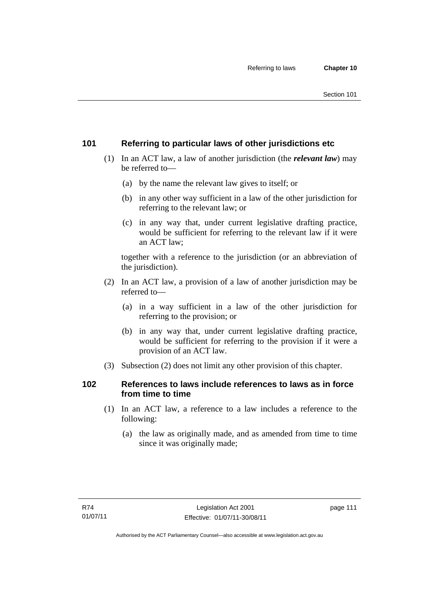# **101 Referring to particular laws of other jurisdictions etc**

- (1) In an ACT law, a law of another jurisdiction (the *relevant law*) may be referred to—
	- (a) by the name the relevant law gives to itself; or
	- (b) in any other way sufficient in a law of the other jurisdiction for referring to the relevant law; or
	- (c) in any way that, under current legislative drafting practice, would be sufficient for referring to the relevant law if it were an ACT law;

together with a reference to the jurisdiction (or an abbreviation of the jurisdiction).

- (2) In an ACT law, a provision of a law of another jurisdiction may be referred to—
	- (a) in a way sufficient in a law of the other jurisdiction for referring to the provision; or
	- (b) in any way that, under current legislative drafting practice, would be sufficient for referring to the provision if it were a provision of an ACT law.
- (3) Subsection (2) does not limit any other provision of this chapter.

# **102 References to laws include references to laws as in force from time to time**

- (1) In an ACT law, a reference to a law includes a reference to the following:
	- (a) the law as originally made, and as amended from time to time since it was originally made;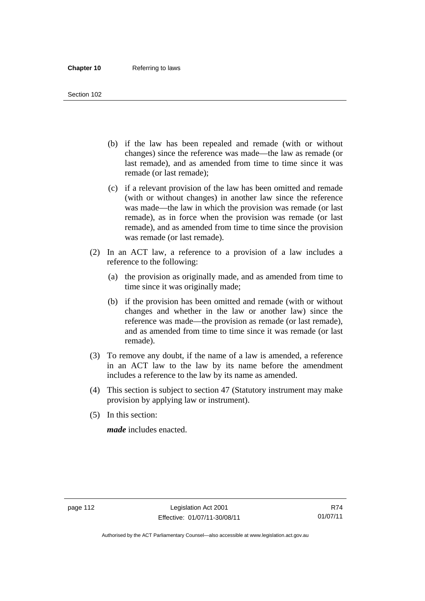#### Section 102

- (b) if the law has been repealed and remade (with or without changes) since the reference was made—the law as remade (or last remade), and as amended from time to time since it was remade (or last remade);
- (c) if a relevant provision of the law has been omitted and remade (with or without changes) in another law since the reference was made—the law in which the provision was remade (or last remade), as in force when the provision was remade (or last remade), and as amended from time to time since the provision was remade (or last remade).
- (2) In an ACT law, a reference to a provision of a law includes a reference to the following:
	- (a) the provision as originally made, and as amended from time to time since it was originally made;
	- (b) if the provision has been omitted and remade (with or without changes and whether in the law or another law) since the reference was made—the provision as remade (or last remade), and as amended from time to time since it was remade (or last remade).
- (3) To remove any doubt, if the name of a law is amended, a reference in an ACT law to the law by its name before the amendment includes a reference to the law by its name as amended.
- (4) This section is subject to section 47 (Statutory instrument may make provision by applying law or instrument).
- (5) In this section:

*made* includes enacted.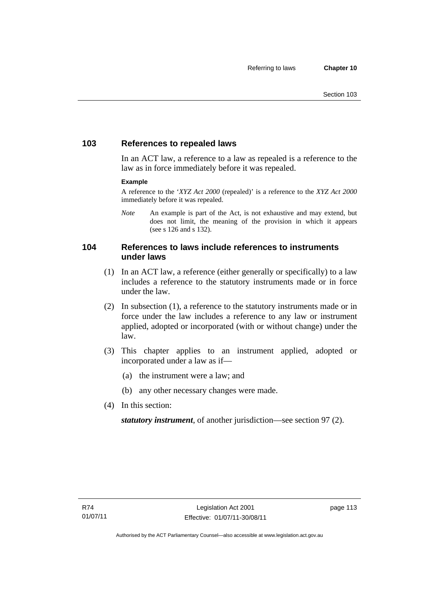# **103 References to repealed laws**

In an ACT law, a reference to a law as repealed is a reference to the law as in force immediately before it was repealed.

### **Example**

A reference to the '*XYZ Act 2000* (repealed)' is a reference to the *XYZ Act 2000* immediately before it was repealed.

*Note* An example is part of the Act, is not exhaustive and may extend, but does not limit, the meaning of the provision in which it appears (see s 126 and s 132).

# **104 References to laws include references to instruments under laws**

- (1) In an ACT law, a reference (either generally or specifically) to a law includes a reference to the statutory instruments made or in force under the law.
- (2) In subsection (1), a reference to the statutory instruments made or in force under the law includes a reference to any law or instrument applied, adopted or incorporated (with or without change) under the law.
- (3) This chapter applies to an instrument applied, adopted or incorporated under a law as if—
	- (a) the instrument were a law; and
	- (b) any other necessary changes were made.
- (4) In this section:

*statutory instrument*, of another jurisdiction—see section 97 (2).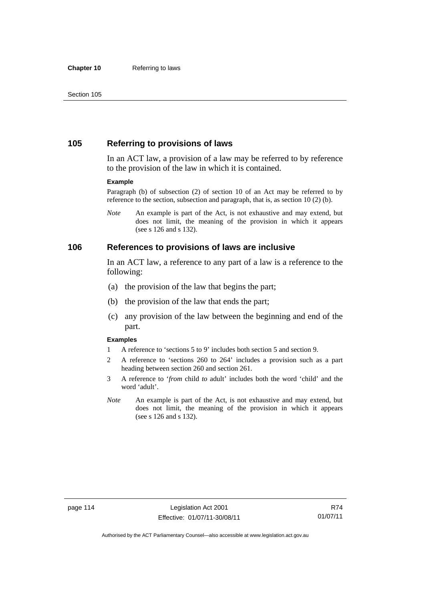# **105 Referring to provisions of laws**

In an ACT law, a provision of a law may be referred to by reference to the provision of the law in which it is contained.

#### **Example**

Paragraph (b) of subsection (2) of section 10 of an Act may be referred to by reference to the section, subsection and paragraph, that is, as section 10 (2) (b).

*Note* An example is part of the Act, is not exhaustive and may extend, but does not limit, the meaning of the provision in which it appears (see s 126 and s 132).

### **106 References to provisions of laws are inclusive**

In an ACT law, a reference to any part of a law is a reference to the following:

- (a) the provision of the law that begins the part;
- (b) the provision of the law that ends the part;
- (c) any provision of the law between the beginning and end of the part.

#### **Examples**

- 1 A reference to 'sections 5 to 9' includes both section 5 and section 9.
- 2 A reference to 'sections 260 to 264' includes a provision such as a part heading between section 260 and section 261.
- 3 A reference to '*from* child *to* adult' includes both the word 'child' and the word 'adult'.
- *Note* An example is part of the Act, is not exhaustive and may extend, but does not limit, the meaning of the provision in which it appears (see s 126 and s 132).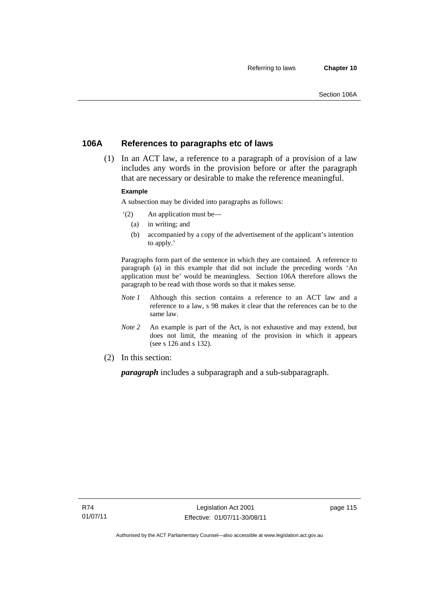# **106A References to paragraphs etc of laws**

 (1) In an ACT law, a reference to a paragraph of a provision of a law includes any words in the provision before or after the paragraph that are necessary or desirable to make the reference meaningful.

### **Example**

A subsection may be divided into paragraphs as follows:

- '(2) An application must be—
	- (a) in writing; and
	- (b) accompanied by a copy of the advertisement of the applicant's intention to apply.'

Paragraphs form part of the sentence in which they are contained. A reference to paragraph (a) in this example that did not include the preceding words 'An application must be' would be meaningless. Section 106A therefore allows the paragraph to be read with those words so that it makes sense.

- *Note 1* Although this section contains a reference to an ACT law and a reference to a law, s 98 makes it clear that the references can be to the same law.
- *Note 2* An example is part of the Act, is not exhaustive and may extend, but does not limit, the meaning of the provision in which it appears (see s 126 and s 132).
- (2) In this section:

*paragraph* includes a subparagraph and a sub-subparagraph.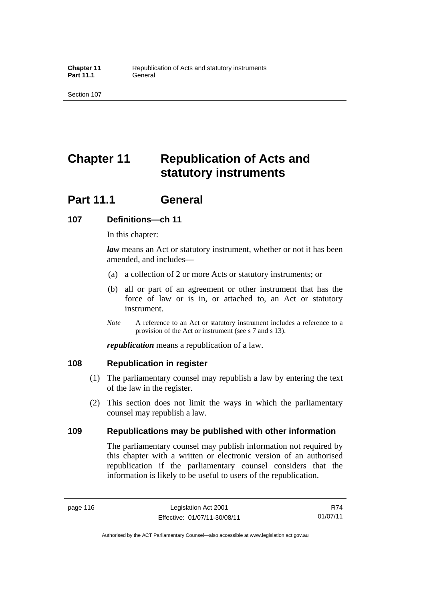Part 11.1 **General** 

Section 107

# **Chapter 11 Republication of Acts and statutory instruments**

# **Part 11.1 General**

# **107 Definitions—ch 11**

In this chapter:

*law* means an Act or statutory instrument, whether or not it has been amended, and includes—

- (a) a collection of 2 or more Acts or statutory instruments; or
- (b) all or part of an agreement or other instrument that has the force of law or is in, or attached to, an Act or statutory instrument.
- *Note* A reference to an Act or statutory instrument includes a reference to a provision of the Act or instrument (see s 7 and s 13).

*republication* means a republication of a law.

# **108 Republication in register**

- (1) The parliamentary counsel may republish a law by entering the text of the law in the register.
- (2) This section does not limit the ways in which the parliamentary counsel may republish a law.

# **109 Republications may be published with other information**

The parliamentary counsel may publish information not required by this chapter with a written or electronic version of an authorised republication if the parliamentary counsel considers that the information is likely to be useful to users of the republication.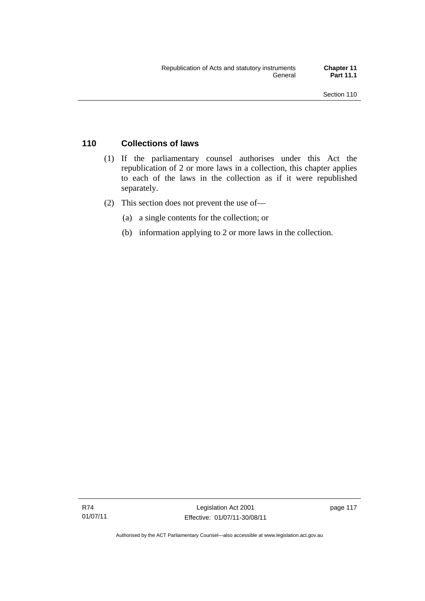# **110 Collections of laws**

- (1) If the parliamentary counsel authorises under this Act the republication of 2 or more laws in a collection, this chapter applies to each of the laws in the collection as if it were republished separately.
- (2) This section does not prevent the use of—
	- (a) a single contents for the collection; or
	- (b) information applying to 2 or more laws in the collection.

Authorised by the ACT Parliamentary Counsel—also accessible at www.legislation.act.gov.au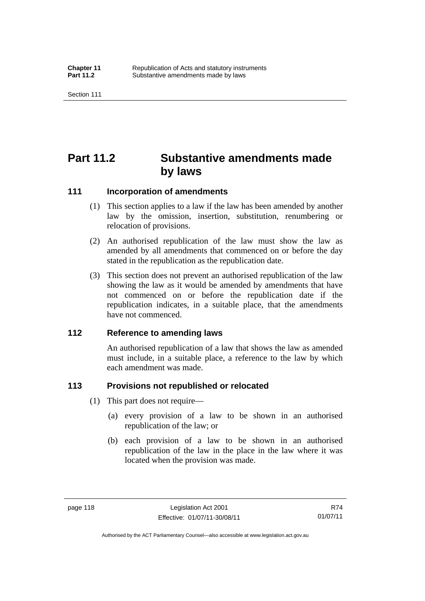# **Part 11.2 Substantive amendments made by laws**

# **111 Incorporation of amendments**

- (1) This section applies to a law if the law has been amended by another law by the omission, insertion, substitution, renumbering or relocation of provisions.
- (2) An authorised republication of the law must show the law as amended by all amendments that commenced on or before the day stated in the republication as the republication date.
- (3) This section does not prevent an authorised republication of the law showing the law as it would be amended by amendments that have not commenced on or before the republication date if the republication indicates, in a suitable place, that the amendments have not commenced.

# **112 Reference to amending laws**

An authorised republication of a law that shows the law as amended must include, in a suitable place, a reference to the law by which each amendment was made.

# **113 Provisions not republished or relocated**

- (1) This part does not require—
	- (a) every provision of a law to be shown in an authorised republication of the law; or
	- (b) each provision of a law to be shown in an authorised republication of the law in the place in the law where it was located when the provision was made.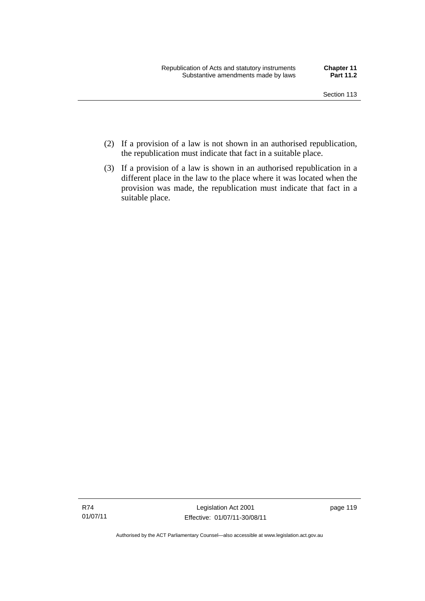- (2) If a provision of a law is not shown in an authorised republication, the republication must indicate that fact in a suitable place.
- (3) If a provision of a law is shown in an authorised republication in a different place in the law to the place where it was located when the provision was made, the republication must indicate that fact in a suitable place.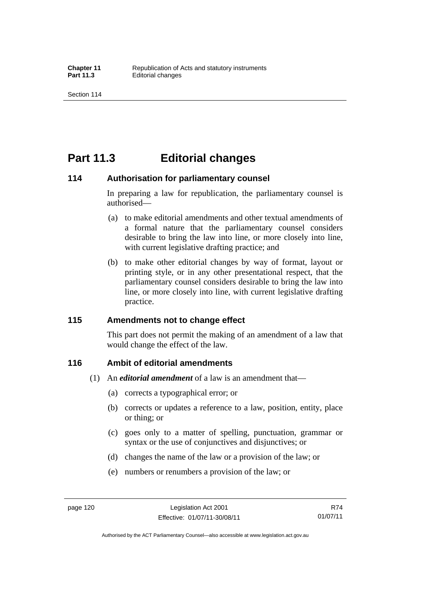# **Part 11.3 Editorial changes**

### **114 Authorisation for parliamentary counsel**

In preparing a law for republication, the parliamentary counsel is authorised—

- (a) to make editorial amendments and other textual amendments of a formal nature that the parliamentary counsel considers desirable to bring the law into line, or more closely into line, with current legislative drafting practice; and
- (b) to make other editorial changes by way of format, layout or printing style, or in any other presentational respect, that the parliamentary counsel considers desirable to bring the law into line, or more closely into line, with current legislative drafting practice.

# **115 Amendments not to change effect**

This part does not permit the making of an amendment of a law that would change the effect of the law.

# **116 Ambit of editorial amendments**

- (1) An *editorial amendment* of a law is an amendment that—
	- (a) corrects a typographical error; or
	- (b) corrects or updates a reference to a law, position, entity, place or thing; or
	- (c) goes only to a matter of spelling, punctuation, grammar or syntax or the use of conjunctives and disjunctives; or
	- (d) changes the name of the law or a provision of the law; or
	- (e) numbers or renumbers a provision of the law; or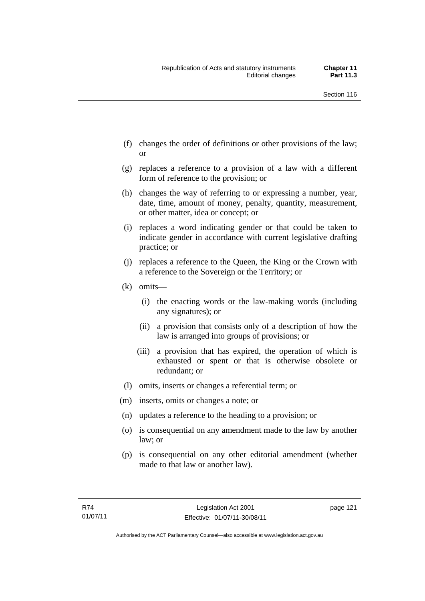- (f) changes the order of definitions or other provisions of the law; or
- (g) replaces a reference to a provision of a law with a different form of reference to the provision; or
- (h) changes the way of referring to or expressing a number, year, date, time, amount of money, penalty, quantity, measurement, or other matter, idea or concept; or
- (i) replaces a word indicating gender or that could be taken to indicate gender in accordance with current legislative drafting practice; or
- (j) replaces a reference to the Queen, the King or the Crown with a reference to the Sovereign or the Territory; or
- (k) omits—
	- (i) the enacting words or the law-making words (including any signatures); or
	- (ii) a provision that consists only of a description of how the law is arranged into groups of provisions; or
	- (iii) a provision that has expired, the operation of which is exhausted or spent or that is otherwise obsolete or redundant; or
- (l) omits, inserts or changes a referential term; or
- (m) inserts, omits or changes a note; or
- (n) updates a reference to the heading to a provision; or
- (o) is consequential on any amendment made to the law by another law; or
- (p) is consequential on any other editorial amendment (whether made to that law or another law).

page 121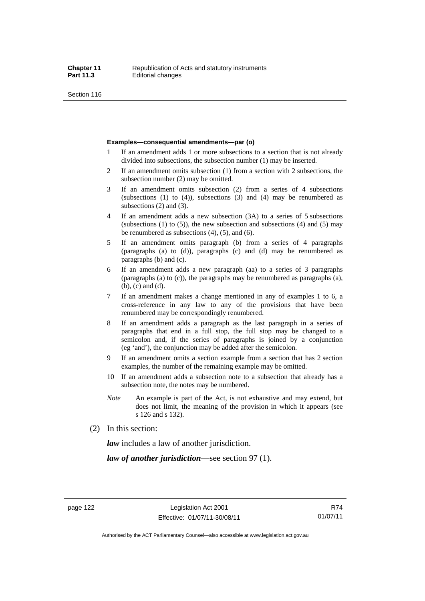Section 116

#### **Examples—consequential amendments—par (o)**

- 1 If an amendment adds 1 or more subsections to a section that is not already divided into subsections, the subsection number (1) may be inserted.
- 2 If an amendment omits subsection (1) from a section with 2 subsections, the subsection number (2) may be omitted.
- 3 If an amendment omits subsection (2) from a series of 4 subsections (subsections  $(1)$  to  $(4)$ ), subsections  $(3)$  and  $(4)$  may be renumbered as subsections (2) and (3).
- 4 If an amendment adds a new subsection (3A) to a series of 5 subsections (subsections  $(1)$  to  $(5)$ ), the new subsection and subsections  $(4)$  and  $(5)$  may be renumbered as subsections (4), (5), and (6).
- 5 If an amendment omits paragraph (b) from a series of 4 paragraphs (paragraphs (a) to (d)), paragraphs (c) and (d) may be renumbered as paragraphs (b) and (c).
- 6 If an amendment adds a new paragraph (aa) to a series of 3 paragraphs (paragraphs (a) to (c)), the paragraphs may be renumbered as paragraphs (a), (b), (c) and (d).
- 7 If an amendment makes a change mentioned in any of examples 1 to 6, a cross-reference in any law to any of the provisions that have been renumbered may be correspondingly renumbered.
- 8 If an amendment adds a paragraph as the last paragraph in a series of paragraphs that end in a full stop, the full stop may be changed to a semicolon and, if the series of paragraphs is joined by a conjunction (eg 'and'), the conjunction may be added after the semicolon.
- 9 If an amendment omits a section example from a section that has 2 section examples, the number of the remaining example may be omitted.
- 10 If an amendment adds a subsection note to a subsection that already has a subsection note, the notes may be numbered.
- *Note* An example is part of the Act, is not exhaustive and may extend, but does not limit, the meaning of the provision in which it appears (see s 126 and s 132).
- (2) In this section:

*law* includes a law of another jurisdiction.

*law of another jurisdiction*—see section 97 (1).

Authorised by the ACT Parliamentary Counsel—also accessible at www.legislation.act.gov.au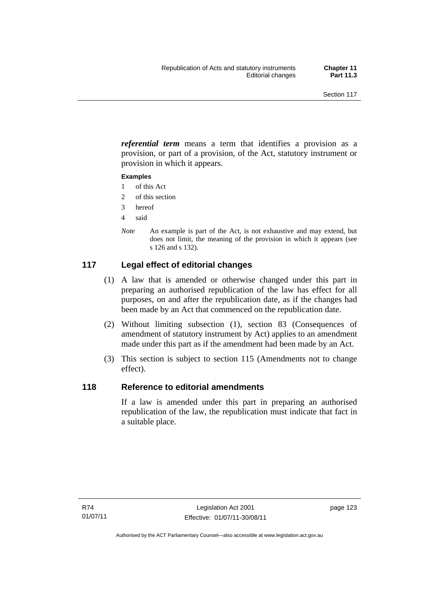*referential term* means a term that identifies a provision as a provision, or part of a provision, of the Act, statutory instrument or provision in which it appears.

### **Examples**

- 1 of this Act
- 2 of this section
- 3 hereof
- 4 said
- *Note* An example is part of the Act, is not exhaustive and may extend, but does not limit, the meaning of the provision in which it appears (see s 126 and s 132).

# **117 Legal effect of editorial changes**

- (1) A law that is amended or otherwise changed under this part in preparing an authorised republication of the law has effect for all purposes, on and after the republication date, as if the changes had been made by an Act that commenced on the republication date.
- (2) Without limiting subsection (1), section 83 (Consequences of amendment of statutory instrument by Act) applies to an amendment made under this part as if the amendment had been made by an Act.
- (3) This section is subject to section 115 (Amendments not to change effect).

# **118 Reference to editorial amendments**

If a law is amended under this part in preparing an authorised republication of the law, the republication must indicate that fact in a suitable place.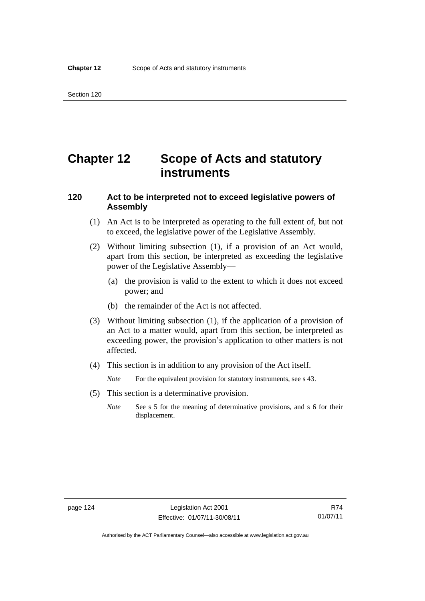# **Chapter 12 Scope of Acts and statutory instruments**

# **120 Act to be interpreted not to exceed legislative powers of Assembly**

- (1) An Act is to be interpreted as operating to the full extent of, but not to exceed, the legislative power of the Legislative Assembly.
- (2) Without limiting subsection (1), if a provision of an Act would, apart from this section, be interpreted as exceeding the legislative power of the Legislative Assembly—
	- (a) the provision is valid to the extent to which it does not exceed power; and
	- (b) the remainder of the Act is not affected.
- (3) Without limiting subsection (1), if the application of a provision of an Act to a matter would, apart from this section, be interpreted as exceeding power, the provision's application to other matters is not affected.
- (4) This section is in addition to any provision of the Act itself.
	- *Note* For the equivalent provision for statutory instruments, see s 43.
- (5) This section is a determinative provision.
	- *Note* See s 5 for the meaning of determinative provisions, and s 6 for their displacement.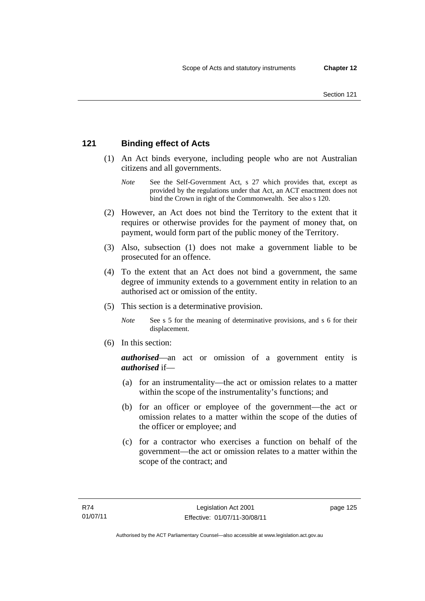# **121 Binding effect of Acts**

- (1) An Act binds everyone, including people who are not Australian citizens and all governments.
	- *Note* See the Self-Government Act, s 27 which provides that, except as provided by the regulations under that Act, an ACT enactment does not bind the Crown in right of the Commonwealth. See also s 120.
- (2) However, an Act does not bind the Territory to the extent that it requires or otherwise provides for the payment of money that, on payment, would form part of the public money of the Territory.
- (3) Also, subsection (1) does not make a government liable to be prosecuted for an offence.
- (4) To the extent that an Act does not bind a government, the same degree of immunity extends to a government entity in relation to an authorised act or omission of the entity.
- (5) This section is a determinative provision.
	- *Note* See s 5 for the meaning of determinative provisions, and s 6 for their displacement.
- (6) In this section:

*authorised*—an act or omission of a government entity is *authorised* if—

- (a) for an instrumentality—the act or omission relates to a matter within the scope of the instrumentality's functions; and
- (b) for an officer or employee of the government—the act or omission relates to a matter within the scope of the duties of the officer or employee; and
- (c) for a contractor who exercises a function on behalf of the government—the act or omission relates to a matter within the scope of the contract; and

page 125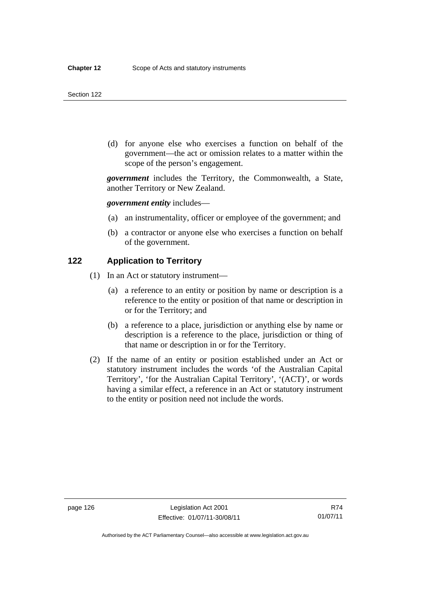#### Section 122

 (d) for anyone else who exercises a function on behalf of the government—the act or omission relates to a matter within the scope of the person's engagement.

*government* includes the Territory, the Commonwealth, a State, another Territory or New Zealand.

*government entity* includes—

- (a) an instrumentality, officer or employee of the government; and
- (b) a contractor or anyone else who exercises a function on behalf of the government.

# **122 Application to Territory**

- (1) In an Act or statutory instrument—
	- (a) a reference to an entity or position by name or description is a reference to the entity or position of that name or description in or for the Territory; and
	- (b) a reference to a place, jurisdiction or anything else by name or description is a reference to the place, jurisdiction or thing of that name or description in or for the Territory.
- (2) If the name of an entity or position established under an Act or statutory instrument includes the words 'of the Australian Capital Territory', 'for the Australian Capital Territory', '(ACT)', or words having a similar effect, a reference in an Act or statutory instrument to the entity or position need not include the words.

Authorised by the ACT Parliamentary Counsel—also accessible at www.legislation.act.gov.au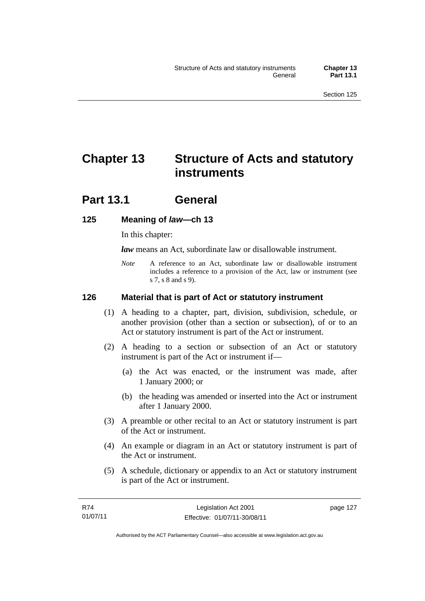# **Chapter 13 Structure of Acts and statutory instruments**

# **Part 13.1 General**

# **125 Meaning of** *law***—ch 13**

In this chapter:

*law* means an Act, subordinate law or disallowable instrument.

*Note* A reference to an Act, subordinate law or disallowable instrument includes a reference to a provision of the Act, law or instrument (see s 7, s 8 and s 9).

# **126 Material that is part of Act or statutory instrument**

- (1) A heading to a chapter, part, division, subdivision, schedule, or another provision (other than a section or subsection), of or to an Act or statutory instrument is part of the Act or instrument.
- (2) A heading to a section or subsection of an Act or statutory instrument is part of the Act or instrument if—
	- (a) the Act was enacted, or the instrument was made, after 1 January 2000; or
	- (b) the heading was amended or inserted into the Act or instrument after 1 January 2000.
- (3) A preamble or other recital to an Act or statutory instrument is part of the Act or instrument.
- (4) An example or diagram in an Act or statutory instrument is part of the Act or instrument.
- (5) A schedule, dictionary or appendix to an Act or statutory instrument is part of the Act or instrument.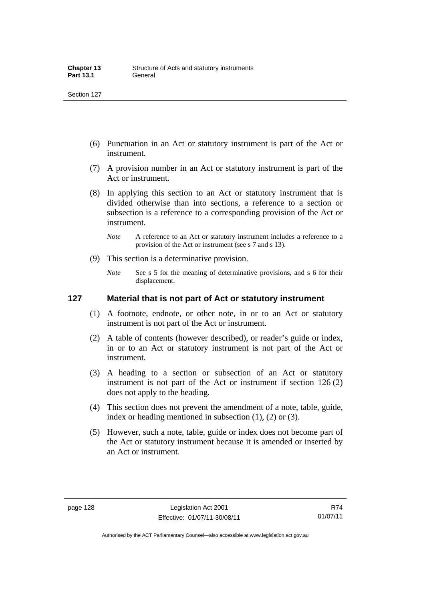- (6) Punctuation in an Act or statutory instrument is part of the Act or instrument.
- (7) A provision number in an Act or statutory instrument is part of the Act or instrument.
- (8) In applying this section to an Act or statutory instrument that is divided otherwise than into sections, a reference to a section or subsection is a reference to a corresponding provision of the Act or instrument.
	- *Note* A reference to an Act or statutory instrument includes a reference to a provision of the Act or instrument (see s 7 and s 13).
- (9) This section is a determinative provision.
	- *Note* See s 5 for the meaning of determinative provisions, and s 6 for their displacement.

### **127 Material that is not part of Act or statutory instrument**

- (1) A footnote, endnote, or other note, in or to an Act or statutory instrument is not part of the Act or instrument.
- (2) A table of contents (however described), or reader's guide or index, in or to an Act or statutory instrument is not part of the Act or instrument.
- (3) A heading to a section or subsection of an Act or statutory instrument is not part of the Act or instrument if section 126 (2) does not apply to the heading.
- (4) This section does not prevent the amendment of a note, table, guide, index or heading mentioned in subsection (1), (2) or (3).
- (5) However, such a note, table, guide or index does not become part of the Act or statutory instrument because it is amended or inserted by an Act or instrument.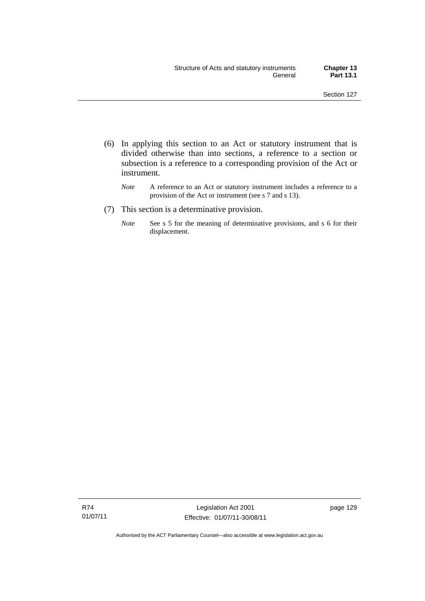- (6) In applying this section to an Act or statutory instrument that is divided otherwise than into sections, a reference to a section or subsection is a reference to a corresponding provision of the Act or instrument.
	- *Note* A reference to an Act or statutory instrument includes a reference to a provision of the Act or instrument (see s 7 and s 13).
- (7) This section is a determinative provision.
	- *Note* See s 5 for the meaning of determinative provisions, and s 6 for their displacement.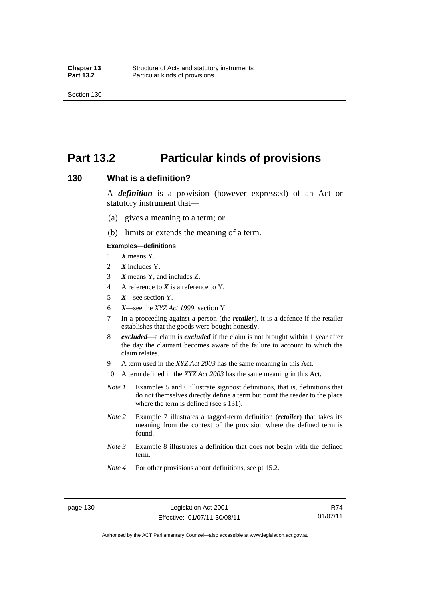Section 130

# **Part 13.2 Particular kinds of provisions**

### **130 What is a definition?**

A *definition* is a provision (however expressed) of an Act or statutory instrument that—

- (a) gives a meaning to a term; or
- (b) limits or extends the meaning of a term.

#### **Examples—definitions**

- 1 *X* means Y.
- 2 *X* includes Y.
- 3 *X* means Y, and includes Z.
- 4 A reference to *X* is a reference to Y.
- 5 *X*—see section Y.
- 6 *X*—see the *XYZ Act 1999*, section Y.
- 7 In a proceeding against a person (the *retailer*), it is a defence if the retailer establishes that the goods were bought honestly.
- 8 *excluded*—a claim is *excluded* if the claim is not brought within 1 year after the day the claimant becomes aware of the failure to account to which the claim relates.
- 9 A term used in the *XYZ Act 2003* has the same meaning in this Act.
- 10 A term defined in the *XYZ Act 2003* has the same meaning in this Act.
- *Note 1* Examples 5 and 6 illustrate signpost definitions, that is, definitions that do not themselves directly define a term but point the reader to the place where the term is defined (see s 131).
- *Note 2* Example 7 illustrates a tagged-term definition (*retailer*) that takes its meaning from the context of the provision where the defined term is found.
- *Note 3* Example 8 illustrates a definition that does not begin with the defined term.
- *Note 4* For other provisions about definitions, see pt 15.2.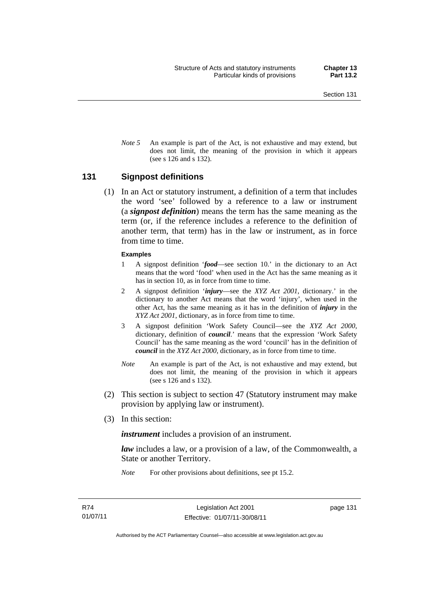*Note* 5 An example is part of the Act, is not exhaustive and may extend, but does not limit, the meaning of the provision in which it appears (see s 126 and s 132).

#### **131 Signpost definitions**

 (1) In an Act or statutory instrument, a definition of a term that includes the word 'see' followed by a reference to a law or instrument (a *signpost definition*) means the term has the same meaning as the term (or, if the reference includes a reference to the definition of another term, that term) has in the law or instrument, as in force from time to time.

#### **Examples**

- 1 A signpost definition '*food*—see section 10.' in the dictionary to an Act means that the word 'food' when used in the Act has the same meaning as it has in section 10, as in force from time to time.
- 2 A signpost definition '*injury*—see the *XYZ Act 2001*, dictionary.' in the dictionary to another Act means that the word 'injury', when used in the other Act, has the same meaning as it has in the definition of *injury* in the *XYZ Act 2001*, dictionary, as in force from time to time.
- 3 A signpost definition 'Work Safety Council—see the *XYZ Act 2000*, dictionary, definition of *council*.' means that the expression 'Work Safety Council' has the same meaning as the word 'council' has in the definition of *council* in the *XYZ Act 2000*, dictionary, as in force from time to time.
- *Note* An example is part of the Act, is not exhaustive and may extend, but does not limit, the meaning of the provision in which it appears (see s 126 and s 132).
- (2) This section is subject to section 47 (Statutory instrument may make provision by applying law or instrument).
- (3) In this section:

*instrument* includes a provision of an instrument.

*law* includes a law, or a provision of a law, of the Commonwealth, a State or another Territory.

*Note* For other provisions about definitions, see pt 15.2.

page 131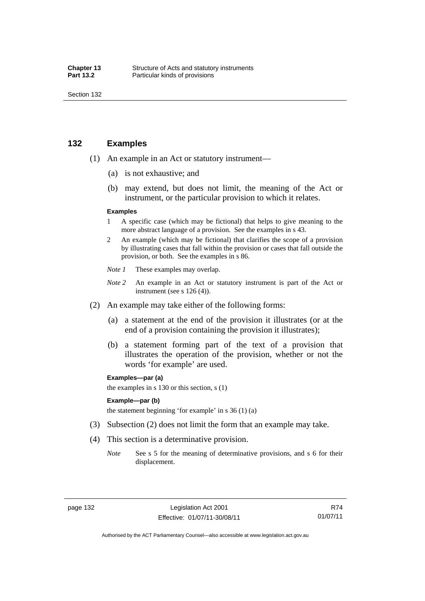Section 132

### **132 Examples**

- (1) An example in an Act or statutory instrument—
	- (a) is not exhaustive; and
	- (b) may extend, but does not limit, the meaning of the Act or instrument, or the particular provision to which it relates.

#### **Examples**

- 1 A specific case (which may be fictional) that helps to give meaning to the more abstract language of a provision. See the examples in s 43.
- 2 An example (which may be fictional) that clarifies the scope of a provision by illustrating cases that fall within the provision or cases that fall outside the provision, or both. See the examples in s 86.
- *Note 1* These examples may overlap.
- *Note* 2 An example in an Act or statutory instrument is part of the Act or instrument (see s 126 (4)).
- (2) An example may take either of the following forms:
	- (a) a statement at the end of the provision it illustrates (or at the end of a provision containing the provision it illustrates);
	- (b) a statement forming part of the text of a provision that illustrates the operation of the provision, whether or not the words 'for example' are used.

**Examples—par (a)** 

the examples in s 130 or this section, s (1)

#### **Example—par (b)**

the statement beginning 'for example' in s  $36(1)(a)$ 

- (3) Subsection (2) does not limit the form that an example may take.
- (4) This section is a determinative provision.
	- *Note* See s 5 for the meaning of determinative provisions, and s 6 for their displacement.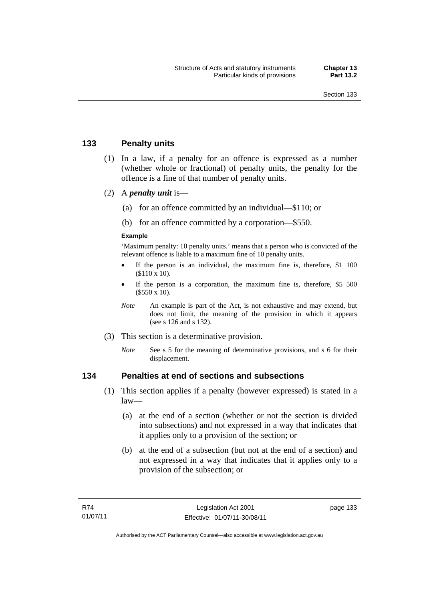### **133 Penalty units**

- (1) In a law, if a penalty for an offence is expressed as a number (whether whole or fractional) of penalty units, the penalty for the offence is a fine of that number of penalty units.
- (2) A *penalty unit* is—
	- (a) for an offence committed by an individual—\$110; or
	- (b) for an offence committed by a corporation—\$550.

#### **Example**

'Maximum penalty: 10 penalty units.' means that a person who is convicted of the relevant offence is liable to a maximum fine of 10 penalty units.

- If the person is an individual, the maximum fine is, therefore, \$1 100 (\$110 x 10).
- If the person is a corporation, the maximum fine is, therefore, \$5 500 (\$550 x 10).
- *Note* An example is part of the Act, is not exhaustive and may extend, but does not limit, the meaning of the provision in which it appears (see s 126 and s 132).
- (3) This section is a determinative provision.
	- *Note* See s 5 for the meaning of determinative provisions, and s 6 for their displacement.

### **134 Penalties at end of sections and subsections**

- (1) This section applies if a penalty (however expressed) is stated in a law—
	- (a) at the end of a section (whether or not the section is divided into subsections) and not expressed in a way that indicates that it applies only to a provision of the section; or
	- (b) at the end of a subsection (but not at the end of a section) and not expressed in a way that indicates that it applies only to a provision of the subsection; or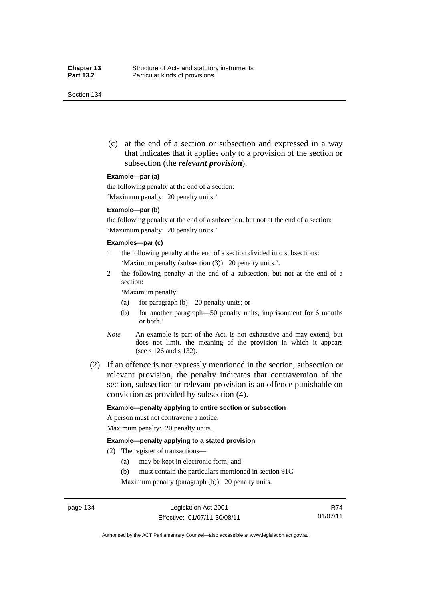Section 134

 (c) at the end of a section or subsection and expressed in a way that indicates that it applies only to a provision of the section or subsection (the *relevant provision*).

#### **Example—par (a)**

the following penalty at the end of a section:

'Maximum penalty: 20 penalty units.'

#### **Example—par (b)**

the following penalty at the end of a subsection, but not at the end of a section: 'Maximum penalty: 20 penalty units.'

#### **Examples—par (c)**

- 1 the following penalty at the end of a section divided into subsections: 'Maximum penalty (subsection (3)): 20 penalty units.'.
- 2 the following penalty at the end of a subsection, but not at the end of a section:

'Maximum penalty:

- (a) for paragraph (b)—20 penalty units; or
- (b) for another paragraph—50 penalty units, imprisonment for 6 months or both.'
- *Note* An example is part of the Act, is not exhaustive and may extend, but does not limit, the meaning of the provision in which it appears (see s 126 and s 132).
- (2) If an offence is not expressly mentioned in the section, subsection or relevant provision, the penalty indicates that contravention of the section, subsection or relevant provision is an offence punishable on conviction as provided by subsection (4).

#### **Example—penalty applying to entire section or subsection**

A person must not contravene a notice. Maximum penalty: 20 penalty units.

#### **Example—penalty applying to a stated provision**

- (2) The register of transactions—
	- (a) may be kept in electronic form; and
	- (b) must contain the particulars mentioned in section 91C.

Maximum penalty (paragraph (b)): 20 penalty units.

R74 01/07/11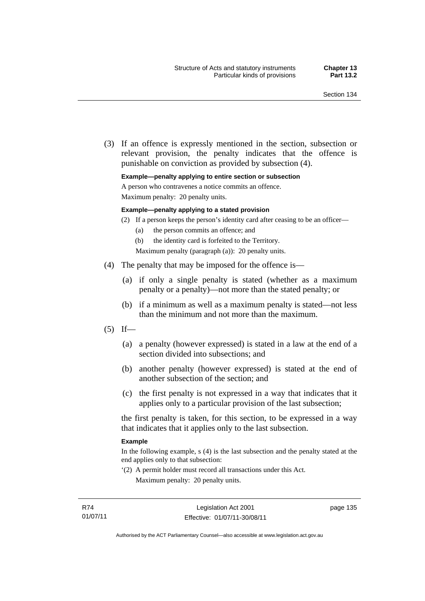(3) If an offence is expressly mentioned in the section, subsection or relevant provision, the penalty indicates that the offence is punishable on conviction as provided by subsection (4).

#### **Example—penalty applying to entire section or subsection**

A person who contravenes a notice commits an offence.

Maximum penalty: 20 penalty units.

#### **Example—penalty applying to a stated provision**

- (2) If a person keeps the person's identity card after ceasing to be an officer—
	- (a) the person commits an offence; and
	- (b) the identity card is forfeited to the Territory.

Maximum penalty (paragraph (a)): 20 penalty units.

- (4) The penalty that may be imposed for the offence is—
	- (a) if only a single penalty is stated (whether as a maximum penalty or a penalty)—not more than the stated penalty; or
	- (b) if a minimum as well as a maximum penalty is stated—not less than the minimum and not more than the maximum.
- $(5)$  If—
	- (a) a penalty (however expressed) is stated in a law at the end of a section divided into subsections; and
	- (b) another penalty (however expressed) is stated at the end of another subsection of the section; and
	- (c) the first penalty is not expressed in a way that indicates that it applies only to a particular provision of the last subsection;

the first penalty is taken, for this section, to be expressed in a way that indicates that it applies only to the last subsection.

#### **Example**

In the following example, s (4) is the last subsection and the penalty stated at the end applies only to that subsection:

'(2) A permit holder must record all transactions under this Act. Maximum penalty: 20 penalty units.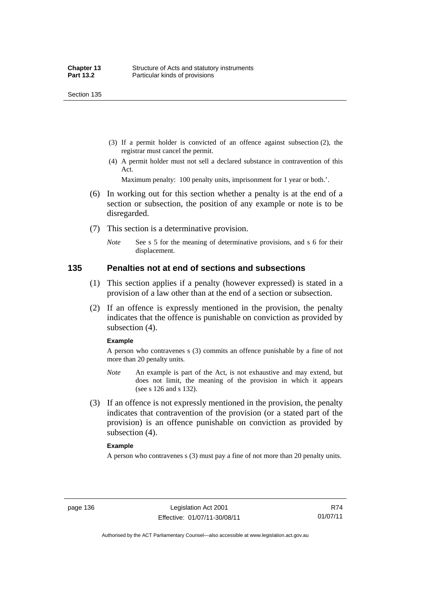Section 135

- (3) If a permit holder is convicted of an offence against subsection (2), the registrar must cancel the permit.
- (4) A permit holder must not sell a declared substance in contravention of this Act.

Maximum penalty: 100 penalty units, imprisonment for 1 year or both.'.

- (6) In working out for this section whether a penalty is at the end of a section or subsection, the position of any example or note is to be disregarded.
- (7) This section is a determinative provision.
	- *Note* See s 5 for the meaning of determinative provisions, and s 6 for their displacement.

### **135 Penalties not at end of sections and subsections**

- (1) This section applies if a penalty (however expressed) is stated in a provision of a law other than at the end of a section or subsection.
- (2) If an offence is expressly mentioned in the provision, the penalty indicates that the offence is punishable on conviction as provided by subsection (4).

#### **Example**

A person who contravenes s (3) commits an offence punishable by a fine of not more than 20 penalty units.

- *Note* An example is part of the Act, is not exhaustive and may extend, but does not limit, the meaning of the provision in which it appears (see s 126 and s 132).
- (3) If an offence is not expressly mentioned in the provision, the penalty indicates that contravention of the provision (or a stated part of the provision) is an offence punishable on conviction as provided by subsection (4).

#### **Example**

A person who contravenes s (3) must pay a fine of not more than 20 penalty units.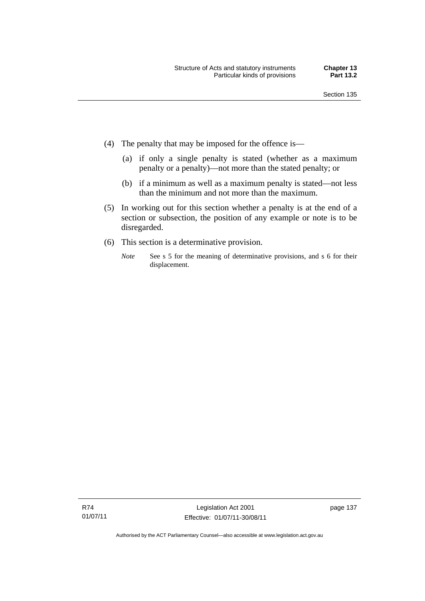- (4) The penalty that may be imposed for the offence is—
	- (a) if only a single penalty is stated (whether as a maximum penalty or a penalty)—not more than the stated penalty; or
	- (b) if a minimum as well as a maximum penalty is stated—not less than the minimum and not more than the maximum.
- (5) In working out for this section whether a penalty is at the end of a section or subsection, the position of any example or note is to be disregarded.
- (6) This section is a determinative provision.
	- *Note* See s 5 for the meaning of determinative provisions, and s 6 for their displacement.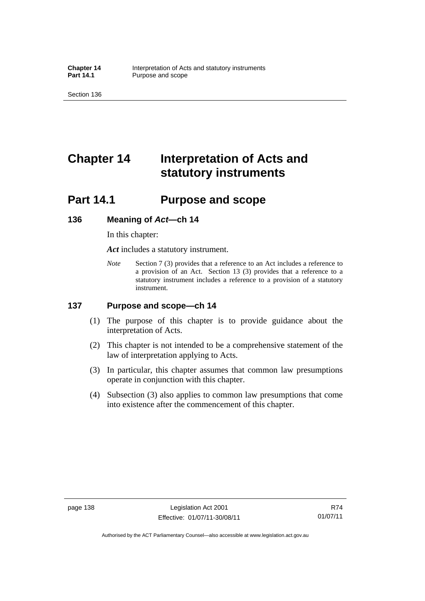Section 136

# **Chapter 14 Interpretation of Acts and statutory instruments**

# **Part 14.1 Purpose and scope**

### **136 Meaning of** *Act***—ch 14**

In this chapter:

*Act* includes a statutory instrument.

*Note* Section 7 (3) provides that a reference to an Act includes a reference to a provision of an Act. Section 13 (3) provides that a reference to a statutory instrument includes a reference to a provision of a statutory instrument.

### **137 Purpose and scope—ch 14**

- (1) The purpose of this chapter is to provide guidance about the interpretation of Acts.
- (2) This chapter is not intended to be a comprehensive statement of the law of interpretation applying to Acts.
- (3) In particular, this chapter assumes that common law presumptions operate in conjunction with this chapter.
- (4) Subsection (3) also applies to common law presumptions that come into existence after the commencement of this chapter.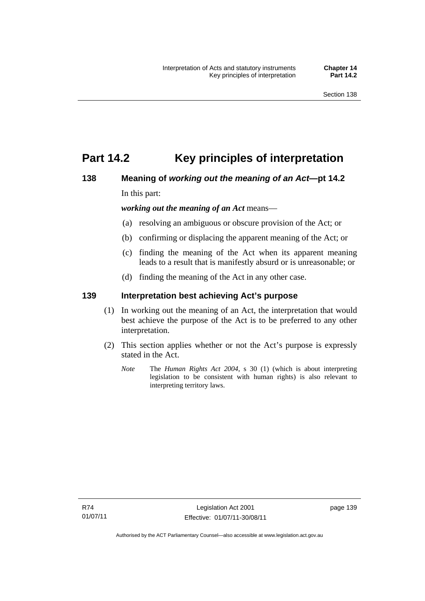# **Part 14.2 Key principles of interpretation**

# **138 Meaning of** *working out the meaning of an Act***—pt 14.2**

In this part:

*working out the meaning of an Act* means—

- (a) resolving an ambiguous or obscure provision of the Act; or
- (b) confirming or displacing the apparent meaning of the Act; or
- (c) finding the meaning of the Act when its apparent meaning leads to a result that is manifestly absurd or is unreasonable; or
- (d) finding the meaning of the Act in any other case.

### **139 Interpretation best achieving Act's purpose**

- (1) In working out the meaning of an Act, the interpretation that would best achieve the purpose of the Act is to be preferred to any other interpretation.
- (2) This section applies whether or not the Act's purpose is expressly stated in the Act.
	- *Note* The *Human Rights Act 2004*, s 30 (1) (which is about interpreting legislation to be consistent with human rights) is also relevant to interpreting territory laws.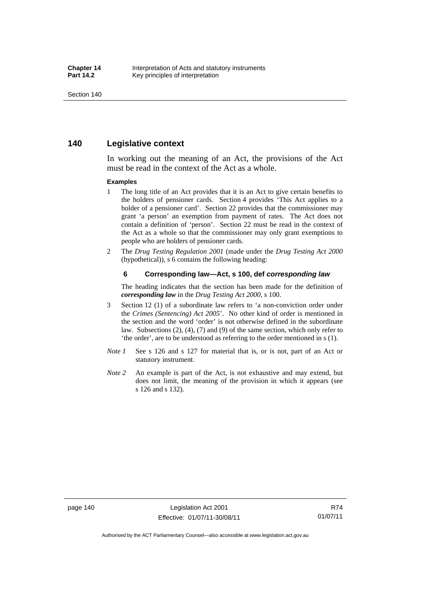### **140 Legislative context**

In working out the meaning of an Act, the provisions of the Act must be read in the context of the Act as a whole.

#### **Examples**

- 1 The long title of an Act provides that it is an Act to give certain benefits to the holders of pensioner cards. Section 4 provides 'This Act applies to a holder of a pensioner card'. Section 22 provides that the commissioner may grant 'a person' an exemption from payment of rates. The Act does not contain a definition of 'person'. Section 22 must be read in the context of the Act as a whole so that the commissioner may only grant exemptions to people who are holders of pensioner cards.
- 2 The *Drug Testing Regulation 2001* (made under the *Drug Testing Act 2000* (hypothetical)), s 6 contains the following heading:

#### **6 Corresponding law—Act, s 100, def** *corresponding law*

The heading indicates that the section has been made for the definition of *corresponding law* in the *Drug Testing Act 2000*, s 100.

- 3 Section 12 (1) of a subordinate law refers to 'a non-conviction order under the *Crimes (Sentencing) Act 2005*'. No other kind of order is mentioned in the section and the word 'order' is not otherwise defined in the subordinate law. Subsections (2), (4), (7) and (9) of the same section, which only refer to 'the order', are to be understood as referring to the order mentioned in s (1).
- *Note 1* See s 126 and s 127 for material that is, or is not, part of an Act or statutory instrument.
- *Note 2* An example is part of the Act, is not exhaustive and may extend, but does not limit, the meaning of the provision in which it appears (see s 126 and s 132).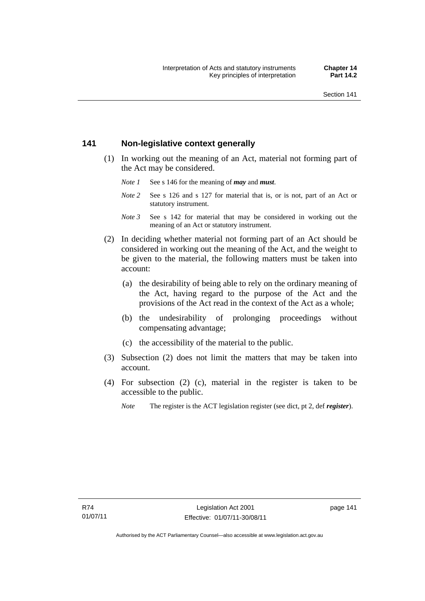### **141 Non-legislative context generally**

- (1) In working out the meaning of an Act, material not forming part of the Act may be considered.
	- *Note 1* See s 146 for the meaning of *may* and *must*.
	- *Note* 2 See s 126 and s 127 for material that is, or is not, part of an Act or statutory instrument.
	- *Note 3* See s 142 for material that may be considered in working out the meaning of an Act or statutory instrument.
- (2) In deciding whether material not forming part of an Act should be considered in working out the meaning of the Act, and the weight to be given to the material, the following matters must be taken into account:
	- (a) the desirability of being able to rely on the ordinary meaning of the Act, having regard to the purpose of the Act and the provisions of the Act read in the context of the Act as a whole;
	- (b) the undesirability of prolonging proceedings without compensating advantage;
	- (c) the accessibility of the material to the public.
- (3) Subsection (2) does not limit the matters that may be taken into account.
- (4) For subsection (2) (c), material in the register is taken to be accessible to the public.
	- *Note* The register is the ACT legislation register (see dict, pt 2, def *register*).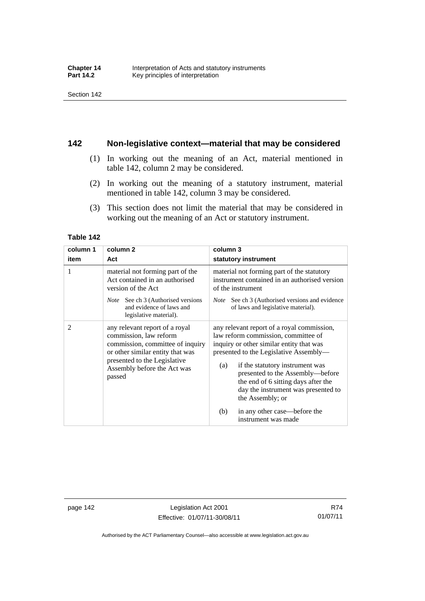### **142 Non-legislative context—material that may be considered**

- (1) In working out the meaning of an Act, material mentioned in table 142, column 2 may be considered.
- (2) In working out the meaning of a statutory instrument, material mentioned in table 142, column 3 may be considered.
- (3) This section does not limit the material that may be considered in working out the meaning of an Act or statutory instrument.

#### **Table 142**

| column 1 | column <sub>2</sub>                                                                                                                                                                                       | column 3                                                                                                                                                                                                                                                                                                                                                                                                              |
|----------|-----------------------------------------------------------------------------------------------------------------------------------------------------------------------------------------------------------|-----------------------------------------------------------------------------------------------------------------------------------------------------------------------------------------------------------------------------------------------------------------------------------------------------------------------------------------------------------------------------------------------------------------------|
| item     | Act                                                                                                                                                                                                       | statutory instrument                                                                                                                                                                                                                                                                                                                                                                                                  |
| 1        | material not forming part of the<br>Act contained in an authorised<br>version of the Act<br><i>Note</i> See ch 3 (Authorised versions<br>and evidence of laws and<br>legislative material).               | material not forming part of the statutory<br>instrument contained in an authorised version<br>of the instrument<br>See ch 3 (Authorised versions and evidence<br><i>Note</i><br>of laws and legislative material).                                                                                                                                                                                                   |
| 2        | any relevant report of a royal<br>commission, law reform<br>commission, committee of inquiry<br>or other similar entity that was<br>presented to the Legislative<br>Assembly before the Act was<br>passed | any relevant report of a royal commission,<br>law reform commission, committee of<br>inquiry or other similar entity that was<br>presented to the Legislative Assembly—<br>if the statutory instrument was<br>(a)<br>presented to the Assembly—before<br>the end of 6 sitting days after the<br>day the instrument was presented to<br>the Assembly; or<br>in any other case—before the<br>(b)<br>instrument was made |

page 142 Legislation Act 2001 Effective: 01/07/11-30/08/11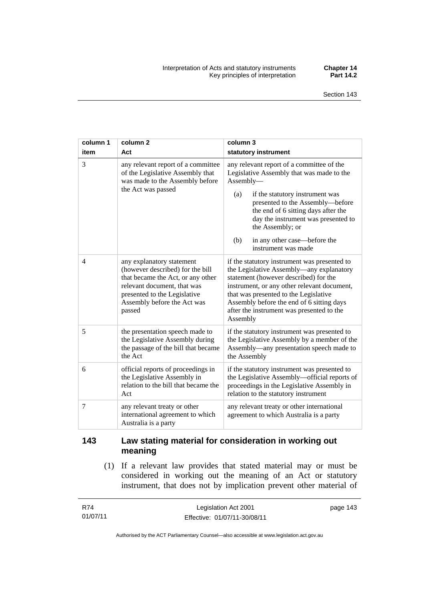| column 1       | column <sub>2</sub>                                                                                                                                                                                        | column 3                                                                                                                                                                                                                                                                                                                                          |
|----------------|------------------------------------------------------------------------------------------------------------------------------------------------------------------------------------------------------------|---------------------------------------------------------------------------------------------------------------------------------------------------------------------------------------------------------------------------------------------------------------------------------------------------------------------------------------------------|
| item           | Act                                                                                                                                                                                                        | statutory instrument                                                                                                                                                                                                                                                                                                                              |
| 3              | any relevant report of a committee<br>of the Legislative Assembly that<br>was made to the Assembly before<br>the Act was passed                                                                            | any relevant report of a committee of the<br>Legislative Assembly that was made to the<br>Assembly-<br>if the statutory instrument was<br>(a)<br>presented to the Assembly-before<br>the end of 6 sitting days after the<br>day the instrument was presented to<br>the Assembly; or<br>in any other case—before the<br>(b)<br>instrument was made |
| $\overline{4}$ | any explanatory statement<br>(however described) for the bill<br>that became the Act, or any other<br>relevant document, that was<br>presented to the Legislative<br>Assembly before the Act was<br>passed | if the statutory instrument was presented to<br>the Legislative Assembly-any explanatory<br>statement (however described) for the<br>instrument, or any other relevant document,<br>that was presented to the Legislative<br>Assembly before the end of 6 sitting days<br>after the instrument was presented to the<br>Assembly                   |
| 5              | the presentation speech made to<br>the Legislative Assembly during<br>the passage of the bill that became<br>the Act                                                                                       | if the statutory instrument was presented to<br>the Legislative Assembly by a member of the<br>Assembly—any presentation speech made to<br>the Assembly                                                                                                                                                                                           |
| 6              | official reports of proceedings in<br>the Legislative Assembly in<br>relation to the bill that became the<br>Act                                                                                           | if the statutory instrument was presented to<br>the Legislative Assembly-official reports of<br>proceedings in the Legislative Assembly in<br>relation to the statutory instrument                                                                                                                                                                |
| 7              | any relevant treaty or other<br>international agreement to which<br>Australia is a party                                                                                                                   | any relevant treaty or other international<br>agreement to which Australia is a party                                                                                                                                                                                                                                                             |

## **143 Law stating material for consideration in working out meaning**

 (1) If a relevant law provides that stated material may or must be considered in working out the meaning of an Act or statutory instrument, that does not by implication prevent other material of

| R74      | Legislation Act 2001         | page 143 |
|----------|------------------------------|----------|
| 01/07/11 | Effective: 01/07/11-30/08/11 |          |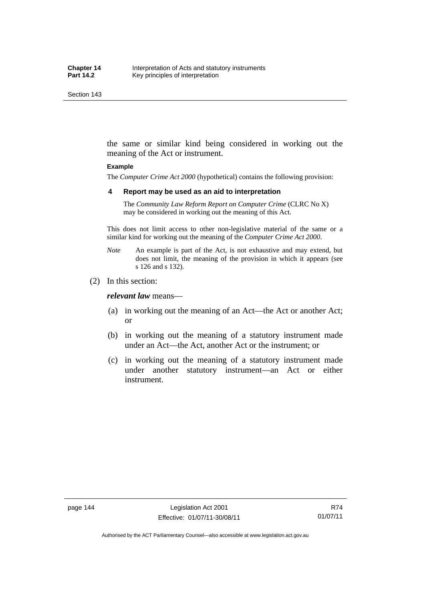Section 143

the same or similar kind being considered in working out the meaning of the Act or instrument.

#### **Example**

The *Computer Crime Act 2000* (hypothetical) contains the following provision:

#### **4 Report may be used as an aid to interpretation**

The *Community Law Reform Report on Computer Crime* (CLRC No X) may be considered in working out the meaning of this Act.

This does not limit access to other non-legislative material of the same or a similar kind for working out the meaning of the *Computer Crime Act 2000*.

- *Note* An example is part of the Act, is not exhaustive and may extend, but does not limit, the meaning of the provision in which it appears (see s 126 and s 132).
- (2) In this section:

*relevant law* means—

- (a) in working out the meaning of an Act—the Act or another Act; or
- (b) in working out the meaning of a statutory instrument made under an Act—the Act, another Act or the instrument; or
- (c) in working out the meaning of a statutory instrument made under another statutory instrument—an Act or either instrument.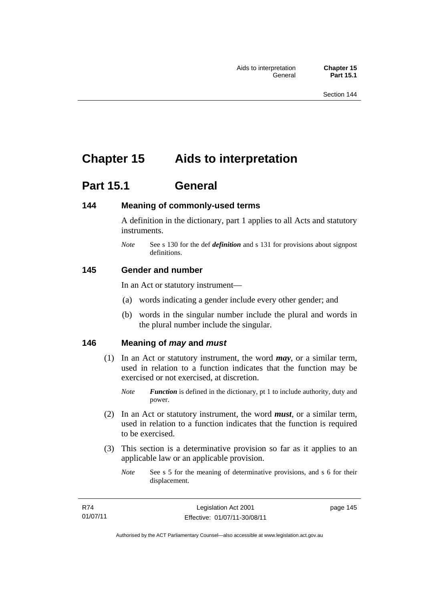# **Chapter 15 Aids to interpretation**

# **Part 15.1 General**

### **144 Meaning of commonly-used terms**

A definition in the dictionary, part 1 applies to all Acts and statutory instruments.

*Note* See s 130 for the def *definition* and s 131 for provisions about signpost definitions.

#### **145 Gender and number**

In an Act or statutory instrument—

- (a) words indicating a gender include every other gender; and
- (b) words in the singular number include the plural and words in the plural number include the singular.

### **146 Meaning of** *may* **and** *must*

- (1) In an Act or statutory instrument, the word *may*, or a similar term, used in relation to a function indicates that the function may be exercised or not exercised, at discretion.
	- *Note Function* is defined in the dictionary, pt 1 to include authority, duty and power.
- (2) In an Act or statutory instrument, the word *must*, or a similar term, used in relation to a function indicates that the function is required to be exercised.
- (3) This section is a determinative provision so far as it applies to an applicable law or an applicable provision.
	- *Note* See s 5 for the meaning of determinative provisions, and s 6 for their displacement.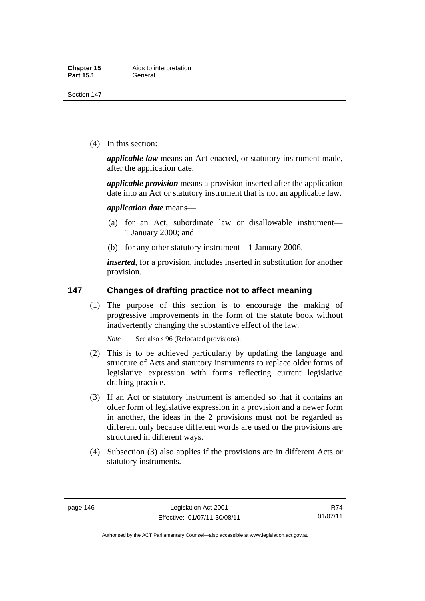(4) In this section:

*applicable law* means an Act enacted, or statutory instrument made, after the application date.

*applicable provision* means a provision inserted after the application date into an Act or statutory instrument that is not an applicable law.

*application date* means—

- (a) for an Act, subordinate law or disallowable instrument— 1 January 2000; and
- (b) for any other statutory instrument—1 January 2006.

*inserted*, for a provision, includes inserted in substitution for another provision.

### **147 Changes of drafting practice not to affect meaning**

 (1) The purpose of this section is to encourage the making of progressive improvements in the form of the statute book without inadvertently changing the substantive effect of the law.

*Note* See also s 96 (Relocated provisions).

- (2) This is to be achieved particularly by updating the language and structure of Acts and statutory instruments to replace older forms of legislative expression with forms reflecting current legislative drafting practice.
- (3) If an Act or statutory instrument is amended so that it contains an older form of legislative expression in a provision and a newer form in another, the ideas in the 2 provisions must not be regarded as different only because different words are used or the provisions are structured in different ways.
- (4) Subsection (3) also applies if the provisions are in different Acts or statutory instruments.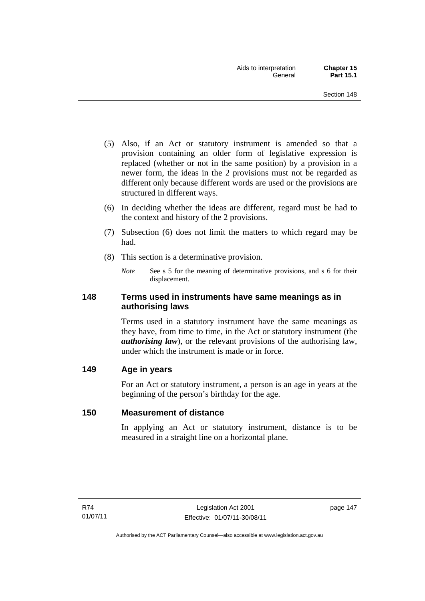- (5) Also, if an Act or statutory instrument is amended so that a provision containing an older form of legislative expression is replaced (whether or not in the same position) by a provision in a newer form, the ideas in the 2 provisions must not be regarded as different only because different words are used or the provisions are structured in different ways.
- (6) In deciding whether the ideas are different, regard must be had to the context and history of the 2 provisions.
- (7) Subsection (6) does not limit the matters to which regard may be had.
- (8) This section is a determinative provision.
	- *Note* See s 5 for the meaning of determinative provisions, and s 6 for their displacement.

### **148 Terms used in instruments have same meanings as in authorising laws**

Terms used in a statutory instrument have the same meanings as they have, from time to time, in the Act or statutory instrument (the *authorising law*), or the relevant provisions of the authorising law, under which the instrument is made or in force.

## **149 Age in years**

For an Act or statutory instrument, a person is an age in years at the beginning of the person's birthday for the age.

### **150 Measurement of distance**

In applying an Act or statutory instrument, distance is to be measured in a straight line on a horizontal plane.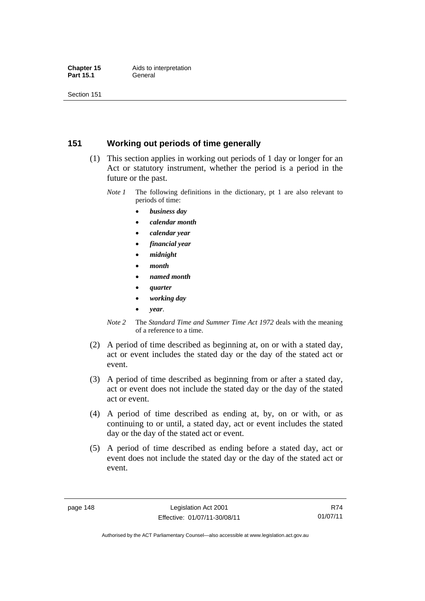### **151 Working out periods of time generally**

- (1) This section applies in working out periods of 1 day or longer for an Act or statutory instrument, whether the period is a period in the future or the past.
	- *Note 1* The following definitions in the dictionary, pt 1 are also relevant to periods of time:
		- *business day*
		- *calendar month*
		- *calendar year*
		- *financial year*
		- *midnight*
		- *month*
		- *named month*
		- *quarter*
		- *working day*
		- *year*.
	- *Note 2* The *Standard Time and Summer Time Act 1972* deals with the meaning of a reference to a time.
- (2) A period of time described as beginning at, on or with a stated day, act or event includes the stated day or the day of the stated act or event.
- (3) A period of time described as beginning from or after a stated day, act or event does not include the stated day or the day of the stated act or event.
- (4) A period of time described as ending at, by, on or with, or as continuing to or until, a stated day, act or event includes the stated day or the day of the stated act or event.
- (5) A period of time described as ending before a stated day, act or event does not include the stated day or the day of the stated act or event.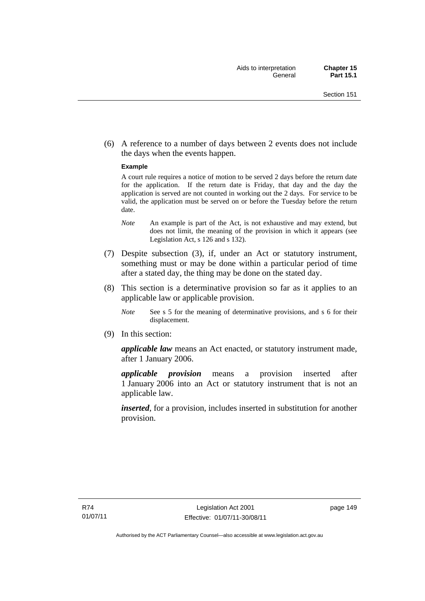(6) A reference to a number of days between 2 events does not include the days when the events happen.

#### **Example**

A court rule requires a notice of motion to be served 2 days before the return date for the application. If the return date is Friday, that day and the day the application is served are not counted in working out the 2 days. For service to be valid, the application must be served on or before the Tuesday before the return date.

- *Note* An example is part of the Act, is not exhaustive and may extend, but does not limit, the meaning of the provision in which it appears (see Legislation Act, s 126 and s 132).
- (7) Despite subsection (3), if, under an Act or statutory instrument, something must or may be done within a particular period of time after a stated day, the thing may be done on the stated day.
- (8) This section is a determinative provision so far as it applies to an applicable law or applicable provision.
	- *Note* See s 5 for the meaning of determinative provisions, and s 6 for their displacement.
- (9) In this section:

*applicable law* means an Act enacted, or statutory instrument made, after 1 January 2006.

*applicable provision* means a provision inserted after 1 January 2006 into an Act or statutory instrument that is not an applicable law.

*inserted*, for a provision, includes inserted in substitution for another provision.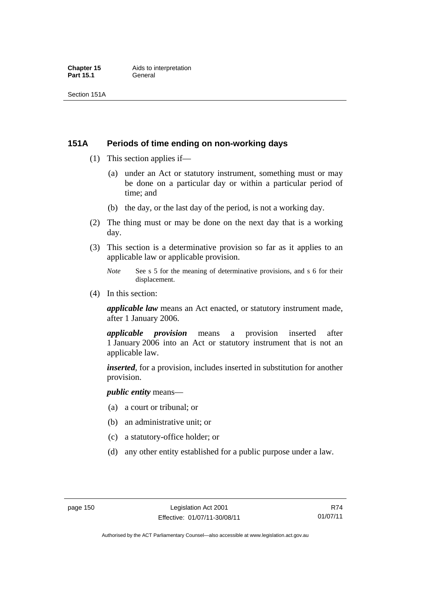### **151A Periods of time ending on non-working days**

- (1) This section applies if—
	- (a) under an Act or statutory instrument, something must or may be done on a particular day or within a particular period of time; and
	- (b) the day, or the last day of the period, is not a working day.
- (2) The thing must or may be done on the next day that is a working day.
- (3) This section is a determinative provision so far as it applies to an applicable law or applicable provision.
	- *Note* See s 5 for the meaning of determinative provisions, and s 6 for their displacement.
- (4) In this section:

*applicable law* means an Act enacted, or statutory instrument made, after 1 January 2006.

*applicable provision* means a provision inserted after 1 January 2006 into an Act or statutory instrument that is not an applicable law.

*inserted*, for a provision, includes inserted in substitution for another provision.

*public entity* means—

- (a) a court or tribunal; or
- (b) an administrative unit; or
- (c) a statutory-office holder; or
- (d) any other entity established for a public purpose under a law.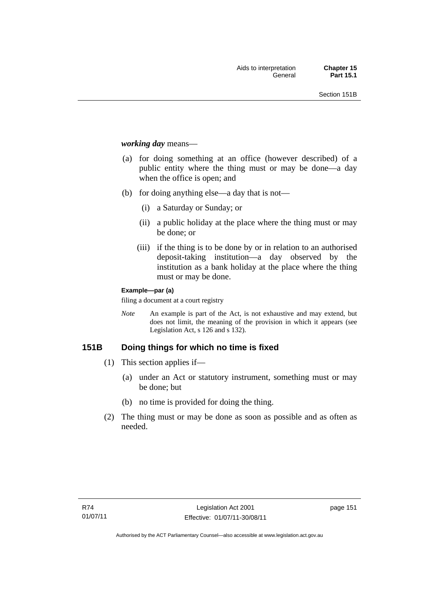*working day* means—

- (a) for doing something at an office (however described) of a public entity where the thing must or may be done—a day when the office is open; and
- (b) for doing anything else—a day that is not—
	- (i) a Saturday or Sunday; or
	- (ii) a public holiday at the place where the thing must or may be done; or
	- (iii) if the thing is to be done by or in relation to an authorised deposit-taking institution—a day observed by the institution as a bank holiday at the place where the thing must or may be done.

#### **Example—par (a)**

filing a document at a court registry

*Note* An example is part of the Act, is not exhaustive and may extend, but does not limit, the meaning of the provision in which it appears (see Legislation Act, s 126 and s 132).

### **151B Doing things for which no time is fixed**

- (1) This section applies if—
	- (a) under an Act or statutory instrument, something must or may be done; but
	- (b) no time is provided for doing the thing.
- (2) The thing must or may be done as soon as possible and as often as needed.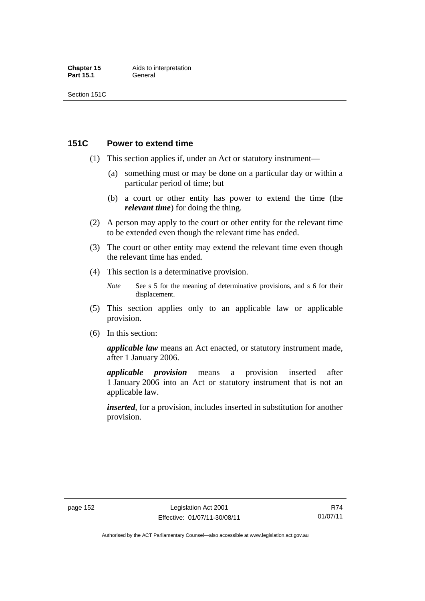### **151C Power to extend time**

- (1) This section applies if, under an Act or statutory instrument—
	- (a) something must or may be done on a particular day or within a particular period of time; but
	- (b) a court or other entity has power to extend the time (the *relevant time*) for doing the thing.
- (2) A person may apply to the court or other entity for the relevant time to be extended even though the relevant time has ended.
- (3) The court or other entity may extend the relevant time even though the relevant time has ended.
- (4) This section is a determinative provision.
	- *Note* See s 5 for the meaning of determinative provisions, and s 6 for their displacement.
- (5) This section applies only to an applicable law or applicable provision.
- (6) In this section:

*applicable law* means an Act enacted, or statutory instrument made, after 1 January 2006.

*applicable provision* means a provision inserted after 1 January 2006 into an Act or statutory instrument that is not an applicable law.

*inserted*, for a provision, includes inserted in substitution for another provision.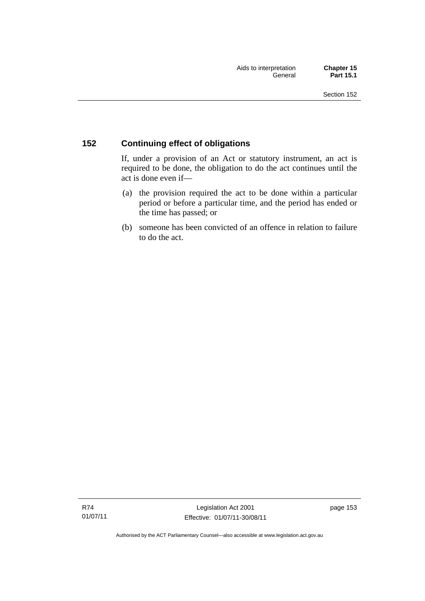### **152 Continuing effect of obligations**

If, under a provision of an Act or statutory instrument, an act is required to be done, the obligation to do the act continues until the act is done even if—

- (a) the provision required the act to be done within a particular period or before a particular time, and the period has ended or the time has passed; or
- (b) someone has been convicted of an offence in relation to failure to do the act.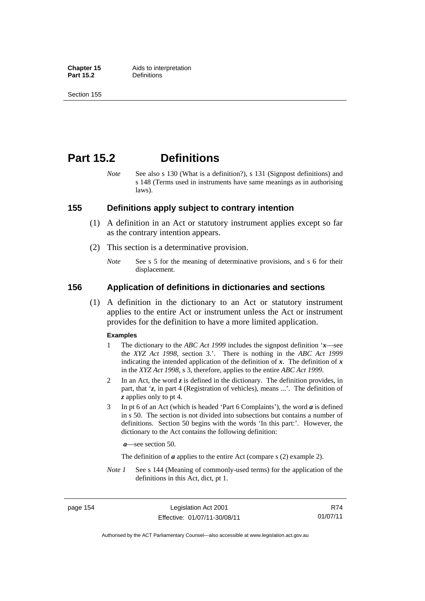**Chapter 15** Aids to interpretation<br> **Part 15.2** Definitions

Section 155

# **Part 15.2 Definitions**

*Note* See also s 130 (What is a definition?), s 131 (Signpost definitions) and s 148 (Terms used in instruments have same meanings as in authorising laws).

### **155 Definitions apply subject to contrary intention**

- (1) A definition in an Act or statutory instrument applies except so far as the contrary intention appears.
- (2) This section is a determinative provision.
	- *Note* See s 5 for the meaning of determinative provisions, and s 6 for their displacement.

### **156 Application of definitions in dictionaries and sections**

 (1) A definition in the dictionary to an Act or statutory instrument applies to the entire Act or instrument unless the Act or instrument provides for the definition to have a more limited application.

#### **Examples**

- 1 The dictionary to the *ABC Act 1999* includes the signpost definition '*x*—see the *XYZ Act 1998*, section 3.'. There is nothing in the *ABC Act 1999* indicating the intended application of the definition of  $x$ . The definition of  $x$ in the *XYZ Act 1998*, s 3, therefore, applies to the entire *ABC Act 1999*.
- 2 In an Act, the word *z* is defined in the dictionary. The definition provides, in part, that '*z*, in part 4 (Registration of vehicles), means ...'. The definition of *z* applies only to pt 4.
- 3 In pt 6 of an Act (which is headed 'Part 6 Complaints'), the word *a* is defined in s 50. The section is not divided into subsections but contains a number of definitions. Section 50 begins with the words 'In this part:'. However, the dictionary to the Act contains the following definition:

*a*—see section 50.

The definition of *a* applies to the entire Act (compare s (2) example 2).

*Note 1* See s 144 (Meaning of commonly-used terms) for the application of the definitions in this Act, dict, pt 1.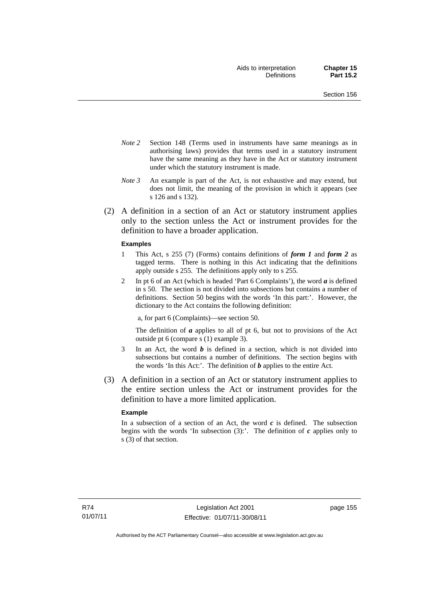- *Note 2* Section 148 (Terms used in instruments have same meanings as in authorising laws) provides that terms used in a statutory instrument have the same meaning as they have in the Act or statutory instrument under which the statutory instrument is made.
- *Note 3* An example is part of the Act, is not exhaustive and may extend, but does not limit, the meaning of the provision in which it appears (see s 126 and s 132).
- (2) A definition in a section of an Act or statutory instrument applies only to the section unless the Act or instrument provides for the definition to have a broader application.

#### **Examples**

- 1 This Act, s 255 (7) (Forms) contains definitions of *form 1* and *form 2* as tagged terms. There is nothing in this Act indicating that the definitions apply outside s 255. The definitions apply only to s 255.
- 2 In pt 6 of an Act (which is headed 'Part 6 Complaints'), the word *a* is defined in s 50. The section is not divided into subsections but contains a number of definitions. Section 50 begins with the words 'In this part:'. However, the dictionary to the Act contains the following definition:

a, for part 6 (Complaints)—see section 50.

The definition of *a* applies to all of pt 6, but not to provisions of the Act outside pt 6 (compare s (1) example 3).

- 3 In an Act, the word *b* is defined in a section, which is not divided into subsections but contains a number of definitions. The section begins with the words 'In this Act:'. The definition of *b* applies to the entire Act.
- (3) A definition in a section of an Act or statutory instrument applies to the entire section unless the Act or instrument provides for the definition to have a more limited application.

#### **Example**

In a subsection of a section of an Act, the word *c* is defined. The subsection begins with the words 'In subsection  $(3)$ :'. The definition of  $c$  applies only to s (3) of that section.

page 155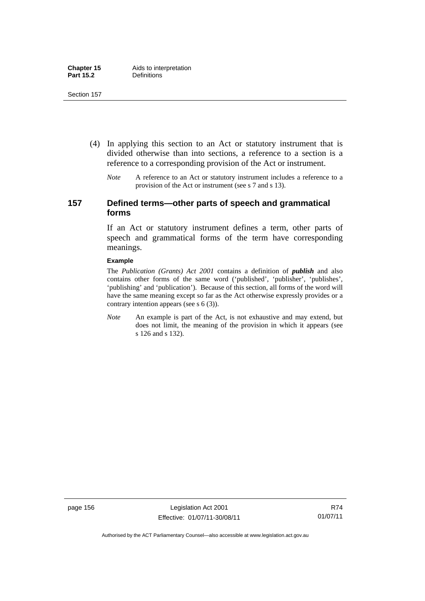- (4) In applying this section to an Act or statutory instrument that is divided otherwise than into sections, a reference to a section is a reference to a corresponding provision of the Act or instrument.
	- *Note* A reference to an Act or statutory instrument includes a reference to a provision of the Act or instrument (see s 7 and s 13).

### **157 Defined terms—other parts of speech and grammatical forms**

If an Act or statutory instrument defines a term, other parts of speech and grammatical forms of the term have corresponding meanings.

#### **Example**

The *Publication (Grants) Act 2001* contains a definition of *publish* and also contains other forms of the same word ('published', 'publisher', 'publishes', 'publishing' and 'publication'). Because of this section, all forms of the word will have the same meaning except so far as the Act otherwise expressly provides or a contrary intention appears (see s 6 (3)).

*Note* An example is part of the Act, is not exhaustive and may extend, but does not limit, the meaning of the provision in which it appears (see s 126 and s 132).

page 156 Legislation Act 2001 Effective: 01/07/11-30/08/11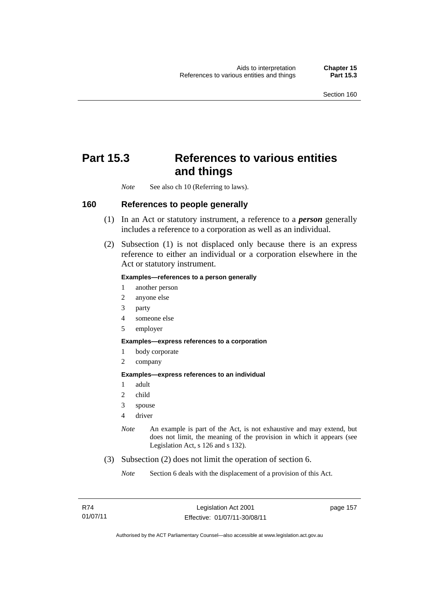# **Part 15.3 References to various entities and things**

*Note* See also ch 10 (Referring to laws).

#### **160 References to people generally**

- (1) In an Act or statutory instrument, a reference to a *person* generally includes a reference to a corporation as well as an individual.
- (2) Subsection (1) is not displaced only because there is an express reference to either an individual or a corporation elsewhere in the Act or statutory instrument.

#### **Examples—references to a person generally**

- 1 another person
- 2 anyone else
- 3 party
- 4 someone else
- 5 employer

#### **Examples—express references to a corporation**

- 1 body corporate
- 2 company

**Examples—express references to an individual** 

- 1 adult
- 2 child
- 3 spouse
- 4 driver
- *Note* An example is part of the Act, is not exhaustive and may extend, but does not limit, the meaning of the provision in which it appears (see Legislation Act, s 126 and s 132).
- (3) Subsection (2) does not limit the operation of section 6.

*Note* Section 6 deals with the displacement of a provision of this Act.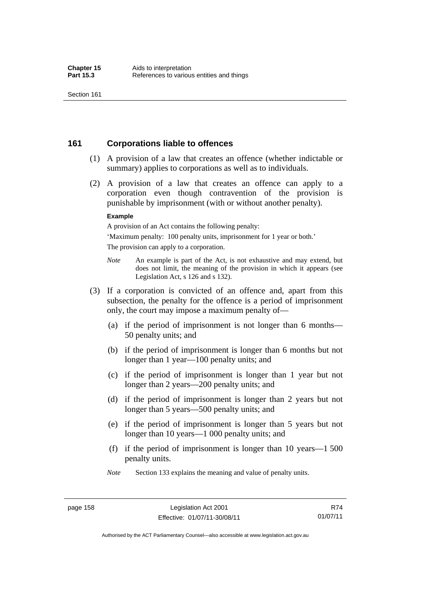### **161 Corporations liable to offences**

- (1) A provision of a law that creates an offence (whether indictable or summary) applies to corporations as well as to individuals.
- (2) A provision of a law that creates an offence can apply to a corporation even though contravention of the provision is punishable by imprisonment (with or without another penalty).

#### **Example**

A provision of an Act contains the following penalty:

'Maximum penalty: 100 penalty units, imprisonment for 1 year or both.' The provision can apply to a corporation.

- *Note* An example is part of the Act, is not exhaustive and may extend, but does not limit, the meaning of the provision in which it appears (see Legislation Act, s 126 and s 132).
- (3) If a corporation is convicted of an offence and, apart from this subsection, the penalty for the offence is a period of imprisonment only, the court may impose a maximum penalty of—
	- (a) if the period of imprisonment is not longer than 6 months— 50 penalty units; and
	- (b) if the period of imprisonment is longer than 6 months but not longer than 1 year—100 penalty units; and
	- (c) if the period of imprisonment is longer than 1 year but not longer than 2 years—200 penalty units; and
	- (d) if the period of imprisonment is longer than 2 years but not longer than 5 years—500 penalty units; and
	- (e) if the period of imprisonment is longer than 5 years but not longer than 10 years—1 000 penalty units; and
	- (f) if the period of imprisonment is longer than 10 years—1 500 penalty units.
	- *Note* Section 133 explains the meaning and value of penalty units.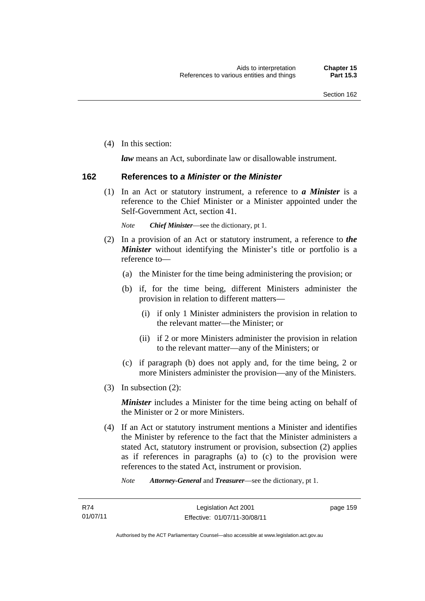(4) In this section:

*law* means an Act, subordinate law or disallowable instrument.

### **162 References to** *a Minister* **or** *the Minister*

 (1) In an Act or statutory instrument, a reference to *a Minister* is a reference to the Chief Minister or a Minister appointed under the Self-Government Act, section 41.

*Note Chief Minister*—see the dictionary, pt 1.

- (2) In a provision of an Act or statutory instrument, a reference to *the Minister* without identifying the Minister's title or portfolio is a reference to—
	- (a) the Minister for the time being administering the provision; or
	- (b) if, for the time being, different Ministers administer the provision in relation to different matters—
		- (i) if only 1 Minister administers the provision in relation to the relevant matter—the Minister; or
		- (ii) if 2 or more Ministers administer the provision in relation to the relevant matter—any of the Ministers; or
	- (c) if paragraph (b) does not apply and, for the time being, 2 or more Ministers administer the provision—any of the Ministers.
- (3) In subsection (2):

*Minister* includes a Minister for the time being acting on behalf of the Minister or 2 or more Ministers.

 (4) If an Act or statutory instrument mentions a Minister and identifies the Minister by reference to the fact that the Minister administers a stated Act, statutory instrument or provision, subsection (2) applies as if references in paragraphs (a) to (c) to the provision were references to the stated Act, instrument or provision.

*Note Attorney-General* and *Treasurer*—see the dictionary, pt 1.

page 159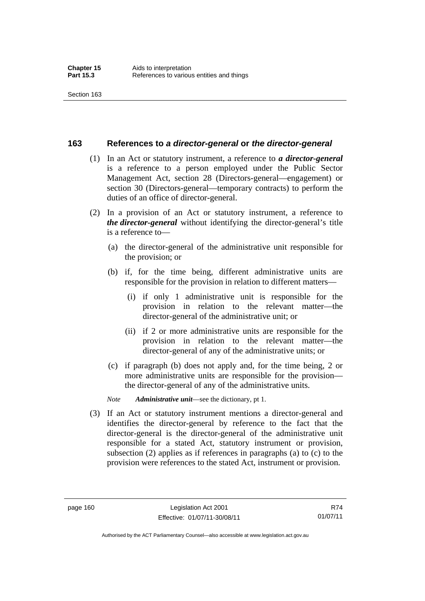#### **163 References to** *a director-general* **or** *the director-general*

- (1) In an Act or statutory instrument, a reference to *a director-general* is a reference to a person employed under the Public Sector Management Act, section 28 (Directors-general—engagement) or section 30 (Directors-general—temporary contracts) to perform the duties of an office of director-general.
- (2) In a provision of an Act or statutory instrument, a reference to *the director-general* without identifying the director-general's title is a reference to—
	- (a) the director-general of the administrative unit responsible for the provision; or
	- (b) if, for the time being, different administrative units are responsible for the provision in relation to different matters—
		- (i) if only 1 administrative unit is responsible for the provision in relation to the relevant matter—the director-general of the administrative unit; or
		- (ii) if 2 or more administrative units are responsible for the provision in relation to the relevant matter—the director-general of any of the administrative units; or
	- (c) if paragraph (b) does not apply and, for the time being, 2 or more administrative units are responsible for the provision the director-general of any of the administrative units.
	- *Note Administrative unit*—see the dictionary, pt 1.
- (3) If an Act or statutory instrument mentions a director-general and identifies the director-general by reference to the fact that the director-general is the director-general of the administrative unit responsible for a stated Act, statutory instrument or provision, subsection (2) applies as if references in paragraphs (a) to (c) to the provision were references to the stated Act, instrument or provision.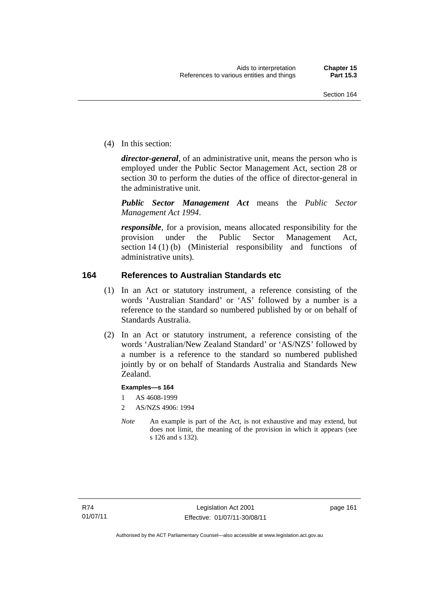(4) In this section:

*director-general*, of an administrative unit, means the person who is employed under the Public Sector Management Act, section 28 or section 30 to perform the duties of the office of director-general in the administrative unit.

*Public Sector Management Act* means the *Public Sector Management Act 1994*.

*responsible*, for a provision, means allocated responsibility for the provision under the Public Sector Management Act, section 14 (1) (b) (Ministerial responsibility and functions of administrative units).

### **164 References to Australian Standards etc**

- (1) In an Act or statutory instrument, a reference consisting of the words 'Australian Standard' or 'AS' followed by a number is a reference to the standard so numbered published by or on behalf of Standards Australia.
- (2) In an Act or statutory instrument, a reference consisting of the words 'Australian/New Zealand Standard' or 'AS/NZS' followed by a number is a reference to the standard so numbered published jointly by or on behalf of Standards Australia and Standards New Zealand.

#### **Examples—s 164**

- 1 AS 4608-1999
- 2 AS/NZS 4906: 1994
- *Note* An example is part of the Act, is not exhaustive and may extend, but does not limit, the meaning of the provision in which it appears (see s 126 and s 132).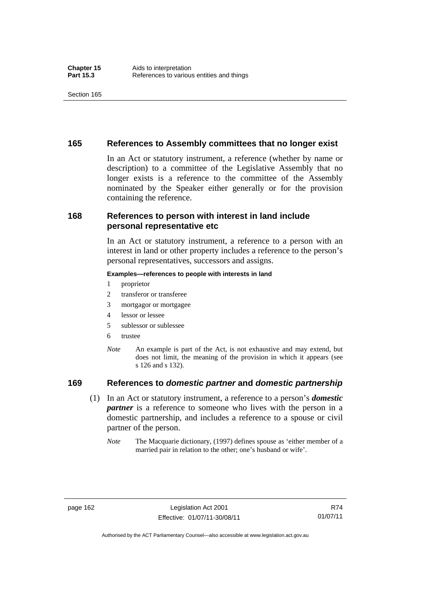### **165 References to Assembly committees that no longer exist**

In an Act or statutory instrument, a reference (whether by name or description) to a committee of the Legislative Assembly that no longer exists is a reference to the committee of the Assembly nominated by the Speaker either generally or for the provision containing the reference.

### **168 References to person with interest in land include personal representative etc**

In an Act or statutory instrument, a reference to a person with an interest in land or other property includes a reference to the person's personal representatives, successors and assigns.

#### **Examples—references to people with interests in land**

- 1 proprietor
- 2 transferor or transferee
- 3 mortgagor or mortgagee
- 4 lessor or lessee
- 5 sublessor or sublessee
- 6 trustee
- *Note* An example is part of the Act, is not exhaustive and may extend, but does not limit, the meaning of the provision in which it appears (see s 126 and s 132).

### **169 References to** *domestic partner* **and** *domestic partnership*

- (1) In an Act or statutory instrument, a reference to a person's *domestic partner* is a reference to someone who lives with the person in a domestic partnership, and includes a reference to a spouse or civil partner of the person.
	- *Note* The Macquarie dictionary, (1997) defines spouse as 'either member of a married pair in relation to the other; one's husband or wife'.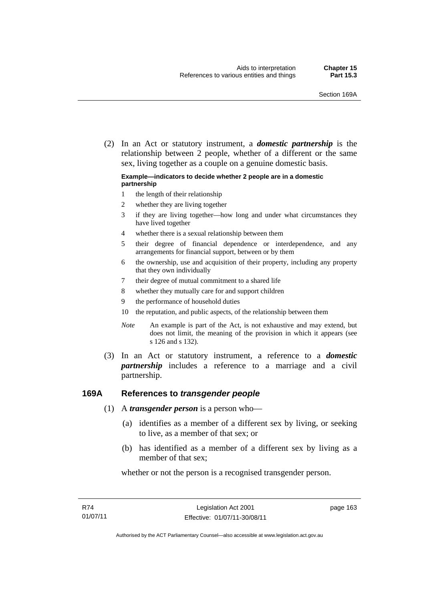(2) In an Act or statutory instrument, a *domestic partnership* is the relationship between 2 people, whether of a different or the same sex, living together as a couple on a genuine domestic basis.

#### **Example—indicators to decide whether 2 people are in a domestic partnership**

- 1 the length of their relationship
- 2 whether they are living together
- 3 if they are living together—how long and under what circumstances they have lived together
- 4 whether there is a sexual relationship between them
- 5 their degree of financial dependence or interdependence, and any arrangements for financial support, between or by them
- 6 the ownership, use and acquisition of their property, including any property that they own individually
- 7 their degree of mutual commitment to a shared life
- 8 whether they mutually care for and support children
- 9 the performance of household duties
- 10 the reputation, and public aspects, of the relationship between them
- *Note* An example is part of the Act, is not exhaustive and may extend, but does not limit, the meaning of the provision in which it appears (see s 126 and s 132).
- (3) In an Act or statutory instrument, a reference to a *domestic partnership* includes a reference to a marriage and a civil partnership.

#### **169A References to** *transgender people*

- (1) A *transgender person* is a person who—
	- (a) identifies as a member of a different sex by living, or seeking to live, as a member of that sex; or
	- (b) has identified as a member of a different sex by living as a member of that sex;

whether or not the person is a recognised transgender person.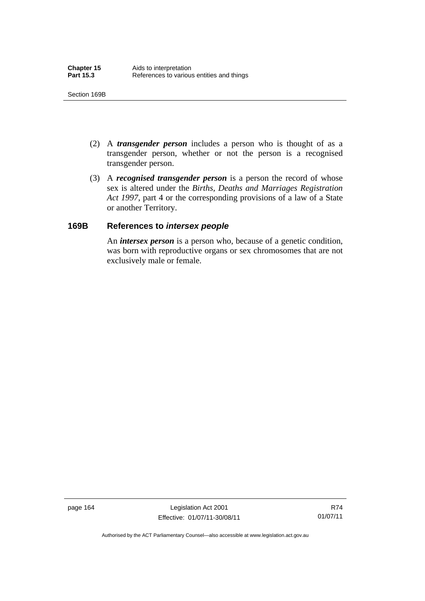- (2) A *transgender person* includes a person who is thought of as a transgender person, whether or not the person is a recognised transgender person.
- (3) A *recognised transgender person* is a person the record of whose sex is altered under the *Births, Deaths and Marriages Registration Act 1997*, part 4 or the corresponding provisions of a law of a State or another Territory.

### **169B References to** *intersex people*

An *intersex person* is a person who, because of a genetic condition, was born with reproductive organs or sex chromosomes that are not exclusively male or female.

page 164 Legislation Act 2001 Effective: 01/07/11-30/08/11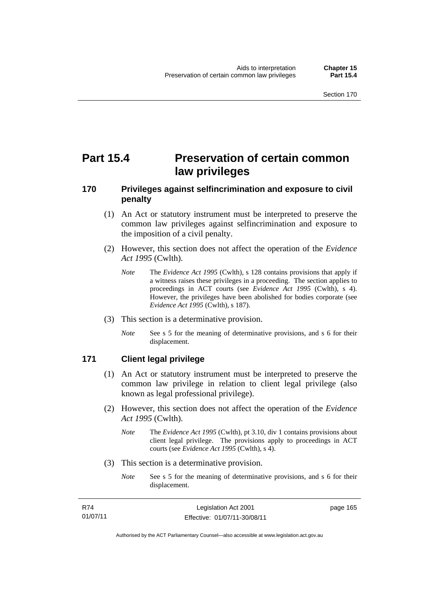# **Part 15.4 Preservation of certain common law privileges**

# **170 Privileges against selfincrimination and exposure to civil penalty**

- (1) An Act or statutory instrument must be interpreted to preserve the common law privileges against selfincrimination and exposure to the imposition of a civil penalty.
- (2) However, this section does not affect the operation of the *Evidence Act 1995* (Cwlth).
	- *Note* The *Evidence Act 1995* (Cwlth), s 128 contains provisions that apply if a witness raises these privileges in a proceeding. The section applies to proceedings in ACT courts (see *Evidence Act 1995* (Cwlth), s 4). However, the privileges have been abolished for bodies corporate (see *Evidence Act 1995* (Cwlth), s 187).
- (3) This section is a determinative provision.
	- *Note* See s 5 for the meaning of determinative provisions, and s 6 for their displacement.

## **171 Client legal privilege**

- (1) An Act or statutory instrument must be interpreted to preserve the common law privilege in relation to client legal privilege (also known as legal professional privilege).
- (2) However, this section does not affect the operation of the *Evidence Act 1995* (Cwlth).
	- *Note* The *Evidence Act 1995* (Cwlth), pt 3.10, div 1 contains provisions about client legal privilege. The provisions apply to proceedings in ACT courts (see *Evidence Act 1995* (Cwlth), s 4).
- (3) This section is a determinative provision.
	- *Note* See s 5 for the meaning of determinative provisions, and s 6 for their displacement.

| R74      | Legislation Act 2001         | page 165 |
|----------|------------------------------|----------|
| 01/07/11 | Effective: 01/07/11-30/08/11 |          |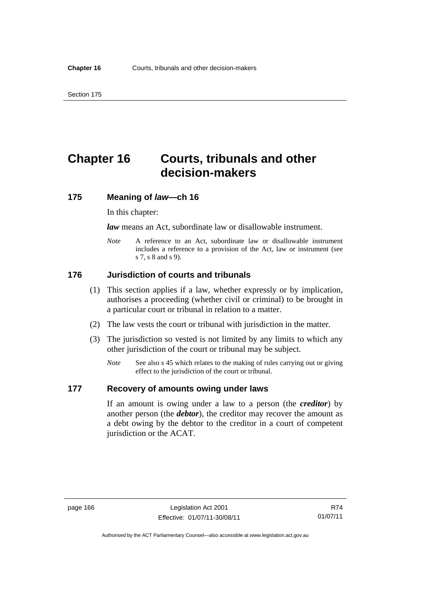# **Chapter 16 Courts, tribunals and other decision-makers**

## **175 Meaning of** *law***—ch 16**

In this chapter:

*law* means an Act, subordinate law or disallowable instrument.

*Note* A reference to an Act, subordinate law or disallowable instrument includes a reference to a provision of the Act, law or instrument (see s 7, s 8 and s 9).

## **176 Jurisdiction of courts and tribunals**

- (1) This section applies if a law, whether expressly or by implication, authorises a proceeding (whether civil or criminal) to be brought in a particular court or tribunal in relation to a matter.
- (2) The law vests the court or tribunal with jurisdiction in the matter.
- (3) The jurisdiction so vested is not limited by any limits to which any other jurisdiction of the court or tribunal may be subject.
	- *Note* See also s 45 which relates to the making of rules carrying out or giving effect to the jurisdiction of the court or tribunal.

#### **177 Recovery of amounts owing under laws**

If an amount is owing under a law to a person (the *creditor*) by another person (the *debtor*), the creditor may recover the amount as a debt owing by the debtor to the creditor in a court of competent jurisdiction or the ACAT.

R74 01/07/11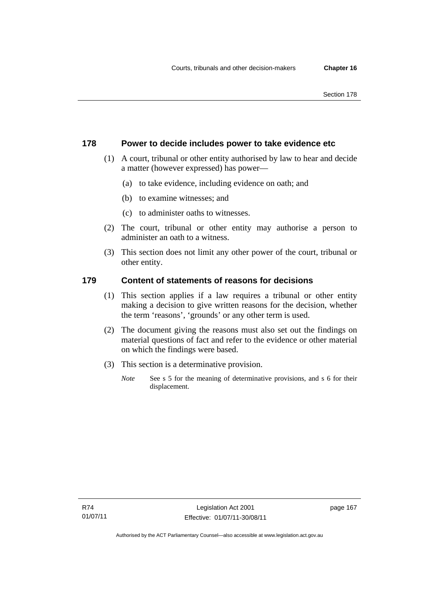#### Section 178

## **178 Power to decide includes power to take evidence etc**

- (1) A court, tribunal or other entity authorised by law to hear and decide a matter (however expressed) has power—
	- (a) to take evidence, including evidence on oath; and
	- (b) to examine witnesses; and
	- (c) to administer oaths to witnesses.
- (2) The court, tribunal or other entity may authorise a person to administer an oath to a witness.
- (3) This section does not limit any other power of the court, tribunal or other entity.

## **179 Content of statements of reasons for decisions**

- (1) This section applies if a law requires a tribunal or other entity making a decision to give written reasons for the decision, whether the term 'reasons', 'grounds' or any other term is used.
- (2) The document giving the reasons must also set out the findings on material questions of fact and refer to the evidence or other material on which the findings were based.
- (3) This section is a determinative provision.
	- *Note* See s 5 for the meaning of determinative provisions, and s 6 for their displacement.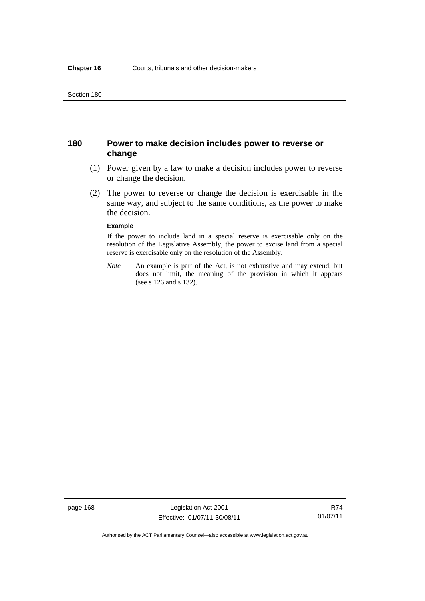## **180 Power to make decision includes power to reverse or change**

- (1) Power given by a law to make a decision includes power to reverse or change the decision.
- (2) The power to reverse or change the decision is exercisable in the same way, and subject to the same conditions, as the power to make the decision.

#### **Example**

If the power to include land in a special reserve is exercisable only on the resolution of the Legislative Assembly, the power to excise land from a special reserve is exercisable only on the resolution of the Assembly.

*Note* An example is part of the Act, is not exhaustive and may extend, but does not limit, the meaning of the provision in which it appears (see s 126 and s 132).

R74 01/07/11

Authorised by the ACT Parliamentary Counsel—also accessible at www.legislation.act.gov.au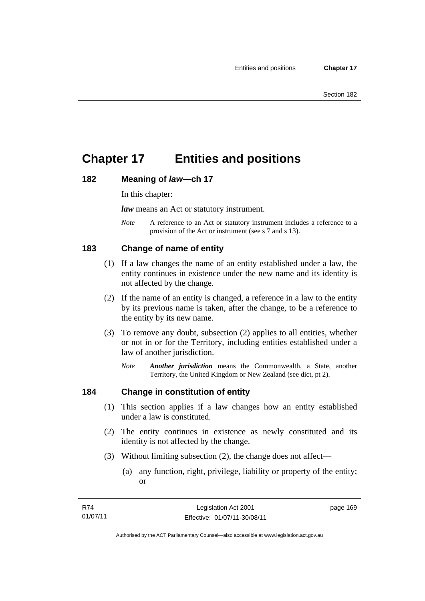# **Chapter 17 Entities and positions**

## **182 Meaning of** *law***—ch 17**

In this chapter:

*law* means an Act or statutory instrument.

*Note* A reference to an Act or statutory instrument includes a reference to a provision of the Act or instrument (see s 7 and s 13).

# **183 Change of name of entity**

- (1) If a law changes the name of an entity established under a law, the entity continues in existence under the new name and its identity is not affected by the change.
- (2) If the name of an entity is changed, a reference in a law to the entity by its previous name is taken, after the change, to be a reference to the entity by its new name.
- (3) To remove any doubt, subsection (2) applies to all entities, whether or not in or for the Territory, including entities established under a law of another jurisdiction.
	- *Note Another jurisdiction* means the Commonwealth, a State, another Territory, the United Kingdom or New Zealand (see dict, pt 2).

# **184 Change in constitution of entity**

- (1) This section applies if a law changes how an entity established under a law is constituted.
- (2) The entity continues in existence as newly constituted and its identity is not affected by the change.
- (3) Without limiting subsection (2), the change does not affect—
	- (a) any function, right, privilege, liability or property of the entity; or

page 169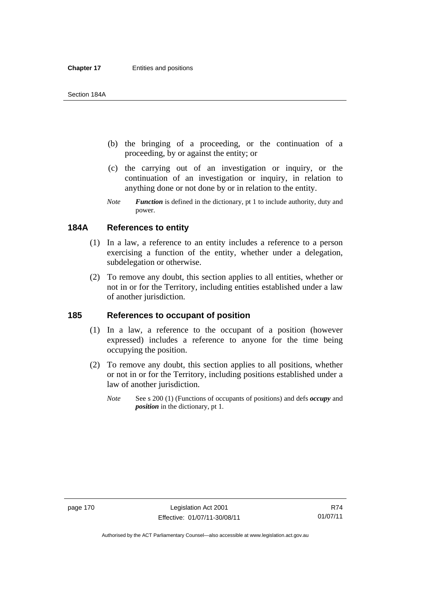#### **Chapter 17 Entities and positions**

#### Section 184A

- (b) the bringing of a proceeding, or the continuation of a proceeding, by or against the entity; or
- (c) the carrying out of an investigation or inquiry, or the continuation of an investigation or inquiry, in relation to anything done or not done by or in relation to the entity.
- *Note Function* is defined in the dictionary, pt 1 to include authority, duty and power.

## **184A References to entity**

- (1) In a law, a reference to an entity includes a reference to a person exercising a function of the entity, whether under a delegation, subdelegation or otherwise.
- (2) To remove any doubt, this section applies to all entities, whether or not in or for the Territory, including entities established under a law of another jurisdiction.

#### **185 References to occupant of position**

- (1) In a law, a reference to the occupant of a position (however expressed) includes a reference to anyone for the time being occupying the position.
- (2) To remove any doubt, this section applies to all positions, whether or not in or for the Territory, including positions established under a law of another jurisdiction.
	- *Note* See s 200 (1) (Functions of occupants of positions) and defs *occupy* and *position* in the dictionary, pt 1.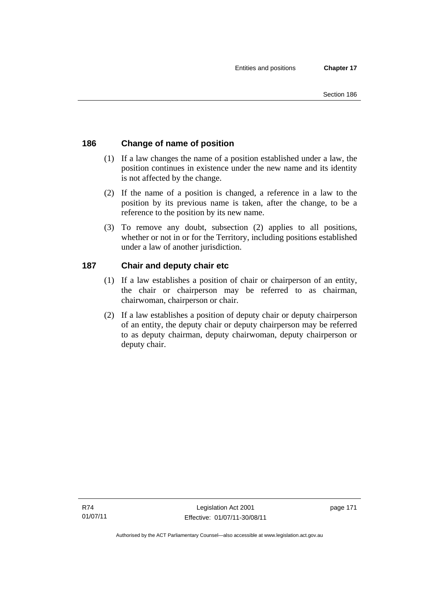# **186 Change of name of position**

- (1) If a law changes the name of a position established under a law, the position continues in existence under the new name and its identity is not affected by the change.
- (2) If the name of a position is changed, a reference in a law to the position by its previous name is taken, after the change, to be a reference to the position by its new name.
- (3) To remove any doubt, subsection (2) applies to all positions, whether or not in or for the Territory, including positions established under a law of another jurisdiction.

# **187 Chair and deputy chair etc**

- (1) If a law establishes a position of chair or chairperson of an entity, the chair or chairperson may be referred to as chairman, chairwoman, chairperson or chair.
- (2) If a law establishes a position of deputy chair or deputy chairperson of an entity, the deputy chair or deputy chairperson may be referred to as deputy chairman, deputy chairwoman, deputy chairperson or deputy chair.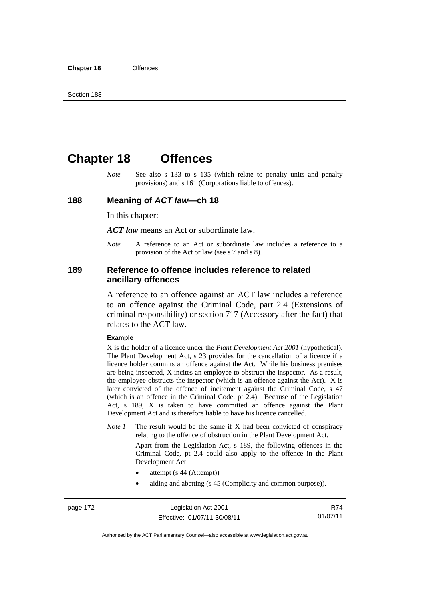# **Chapter 18 Offences**

*Note* See also s 133 to s 135 (which relate to penalty units and penalty provisions) and s 161 (Corporations liable to offences).

#### **188 Meaning of** *ACT law***—ch 18**

In this chapter:

*ACT law* means an Act or subordinate law.

*Note* A reference to an Act or subordinate law includes a reference to a provision of the Act or law (see s 7 and s 8).

#### **189 Reference to offence includes reference to related ancillary offences**

A reference to an offence against an ACT law includes a reference to an offence against the Criminal Code, part 2.4 (Extensions of criminal responsibility) or section 717 (Accessory after the fact) that relates to the ACT law.

#### **Example**

X is the holder of a licence under the *Plant Development Act 2001* (hypothetical). The Plant Development Act, s 23 provides for the cancellation of a licence if a licence holder commits an offence against the Act. While his business premises are being inspected, X incites an employee to obstruct the inspector. As a result, the employee obstructs the inspector (which is an offence against the Act). X is later convicted of the offence of incitement against the Criminal Code, s 47 (which is an offence in the Criminal Code, pt 2.4). Because of the Legislation Act, s 189, X is taken to have committed an offence against the Plant Development Act and is therefore liable to have his licence cancelled.

*Note 1* The result would be the same if X had been convicted of conspiracy relating to the offence of obstruction in the Plant Development Act.

> Apart from the Legislation Act, s 189, the following offences in the Criminal Code, pt 2.4 could also apply to the offence in the Plant Development Act:

- attempt (s 44 (Attempt))
- aiding and abetting (s 45 (Complicity and common purpose)).

R74 01/07/11

Authorised by the ACT Parliamentary Counsel—also accessible at www.legislation.act.gov.au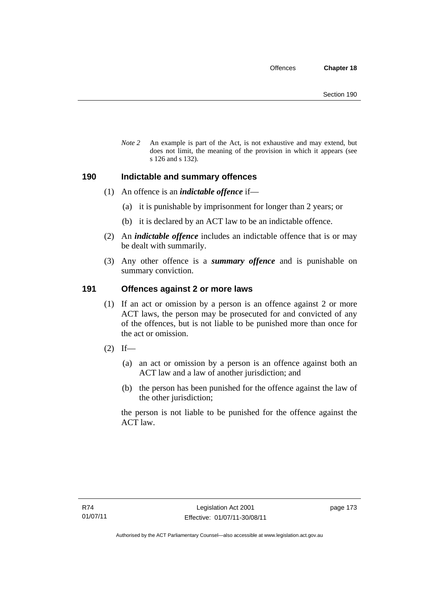*Note 2* An example is part of the Act, is not exhaustive and may extend, but does not limit, the meaning of the provision in which it appears (see s 126 and s 132).

## **190 Indictable and summary offences**

- (1) An offence is an *indictable offence* if—
	- (a) it is punishable by imprisonment for longer than 2 years; or
	- (b) it is declared by an ACT law to be an indictable offence.
- (2) An *indictable offence* includes an indictable offence that is or may be dealt with summarily.
- (3) Any other offence is a *summary offence* and is punishable on summary conviction.

## **191 Offences against 2 or more laws**

- (1) If an act or omission by a person is an offence against 2 or more ACT laws, the person may be prosecuted for and convicted of any of the offences, but is not liable to be punished more than once for the act or omission.
- $(2)$  If—
	- (a) an act or omission by a person is an offence against both an ACT law and a law of another jurisdiction; and
	- (b) the person has been punished for the offence against the law of the other jurisdiction;

the person is not liable to be punished for the offence against the ACT law.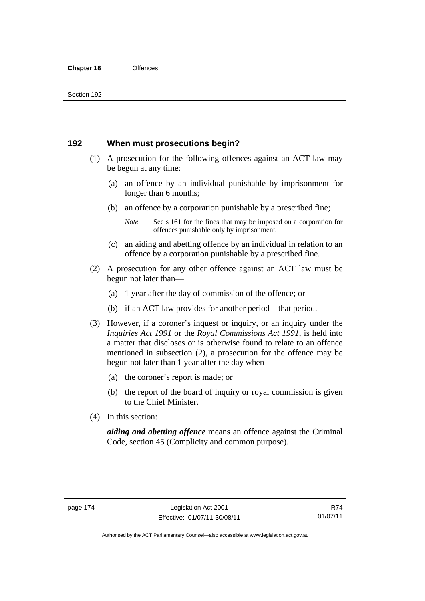## **192 When must prosecutions begin?**

- (1) A prosecution for the following offences against an ACT law may be begun at any time:
	- (a) an offence by an individual punishable by imprisonment for longer than 6 months;
	- (b) an offence by a corporation punishable by a prescribed fine;
		- *Note* See s 161 for the fines that may be imposed on a corporation for offences punishable only by imprisonment.
	- (c) an aiding and abetting offence by an individual in relation to an offence by a corporation punishable by a prescribed fine.
- (2) A prosecution for any other offence against an ACT law must be begun not later than—
	- (a) 1 year after the day of commission of the offence; or
	- (b) if an ACT law provides for another period—that period.
- (3) However, if a coroner's inquest or inquiry, or an inquiry under the *Inquiries Act 1991* or the *Royal Commissions Act 1991*, is held into a matter that discloses or is otherwise found to relate to an offence mentioned in subsection (2), a prosecution for the offence may be begun not later than 1 year after the day when—
	- (a) the coroner's report is made; or
	- (b) the report of the board of inquiry or royal commission is given to the Chief Minister.
- (4) In this section:

*aiding and abetting offence* means an offence against the Criminal Code, section 45 (Complicity and common purpose).

R74 01/07/11

Authorised by the ACT Parliamentary Counsel—also accessible at www.legislation.act.gov.au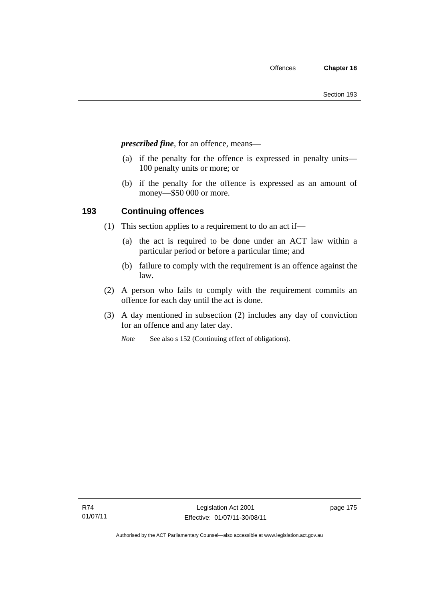*prescribed fine*, for an offence, means—

- (a) if the penalty for the offence is expressed in penalty units— 100 penalty units or more; or
- (b) if the penalty for the offence is expressed as an amount of money—\$50 000 or more.

# **193 Continuing offences**

- (1) This section applies to a requirement to do an act if—
	- (a) the act is required to be done under an ACT law within a particular period or before a particular time; and
	- (b) failure to comply with the requirement is an offence against the law.
- (2) A person who fails to comply with the requirement commits an offence for each day until the act is done.
- (3) A day mentioned in subsection (2) includes any day of conviction for an offence and any later day.
	- *Note* See also s 152 (Continuing effect of obligations).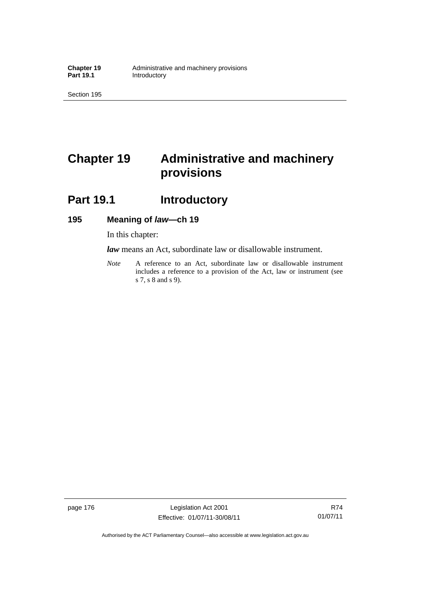Section 195

# **Chapter 19 Administrative and machinery provisions**

# **Part 19.1 Introductory**

# **195 Meaning of** *law***—ch 19**

In this chapter:

*law* means an Act, subordinate law or disallowable instrument.

*Note* A reference to an Act, subordinate law or disallowable instrument includes a reference to a provision of the Act, law or instrument (see s 7, s 8 and s 9).

page 176 Legislation Act 2001 Effective: 01/07/11-30/08/11

R74 01/07/11

Authorised by the ACT Parliamentary Counsel—also accessible at www.legislation.act.gov.au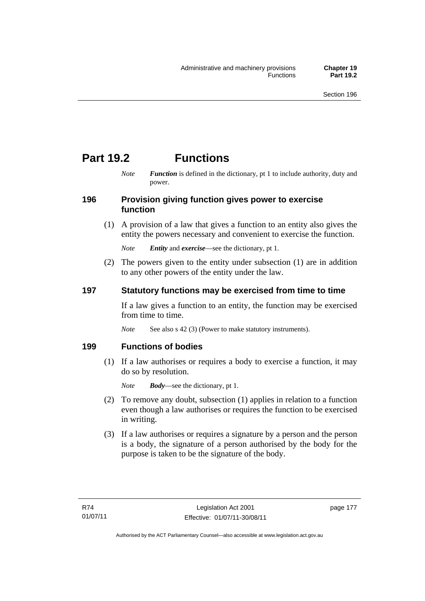# **Part 19.2 Functions**

*Note Function* is defined in the dictionary, pt 1 to include authority, duty and power.

### **196 Provision giving function gives power to exercise function**

 (1) A provision of a law that gives a function to an entity also gives the entity the powers necessary and convenient to exercise the function.

*Note Entity* and *exercise*—see the dictionary, pt 1.

 (2) The powers given to the entity under subsection (1) are in addition to any other powers of the entity under the law.

# **197 Statutory functions may be exercised from time to time**

If a law gives a function to an entity, the function may be exercised from time to time.

*Note* See also s 42 (3) (Power to make statutory instruments).

## **199 Functions of bodies**

 (1) If a law authorises or requires a body to exercise a function, it may do so by resolution.

*Note Body*—see the dictionary, pt 1.

- (2) To remove any doubt, subsection (1) applies in relation to a function even though a law authorises or requires the function to be exercised in writing.
- (3) If a law authorises or requires a signature by a person and the person is a body, the signature of a person authorised by the body for the purpose is taken to be the signature of the body.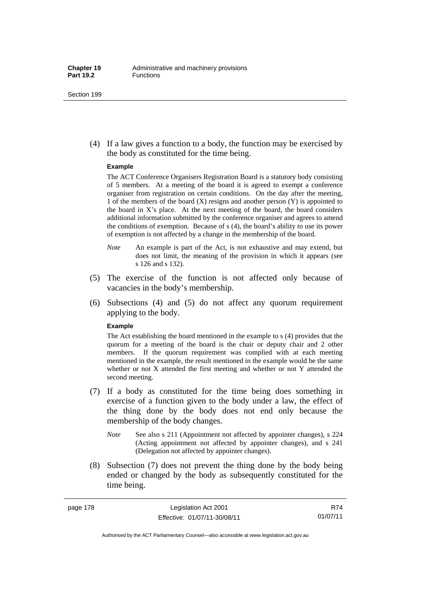#### Section 199

 (4) If a law gives a function to a body, the function may be exercised by the body as constituted for the time being.

#### **Example**

The ACT Conference Organisers Registration Board is a statutory body consisting of 5 members. At a meeting of the board it is agreed to exempt a conference organiser from registration on certain conditions. On the day after the meeting, 1 of the members of the board  $(X)$  resigns and another person  $(Y)$  is appointed to the board in X's place. At the next meeting of the board, the board considers additional information submitted by the conference organiser and agrees to amend the conditions of exemption. Because of s (4), the board's ability to use its power of exemption is not affected by a change in the membership of the board.

- *Note* An example is part of the Act, is not exhaustive and may extend, but does not limit, the meaning of the provision in which it appears (see s 126 and s 132).
- (5) The exercise of the function is not affected only because of vacancies in the body's membership.
- (6) Subsections (4) and (5) do not affect any quorum requirement applying to the body.

#### **Example**

The Act establishing the board mentioned in the example to s (4) provides that the quorum for a meeting of the board is the chair or deputy chair and 2 other members. If the quorum requirement was complied with at each meeting mentioned in the example, the result mentioned in the example would be the same whether or not X attended the first meeting and whether or not Y attended the second meeting.

- (7) If a body as constituted for the time being does something in exercise of a function given to the body under a law, the effect of the thing done by the body does not end only because the membership of the body changes.
	- *Note* See also s 211 (Appointment not affected by appointer changes), s 224 (Acting appointment not affected by appointer changes), and s 241 (Delegation not affected by appointer changes).
- (8) Subsection (7) does not prevent the thing done by the body being ended or changed by the body as subsequently constituted for the time being.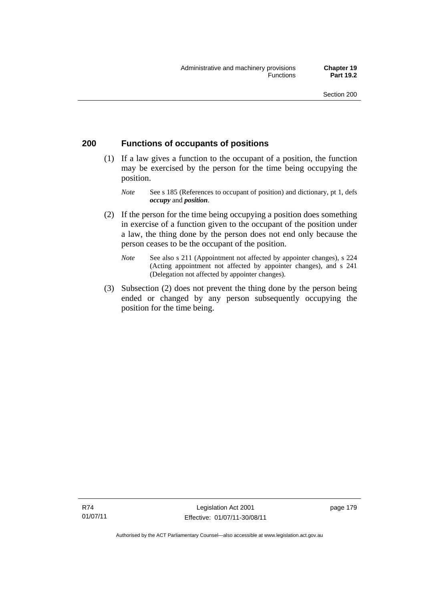# **200 Functions of occupants of positions**

- (1) If a law gives a function to the occupant of a position, the function may be exercised by the person for the time being occupying the position.
	- *Note* See s 185 (References to occupant of position) and dictionary, pt 1, defs *occupy* and *position*.
- (2) If the person for the time being occupying a position does something in exercise of a function given to the occupant of the position under a law, the thing done by the person does not end only because the person ceases to be the occupant of the position.
	- *Note* See also s 211 (Appointment not affected by appointer changes), s 224 (Acting appointment not affected by appointer changes), and s 241 (Delegation not affected by appointer changes).
- (3) Subsection (2) does not prevent the thing done by the person being ended or changed by any person subsequently occupying the position for the time being.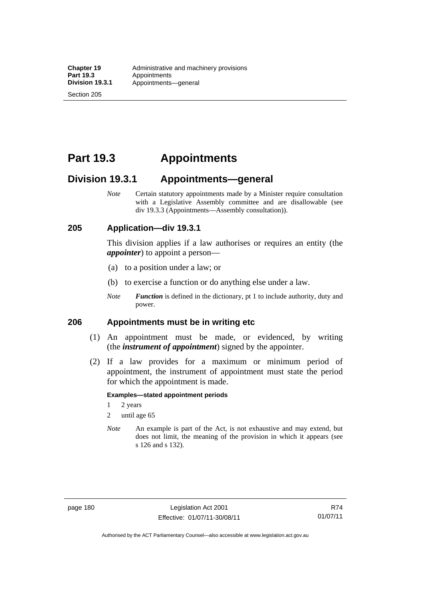Section 205

# **Part 19.3 Appointments**

# **Division 19.3.1 Appointments—general**

*Note* Certain statutory appointments made by a Minister require consultation with a Legislative Assembly committee and are disallowable (see div 19.3.3 (Appointments—Assembly consultation)).

### **205 Application—div 19.3.1**

This division applies if a law authorises or requires an entity (the *appointer*) to appoint a person—

- (a) to a position under a law; or
- (b) to exercise a function or do anything else under a law.
- *Note Function* is defined in the dictionary, pt 1 to include authority, duty and power.

## **206 Appointments must be in writing etc**

- (1) An appointment must be made, or evidenced, by writing (the *instrument of appointment*) signed by the appointer.
- (2) If a law provides for a maximum or minimum period of appointment, the instrument of appointment must state the period for which the appointment is made.

#### **Examples—stated appointment periods**

- 1 2 years
- 2 until age 65
- *Note* An example is part of the Act, is not exhaustive and may extend, but does not limit, the meaning of the provision in which it appears (see s 126 and s 132).

R74 01/07/11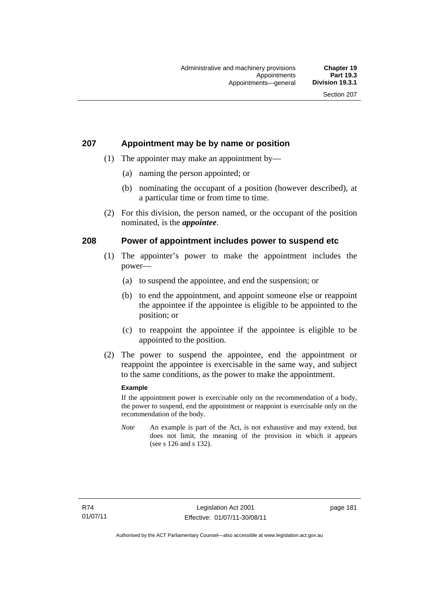## **207 Appointment may be by name or position**

- (1) The appointer may make an appointment by—
	- (a) naming the person appointed; or
	- (b) nominating the occupant of a position (however described), at a particular time or from time to time.
- (2) For this division, the person named, or the occupant of the position nominated, is the *appointee*.

## **208 Power of appointment includes power to suspend etc**

- (1) The appointer's power to make the appointment includes the power—
	- (a) to suspend the appointee, and end the suspension; or
	- (b) to end the appointment, and appoint someone else or reappoint the appointee if the appointee is eligible to be appointed to the position; or
	- (c) to reappoint the appointee if the appointee is eligible to be appointed to the position.
- (2) The power to suspend the appointee, end the appointment or reappoint the appointee is exercisable in the same way, and subject to the same conditions, as the power to make the appointment.

#### **Example**

If the appointment power is exercisable only on the recommendation of a body, the power to suspend, end the appointment or reappoint is exercisable only on the recommendation of the body.

*Note* An example is part of the Act, is not exhaustive and may extend, but does not limit, the meaning of the provision in which it appears (see s 126 and s 132).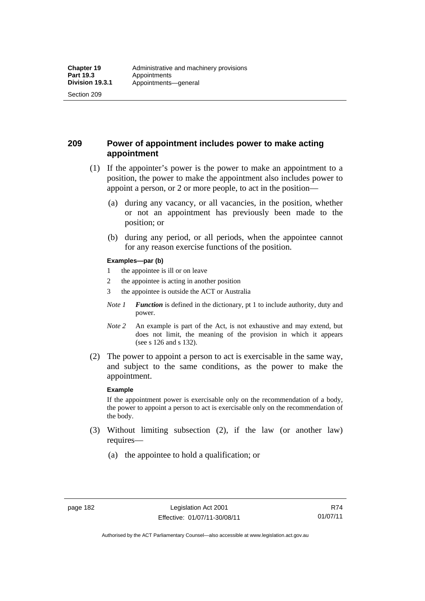Section 209

# **209 Power of appointment includes power to make acting appointment**

- (1) If the appointer's power is the power to make an appointment to a position, the power to make the appointment also includes power to appoint a person, or 2 or more people, to act in the position—
	- (a) during any vacancy, or all vacancies, in the position, whether or not an appointment has previously been made to the position; or
	- (b) during any period, or all periods, when the appointee cannot for any reason exercise functions of the position.

#### **Examples—par (b)**

- 1 the appointee is ill or on leave
- 2 the appointee is acting in another position
- 3 the appointee is outside the ACT or Australia
- *Note 1 Function* is defined in the dictionary, pt 1 to include authority, duty and power.
- *Note 2* An example is part of the Act, is not exhaustive and may extend, but does not limit, the meaning of the provision in which it appears (see s 126 and s 132).
- (2) The power to appoint a person to act is exercisable in the same way, and subject to the same conditions, as the power to make the appointment.

#### **Example**

If the appointment power is exercisable only on the recommendation of a body, the power to appoint a person to act is exercisable only on the recommendation of the body.

- (3) Without limiting subsection (2), if the law (or another law) requires—
	- (a) the appointee to hold a qualification; or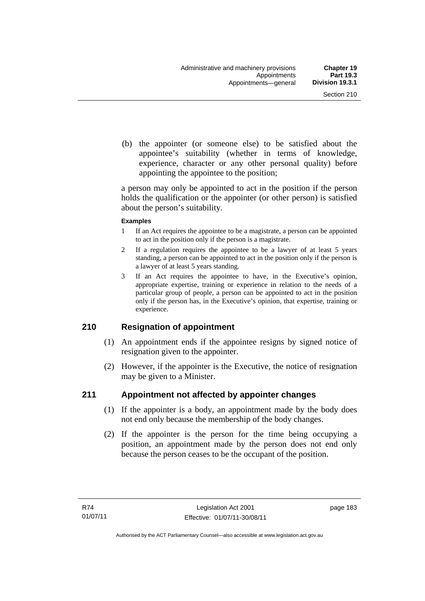(b) the appointer (or someone else) to be satisfied about the appointee's suitability (whether in terms of knowledge, experience, character or any other personal quality) before appointing the appointee to the position;

a person may only be appointed to act in the position if the person holds the qualification or the appointer (or other person) is satisfied about the person's suitability.

#### **Examples**

- 1 If an Act requires the appointee to be a magistrate, a person can be appointed to act in the position only if the person is a magistrate.
- 2 If a regulation requires the appointee to be a lawyer of at least 5 years standing, a person can be appointed to act in the position only if the person is a lawyer of at least 5 years standing.
- 3 If an Act requires the appointee to have, in the Executive's opinion, appropriate expertise, training or experience in relation to the needs of a particular group of people, a person can be appointed to act in the position only if the person has, in the Executive's opinion, that expertise, training or experience.

## **210 Resignation of appointment**

- (1) An appointment ends if the appointee resigns by signed notice of resignation given to the appointer.
- (2) However, if the appointer is the Executive, the notice of resignation may be given to a Minister.

# **211 Appointment not affected by appointer changes**

- (1) If the appointer is a body, an appointment made by the body does not end only because the membership of the body changes.
- (2) If the appointer is the person for the time being occupying a position, an appointment made by the person does not end only because the person ceases to be the occupant of the position.

page 183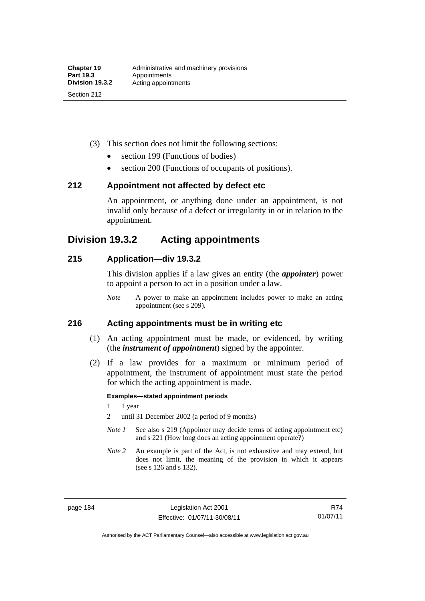- (3) This section does not limit the following sections:
	- section 199 (Functions of bodies)
	- section 200 (Functions of occupants of positions).

### **212 Appointment not affected by defect etc**

An appointment, or anything done under an appointment, is not invalid only because of a defect or irregularity in or in relation to the appointment.

# **Division 19.3.2 Acting appointments**

### **215 Application—div 19.3.2**

This division applies if a law gives an entity (the *appointer*) power to appoint a person to act in a position under a law.

*Note* A power to make an appointment includes power to make an acting appointment (see s 209).

### **216 Acting appointments must be in writing etc**

- (1) An acting appointment must be made, or evidenced, by writing (the *instrument of appointment*) signed by the appointer.
- (2) If a law provides for a maximum or minimum period of appointment, the instrument of appointment must state the period for which the acting appointment is made.

#### **Examples—stated appointment periods**

- 1 1 year
- 2 until 31 December 2002 (a period of 9 months)
- *Note 1* See also s 219 (Appointer may decide terms of acting appointment etc) and s 221 (How long does an acting appointment operate?)
- *Note 2* An example is part of the Act, is not exhaustive and may extend, but does not limit, the meaning of the provision in which it appears (see s 126 and s 132).

R74 01/07/11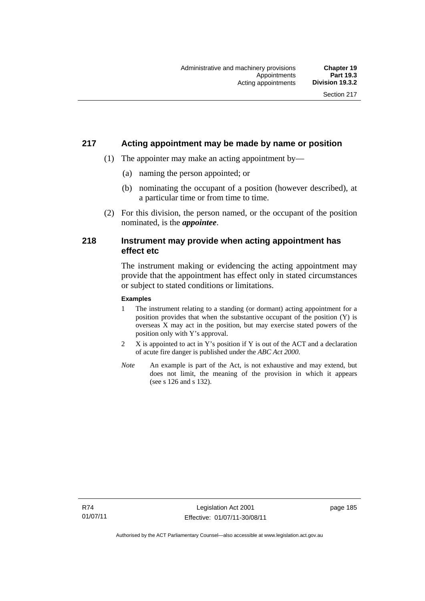## **217 Acting appointment may be made by name or position**

- (1) The appointer may make an acting appointment by—
	- (a) naming the person appointed; or
	- (b) nominating the occupant of a position (however described), at a particular time or from time to time.
- (2) For this division, the person named, or the occupant of the position nominated, is the *appointee*.

## **218 Instrument may provide when acting appointment has effect etc**

The instrument making or evidencing the acting appointment may provide that the appointment has effect only in stated circumstances or subject to stated conditions or limitations.

#### **Examples**

- 1 The instrument relating to a standing (or dormant) acting appointment for a position provides that when the substantive occupant of the position (Y) is overseas X may act in the position, but may exercise stated powers of the position only with Y's approval.
- 2 X is appointed to act in Y's position if Y is out of the ACT and a declaration of acute fire danger is published under the *ABC Act 2000*.
- *Note* An example is part of the Act, is not exhaustive and may extend, but does not limit, the meaning of the provision in which it appears (see s 126 and s 132).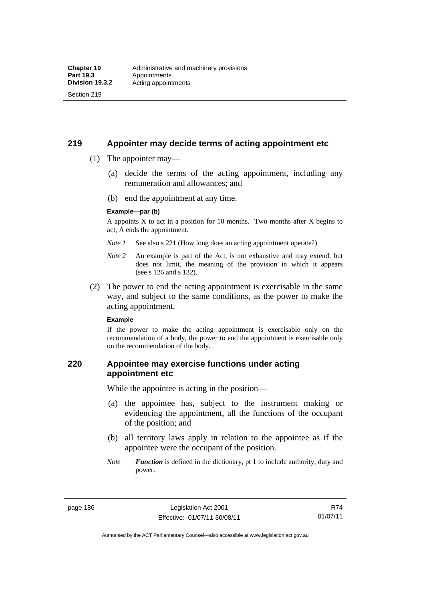## **219 Appointer may decide terms of acting appointment etc**

(1) The appointer may—

Section 219

- (a) decide the terms of the acting appointment, including any remuneration and allowances; and
- (b) end the appointment at any time.

#### **Example—par (b)**

A appoints X to act in a position for 10 months. Two months after X begins to act, A ends the appointment.

- *Note 1* See also s 221 (How long does an acting appointment operate?)
- *Note 2* An example is part of the Act, is not exhaustive and may extend, but does not limit, the meaning of the provision in which it appears (see s 126 and s 132).
- (2) The power to end the acting appointment is exercisable in the same way, and subject to the same conditions, as the power to make the acting appointment.

#### **Example**

If the power to make the acting appointment is exercisable only on the recommendation of a body, the power to end the appointment is exercisable only on the recommendation of the body.

## **220 Appointee may exercise functions under acting appointment etc**

While the appointee is acting in the position—

- (a) the appointee has, subject to the instrument making or evidencing the appointment, all the functions of the occupant of the position; and
- (b) all territory laws apply in relation to the appointee as if the appointee were the occupant of the position.
- *Note Function* is defined in the dictionary, pt 1 to include authority, duty and power.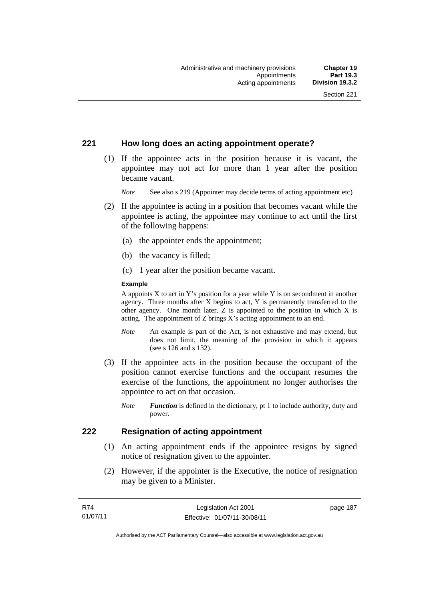## **221 How long does an acting appointment operate?**

 (1) If the appointee acts in the position because it is vacant, the appointee may not act for more than 1 year after the position became vacant.

*Note* See also s 219 (Appointer may decide terms of acting appointment etc)

- (2) If the appointee is acting in a position that becomes vacant while the appointee is acting, the appointee may continue to act until the first of the following happens:
	- (a) the appointer ends the appointment;
	- (b) the vacancy is filled;
	- (c) 1 year after the position became vacant.

#### **Example**

A appoints  $X$  to act in Y's position for a year while Y is on secondment in another agency. Three months after X begins to act, Y is permanently transferred to the other agency. One month later,  $Z$  is appointed to the position in which  $X$  is acting. The appointment of Z brings X's acting appointment to an end.

- *Note* An example is part of the Act, is not exhaustive and may extend, but does not limit, the meaning of the provision in which it appears (see s 126 and s 132).
- (3) If the appointee acts in the position because the occupant of the position cannot exercise functions and the occupant resumes the exercise of the functions, the appointment no longer authorises the appointee to act on that occasion.
	- *Note Function* is defined in the dictionary, pt 1 to include authority, duty and power.

## **222 Resignation of acting appointment**

- (1) An acting appointment ends if the appointee resigns by signed notice of resignation given to the appointer.
- (2) However, if the appointer is the Executive, the notice of resignation may be given to a Minister.

page 187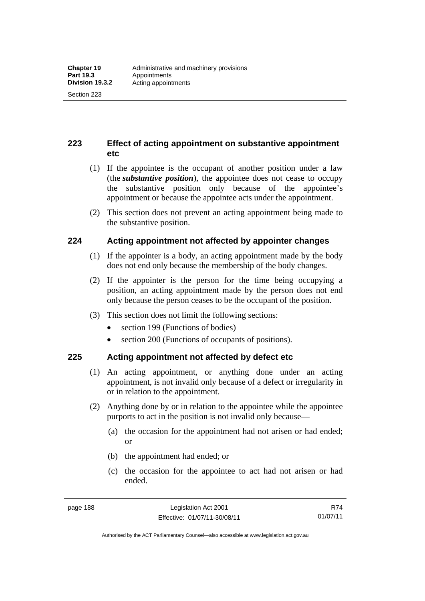**223 Effect of acting appointment on substantive appointment etc** 

- (1) If the appointee is the occupant of another position under a law (the *substantive position*), the appointee does not cease to occupy the substantive position only because of the appointee's appointment or because the appointee acts under the appointment.
- (2) This section does not prevent an acting appointment being made to the substantive position.

# **224 Acting appointment not affected by appointer changes**

- (1) If the appointer is a body, an acting appointment made by the body does not end only because the membership of the body changes.
- (2) If the appointer is the person for the time being occupying a position, an acting appointment made by the person does not end only because the person ceases to be the occupant of the position.
- (3) This section does not limit the following sections:
	- section 199 (Functions of bodies)
	- section 200 (Functions of occupants of positions).

# **225 Acting appointment not affected by defect etc**

- (1) An acting appointment, or anything done under an acting appointment, is not invalid only because of a defect or irregularity in or in relation to the appointment.
- (2) Anything done by or in relation to the appointee while the appointee purports to act in the position is not invalid only because—
	- (a) the occasion for the appointment had not arisen or had ended; or
	- (b) the appointment had ended; or
	- (c) the occasion for the appointee to act had not arisen or had ended.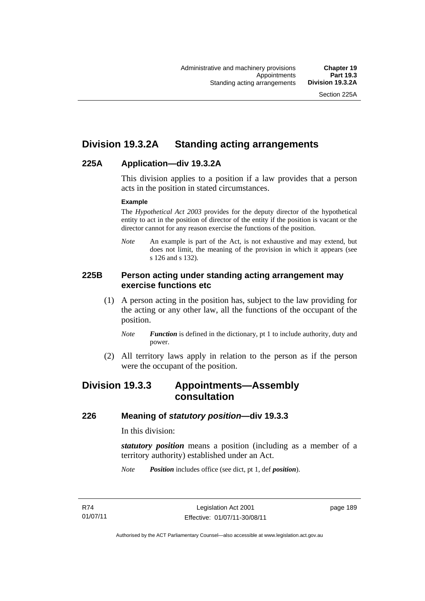# **Division 19.3.2A Standing acting arrangements**

## **225A Application—div 19.3.2A**

This division applies to a position if a law provides that a person acts in the position in stated circumstances.

#### **Example**

The *Hypothetical Act 2003* provides for the deputy director of the hypothetical entity to act in the position of director of the entity if the position is vacant or the director cannot for any reason exercise the functions of the position.

*Note* An example is part of the Act, is not exhaustive and may extend, but does not limit, the meaning of the provision in which it appears (see s 126 and s 132).

## **225B Person acting under standing acting arrangement may exercise functions etc**

- (1) A person acting in the position has, subject to the law providing for the acting or any other law, all the functions of the occupant of the position.
	- *Note Function* is defined in the dictionary, pt 1 to include authority, duty and power.
- (2) All territory laws apply in relation to the person as if the person were the occupant of the position.

# **Division 19.3.3 Appointments—Assembly consultation**

## **226 Meaning of** *statutory position***—div 19.3.3**

In this division:

*statutory position* means a position (including as a member of a territory authority) established under an Act.

*Note Position* includes office (see dict, pt 1, def *position*).

page 189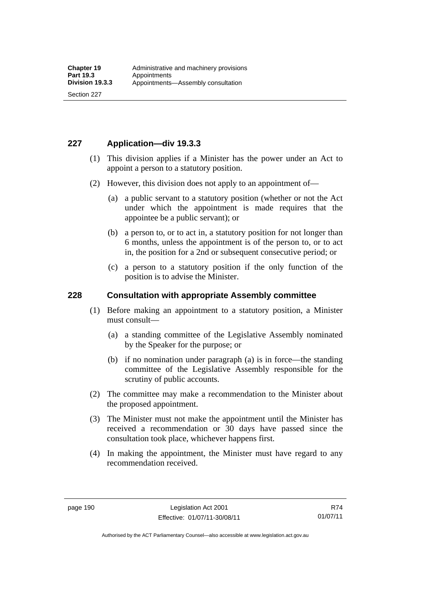# **227 Application—div 19.3.3**

- (1) This division applies if a Minister has the power under an Act to appoint a person to a statutory position.
- (2) However, this division does not apply to an appointment of—
	- (a) a public servant to a statutory position (whether or not the Act under which the appointment is made requires that the appointee be a public servant); or
	- (b) a person to, or to act in, a statutory position for not longer than 6 months, unless the appointment is of the person to, or to act in, the position for a 2nd or subsequent consecutive period; or
	- (c) a person to a statutory position if the only function of the position is to advise the Minister.

# **228 Consultation with appropriate Assembly committee**

- (1) Before making an appointment to a statutory position, a Minister must consult—
	- (a) a standing committee of the Legislative Assembly nominated by the Speaker for the purpose; or
	- (b) if no nomination under paragraph (a) is in force—the standing committee of the Legislative Assembly responsible for the scrutiny of public accounts.
- (2) The committee may make a recommendation to the Minister about the proposed appointment.
- (3) The Minister must not make the appointment until the Minister has received a recommendation or 30 days have passed since the consultation took place, whichever happens first.
- (4) In making the appointment, the Minister must have regard to any recommendation received.

Authorised by the ACT Parliamentary Counsel—also accessible at www.legislation.act.gov.au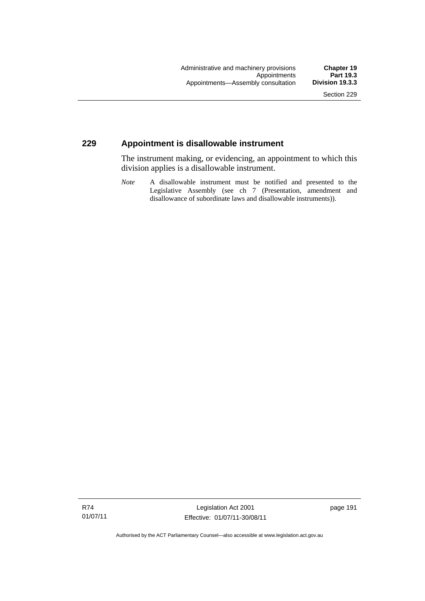## **229 Appointment is disallowable instrument**

The instrument making, or evidencing, an appointment to which this division applies is a disallowable instrument.

*Note* A disallowable instrument must be notified and presented to the Legislative Assembly (see ch 7 (Presentation, amendment and disallowance of subordinate laws and disallowable instruments)).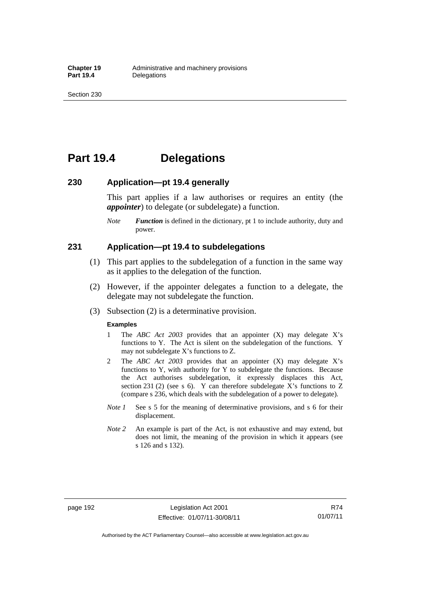# **Part 19.4 Delegations**

#### **230 Application—pt 19.4 generally**

This part applies if a law authorises or requires an entity (the *appointer*) to delegate (or subdelegate) a function.

*Note Function* is defined in the dictionary, pt 1 to include authority, duty and power.

### **231 Application—pt 19.4 to subdelegations**

- (1) This part applies to the subdelegation of a function in the same way as it applies to the delegation of the function.
- (2) However, if the appointer delegates a function to a delegate, the delegate may not subdelegate the function.
- (3) Subsection (2) is a determinative provision.

#### **Examples**

- 1 The *ABC Act 2003* provides that an appointer (X) may delegate X's functions to Y. The Act is silent on the subdelegation of the functions. Y may not subdelegate X's functions to Z.
- 2 The *ABC Act 2003* provides that an appointer (X) may delegate X's functions to Y, with authority for Y to subdelegate the functions. Because the Act authorises subdelegation, it expressly displaces this Act, section 231 (2) (see s 6). Y can therefore subdelegate X's functions to Z (compare s 236, which deals with the subdelegation of a power to delegate)*.*
- *Note 1* See s 5 for the meaning of determinative provisions, and s 6 for their displacement.
- *Note 2* An example is part of the Act, is not exhaustive and may extend, but does not limit, the meaning of the provision in which it appears (see s 126 and s 132).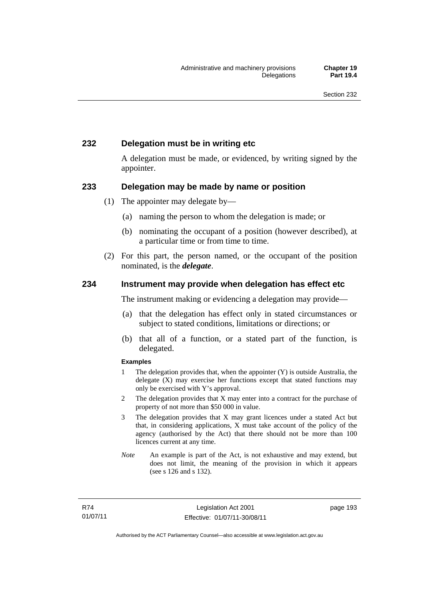## **232 Delegation must be in writing etc**

A delegation must be made, or evidenced, by writing signed by the appointer.

### **233 Delegation may be made by name or position**

- (1) The appointer may delegate by—
	- (a) naming the person to whom the delegation is made; or
	- (b) nominating the occupant of a position (however described), at a particular time or from time to time.
- (2) For this part, the person named, or the occupant of the position nominated, is the *delegate*.

### **234 Instrument may provide when delegation has effect etc**

The instrument making or evidencing a delegation may provide—

- (a) that the delegation has effect only in stated circumstances or subject to stated conditions, limitations or directions; or
- (b) that all of a function, or a stated part of the function, is delegated.

#### **Examples**

- 1 The delegation provides that, when the appointer (Y) is outside Australia, the delegate (X) may exercise her functions except that stated functions may only be exercised with Y's approval.
- 2 The delegation provides that X may enter into a contract for the purchase of property of not more than \$50 000 in value.
- 3 The delegation provides that X may grant licences under a stated Act but that, in considering applications, X must take account of the policy of the agency (authorised by the Act) that there should not be more than 100 licences current at any time.
- *Note* An example is part of the Act, is not exhaustive and may extend, but does not limit, the meaning of the provision in which it appears (see s 126 and s 132).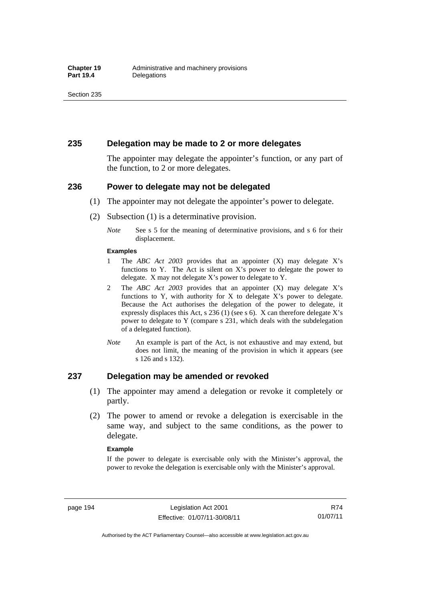#### **235 Delegation may be made to 2 or more delegates**

The appointer may delegate the appointer's function, or any part of the function, to 2 or more delegates.

#### **236 Power to delegate may not be delegated**

- (1) The appointer may not delegate the appointer's power to delegate.
- (2) Subsection (1) is a determinative provision.
	- *Note* See s 5 for the meaning of determinative provisions, and s 6 for their displacement.

#### **Examples**

- 1 The *ABC Act 2003* provides that an appointer (X) may delegate X's functions to Y. The Act is silent on X's power to delegate the power to delegate. X may not delegate X's power to delegate to Y.
- 2 The *ABC Act 2003* provides that an appointer (X) may delegate X's functions to Y, with authority for X to delegate  $X$ 's power to delegate. Because the Act authorises the delegation of the power to delegate, it expressly displaces this Act, s 236 (1) (see s 6). X can therefore delegate X's power to delegate to Y (compare s 231, which deals with the subdelegation of a delegated function).
- *Note* An example is part of the Act, is not exhaustive and may extend, but does not limit, the meaning of the provision in which it appears (see s 126 and s 132).

#### **237 Delegation may be amended or revoked**

- (1) The appointer may amend a delegation or revoke it completely or partly.
- (2) The power to amend or revoke a delegation is exercisable in the same way, and subject to the same conditions, as the power to delegate.

#### **Example**

If the power to delegate is exercisable only with the Minister's approval, the power to revoke the delegation is exercisable only with the Minister's approval.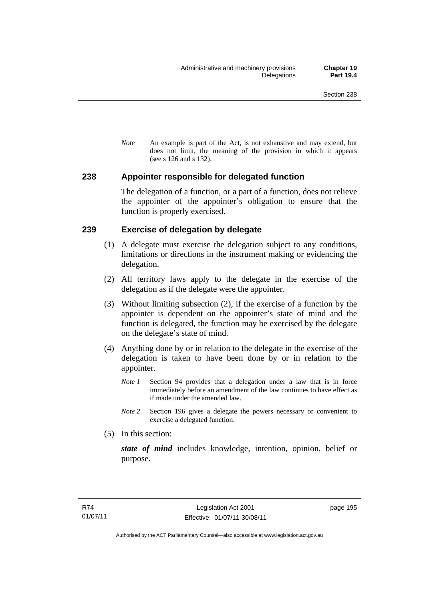*Note* An example is part of the Act, is not exhaustive and may extend, but does not limit, the meaning of the provision in which it appears (see s 126 and s 132).

## **238 Appointer responsible for delegated function**

The delegation of a function, or a part of a function, does not relieve the appointer of the appointer's obligation to ensure that the function is properly exercised.

## **239 Exercise of delegation by delegate**

- (1) A delegate must exercise the delegation subject to any conditions, limitations or directions in the instrument making or evidencing the delegation.
- (2) All territory laws apply to the delegate in the exercise of the delegation as if the delegate were the appointer.
- (3) Without limiting subsection (2), if the exercise of a function by the appointer is dependent on the appointer's state of mind and the function is delegated, the function may be exercised by the delegate on the delegate's state of mind.
- (4) Anything done by or in relation to the delegate in the exercise of the delegation is taken to have been done by or in relation to the appointer.
	- *Note 1* Section 94 provides that a delegation under a law that is in force immediately before an amendment of the law continues to have effect as if made under the amended law.
	- *Note 2* Section 196 gives a delegate the powers necessary or convenient to exercise a delegated function.
- (5) In this section:

*state of mind* includes knowledge, intention, opinion, belief or purpose.

page 195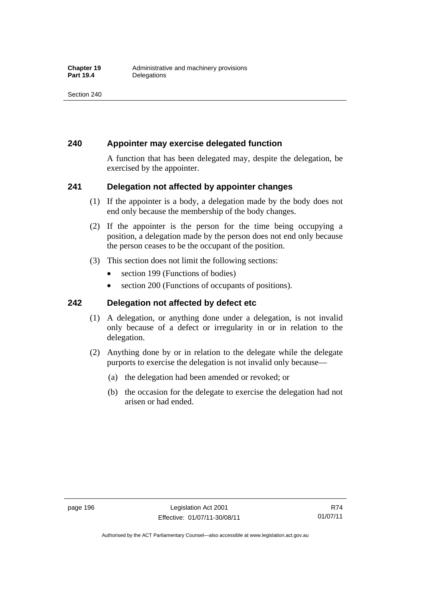## **240 Appointer may exercise delegated function**

A function that has been delegated may, despite the delegation, be exercised by the appointer.

## **241 Delegation not affected by appointer changes**

- (1) If the appointer is a body, a delegation made by the body does not end only because the membership of the body changes.
- (2) If the appointer is the person for the time being occupying a position, a delegation made by the person does not end only because the person ceases to be the occupant of the position.
- (3) This section does not limit the following sections:
	- section 199 (Functions of bodies)
	- section 200 (Functions of occupants of positions).

## **242 Delegation not affected by defect etc**

- (1) A delegation, or anything done under a delegation, is not invalid only because of a defect or irregularity in or in relation to the delegation.
- (2) Anything done by or in relation to the delegate while the delegate purports to exercise the delegation is not invalid only because—
	- (a) the delegation had been amended or revoked; or
	- (b) the occasion for the delegate to exercise the delegation had not arisen or had ended.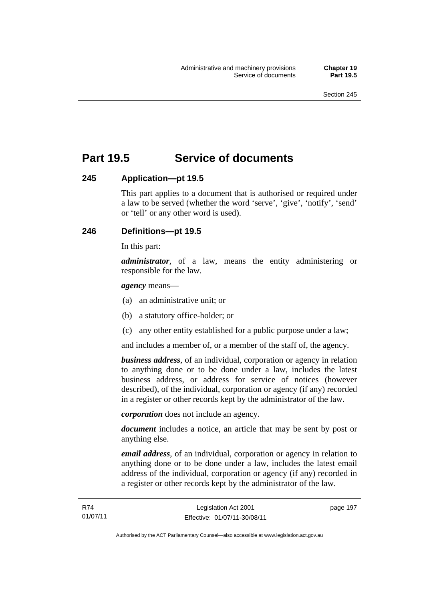# **Part 19.5 Service of documents**

## **245 Application—pt 19.5**

This part applies to a document that is authorised or required under a law to be served (whether the word 'serve', 'give', 'notify', 'send' or 'tell' or any other word is used).

## **246 Definitions—pt 19.5**

In this part:

*administrator*, of a law, means the entity administering or responsible for the law.

#### *agency* means—

- (a) an administrative unit; or
- (b) a statutory office-holder; or
- (c) any other entity established for a public purpose under a law;

and includes a member of, or a member of the staff of, the agency.

*business address*, of an individual, corporation or agency in relation to anything done or to be done under a law, includes the latest business address, or address for service of notices (however described), of the individual, corporation or agency (if any) recorded in a register or other records kept by the administrator of the law.

*corporation* does not include an agency.

*document* includes a notice, an article that may be sent by post or anything else.

*email address*, of an individual, corporation or agency in relation to anything done or to be done under a law, includes the latest email address of the individual, corporation or agency (if any) recorded in a register or other records kept by the administrator of the law.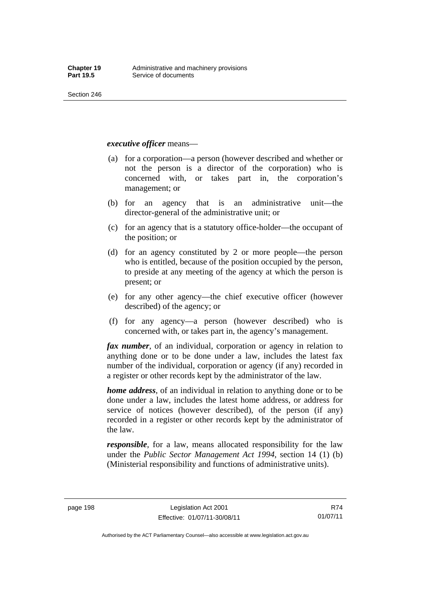Section 246

*executive officer* means—

- (a) for a corporation—a person (however described and whether or not the person is a director of the corporation) who is concerned with, or takes part in, the corporation's management; or
- (b) for an agency that is an administrative unit—the director-general of the administrative unit; or
- (c) for an agency that is a statutory office-holder—the occupant of the position; or
- (d) for an agency constituted by 2 or more people—the person who is entitled, because of the position occupied by the person, to preside at any meeting of the agency at which the person is present; or
- (e) for any other agency—the chief executive officer (however described) of the agency; or
- (f) for any agency—a person (however described) who is concerned with, or takes part in, the agency's management.

*fax number*, of an individual, corporation or agency in relation to anything done or to be done under a law, includes the latest fax number of the individual, corporation or agency (if any) recorded in a register or other records kept by the administrator of the law.

*home address*, of an individual in relation to anything done or to be done under a law, includes the latest home address, or address for service of notices (however described), of the person (if any) recorded in a register or other records kept by the administrator of the law.

*responsible*, for a law, means allocated responsibility for the law under the *Public Sector Management Act 1994*, section 14 (1) (b) (Ministerial responsibility and functions of administrative units).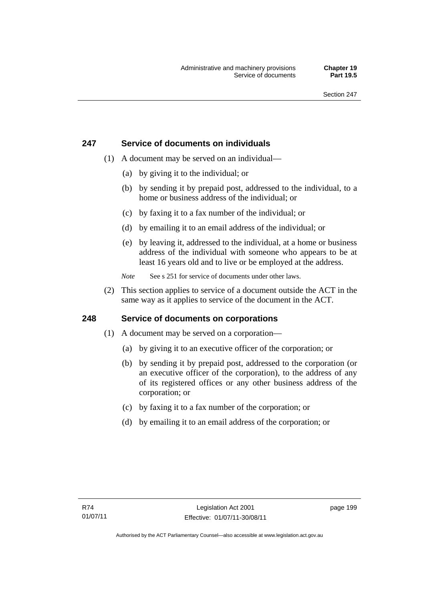## **247 Service of documents on individuals**

- (1) A document may be served on an individual—
	- (a) by giving it to the individual; or
	- (b) by sending it by prepaid post, addressed to the individual, to a home or business address of the individual; or
	- (c) by faxing it to a fax number of the individual; or
	- (d) by emailing it to an email address of the individual; or
	- (e) by leaving it, addressed to the individual, at a home or business address of the individual with someone who appears to be at least 16 years old and to live or be employed at the address.
	- *Note* See s 251 for service of documents under other laws.
- (2) This section applies to service of a document outside the ACT in the same way as it applies to service of the document in the ACT.

## **248 Service of documents on corporations**

- (1) A document may be served on a corporation—
	- (a) by giving it to an executive officer of the corporation; or
	- (b) by sending it by prepaid post, addressed to the corporation (or an executive officer of the corporation), to the address of any of its registered offices or any other business address of the corporation; or
	- (c) by faxing it to a fax number of the corporation; or
	- (d) by emailing it to an email address of the corporation; or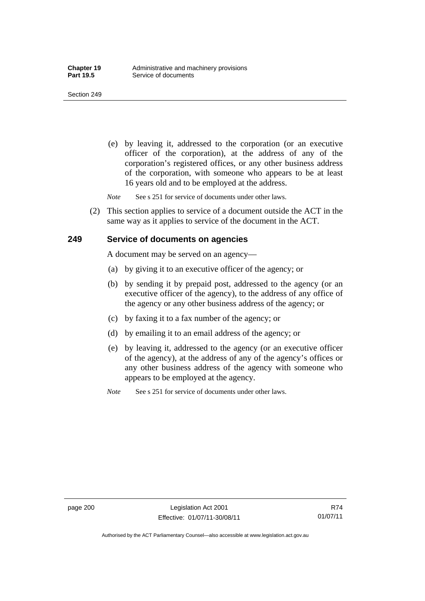(e) by leaving it, addressed to the corporation (or an executive officer of the corporation), at the address of any of the corporation's registered offices, or any other business address of the corporation, with someone who appears to be at least 16 years old and to be employed at the address.

*Note* See s 251 for service of documents under other laws.

 (2) This section applies to service of a document outside the ACT in the same way as it applies to service of the document in the ACT.

#### **249 Service of documents on agencies**

A document may be served on an agency—

- (a) by giving it to an executive officer of the agency; or
- (b) by sending it by prepaid post, addressed to the agency (or an executive officer of the agency), to the address of any office of the agency or any other business address of the agency; or
- (c) by faxing it to a fax number of the agency; or
- (d) by emailing it to an email address of the agency; or
- (e) by leaving it, addressed to the agency (or an executive officer of the agency), at the address of any of the agency's offices or any other business address of the agency with someone who appears to be employed at the agency.
- *Note* See s 251 for service of documents under other laws.

Authorised by the ACT Parliamentary Counsel—also accessible at www.legislation.act.gov.au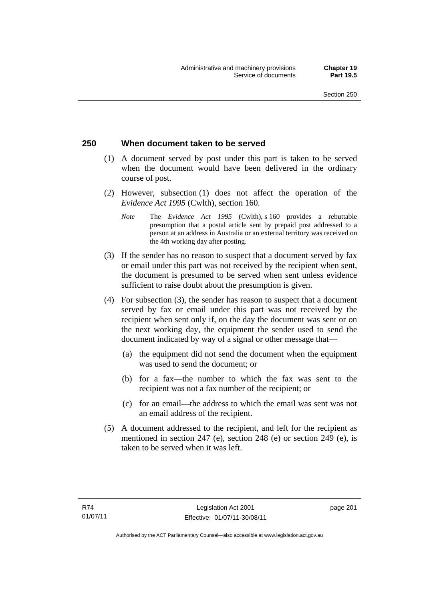## **250 When document taken to be served**

- (1) A document served by post under this part is taken to be served when the document would have been delivered in the ordinary course of post.
- (2) However, subsection (1) does not affect the operation of the *Evidence Act 1995* (Cwlth), section 160.
	- *Note* The *Evidence Act 1995* (Cwlth), s 160 provides a rebuttable presumption that a postal article sent by prepaid post addressed to a person at an address in Australia or an external territory was received on the 4th working day after posting.
- (3) If the sender has no reason to suspect that a document served by fax or email under this part was not received by the recipient when sent, the document is presumed to be served when sent unless evidence sufficient to raise doubt about the presumption is given.
- (4) For subsection (3), the sender has reason to suspect that a document served by fax or email under this part was not received by the recipient when sent only if, on the day the document was sent or on the next working day, the equipment the sender used to send the document indicated by way of a signal or other message that—
	- (a) the equipment did not send the document when the equipment was used to send the document; or
	- (b) for a fax—the number to which the fax was sent to the recipient was not a fax number of the recipient; or
	- (c) for an email—the address to which the email was sent was not an email address of the recipient.
- (5) A document addressed to the recipient, and left for the recipient as mentioned in section 247 (e), section 248 (e) or section 249 (e), is taken to be served when it was left.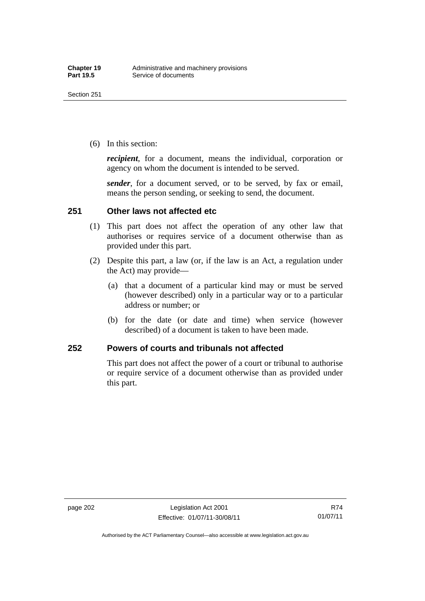(6) In this section:

*recipient*, for a document, means the individual, corporation or agency on whom the document is intended to be served.

*sender*, for a document served, or to be served, by fax or email, means the person sending, or seeking to send, the document.

## **251 Other laws not affected etc**

- (1) This part does not affect the operation of any other law that authorises or requires service of a document otherwise than as provided under this part.
- (2) Despite this part, a law (or, if the law is an Act, a regulation under the Act) may provide—
	- (a) that a document of a particular kind may or must be served (however described) only in a particular way or to a particular address or number; or
	- (b) for the date (or date and time) when service (however described) of a document is taken to have been made.

## **252 Powers of courts and tribunals not affected**

This part does not affect the power of a court or tribunal to authorise or require service of a document otherwise than as provided under this part.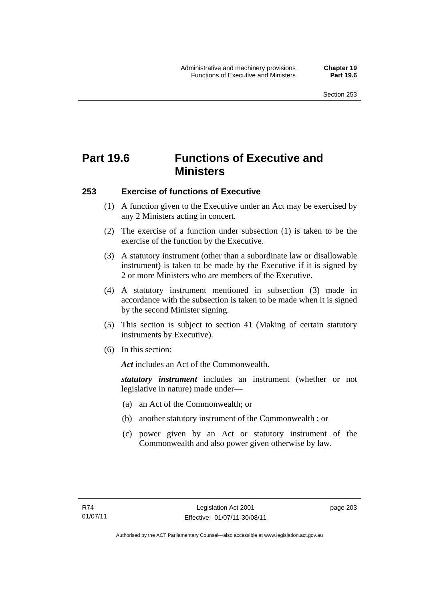# **Part 19.6 Functions of Executive and Ministers**

# **253 Exercise of functions of Executive**

- (1) A function given to the Executive under an Act may be exercised by any 2 Ministers acting in concert.
- (2) The exercise of a function under subsection (1) is taken to be the exercise of the function by the Executive.
- (3) A statutory instrument (other than a subordinate law or disallowable instrument) is taken to be made by the Executive if it is signed by 2 or more Ministers who are members of the Executive.
- (4) A statutory instrument mentioned in subsection (3) made in accordance with the subsection is taken to be made when it is signed by the second Minister signing.
- (5) This section is subject to section 41 (Making of certain statutory instruments by Executive).
- (6) In this section:

*Act* includes an Act of the Commonwealth.

*statutory instrument* includes an instrument (whether or not legislative in nature) made under—

- (a) an Act of the Commonwealth; or
- (b) another statutory instrument of the Commonwealth ; or
- (c) power given by an Act or statutory instrument of the Commonwealth and also power given otherwise by law.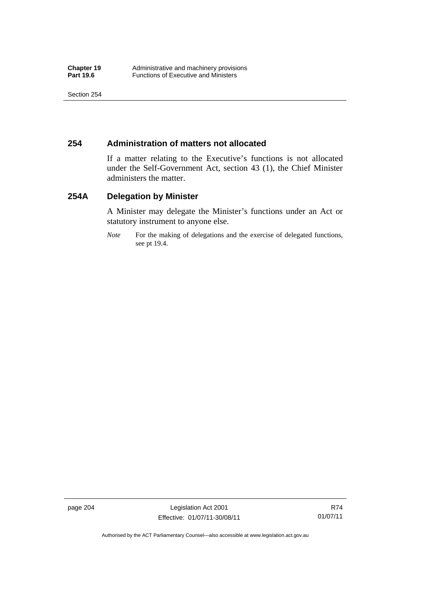# **254 Administration of matters not allocated**

If a matter relating to the Executive's functions is not allocated under the Self-Government Act, section 43 (1), the Chief Minister administers the matter.

# **254A Delegation by Minister**

A Minister may delegate the Minister's functions under an Act or statutory instrument to anyone else.

*Note* For the making of delegations and the exercise of delegated functions, see pt 19.4.

page 204 Legislation Act 2001 Effective: 01/07/11-30/08/11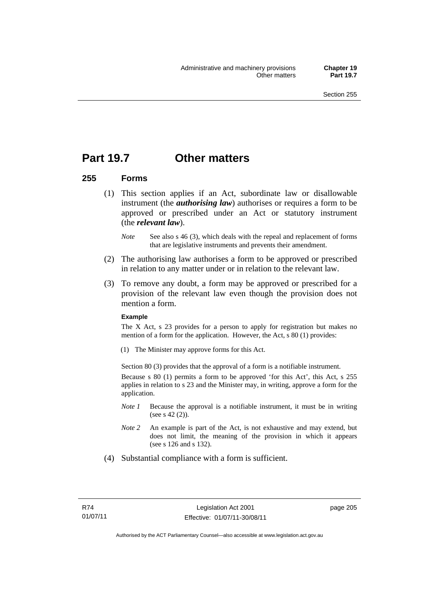# **Part 19.7 Other matters**

### **255 Forms**

- (1) This section applies if an Act, subordinate law or disallowable instrument (the *authorising law*) authorises or requires a form to be approved or prescribed under an Act or statutory instrument (the *relevant law*).
	- *Note* See also s 46 (3), which deals with the repeal and replacement of forms that are legislative instruments and prevents their amendment.
- (2) The authorising law authorises a form to be approved or prescribed in relation to any matter under or in relation to the relevant law.
- (3) To remove any doubt, a form may be approved or prescribed for a provision of the relevant law even though the provision does not mention a form.

#### **Example**

The X Act, s 23 provides for a person to apply for registration but makes no mention of a form for the application. However, the Act, s 80 (1) provides:

(1) The Minister may approve forms for this Act.

Section 80 (3) provides that the approval of a form is a notifiable instrument.

Because s 80 (1) permits a form to be approved 'for this Act', this Act, s 255 applies in relation to s 23 and the Minister may, in writing, approve a form for the application.

- *Note 1* Because the approval is a notifiable instrument, it must be in writing (see s 42 (2)).
- *Note 2* An example is part of the Act, is not exhaustive and may extend, but does not limit, the meaning of the provision in which it appears (see s 126 and s 132).
- (4) Substantial compliance with a form is sufficient.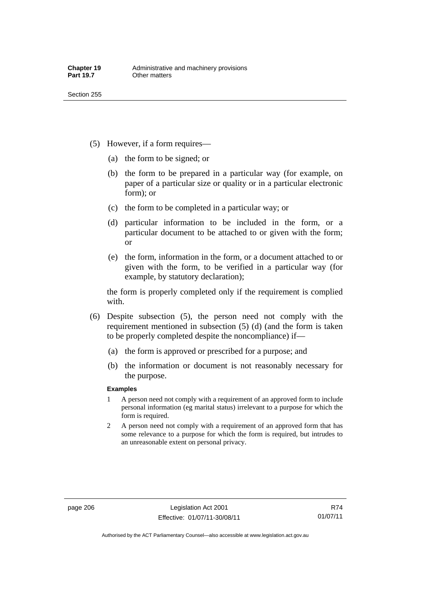- (5) However, if a form requires—
	- (a) the form to be signed; or
	- (b) the form to be prepared in a particular way (for example, on paper of a particular size or quality or in a particular electronic form); or
	- (c) the form to be completed in a particular way; or
	- (d) particular information to be included in the form, or a particular document to be attached to or given with the form; or
	- (e) the form, information in the form, or a document attached to or given with the form, to be verified in a particular way (for example, by statutory declaration);

the form is properly completed only if the requirement is complied with.

- (6) Despite subsection (5), the person need not comply with the requirement mentioned in subsection (5) (d) (and the form is taken to be properly completed despite the noncompliance) if—
	- (a) the form is approved or prescribed for a purpose; and
	- (b) the information or document is not reasonably necessary for the purpose.

### **Examples**

- 1 A person need not comply with a requirement of an approved form to include personal information (eg marital status) irrelevant to a purpose for which the form is required.
- 2 A person need not comply with a requirement of an approved form that has some relevance to a purpose for which the form is required, but intrudes to an unreasonable extent on personal privacy.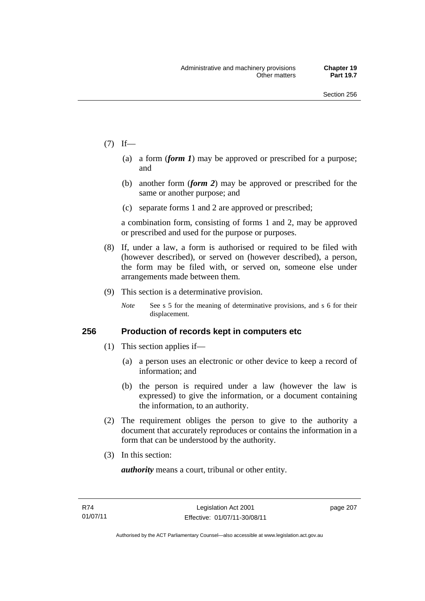- $(7)$  If—
	- (a) a form (*form 1*) may be approved or prescribed for a purpose; and
	- (b) another form (*form 2*) may be approved or prescribed for the same or another purpose; and
	- (c) separate forms 1 and 2 are approved or prescribed;

a combination form, consisting of forms 1 and 2, may be approved or prescribed and used for the purpose or purposes.

- (8) If, under a law, a form is authorised or required to be filed with (however described), or served on (however described), a person, the form may be filed with, or served on, someone else under arrangements made between them.
- (9) This section is a determinative provision.
	- *Note* See s 5 for the meaning of determinative provisions, and s 6 for their displacement.

### **256 Production of records kept in computers etc**

- (1) This section applies if—
	- (a) a person uses an electronic or other device to keep a record of information; and
	- (b) the person is required under a law (however the law is expressed) to give the information, or a document containing the information, to an authority.
- (2) The requirement obliges the person to give to the authority a document that accurately reproduces or contains the information in a form that can be understood by the authority.
- (3) In this section:

*authority* means a court, tribunal or other entity.

page 207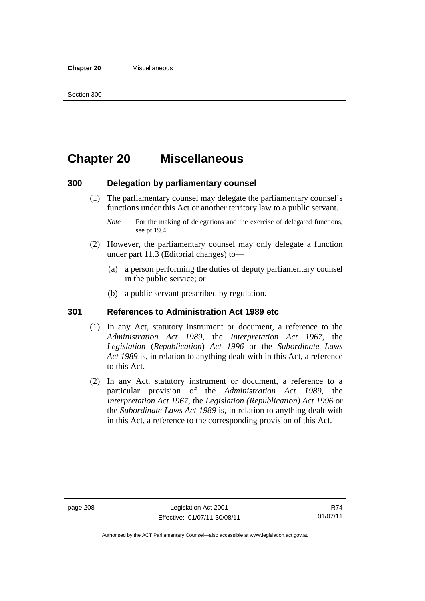# **Chapter 20 Miscellaneous**

## **300 Delegation by parliamentary counsel**

- (1) The parliamentary counsel may delegate the parliamentary counsel's functions under this Act or another territory law to a public servant.
	- *Note* For the making of delegations and the exercise of delegated functions, see pt 19.4.
- (2) However, the parliamentary counsel may only delegate a function under part 11.3 (Editorial changes) to—
	- (a) a person performing the duties of deputy parliamentary counsel in the public service; or
	- (b) a public servant prescribed by regulation.

## **301 References to Administration Act 1989 etc**

- (1) In any Act, statutory instrument or document, a reference to the *Administration Act 1989*, the *Interpretation Act 1967*, the *Legislation* (*Republication*) *Act 1996* or the *Subordinate Laws Act 1989* is, in relation to anything dealt with in this Act, a reference to this Act.
- (2) In any Act, statutory instrument or document, a reference to a particular provision of the *Administration Act 1989*, the *Interpretation Act 1967*, the *Legislation (Republication) Act 1996* or the *Subordinate Laws Act 1989* is, in relation to anything dealt with in this Act, a reference to the corresponding provision of this Act.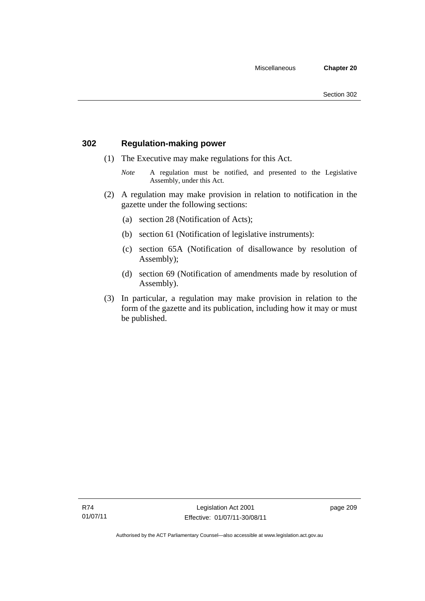# **302 Regulation-making power**

- (1) The Executive may make regulations for this Act.
	- *Note* A regulation must be notified, and presented to the Legislative Assembly, under this Act.
- (2) A regulation may make provision in relation to notification in the gazette under the following sections:
	- (a) section 28 (Notification of Acts);
	- (b) section 61 (Notification of legislative instruments):
	- (c) section 65A (Notification of disallowance by resolution of Assembly);
	- (d) section 69 (Notification of amendments made by resolution of Assembly).
- (3) In particular, a regulation may make provision in relation to the form of the gazette and its publication, including how it may or must be published.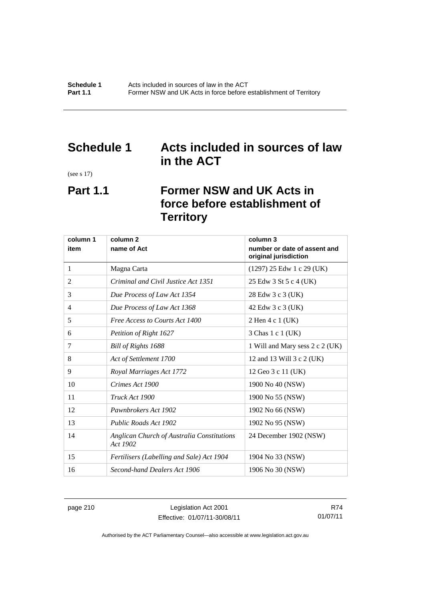# **Schedule 1 Acts included in sources of law in the ACT**

(see s 17)

# **Part 1.1 Former NSW and UK Acts in force before establishment of Territory**

| column 1 | column <sub>2</sub>                                    | column 3                                              |
|----------|--------------------------------------------------------|-------------------------------------------------------|
| item     | name of Act                                            | number or date of assent and<br>original jurisdiction |
| 1        | Magna Carta                                            | $(1297)$ 25 Edw 1 c 29 (UK)                           |
| 2        | Criminal and Civil Justice Act 1351                    | 25 Edw 3 St 5 c 4 (UK)                                |
| 3        | Due Process of Law Act 1354                            | 28 Edw 3 c 3 (UK)                                     |
| 4        | Due Process of Law Act 1368                            | 42 Edw 3 c 3 (UK)                                     |
| 5        | Free Access to Courts Act 1400                         | 2 Hen 4 c 1 (UK)                                      |
| 6        | Petition of Right 1627                                 | 3 Chas 1 c 1 (UK)                                     |
| 7        | Bill of Rights 1688                                    | 1 Will and Mary sess 2 c 2 (UK)                       |
| 8        | Act of Settlement 1700                                 | 12 and 13 Will 3 c 2 (UK)                             |
| 9        | Royal Marriages Act 1772                               | 12 Geo 3 c 11 (UK)                                    |
| 10       | Crimes Act 1900                                        | 1900 No 40 (NSW)                                      |
| 11       | Truck Act 1900                                         | 1900 No 55 (NSW)                                      |
| 12       | Pawnbrokers Act 1902                                   | 1902 No 66 (NSW)                                      |
| 13       | Public Roads Act 1902                                  | 1902 No 95 (NSW)                                      |
| 14       | Anglican Church of Australia Constitutions<br>Act 1902 | 24 December 1902 (NSW)                                |
| 15       | Fertilisers (Labelling and Sale) Act 1904              | 1904 No 33 (NSW)                                      |
| 16       | Second-hand Dealers Act 1906                           | 1906 No 30 (NSW)                                      |

page 210 Legislation Act 2001 Effective: 01/07/11-30/08/11

R74 01/07/11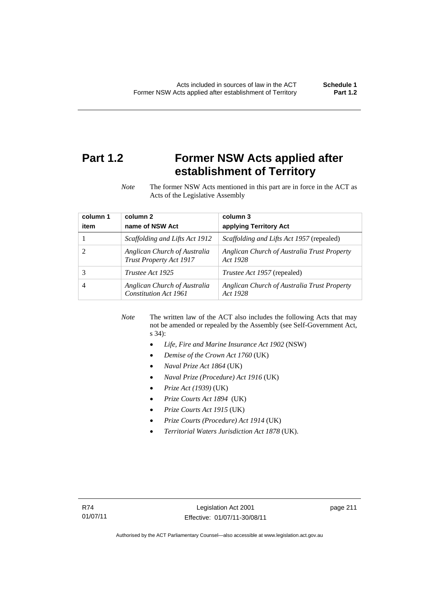# **Part 1.2 Former NSW Acts applied after establishment of Territory**

*Note* The former NSW Acts mentioned in this part are in force in the ACT as Acts of the Legislative Assembly

| column 1<br>item | column 2<br>name of NSW Act                             | column 3<br>applying Territory Act                      |
|------------------|---------------------------------------------------------|---------------------------------------------------------|
|                  | Scaffolding and Lifts Act 1912                          | Scaffolding and Lifts Act 1957 (repealed)               |
|                  | Anglican Church of Australia<br>Trust Property Act 1917 | Anglican Church of Australia Trust Property<br>Act 1928 |
|                  | Trustee Act 1925                                        | <i>Trustee Act 1957</i> (repealed)                      |
| 4                | Anglican Church of Australia<br>Constitution Act 1961   | Anglican Church of Australia Trust Property<br>Act 1928 |

*Note* The written law of the ACT also includes the following Acts that may not be amended or repealed by the Assembly (see Self-Government Act, s 34):

- *Life, Fire and Marine Insurance Act 1902* (NSW)
- *Demise of the Crown Act 1760* (UK)
- *Naval Prize Act 1864* (UK)
- *Naval Prize (Procedure) Act 1916* (UK)
- *Prize Act (1939)* (UK)
- *Prize Courts Act 1894* (UK)
- *Prize Courts Act 1915* (UK)
- *Prize Courts (Procedure) Act 1914* (UK)
- *Territorial Waters Jurisdiction Act 1878* (UK).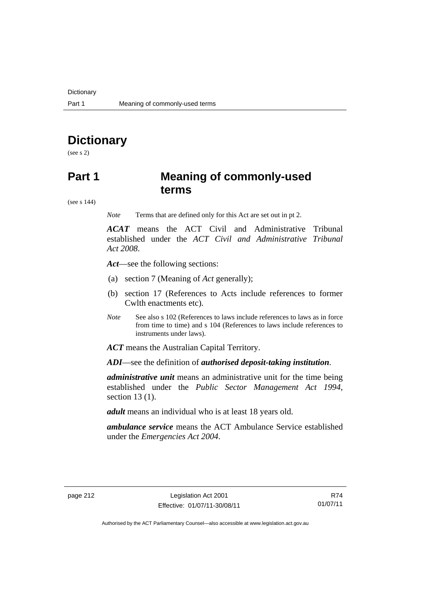# **Dictionary**

(see s 2)

# **Part 1 Meaning of commonly-used terms**

(see s 144)

*Note* Terms that are defined only for this Act are set out in pt 2.

*ACAT* means the ACT Civil and Administrative Tribunal established under the *ACT Civil and Administrative Tribunal Act 2008*.

*Act*—see the following sections:

- (a) section 7 (Meaning of *Act* generally);
- (b) section 17 (References to Acts include references to former Cwlth enactments etc).
- *Note* See also s 102 (References to laws include references to laws as in force from time to time) and s 104 (References to laws include references to instruments under laws).

*ACT* means the Australian Capital Territory.

*ADI*—see the definition of *authorised deposit-taking institution*.

*administrative unit* means an administrative unit for the time being established under the *Public Sector Management Act 1994*, section 13 (1).

*adult* means an individual who is at least 18 years old.

*ambulance service* means the ACT Ambulance Service established under the *Emergencies Act 2004*.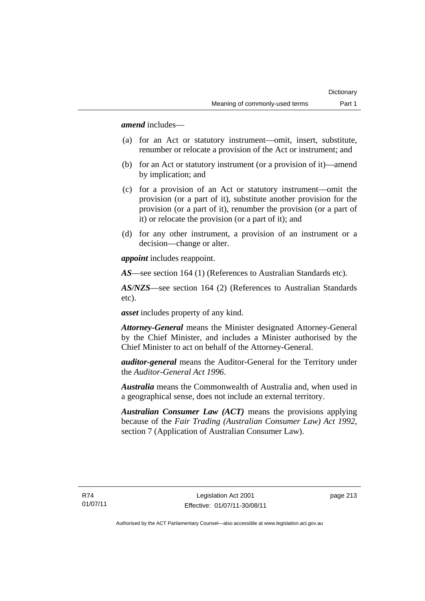*amend* includes—

- (a) for an Act or statutory instrument—omit, insert, substitute, renumber or relocate a provision of the Act or instrument; and
- (b) for an Act or statutory instrument (or a provision of it)—amend by implication; and
- (c) for a provision of an Act or statutory instrument—omit the provision (or a part of it), substitute another provision for the provision (or a part of it), renumber the provision (or a part of it) or relocate the provision (or a part of it); and
- (d) for any other instrument, a provision of an instrument or a decision—change or alter.

*appoint* includes reappoint.

*AS*—see section 164 (1) (References to Australian Standards etc).

*AS/NZS*—see section 164 (2) (References to Australian Standards etc).

*asset* includes property of any kind.

*Attorney-General* means the Minister designated Attorney-General by the Chief Minister, and includes a Minister authorised by the Chief Minister to act on behalf of the Attorney-General.

*auditor-general* means the Auditor-General for the Territory under the *Auditor-General Act 1996*.

*Australia* means the Commonwealth of Australia and, when used in a geographical sense, does not include an external territory.

*Australian Consumer Law (ACT)* means the provisions applying because of the *Fair Trading (Australian Consumer Law) Act 1992*, section 7 (Application of Australian Consumer Law).

page 213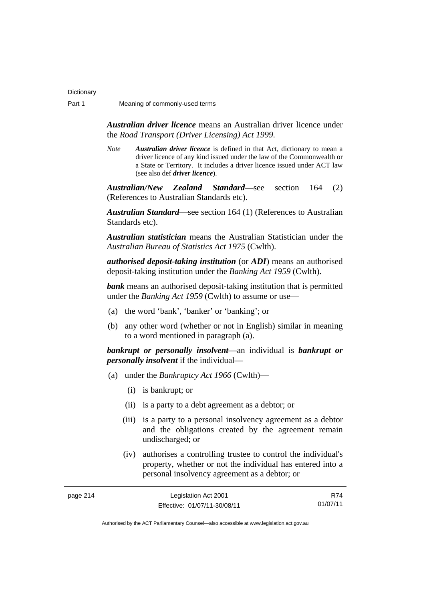*Australian driver licence* means an Australian driver licence under the *Road Transport (Driver Licensing) Act 1999*.

*Note Australian driver licence* is defined in that Act, dictionary to mean a driver licence of any kind issued under the law of the Commonwealth or a State or Territory. It includes a driver licence issued under ACT law (see also def *driver licence*).

*Australian/New Zealand Standard*—see section 164 (2) (References to Australian Standards etc).

*Australian Standard*—see section 164 (1) (References to Australian Standards etc).

*Australian statistician* means the Australian Statistician under the *Australian Bureau of Statistics Act 1975* (Cwlth).

*authorised deposit-taking institution* (or *ADI*) means an authorised deposit-taking institution under the *Banking Act 1959* (Cwlth).

*bank* means an authorised deposit-taking institution that is permitted under the *Banking Act 1959* (Cwlth) to assume or use—

- (a) the word 'bank', 'banker' or 'banking'; or
- (b) any other word (whether or not in English) similar in meaning to a word mentioned in paragraph (a).

*bankrupt or personally insolvent*—an individual is *bankrupt or personally insolvent* if the individual—

- (a) under the *Bankruptcy Act 1966* (Cwlth)—
	- (i) is bankrupt; or
	- (ii) is a party to a debt agreement as a debtor; or
	- (iii) is a party to a personal insolvency agreement as a debtor and the obligations created by the agreement remain undischarged; or
	- (iv) authorises a controlling trustee to control the individual's property, whether or not the individual has entered into a personal insolvency agreement as a debtor; or

| page 214 | Legislation Act 2001         | R74      |
|----------|------------------------------|----------|
|          | Effective: 01/07/11-30/08/11 | 01/07/11 |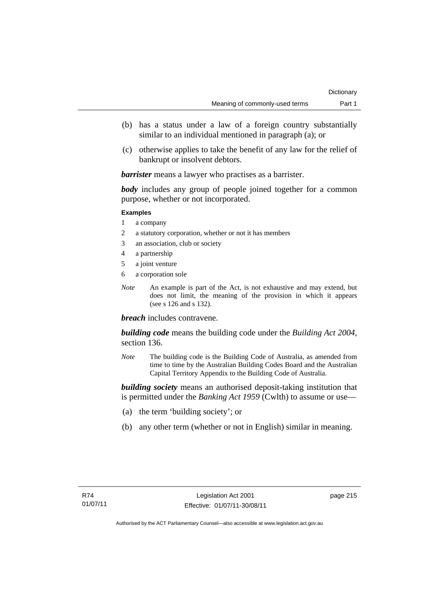- (b) has a status under a law of a foreign country substantially similar to an individual mentioned in paragraph (a); or
- (c) otherwise applies to take the benefit of any law for the relief of bankrupt or insolvent debtors.

*barrister* means a lawyer who practises as a barrister.

*body* includes any group of people joined together for a common purpose, whether or not incorporated.

### **Examples**

- 1 a company
- 2 a statutory corporation, whether or not it has members
- 3 an association, club or society
- 4 a partnership
- 5 a joint venture
- 6 a corporation sole
- *Note* An example is part of the Act, is not exhaustive and may extend, but does not limit, the meaning of the provision in which it appears (see s 126 and s 132).

*breach* includes contravene.

*building code* means the building code under the *Building Act 2004*, section 136.

*Note* The building code is the Building Code of Australia, as amended from time to time by the Australian Building Codes Board and the Australian Capital Territory Appendix to the Building Code of Australia.

*building society* means an authorised deposit-taking institution that is permitted under the *Banking Act 1959* (Cwlth) to assume or use—

- (a) the term 'building society'; or
- (b) any other term (whether or not in English) similar in meaning.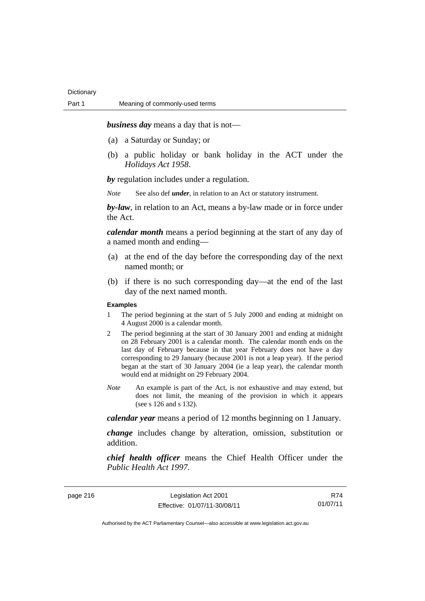*business day* means a day that is not—

- (a) a Saturday or Sunday; or
- (b) a public holiday or bank holiday in the ACT under the *Holidays Act 1958*.

*by* regulation includes under a regulation.

*Note* See also def *under*, in relation to an Act or statutory instrument.

*by-law*, in relation to an Act, means a by-law made or in force under the Act.

*calendar month* means a period beginning at the start of any day of a named month and ending—

- (a) at the end of the day before the corresponding day of the next named month; or
- (b) if there is no such corresponding day—at the end of the last day of the next named month.

### **Examples**

- 1 The period beginning at the start of 5 July 2000 and ending at midnight on 4 August 2000 is a calendar month.
- 2 The period beginning at the start of 30 January 2001 and ending at midnight on 28 February 2001 is a calendar month. The calendar month ends on the last day of February because in that year February does not have a day corresponding to 29 January (because 2001 is not a leap year). If the period began at the start of 30 January 2004 (ie a leap year), the calendar month would end at midnight on 29 February 2004.
- *Note* An example is part of the Act, is not exhaustive and may extend, but does not limit, the meaning of the provision in which it appears (see s 126 and s 132).

*calendar year* means a period of 12 months beginning on 1 January.

*change* includes change by alteration, omission, substitution or addition.

*chief health officer* means the Chief Health Officer under the *Public Health Act 1997*.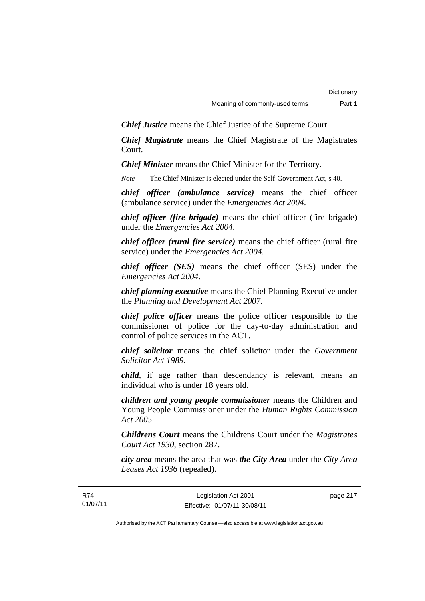*Chief Justice* means the Chief Justice of the Supreme Court.

*Chief Magistrate* means the Chief Magistrate of the Magistrates Court.

*Chief Minister* means the Chief Minister for the Territory.

*Note* The Chief Minister is elected under the Self-Government Act, s 40.

*chief officer (ambulance service)* means the chief officer (ambulance service) under the *Emergencies Act 2004*.

*chief officer (fire brigade)* means the chief officer (fire brigade) under the *Emergencies Act 2004*.

*chief officer (rural fire service)* means the chief officer (rural fire service) under the *Emergencies Act 2004*.

*chief officer (SES)* means the chief officer (SES) under the *Emergencies Act 2004*.

*chief planning executive* means the Chief Planning Executive under the *Planning and Development Act 2007*.

*chief police officer* means the police officer responsible to the commissioner of police for the day-to-day administration and control of police services in the ACT.

*chief solicitor* means the chief solicitor under the *Government Solicitor Act 1989*.

*child*, if age rather than descendancy is relevant, means an individual who is under 18 years old.

*children and young people commissioner* means the Children and Young People Commissioner under the *Human Rights Commission Act 2005*.

*Childrens Court* means the Childrens Court under the *Magistrates Court Act 1930*, section 287.

*city area* means the area that was *the City Area* under the *City Area Leases Act 1936* (repealed).

page 217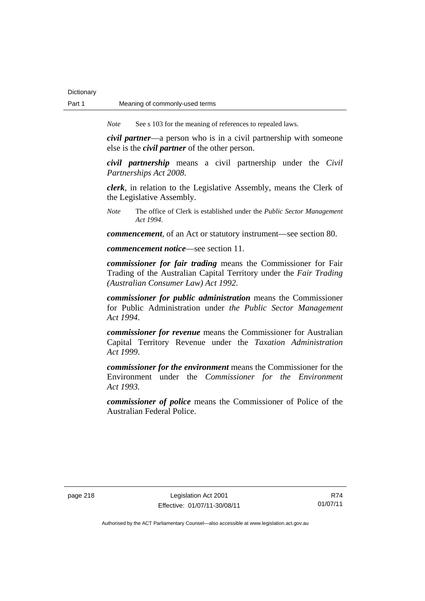## Part 1 Meaning of commonly-used terms

**Dictionary** 

*Note* See s 103 for the meaning of references to repealed laws.

*civil partner*—a person who is in a civil partnership with someone else is the *civil partner* of the other person.

*civil partnership* means a civil partnership under the *Civil Partnerships Act 2008*.

*clerk*, in relation to the Legislative Assembly, means the Clerk of the Legislative Assembly.

*Note* The office of Clerk is established under the *Public Sector Management Act 1994*.

*commencement*, of an Act or statutory instrument—see section 80.

*commencement notice*—see section 11.

*commissioner for fair trading* means the Commissioner for Fair Trading of the Australian Capital Territory under the *Fair Trading (Australian Consumer Law) Act 1992*.

*commissioner for public administration* means the Commissioner for Public Administration under *the Public Sector Management Act 1994*.

*commissioner for revenue* means the Commissioner for Australian Capital Territory Revenue under the *Taxation Administration Act 1999*.

*commissioner for the environment* means the Commissioner for the Environment under the *Commissioner for the Environment Act 1993.* 

*commissioner of police* means the Commissioner of Police of the Australian Federal Police.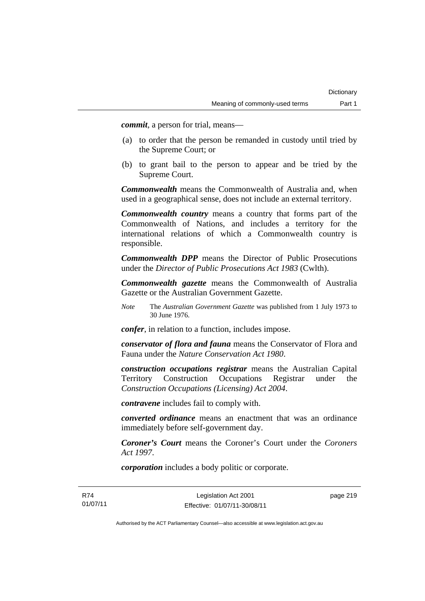*commit*, a person for trial, means—

- (a) to order that the person be remanded in custody until tried by the Supreme Court; or
- (b) to grant bail to the person to appear and be tried by the Supreme Court.

*Commonwealth* means the Commonwealth of Australia and, when used in a geographical sense, does not include an external territory.

*Commonwealth country* means a country that forms part of the Commonwealth of Nations, and includes a territory for the international relations of which a Commonwealth country is responsible.

*Commonwealth DPP* means the Director of Public Prosecutions under the *Director of Public Prosecutions Act 1983* (Cwlth).

*Commonwealth gazette* means the Commonwealth of Australia Gazette or the Australian Government Gazette.

*Note* The *Australian Government Gazette* was published from 1 July 1973 to 30 June 1976.

*confer*, in relation to a function, includes impose.

*conservator of flora and fauna* means the Conservator of Flora and Fauna under the *Nature Conservation Act 1980*.

*construction occupations registrar* means the Australian Capital Territory Construction Occupations Registrar under the *Construction Occupations (Licensing) Act 2004*.

*contravene* includes fail to comply with.

*converted ordinance* means an enactment that was an ordinance immediately before self-government day.

*Coroner's Court* means the Coroner's Court under the *Coroners Act 1997*.

*corporation* includes a body politic or corporate.

R74 01/07/11

Legislation Act 2001 Effective: 01/07/11-30/08/11 page 219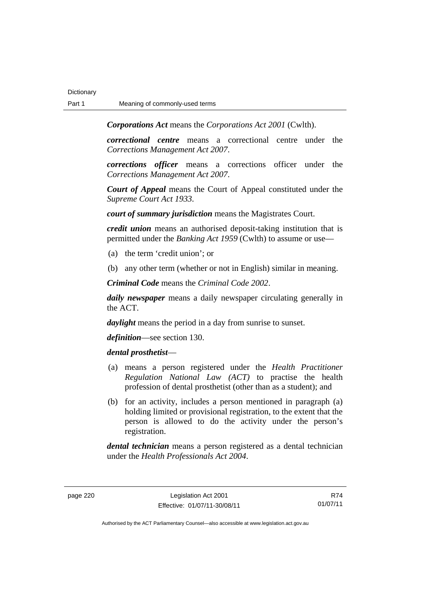*Corporations Act* means the *Corporations Act 2001* (Cwlth).

*correctional centre* means a correctional centre under the *Corrections Management Act 2007*.

*corrections officer* means a corrections officer under the *Corrections Management Act 2007*.

*Court of Appeal* means the Court of Appeal constituted under the *Supreme Court Act 1933*.

*court of summary jurisdiction* means the Magistrates Court.

*credit union* means an authorised deposit-taking institution that is permitted under the *Banking Act 1959* (Cwlth) to assume or use—

- (a) the term 'credit union'; or
- (b) any other term (whether or not in English) similar in meaning.

*Criminal Code* means the *Criminal Code 2002*.

*daily newspaper* means a daily newspaper circulating generally in the ACT.

*daylight* means the period in a day from sunrise to sunset.

*definition*—see section 130.

### *dental prosthetist*—

- (a) means a person registered under the *Health Practitioner Regulation National Law (ACT)* to practise the health profession of dental prosthetist (other than as a student); and
- (b) for an activity, includes a person mentioned in paragraph (a) holding limited or provisional registration, to the extent that the person is allowed to do the activity under the person's registration.

*dental technician* means a person registered as a dental technician under the *Health Professionals Act 2004*.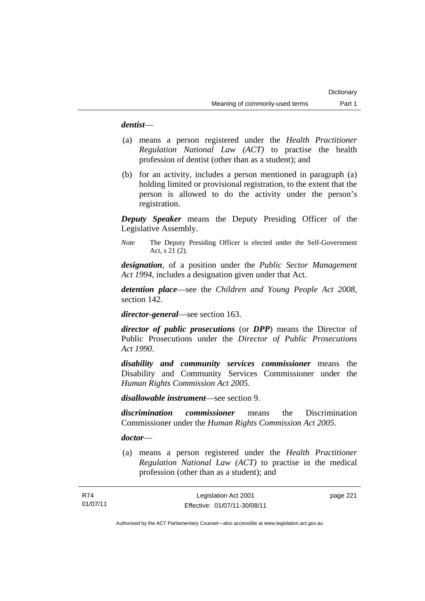### *dentist*—

- (a) means a person registered under the *Health Practitioner Regulation National Law (ACT)* to practise the health profession of dentist (other than as a student); and
- (b) for an activity, includes a person mentioned in paragraph (a) holding limited or provisional registration, to the extent that the person is allowed to do the activity under the person's registration.

*Deputy Speaker* means the Deputy Presiding Officer of the Legislative Assembly.

*Note* The Deputy Presiding Officer is elected under the Self-Government Act, s 21 (2).

*designation*, of a position under the *Public Sector Management Act 1994*, includes a designation given under that Act.

*detention place*—see the *Children and Young People Act 2008*, section 142.

*director-general*—see section 163.

*director of public prosecutions* (or *DPP*) means the Director of Public Prosecutions under the *Director of Public Prosecutions Act 1990*.

*disability and community services commissioner* means the Disability and Community Services Commissioner under the *Human Rights Commission Act 2005*.

*disallowable instrument*—see section 9.

*discrimination commissioner* means the Discrimination Commissioner under the *Human Rights Commission Act 2005*.

### *doctor*—

 (a) means a person registered under the *Health Practitioner Regulation National Law (ACT)* to practise in the medical profession (other than as a student); and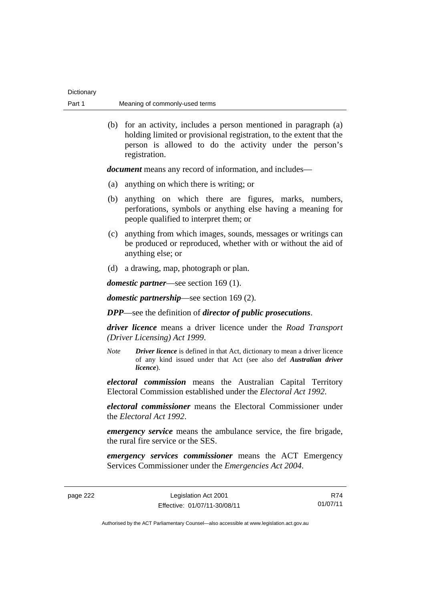| Dictionary |                                |
|------------|--------------------------------|
| Part 1     | Meaning of commonly-used terms |

 (b) for an activity, includes a person mentioned in paragraph (a) holding limited or provisional registration, to the extent that the person is allowed to do the activity under the person's registration.

*document* means any record of information, and includes—

- (a) anything on which there is writing; or
- (b) anything on which there are figures, marks, numbers, perforations, symbols or anything else having a meaning for people qualified to interpret them; or
- (c) anything from which images, sounds, messages or writings can be produced or reproduced, whether with or without the aid of anything else; or
- (d) a drawing, map, photograph or plan.

*domestic partner*—see section 169 (1).

*domestic partnership*—see section 169 (2).

*DPP*—see the definition of *director of public prosecutions*.

*driver licence* means a driver licence under the *Road Transport (Driver Licensing) Act 1999*.

*Note Driver licence* is defined in that Act, dictionary to mean a driver licence of any kind issued under that Act (see also def *Australian driver licence*).

*electoral commission* means the Australian Capital Territory Electoral Commission established under the *Electoral Act 1992*.

*electoral commissioner* means the Electoral Commissioner under the *Electoral Act 1992*.

*emergency service* means the ambulance service, the fire brigade, the rural fire service or the SES.

*emergency services commissioner* means the ACT Emergency Services Commissioner under the *Emergencies Act 2004*.

page 222 Legislation Act 2001 Effective: 01/07/11-30/08/11

R74 01/07/11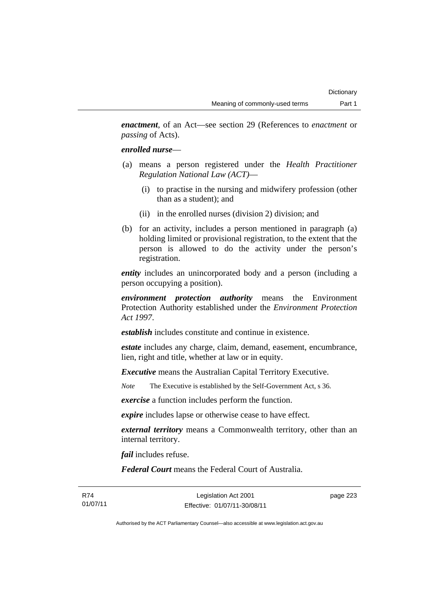*enactment*, of an Act—see section 29 (References to *enactment* or *passing* of Acts).

### *enrolled nurse*—

- (a) means a person registered under the *Health Practitioner Regulation National Law (ACT)*—
	- (i) to practise in the nursing and midwifery profession (other than as a student); and
	- (ii) in the enrolled nurses (division 2) division; and
- (b) for an activity, includes a person mentioned in paragraph (a) holding limited or provisional registration, to the extent that the person is allowed to do the activity under the person's registration.

*entity* includes an unincorporated body and a person (including a person occupying a position).

*environment protection authority* means the Environment Protection Authority established under the *Environment Protection Act 1997*.

*establish* includes constitute and continue in existence.

*estate* includes any charge, claim, demand, easement, encumbrance, lien, right and title, whether at law or in equity.

*Executive* means the Australian Capital Territory Executive.

*Note* The Executive is established by the Self-Government Act, s 36.

*exercise* a function includes perform the function.

*expire* includes lapse or otherwise cease to have effect.

*external territory* means a Commonwealth territory, other than an internal territory.

*fail* includes refuse.

*Federal Court* means the Federal Court of Australia.

R74 01/07/11

Legislation Act 2001 Effective: 01/07/11-30/08/11 page 223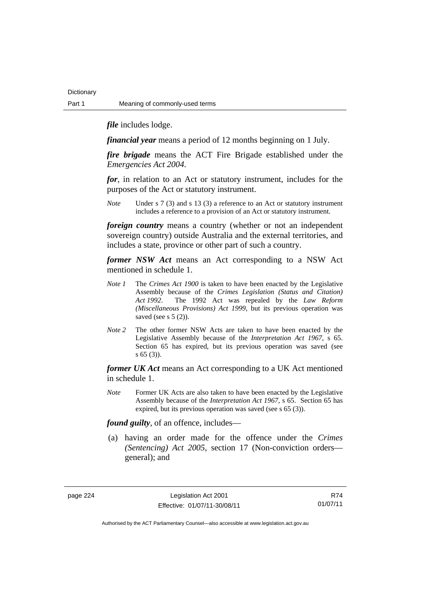*file* includes lodge.

*financial year* means a period of 12 months beginning on 1 July.

*fire brigade* means the ACT Fire Brigade established under the *Emergencies Act 2004*.

*for*, in relation to an Act or statutory instrument, includes for the purposes of the Act or statutory instrument.

*Note* Under s 7 (3) and s 13 (3) a reference to an Act or statutory instrument includes a reference to a provision of an Act or statutory instrument.

*foreign country* means a country (whether or not an independent sovereign country) outside Australia and the external territories, and includes a state, province or other part of such a country.

*former NSW Act* means an Act corresponding to a NSW Act mentioned in schedule 1.

- *Note 1* The *Crimes Act 1900* is taken to have been enacted by the Legislative Assembly because of the *Crimes Legislation (Status and Citation) Act 1992*. The 1992 Act was repealed by the *Law Reform (Miscellaneous Provisions) Act 1999*, but its previous operation was saved (see s  $5(2)$ ).
- *Note 2* The other former NSW Acts are taken to have been enacted by the Legislative Assembly because of the *Interpretation Act 1967*, s 65. Section 65 has expired, but its previous operation was saved (see s 65 (3)).

*former UK Act* means an Act corresponding to a UK Act mentioned in schedule 1.

*Note* Former UK Acts are also taken to have been enacted by the Legislative Assembly because of the *Interpretation Act 1967*, s 65. Section 65 has expired, but its previous operation was saved (see s 65 (3)).

*found guilty*, of an offence, includes—

 (a) having an order made for the offence under the *Crimes (Sentencing) Act 2005*, section 17 (Non-conviction orders general); and

page 224 Legislation Act 2001 Effective: 01/07/11-30/08/11

R74 01/07/11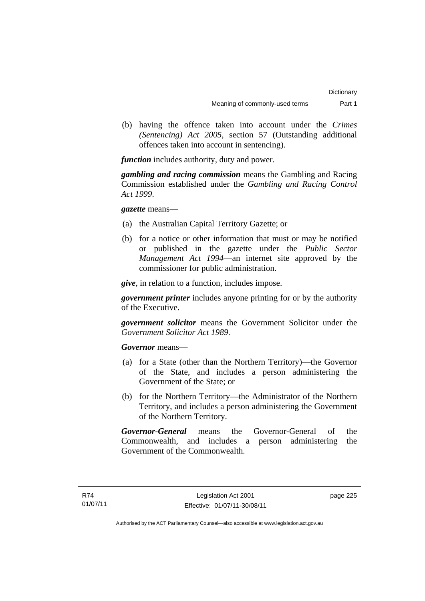(b) having the offence taken into account under the *Crimes (Sentencing) Act 2005*, section 57 (Outstanding additional offences taken into account in sentencing).

*function* includes authority, duty and power.

*gambling and racing commission* means the Gambling and Racing Commission established under the *Gambling and Racing Control Act 1999*.

## *gazette* means—

- (a) the Australian Capital Territory Gazette; or
- (b) for a notice or other information that must or may be notified or published in the gazette under the *Public Sector Management Act 1994*—an internet site approved by the commissioner for public administration.

*give*, in relation to a function, includes impose.

*government printer* includes anyone printing for or by the authority of the Executive.

*government solicitor* means the Government Solicitor under the *Government Solicitor Act 1989*.

*Governor* means—

- (a) for a State (other than the Northern Territory)—the Governor of the State, and includes a person administering the Government of the State; or
- (b) for the Northern Territory—the Administrator of the Northern Territory, and includes a person administering the Government of the Northern Territory.

*Governor-General* means the Governor-General of the Commonwealth, and includes a person administering the Government of the Commonwealth.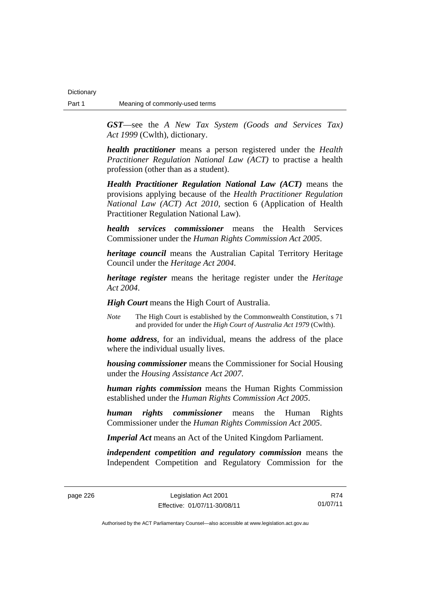*GST*—see the *A New Tax System (Goods and Services Tax) Act 1999* (Cwlth), dictionary.

*health practitioner* means a person registered under the *Health Practitioner Regulation National Law (ACT)* to practise a health profession (other than as a student).

*Health Practitioner Regulation National Law (ACT)* means the provisions applying because of the *Health Practitioner Regulation National Law (ACT) Act 2010*, section 6 (Application of Health Practitioner Regulation National Law).

*health services commissioner* means the Health Services Commissioner under the *Human Rights Commission Act 2005*.

*heritage council* means the Australian Capital Territory Heritage Council under the *Heritage Act 2004*.

*heritage register* means the heritage register under the *Heritage Act 2004*.

*High Court* means the High Court of Australia.

*Note* The High Court is established by the Commonwealth Constitution, s 71 and provided for under the *High Court of Australia Act 1979* (Cwlth).

*home address*, for an individual, means the address of the place where the individual usually lives.

*housing commissioner* means the Commissioner for Social Housing under the *Housing Assistance Act 2007*.

*human rights commission* means the Human Rights Commission established under the *Human Rights Commission Act 2005*.

*human rights commissioner* means the Human Rights Commissioner under the *Human Rights Commission Act 2005*.

*Imperial Act* means an Act of the United Kingdom Parliament.

*independent competition and regulatory commission* means the Independent Competition and Regulatory Commission for the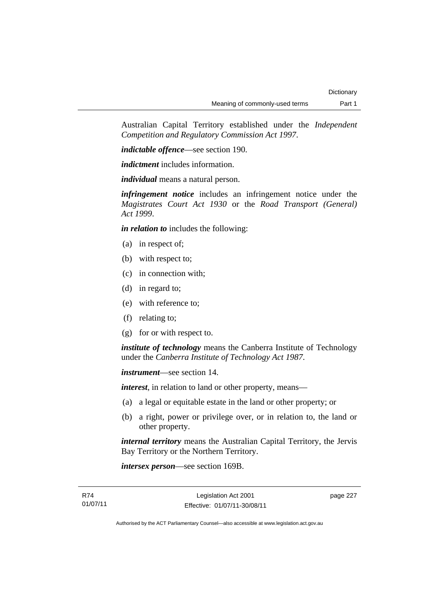Australian Capital Territory established under the *Independent Competition and Regulatory Commission Act 1997*.

*indictable offence*—see section 190.

*indictment* includes information.

*individual* means a natural person.

*infringement notice* includes an infringement notice under the *Magistrates Court Act 1930* or the *Road Transport (General) Act 1999*.

*in relation to* includes the following:

- (a) in respect of;
- (b) with respect to;
- (c) in connection with;
- (d) in regard to;
- (e) with reference to;
- (f) relating to;
- (g) for or with respect to.

*institute of technology* means the Canberra Institute of Technology under the *Canberra Institute of Technology Act 1987*.

*instrument*—see section 14.

*interest*, in relation to land or other property, means—

- (a) a legal or equitable estate in the land or other property; or
- (b) a right, power or privilege over, or in relation to, the land or other property.

*internal territory* means the Australian Capital Territory, the Jervis Bay Territory or the Northern Territory.

*intersex person*—see section 169B.

page 227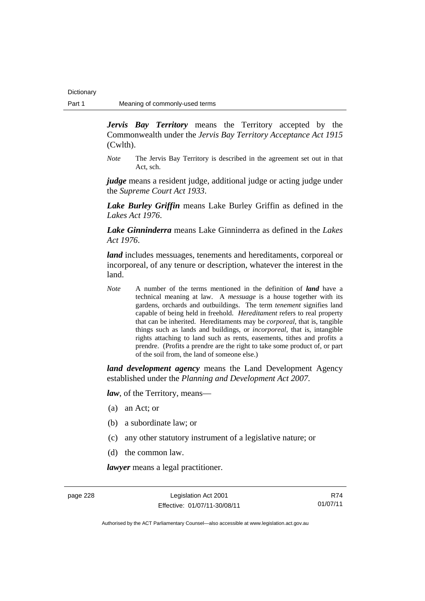*Jervis Bay Territory* means the Territory accepted by the Commonwealth under the *Jervis Bay Territory Acceptance Act 1915* (Cwlth).

*Note* The Jervis Bay Territory is described in the agreement set out in that Act, sch.

*judge* means a resident judge, additional judge or acting judge under the *Supreme Court Act 1933*.

*Lake Burley Griffin* means Lake Burley Griffin as defined in the *Lakes Act 1976*.

*Lake Ginninderra* means Lake Ginninderra as defined in the *Lakes Act 1976*.

*land* includes messuages, tenements and hereditaments, corporeal or incorporeal, of any tenure or description, whatever the interest in the land.

*Note* A number of the terms mentioned in the definition of *land* have a technical meaning at law. A *messuage* is a house together with its gardens, orchards and outbuildings. The term *tenement* signifies land capable of being held in freehold. *Hereditament* refers to real property that can be inherited. Hereditaments may be *corporeal*, that is, tangible things such as lands and buildings, or *incorporeal*, that is, intangible rights attaching to land such as rents, easements, tithes and profits a prendre. (Profits a prendre are the right to take some product of, or part of the soil from, the land of someone else.)

*land development agency* means the Land Development Agency established under the *Planning and Development Act 2007*.

*law*, of the Territory, means—

- (a) an Act; or
- (b) a subordinate law; or
- (c) any other statutory instrument of a legislative nature; or
- (d) the common law.

*lawyer* means a legal practitioner.

page 228 Legislation Act 2001 Effective: 01/07/11-30/08/11

R74 01/07/11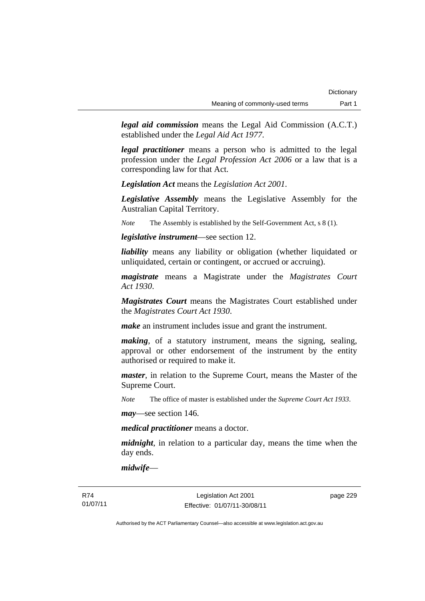*legal aid commission* means the Legal Aid Commission (A.C.T.) established under the *Legal Aid Act 1977*.

*legal practitioner* means a person who is admitted to the legal profession under the *Legal Profession Act 2006* or a law that is a corresponding law for that Act.

*Legislation Act* means the *Legislation Act 2001*.

*Legislative Assembly* means the Legislative Assembly for the Australian Capital Territory.

*Note* The Assembly is established by the Self-Government Act, s 8 (1).

*legislative instrument*—see section 12.

*liability* means any liability or obligation (whether liquidated or unliquidated, certain or contingent, or accrued or accruing).

*magistrate* means a Magistrate under the *Magistrates Court Act 1930*.

*Magistrates Court* means the Magistrates Court established under the *Magistrates Court Act 1930*.

*make* an instrument includes issue and grant the instrument.

*making*, of a statutory instrument, means the signing, sealing, approval or other endorsement of the instrument by the entity authorised or required to make it.

*master*, in relation to the Supreme Court, means the Master of the Supreme Court.

*Note* The office of master is established under the *Supreme Court Act 1933*.

*may*—see section 146.

*medical practitioner* means a doctor.

*midnight*, in relation to a particular day, means the time when the day ends.

*midwife*—

Legislation Act 2001 Effective: 01/07/11-30/08/11 page 229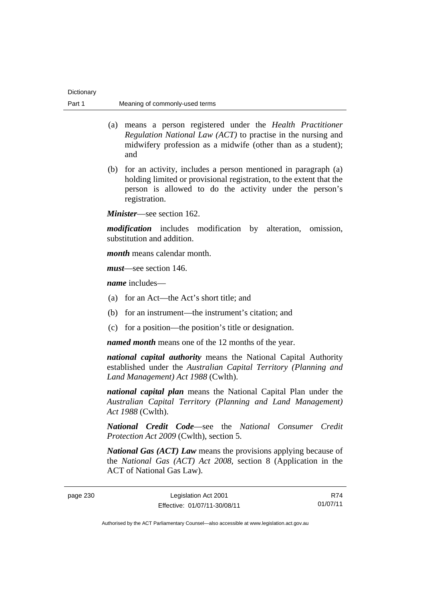| Dictionary |                                |
|------------|--------------------------------|
| Part 1     | Meaning of commonly-used terms |

- (a) means a person registered under the *Health Practitioner Regulation National Law (ACT)* to practise in the nursing and midwifery profession as a midwife (other than as a student); and
- (b) for an activity, includes a person mentioned in paragraph (a) holding limited or provisional registration, to the extent that the person is allowed to do the activity under the person's registration.

*Minister*—see section 162.

*modification* includes modification by alteration, omission, substitution and addition.

*month* means calendar month.

*must*—see section 146.

*name* includes—

- (a) for an Act—the Act's short title; and
- (b) for an instrument—the instrument's citation; and
- (c) for a position—the position's title or designation.

*named month* means one of the 12 months of the year.

*national capital authority* means the National Capital Authority established under the *Australian Capital Territory (Planning and Land Management) Act 1988* (Cwlth).

*national capital plan* means the National Capital Plan under the *Australian Capital Territory (Planning and Land Management) Act 1988* (Cwlth).

*National Credit Code*—see the *National Consumer Credit Protection Act 2009* (Cwlth), section 5.

*National Gas (ACT) Law* means the provisions applying because of the *National Gas (ACT) Act 2008*, section 8 (Application in the ACT of National Gas Law).

| page 230 | Legislation Act 2001         | R74      |
|----------|------------------------------|----------|
|          | Effective: 01/07/11-30/08/11 | 01/07/11 |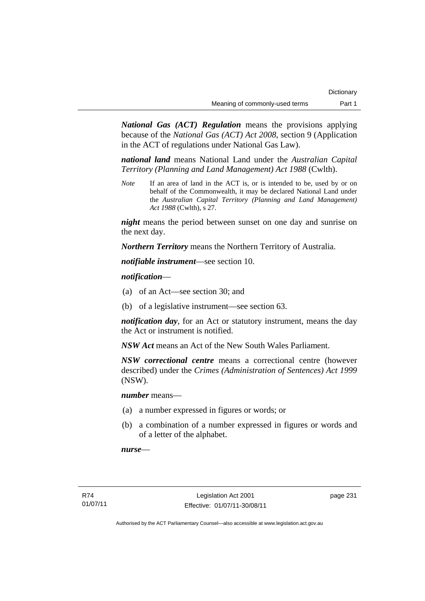*National Gas (ACT) Regulation* means the provisions applying because of the *National Gas (ACT) Act 2008*, section 9 (Application in the ACT of regulations under National Gas Law).

*national land* means National Land under the *Australian Capital Territory (Planning and Land Management) Act 1988* (Cwlth).

*Note* If an area of land in the ACT is, or is intended to be, used by or on behalf of the Commonwealth, it may be declared National Land under the *Australian Capital Territory (Planning and Land Management) Act 1988* (Cwlth), s 27.

*night* means the period between sunset on one day and sunrise on the next day.

*Northern Territory* means the Northern Territory of Australia.

*notifiable instrument*—see section 10.

*notification*—

- (a) of an Act—see section 30; and
- (b) of a legislative instrument—see section 63.

*notification day*, for an Act or statutory instrument, means the day the Act or instrument is notified.

*NSW Act* means an Act of the New South Wales Parliament.

*NSW correctional centre* means a correctional centre (however described) under the *Crimes (Administration of Sentences) Act 1999* (NSW).

*number* means—

- (a) a number expressed in figures or words; or
- (b) a combination of a number expressed in figures or words and of a letter of the alphabet.

*nurse*—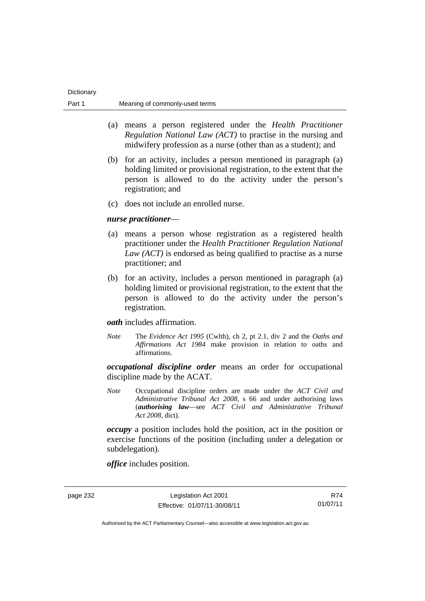| Dictionary |                                |
|------------|--------------------------------|
| Part 1     | Meaning of commonly-used terms |

- (a) means a person registered under the *Health Practitioner Regulation National Law (ACT)* to practise in the nursing and midwifery profession as a nurse (other than as a student); and
- (b) for an activity, includes a person mentioned in paragraph (a) holding limited or provisional registration, to the extent that the person is allowed to do the activity under the person's registration; and
- (c) does not include an enrolled nurse.

### *nurse practitioner*—

- (a) means a person whose registration as a registered health practitioner under the *Health Practitioner Regulation National Law (ACT)* is endorsed as being qualified to practise as a nurse practitioner; and
- (b) for an activity, includes a person mentioned in paragraph (a) holding limited or provisional registration, to the extent that the person is allowed to do the activity under the person's registration.

### *oath* includes affirmation.

*Note* The *Evidence Act 1995* (Cwlth), ch 2, pt 2.1, div 2 and the *Oaths and Affirmations Act 1984* make provision in relation to oaths and affirmations.

*occupational discipline order* means an order for occupational discipline made by the ACAT.

*Note* Occupational discipline orders are made under the *ACT Civil and Administrative Tribunal Act 2008*, s 66 and under authorising laws (*authorising law*—see *ACT Civil and Administrative Tribunal Act 2008*, dict).

*occupy* a position includes hold the position, act in the position or exercise functions of the position (including under a delegation or subdelegation).

*office* includes position.

page 232 Legislation Act 2001 Effective: 01/07/11-30/08/11

R74 01/07/11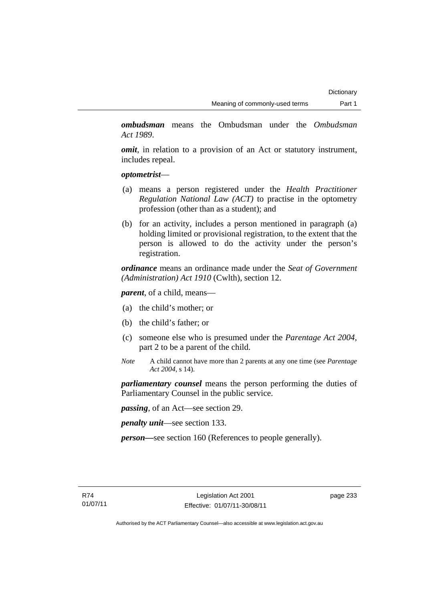*ombudsman* means the Ombudsman under the *Ombudsman Act 1989*.

*omit*, in relation to a provision of an Act or statutory instrument, includes repeal.

### *optometrist*—

- (a) means a person registered under the *Health Practitioner Regulation National Law (ACT)* to practise in the optometry profession (other than as a student); and
- (b) for an activity, includes a person mentioned in paragraph (a) holding limited or provisional registration, to the extent that the person is allowed to do the activity under the person's registration.

*ordinance* means an ordinance made under the *Seat of Government (Administration) Act 1910* (Cwlth), section 12.

*parent*, of a child, means—

- (a) the child's mother; or
- (b) the child's father; or
- (c) someone else who is presumed under the *Parentage Act 2004*, part 2 to be a parent of the child.
- *Note* A child cannot have more than 2 parents at any one time (see *Parentage Act 2004*, s 14).

*parliamentary counsel* means the person performing the duties of Parliamentary Counsel in the public service.

*passing*, of an Act—see section 29.

*penalty unit*—see section 133.

*person—*see section 160 (References to people generally).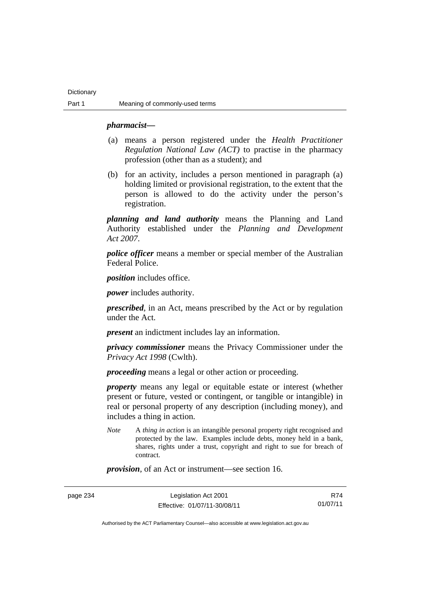### *pharmacist***—**

- (a) means a person registered under the *Health Practitioner Regulation National Law (ACT)* to practise in the pharmacy profession (other than as a student); and
- (b) for an activity, includes a person mentioned in paragraph (a) holding limited or provisional registration, to the extent that the person is allowed to do the activity under the person's registration.

*planning and land authority* means the Planning and Land Authority established under the *Planning and Development Act 2007*.

*police officer* means a member or special member of the Australian Federal Police.

*position* includes office.

*power* includes authority.

*prescribed*, in an Act, means prescribed by the Act or by regulation under the Act.

*present* an indictment includes lay an information.

*privacy commissioner* means the Privacy Commissioner under the *Privacy Act 1998* (Cwlth).

*proceeding* means a legal or other action or proceeding.

*property* means any legal or equitable estate or interest (whether present or future, vested or contingent, or tangible or intangible) in real or personal property of any description (including money), and includes a thing in action.

*Note* A *thing in action* is an intangible personal property right recognised and protected by the law. Examples include debts, money held in a bank, shares, rights under a trust, copyright and right to sue for breach of contract.

*provision*, of an Act or instrument—see section 16.

page 234 Legislation Act 2001 Effective: 01/07/11-30/08/11

R74 01/07/11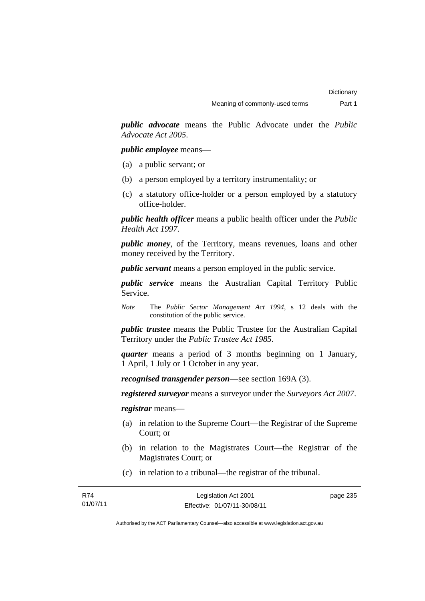*public advocate* means the Public Advocate under the *Public Advocate Act 2005*.

### *public employee* means—

- (a) a public servant; or
- (b) a person employed by a territory instrumentality; or
- (c) a statutory office-holder or a person employed by a statutory office-holder.

*public health officer* means a public health officer under the *Public Health Act 1997.*

*public money*, of the Territory, means revenues, loans and other money received by the Territory.

*public servant* means a person employed in the public service.

*public service* means the Australian Capital Territory Public Service.

*Note* The *Public Sector Management Act 1994*, s 12 deals with the constitution of the public service.

*public trustee* means the Public Trustee for the Australian Capital Territory under the *Public Trustee Act 1985*.

*quarter* means a period of 3 months beginning on 1 January, 1 April, 1 July or 1 October in any year.

*recognised transgender person*—see section 169A (3).

*registered surveyor* means a surveyor under the *Surveyors Act 2007*.

*registrar* means—

- (a) in relation to the Supreme Court—the Registrar of the Supreme Court; or
- (b) in relation to the Magistrates Court—the Registrar of the Magistrates Court; or
- (c) in relation to a tribunal—the registrar of the tribunal.

| R74      | Legislation Act 2001         | page 235 |
|----------|------------------------------|----------|
| 01/07/11 | Effective: 01/07/11-30/08/11 |          |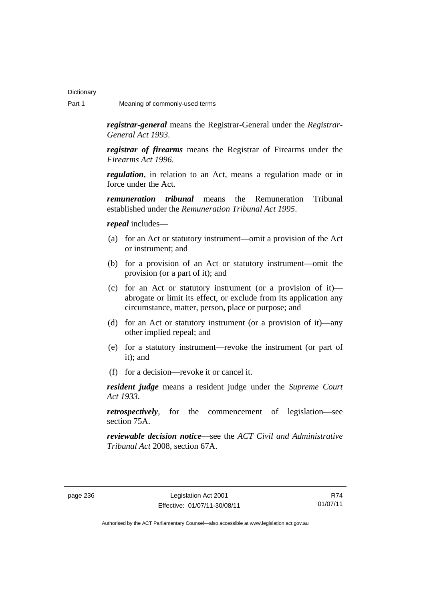*registrar-general* means the Registrar-General under the *Registrar-General Act 1993*.

*registrar of firearms* means the Registrar of Firearms under the *Firearms Act 1996*.

*regulation*, in relation to an Act, means a regulation made or in force under the Act.

*remuneration tribunal* means the Remuneration Tribunal established under the *Remuneration Tribunal Act 1995*.

### *repeal* includes—

- (a) for an Act or statutory instrument—omit a provision of the Act or instrument; and
- (b) for a provision of an Act or statutory instrument—omit the provision (or a part of it); and
- (c) for an Act or statutory instrument (or a provision of it) abrogate or limit its effect, or exclude from its application any circumstance, matter, person, place or purpose; and
- (d) for an Act or statutory instrument (or a provision of it)—any other implied repeal; and
- (e) for a statutory instrument—revoke the instrument (or part of it); and
- (f) for a decision—revoke it or cancel it.

*resident judge* means a resident judge under the *Supreme Court Act 1933*.

*retrospectively*, for the commencement of legislation—see section 75A.

*reviewable decision notice*—see the *ACT Civil and Administrative Tribunal Act* 2008, section 67A.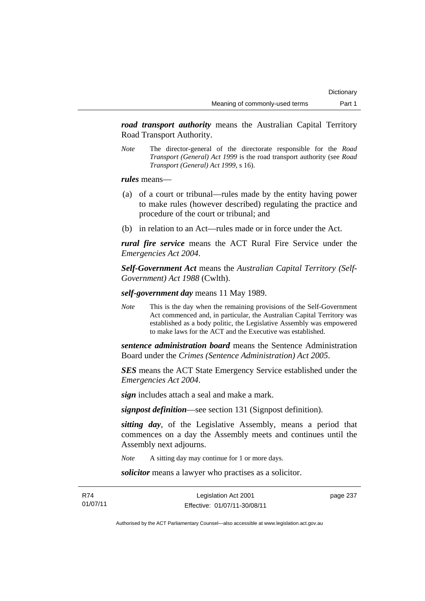*road transport authority* means the Australian Capital Territory Road Transport Authority.

*Note* The director-general of the directorate responsible for the *Road Transport (General) Act 1999* is the road transport authority (see *Road Transport (General) Act 1999*, s 16).

*rules* means—

- (a) of a court or tribunal—rules made by the entity having power to make rules (however described) regulating the practice and procedure of the court or tribunal; and
- (b) in relation to an Act—rules made or in force under the Act.

*rural fire service* means the ACT Rural Fire Service under the *Emergencies Act 2004*.

*Self-Government Act* means the *Australian Capital Territory (Self-Government) Act 1988* (Cwlth).

*self-government day* means 11 May 1989.

*Note* This is the day when the remaining provisions of the Self-Government Act commenced and, in particular, the Australian Capital Territory was established as a body politic, the Legislative Assembly was empowered to make laws for the ACT and the Executive was established.

*sentence administration board* means the Sentence Administration Board under the *Crimes (Sentence Administration) Act 2005*.

*SES* means the ACT State Emergency Service established under the *Emergencies Act 2004*.

*sign* includes attach a seal and make a mark.

*signpost definition*—see section 131 (Signpost definition).

*sitting day*, of the Legislative Assembly, means a period that commences on a day the Assembly meets and continues until the Assembly next adjourns.

*Note* A sitting day may continue for 1 or more days.

*solicitor* means a lawyer who practises as a solicitor.

R74 01/07/11 page 237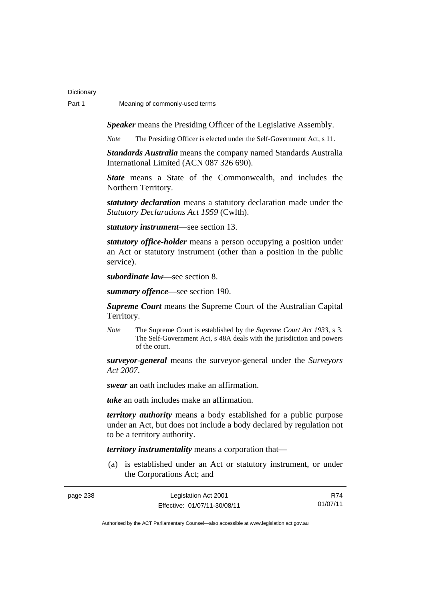*Speaker* means the Presiding Officer of the Legislative Assembly.

*Note* The Presiding Officer is elected under the Self-Government Act, s 11.

*Standards Australia* means the company named Standards Australia International Limited (ACN 087 326 690).

*State* means a State of the Commonwealth, and includes the Northern Territory.

*statutory declaration* means a statutory declaration made under the *Statutory Declarations Act 1959* (Cwlth).

*statutory instrument*—see section 13.

*statutory office-holder* means a person occupying a position under an Act or statutory instrument (other than a position in the public service).

*subordinate law*—see section 8.

*summary offence*—see section 190.

*Supreme Court* means the Supreme Court of the Australian Capital Territory.

*Note* The Supreme Court is established by the *Supreme Court Act 1933*, s 3. The Self-Government Act, s 48A deals with the jurisdiction and powers of the court.

*surveyor-general* means the surveyor-general under the *Surveyors Act 2007*.

*swear* an oath includes make an affirmation.

*take* an oath includes make an affirmation.

*territory authority* means a body established for a public purpose under an Act, but does not include a body declared by regulation not to be a territory authority.

*territory instrumentality* means a corporation that—

 (a) is established under an Act or statutory instrument, or under the Corporations Act; and

| page 238 | Legislation Act 2001         | R74      |
|----------|------------------------------|----------|
|          | Effective: 01/07/11-30/08/11 | 01/07/11 |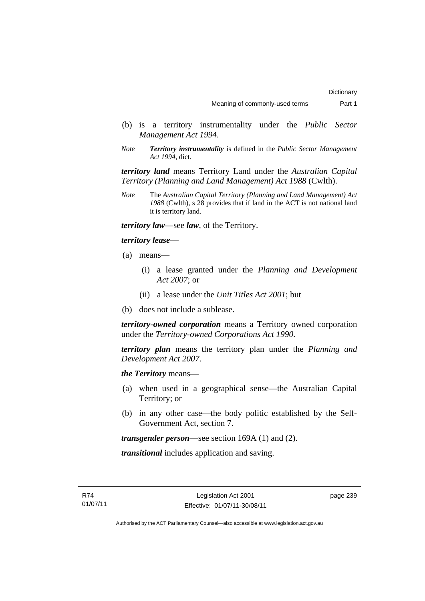- (b) is a territory instrumentality under the *Public Sector Management Act 1994*.
- *Note Territory instrumentality* is defined in the *Public Sector Management Act 1994*, dict.

*territory land* means Territory Land under the *Australian Capital Territory (Planning and Land Management) Act 1988* (Cwlth).

*Note* The *Australian Capital Territory (Planning and Land Management) Act 1988* (Cwlth), s 28 provides that if land in the ACT is not national land it is territory land.

*territory law*—see *law*, of the Territory.

*territory lease*—

- (a) means—
	- (i) a lease granted under the *Planning and Development Act 2007*; or
	- (ii) a lease under the *Unit Titles Act 2001*; but
- (b) does not include a sublease.

*territory-owned corporation* means a Territory owned corporation under the *Territory-owned Corporations Act 1990*.

*territory plan* means the territory plan under the *Planning and Development Act 2007*.

*the Territory* means—

- (a) when used in a geographical sense—the Australian Capital Territory; or
- (b) in any other case—the body politic established by the Self-Government Act, section 7.

*transgender person*—see section 169A (1) and (2).

*transitional* includes application and saving.

page 239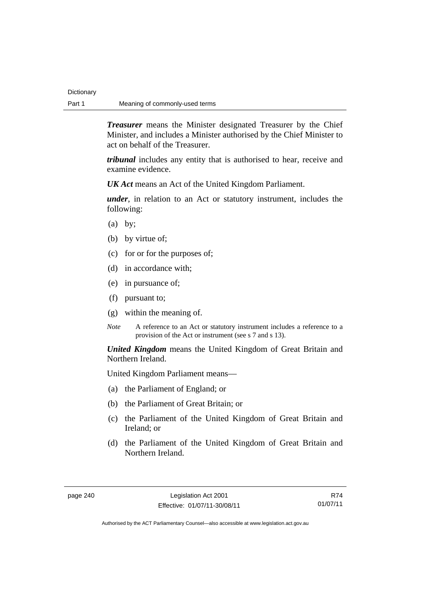*Treasurer* means the Minister designated Treasurer by the Chief Minister, and includes a Minister authorised by the Chief Minister to act on behalf of the Treasurer.

*tribunal* includes any entity that is authorised to hear, receive and examine evidence.

*UK Act* means an Act of the United Kingdom Parliament.

*under*, in relation to an Act or statutory instrument, includes the following:

- $(a)$  by;
- (b) by virtue of;
- (c) for or for the purposes of;
- (d) in accordance with;
- (e) in pursuance of;
- (f) pursuant to;
- (g) within the meaning of.
- *Note* A reference to an Act or statutory instrument includes a reference to a provision of the Act or instrument (see s 7 and s 13).

*United Kingdom* means the United Kingdom of Great Britain and Northern Ireland.

United Kingdom Parliament means—

- (a) the Parliament of England; or
- (b) the Parliament of Great Britain; or
- (c) the Parliament of the United Kingdom of Great Britain and Ireland; or
- (d) the Parliament of the United Kingdom of Great Britain and Northern Ireland.

R74 01/07/11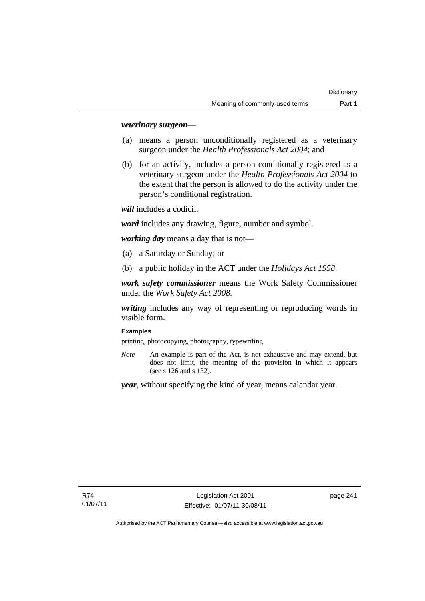## *veterinary surgeon*—

- (a) means a person unconditionally registered as a veterinary surgeon under the *Health Professionals Act 2004*; and
- (b) for an activity, includes a person conditionally registered as a veterinary surgeon under the *Health Professionals Act 2004* to the extent that the person is allowed to do the activity under the person's conditional registration.

*will* includes a codicil.

*word* includes any drawing, figure, number and symbol.

*working day* means a day that is not—

- (a) a Saturday or Sunday; or
- (b) a public holiday in the ACT under the *Holidays Act 1958*.

*work safety commissioner* means the Work Safety Commissioner under the *Work Safety Act 2008*.

*writing* includes any way of representing or reproducing words in visible form.

#### **Examples**

printing, photocopying, photography, typewriting

*Note* An example is part of the Act, is not exhaustive and may extend, but does not limit, the meaning of the provision in which it appears (see s 126 and s 132).

*year*, without specifying the kind of year, means calendar year.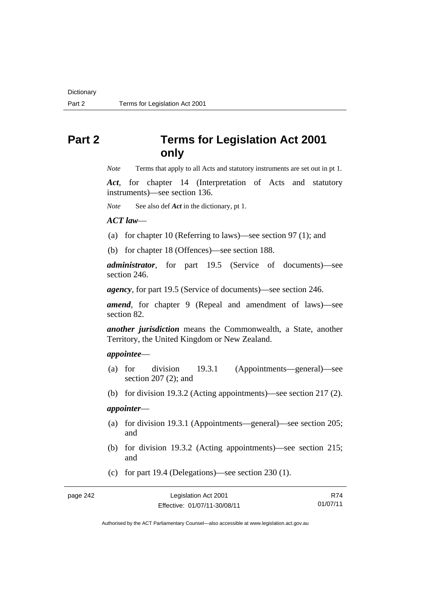# **Part 2 Terms for Legislation Act 2001 only**

*Note* Terms that apply to all Acts and statutory instruments are set out in pt 1.

*Act*, for chapter 14 (Interpretation of Acts and statutory instruments)—see section 136.

*Note* See also def *Act* in the dictionary, pt 1.

#### *ACT law*—

- (a) for chapter 10 (Referring to laws)—see section 97 (1); and
- (b) for chapter 18 (Offences)—see section 188.

*administrator*, for part 19.5 (Service of documents)—see section 246.

*agency*, for part 19.5 (Service of documents)—see section 246.

*amend*, for chapter 9 (Repeal and amendment of laws)—see section 82.

*another jurisdiction* means the Commonwealth, a State, another Territory, the United Kingdom or New Zealand.

## *appointee*—

- (a) for division 19.3.1 (Appointments—general)—see section 207 (2); and
- (b) for division 19.3.2 (Acting appointments)—see section 217 (2).

## *appointer*—

- (a) for division 19.3.1 (Appointments—general)—see section 205; and
- (b) for division 19.3.2 (Acting appointments)—see section 215; and
- (c) for part 19.4 (Delegations)—see section 230 (1).

| Legislation Act 2001         | R74      |
|------------------------------|----------|
| Effective: 01/07/11-30/08/11 | 01/07/11 |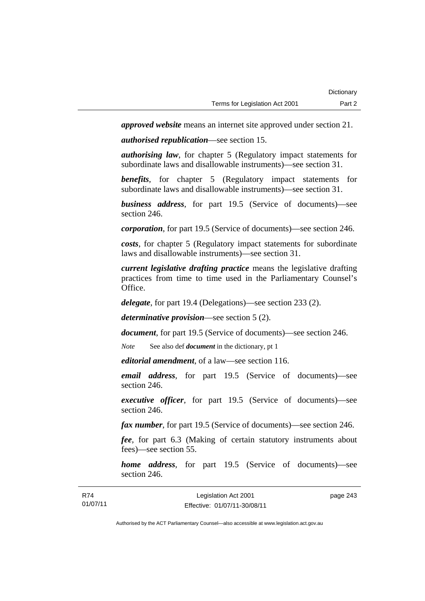*approved website* means an internet site approved under section 21.

*authorised republication*—see section 15.

*authorising law*, for chapter 5 (Regulatory impact statements for subordinate laws and disallowable instruments)—see section 31.

*benefits*, for chapter 5 (Regulatory impact statements for subordinate laws and disallowable instruments)—see section 31.

*business address*, for part 19.5 (Service of documents)—see section 246.

*corporation*, for part 19.5 (Service of documents)—see section 246.

*costs*, for chapter 5 (Regulatory impact statements for subordinate laws and disallowable instruments)—see section 31.

*current legislative drafting practice* means the legislative drafting practices from time to time used in the Parliamentary Counsel's Office.

*delegate*, for part 19.4 (Delegations)—see section 233 (2).

*determinative provision*—see section 5 (2).

*document*, for part 19.5 (Service of documents)—see section 246.

*Note* See also def *document* in the dictionary, pt 1

*editorial amendment*, of a law—see section 116.

*email address*, for part 19.5 (Service of documents)—see section 246.

*executive officer*, for part 19.5 (Service of documents)—see section 246.

*fax number*, for part 19.5 (Service of documents)—see section 246.

*fee*, for part 6.3 (Making of certain statutory instruments about fees)—see section 55.

*home address*, for part 19.5 (Service of documents)—see section 246.

| R74      | Legislation Act 2001         | page 243 |
|----------|------------------------------|----------|
| 01/07/11 | Effective: 01/07/11-30/08/11 |          |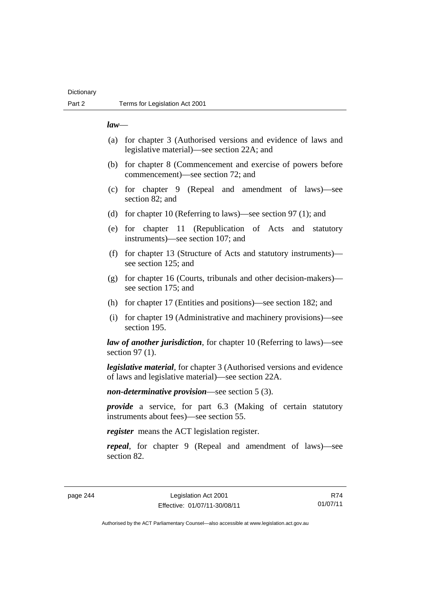## **Dictionary**

## *law*—

- (a) for chapter 3 (Authorised versions and evidence of laws and legislative material)—see section 22A; and
- (b) for chapter 8 (Commencement and exercise of powers before commencement)—see section 72; and
- (c) for chapter 9 (Repeal and amendment of laws)—see section 82; and
- (d) for chapter 10 (Referring to laws)—see section 97 (1); and
- (e) for chapter 11 (Republication of Acts and statutory instruments)—see section 107; and
- (f) for chapter 13 (Structure of Acts and statutory instruments) see section 125; and
- (g) for chapter 16 (Courts, tribunals and other decision-makers) see section 175; and
- (h) for chapter 17 (Entities and positions)—see section 182; and
- (i) for chapter 19 (Administrative and machinery provisions)—see section 195.

*law of another jurisdiction*, for chapter 10 (Referring to laws)—see section 97 (1).

*legislative material*, for chapter 3 (Authorised versions and evidence of laws and legislative material)—see section 22A.

*non-determinative provision*—see section 5 (3).

*provide* a service, for part 6.3 (Making of certain statutory instruments about fees)—see section 55.

*register* means the ACT legislation register.

*repeal*, for chapter 9 (Repeal and amendment of laws)—see section 82.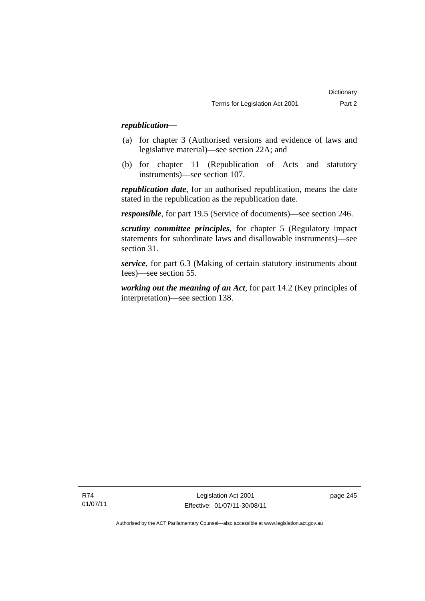## *republication—*

- (a) for chapter 3 (Authorised versions and evidence of laws and legislative material)—see section 22A; and
- (b) for chapter 11 (Republication of Acts and statutory instruments)—see section 107.

*republication date*, for an authorised republication, means the date stated in the republication as the republication date.

*responsible*, for part 19.5 (Service of documents)—see section 246.

*scrutiny committee principles*, for chapter 5 (Regulatory impact statements for subordinate laws and disallowable instruments)—see section 31.

*service*, for part 6.3 (Making of certain statutory instruments about fees)—see section 55.

*working out the meaning of an Act*, for part 14.2 (Key principles of interpretation)—see section 138.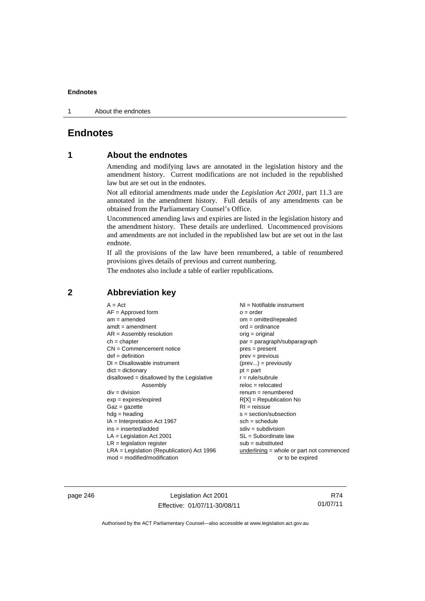1 About the endnotes

## **Endnotes**

## **1 About the endnotes**

Amending and modifying laws are annotated in the legislation history and the amendment history. Current modifications are not included in the republished law but are set out in the endnotes.

Not all editorial amendments made under the *Legislation Act 2001*, part 11.3 are annotated in the amendment history. Full details of any amendments can be obtained from the Parliamentary Counsel's Office.

Uncommenced amending laws and expiries are listed in the legislation history and the amendment history. These details are underlined. Uncommenced provisions and amendments are not included in the republished law but are set out in the last endnote.

If all the provisions of the law have been renumbered, a table of renumbered provisions gives details of previous and current numbering.

The endnotes also include a table of earlier republications.

| $A = Act$                                    | $NI = Notifiable$ instrument              |
|----------------------------------------------|-------------------------------------------|
| $AF =$ Approved form                         | $o = order$                               |
| $am = amended$                               | om = omitted/repealed                     |
| $amdt = amendment$                           | $ord = ordinance$                         |
| $AR = Assembly resolution$                   | $orig = original$                         |
| $ch = chapter$                               | par = paragraph/subparagraph              |
| $CN =$ Commencement notice                   | $pres = present$                          |
| $def = definition$                           | prev = previous                           |
| $DI = Disallowable instrument$               | $(\text{prev}) = \text{previously}$       |
| $dict = dictionary$                          | $pt = part$                               |
| $disallowed = disallowed by the Legislative$ | $r = rule/subrule$                        |
| Assembly                                     | $reloc = relocated$                       |
| $div = division$                             | $renum = renumbered$                      |
| $exp = expires/expired$                      | $R[X]$ = Republication No                 |
| $Gaz = gazette$                              | $RI = reissue$                            |
| $hdg =$ heading                              | $s = section/subsection$                  |
| $IA = Interpretation Act 1967$               | $sch = schedule$                          |
| $ins = inserted/added$                       | $sdiv = subdivision$                      |
| $LA =$ Legislation Act 2001                  | $SL = Subordinate$ law                    |
| $LR =$ legislation register                  | $sub =$ substituted                       |
| $LRA =$ Legislation (Republication) Act 1996 | underlining = whole or part not commenced |
| $mod = modified/modification$                | or to be expired                          |

## **2 Abbreviation key**

page 246 Legislation Act 2001 Effective: 01/07/11-30/08/11

R74 01/07/11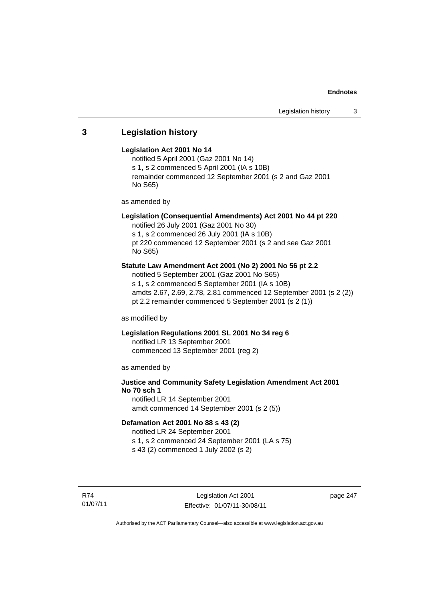## **3 Legislation history**

### **Legislation Act 2001 No 14**

notified 5 April 2001 (Gaz 2001 No 14) s 1, s 2 commenced 5 April 2001 (IA s 10B) remainder commenced 12 September 2001 (s 2 and Gaz 2001 No S65)

as amended by

## **Legislation (Consequential Amendments) Act 2001 No 44 pt 220**

notified 26 July 2001 (Gaz 2001 No 30) s 1, s 2 commenced 26 July 2001 (IA s 10B) pt 220 commenced 12 September 2001 (s 2 and see Gaz 2001

No S65)

## **Statute Law Amendment Act 2001 (No 2) 2001 No 56 pt 2.2**

notified 5 September 2001 (Gaz 2001 No S65) s 1, s 2 commenced 5 September 2001 (IA s 10B) amdts 2.67, 2.69, 2.78, 2.81 commenced 12 September 2001 (s 2 (2)) pt 2.2 remainder commenced 5 September 2001 (s 2 (1))

as modified by

## **Legislation Regulations 2001 SL 2001 No 34 reg 6**

notified LR 13 September 2001 commenced 13 September 2001 (reg 2)

as amended by

## **Justice and Community Safety Legislation Amendment Act 2001 No 70 sch 1**

notified LR 14 September 2001 amdt commenced 14 September 2001 (s 2 (5))

## **Defamation Act 2001 No 88 s 43 (2)**

notified LR 24 September 2001 s 1, s 2 commenced 24 September 2001 (LA s 75) s 43 (2) commenced 1 July 2002 (s 2)

R74 01/07/11

Legislation Act 2001 Effective: 01/07/11-30/08/11 page 247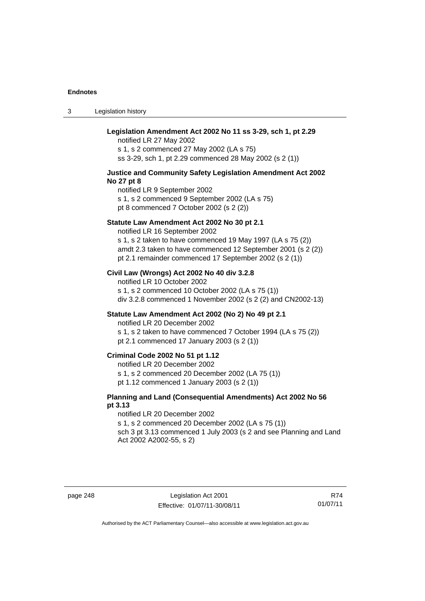3 Legislation history

| Legislation Amendment Act 2002 No 11 ss 3-29, sch 1, pt 2.29<br>notified LR 27 May 2002<br>s 1, s 2 commenced 27 May 2002 (LA s 75)<br>ss 3-29, sch 1, pt 2.29 commenced 28 May 2002 (s 2 (1))                                                                       |
|----------------------------------------------------------------------------------------------------------------------------------------------------------------------------------------------------------------------------------------------------------------------|
| Justice and Community Safety Legislation Amendment Act 2002<br>No 27 pt 8<br>notified LR 9 September 2002<br>s 1, s 2 commenced 9 September 2002 (LA s 75)<br>pt 8 commenced 7 October 2002 (s 2 (2))                                                                |
| Statute Law Amendment Act 2002 No 30 pt 2.1<br>notified LR 16 September 2002<br>s 1, s 2 taken to have commenced 19 May 1997 (LA s 75 (2))<br>amdt 2.3 taken to have commenced 12 September 2001 (s 2 (2))<br>pt 2.1 remainder commenced 17 September 2002 (s 2 (1)) |
| Civil Law (Wrongs) Act 2002 No 40 div 3.2.8<br>notified LR 10 October 2002<br>s 1, s 2 commenced 10 October 2002 (LA s 75 (1))<br>div 3.2.8 commenced 1 November 2002 (s 2 (2) and CN2002-13)                                                                        |
| Statute Law Amendment Act 2002 (No 2) No 49 pt 2.1<br>notified LR 20 December 2002<br>s 1, s 2 taken to have commenced 7 October 1994 (LA s 75 (2))<br>pt 2.1 commenced 17 January 2003 (s 2 (1))                                                                    |
| Criminal Code 2002 No 51 pt 1.12<br>notified LR 20 December 2002<br>s 1, s 2 commenced 20 December 2002 (LA 75 (1))<br>pt 1.12 commenced 1 January 2003 (s 2 (1))                                                                                                    |
| Planning and Land (Consequential Amendments) Act 2002 No 56<br>pt 3.13<br>notified LR 20 December 2002<br>s 1, s 2 commenced 20 December 2002 (LA s 75 (1))<br>sch 3 pt 3.13 commenced 1 July 2003 (s 2 and see Planning and Land<br>Act 2002 A2002-55, s 2)         |

page 248 Legislation Act 2001 Effective: 01/07/11-30/08/11

R74 01/07/11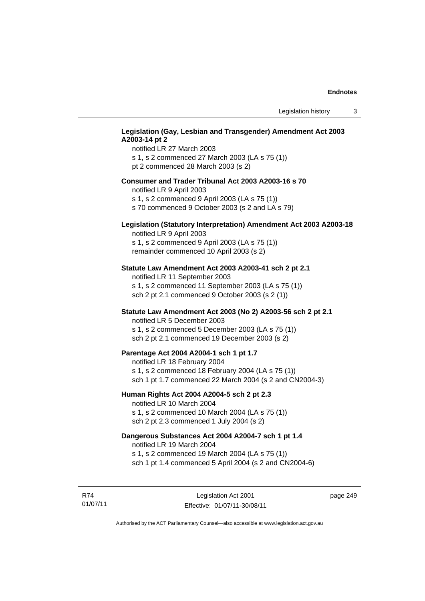## **Legislation (Gay, Lesbian and Transgender) Amendment Act 2003 A2003-14 pt 2**

notified LR 27 March 2003 s 1, s 2 commenced 27 March 2003 (LA s 75 (1)) pt 2 commenced 28 March 2003 (s 2)

#### **Consumer and Trader Tribunal Act 2003 A2003-16 s 70**

notified LR 9 April 2003

s 1, s 2 commenced 9 April 2003 (LA s 75 (1))

s 70 commenced 9 October 2003 (s 2 and LA s 79)

## **Legislation (Statutory Interpretation) Amendment Act 2003 A2003-18**

notified LR 9 April 2003 s 1, s 2 commenced 9 April 2003 (LA s 75 (1)) remainder commenced 10 April 2003 (s 2)

#### **Statute Law Amendment Act 2003 A2003-41 sch 2 pt 2.1**

notified LR 11 September 2003 s 1, s 2 commenced 11 September 2003 (LA s 75 (1)) sch 2 pt 2.1 commenced 9 October 2003 (s 2 (1))

## **Statute Law Amendment Act 2003 (No 2) A2003-56 sch 2 pt 2.1**

notified LR 5 December 2003 s 1, s 2 commenced 5 December 2003 (LA s 75 (1)) sch 2 pt 2.1 commenced 19 December 2003 (s 2)

#### **Parentage Act 2004 A2004-1 sch 1 pt 1.7**

notified LR 18 February 2004 s 1, s 2 commenced 18 February 2004 (LA s 75 (1)) sch 1 pt 1.7 commenced 22 March 2004 (s 2 and CN2004-3)

#### **Human Rights Act 2004 A2004-5 sch 2 pt 2.3**

notified LR 10 March 2004 s 1, s 2 commenced 10 March 2004 (LA s 75 (1)) sch 2 pt 2.3 commenced 1 July 2004 (s 2)

## **Dangerous Substances Act 2004 A2004-7 sch 1 pt 1.4**

notified LR 19 March 2004 s 1, s 2 commenced 19 March 2004 (LA s 75 (1)) sch 1 pt 1.4 commenced 5 April 2004 (s 2 and CN2004-6)

R74 01/07/11

Legislation Act 2001 Effective: 01/07/11-30/08/11 page 249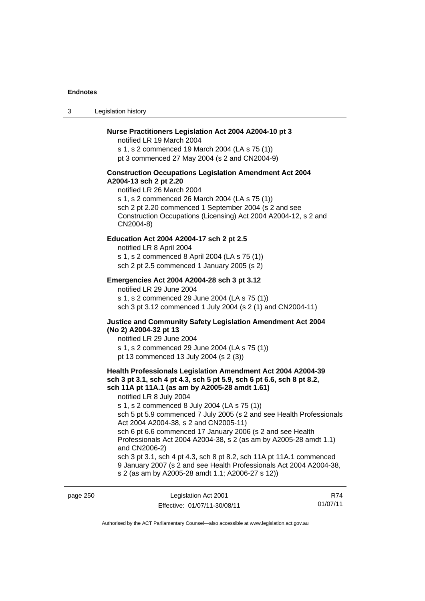3 Legislation history

#### **Nurse Practitioners Legislation Act 2004 A2004-10 pt 3**

notified LR 19 March 2004 s 1, s 2 commenced 19 March 2004 (LA s 75 (1)) pt 3 commenced 27 May 2004 (s 2 and CN2004-9)

#### **Construction Occupations Legislation Amendment Act 2004 A2004-13 sch 2 pt 2.20**

notified LR 26 March 2004 s 1, s 2 commenced 26 March 2004 (LA s 75 (1)) sch 2 pt 2.20 commenced 1 September 2004 (s 2 and see Construction Occupations (Licensing) Act 2004 A2004-12, s 2 and CN2004-8)

## **Education Act 2004 A2004-17 sch 2 pt 2.5**

notified LR 8 April 2004 s 1, s 2 commenced 8 April 2004 (LA s 75 (1)) sch 2 pt 2.5 commenced 1 January 2005 (s 2)

### **Emergencies Act 2004 A2004-28 sch 3 pt 3.12**

notified LR 29 June 2004 s 1, s 2 commenced 29 June 2004 (LA s 75 (1)) sch 3 pt 3.12 commenced 1 July 2004 (s 2 (1) and CN2004-11)

#### **Justice and Community Safety Legislation Amendment Act 2004 (No 2) A2004-32 pt 13**

notified LR 29 June 2004 s 1, s 2 commenced 29 June 2004 (LA s 75 (1)) pt 13 commenced 13 July 2004 (s 2 (3))

## **Health Professionals Legislation Amendment Act 2004 A2004-39 sch 3 pt 3.1, sch 4 pt 4.3, sch 5 pt 5.9, sch 6 pt 6.6, sch 8 pt 8.2, sch 11A pt 11A.1 (as am by A2005-28 amdt 1.61)**

notified LR 8 July 2004

s 1, s 2 commenced 8 July 2004 (LA s 75 (1))

sch 5 pt 5.9 commenced 7 July 2005 (s 2 and see Health Professionals Act 2004 A2004-38, s 2 and CN2005-11)

sch 6 pt 6.6 commenced 17 January 2006 (s 2 and see Health Professionals Act 2004 A2004-38, s 2 (as am by A2005-28 amdt 1.1) and CN2006-2)

sch 3 pt 3.1, sch 4 pt 4.3, sch 8 pt 8.2, sch 11A pt 11A.1 commenced 9 January 2007 (s 2 and see Health Professionals Act 2004 A2004-38, s 2 (as am by A2005-28 amdt 1.1; A2006-27 s 12))

| page 250 | Legislation Act 2001         | R74      |
|----------|------------------------------|----------|
|          | Effective: 01/07/11-30/08/11 | 01/07/11 |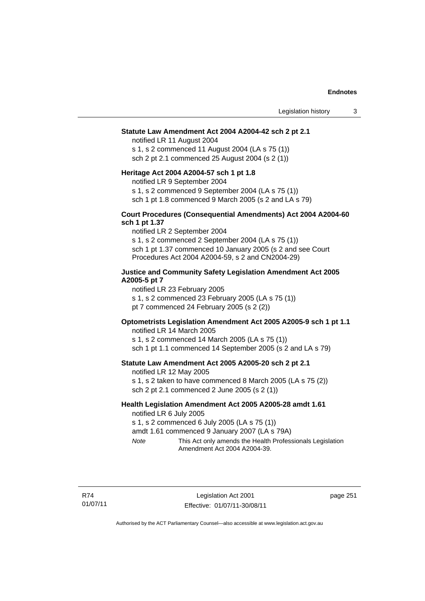#### **Statute Law Amendment Act 2004 A2004-42 sch 2 pt 2.1**

notified LR 11 August 2004 s 1, s 2 commenced 11 August 2004 (LA s 75 (1)) sch 2 pt 2.1 commenced 25 August 2004 (s 2 (1))

#### **Heritage Act 2004 A2004-57 sch 1 pt 1.8**

notified LR 9 September 2004

s 1, s 2 commenced 9 September 2004 (LA s 75 (1))

sch 1 pt 1.8 commenced 9 March 2005 (s 2 and LA s 79)

#### **Court Procedures (Consequential Amendments) Act 2004 A2004-60 sch 1 pt 1.37**

notified LR 2 September 2004 s 1, s 2 commenced 2 September 2004 (LA s 75 (1)) sch 1 pt 1.37 commenced 10 January 2005 (s 2 and see Court Procedures Act 2004 A2004-59, s 2 and CN2004-29)

#### **Justice and Community Safety Legislation Amendment Act 2005 A2005-5 pt 7**

notified LR 23 February 2005 s 1, s 2 commenced 23 February 2005 (LA s 75 (1)) pt 7 commenced 24 February 2005 (s 2 (2))

#### **Optometrists Legislation Amendment Act 2005 A2005-9 sch 1 pt 1.1**

notified LR 14 March 2005 s 1, s 2 commenced 14 March 2005 (LA s 75 (1)) sch 1 pt 1.1 commenced 14 September 2005 (s 2 and LA s 79)

## **Statute Law Amendment Act 2005 A2005-20 sch 2 pt 2.1**

notified LR 12 May 2005

s 1, s 2 taken to have commenced 8 March 2005 (LA s 75 (2)) sch 2 pt 2.1 commenced 2 June 2005 (s 2 (1))

## **Health Legislation Amendment Act 2005 A2005-28 amdt 1.61**

notified LR 6 July 2005

s 1, s 2 commenced 6 July 2005 (LA s 75 (1))

amdt 1.61 commenced 9 January 2007 (LA s 79A)

*Note* This Act only amends the Health Professionals Legislation Amendment Act 2004 A2004-39.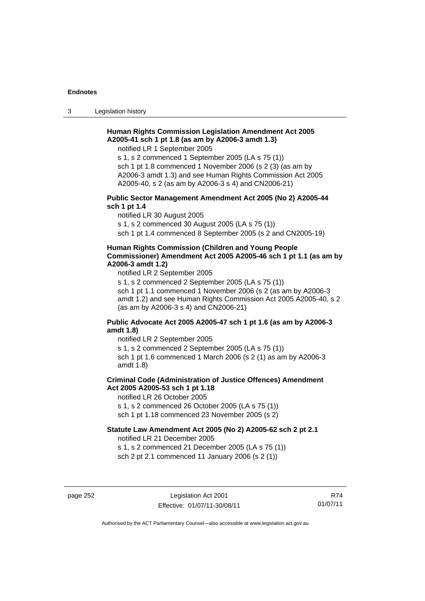3 Legislation history

## **Human Rights Commission Legislation Amendment Act 2005 A2005-41 sch 1 pt 1.8 (as am by A2006-3 amdt 1.3)**

notified LR 1 September 2005

s 1, s 2 commenced 1 September 2005 (LA s 75 (1)) sch 1 pt 1.8 commenced 1 November 2006 (s 2 (3) (as am by A2006-3 amdt 1.3) and see Human Rights Commission Act 2005 A2005-40, s 2 (as am by A2006-3 s 4) and CN2006-21)

## **Public Sector Management Amendment Act 2005 (No 2) A2005-44 sch 1 pt 1.4**

notified LR 30 August 2005

s 1, s 2 commenced 30 August 2005 (LA s 75 (1))

sch 1 pt 1.4 commenced 8 September 2005 (s 2 and CN2005-19)

#### **Human Rights Commission (Children and Young People Commissioner) Amendment Act 2005 A2005-46 sch 1 pt 1.1 (as am by A2006-3 amdt 1.2)**

notified LR 2 September 2005

s 1, s 2 commenced 2 September 2005 (LA s 75 (1)) sch 1 pt 1.1 commenced 1 November 2006 (s 2 (as am by A2006-3 amdt 1.2) and see Human Rights Commission Act 2005 A2005-40, s 2 (as am by A2006-3 s 4) and CN2006-21)

### **Public Advocate Act 2005 A2005-47 sch 1 pt 1.6 (as am by A2006-3 amdt 1.8)**

notified LR 2 September 2005

s 1, s 2 commenced 2 September 2005 (LA s 75 (1))

sch 1 pt 1.6 commenced 1 March 2006 (s 2 (1) as am by A2006-3 amdt 1.8)

## **Criminal Code (Administration of Justice Offences) Amendment Act 2005 A2005-53 sch 1 pt 1.18**

notified LR 26 October 2005

s 1, s 2 commenced 26 October 2005 (LA s 75 (1))

sch 1 pt 1.18 commenced 23 November 2005 (s 2)

## **Statute Law Amendment Act 2005 (No 2) A2005-62 sch 2 pt 2.1**

notified LR 21 December 2005

s 1, s 2 commenced 21 December 2005 (LA s 75 (1)) sch 2 pt 2.1 commenced 11 January 2006 (s 2 (1))

page 252 Legislation Act 2001 Effective: 01/07/11-30/08/11

R74 01/07/11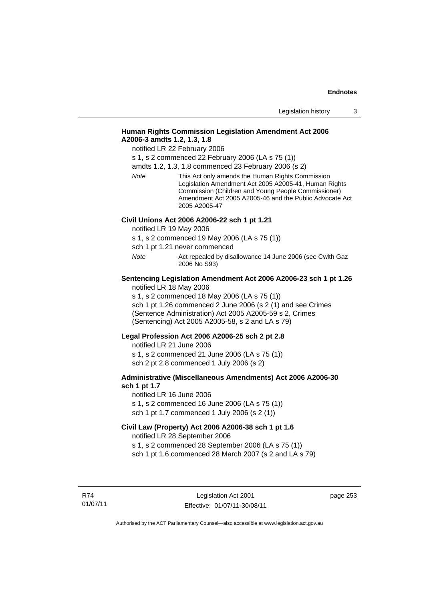## **Human Rights Commission Legislation Amendment Act 2006 A2006-3 amdts 1.2, 1.3, 1.8**

notified LR 22 February 2006

s 1, s 2 commenced 22 February 2006 (LA s 75 (1))

amdts 1.2, 1.3, 1.8 commenced 23 February 2006 (s 2)

*Note* This Act only amends the Human Rights Commission Legislation Amendment Act 2005 A2005-41, Human Rights Commission (Children and Young People Commissioner) Amendment Act 2005 A2005-46 and the Public Advocate Act 2005 A2005-47

#### **Civil Unions Act 2006 A2006-22 sch 1 pt 1.21**

notified LR 19 May 2006

s 1, s 2 commenced 19 May 2006 (LA s 75 (1))

sch 1 pt 1.21 never commenced

*Note* **Act repealed by disallowance 14 June 2006 (see Cwlth Gaz** 2006 No S93)

## **Sentencing Legislation Amendment Act 2006 A2006-23 sch 1 pt 1.26**

notified LR 18 May 2006

s 1, s 2 commenced 18 May 2006 (LA s 75 (1)) sch 1 pt 1.26 commenced 2 June 2006 (s 2 (1) and see Crimes (Sentence Administration) Act 2005 A2005-59 s 2, Crimes (Sentencing) Act 2005 A2005-58, s 2 and LA s 79)

#### **Legal Profession Act 2006 A2006-25 sch 2 pt 2.8**

notified LR 21 June 2006 s 1, s 2 commenced 21 June 2006 (LA s 75 (1)) sch 2 pt 2.8 commenced 1 July 2006 (s 2)

#### **Administrative (Miscellaneous Amendments) Act 2006 A2006-30 sch 1 pt 1.7**

notified LR 16 June 2006 s 1, s 2 commenced 16 June 2006 (LA s 75 (1)) sch 1 pt 1.7 commenced 1 July 2006 (s 2 (1))

## **Civil Law (Property) Act 2006 A2006-38 sch 1 pt 1.6**

notified LR 28 September 2006

s 1, s 2 commenced 28 September 2006 (LA s 75 (1))

sch 1 pt 1.6 commenced 28 March 2007 (s 2 and LA s 79)

R74 01/07/11 page 253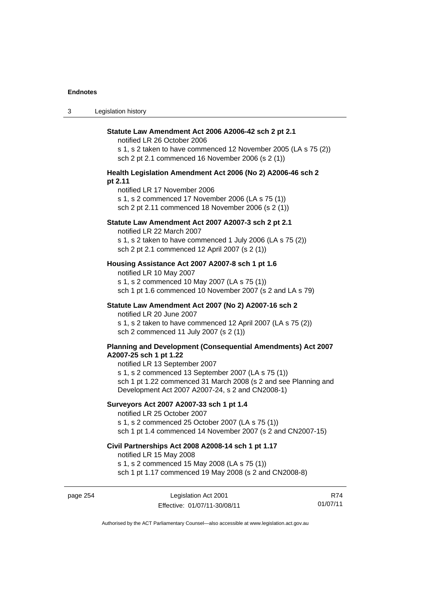| $\sim$<br>- 3 | Legislation history |
|---------------|---------------------|
|---------------|---------------------|

| Statute Law Amendment Act 2006 A2006-42 sch 2 pt 2.1<br>notified LR 26 October 2006<br>s 1, s 2 taken to have commenced 12 November 2005 (LA s 75 (2))<br>sch 2 pt 2.1 commenced 16 November 2006 (s 2 (1)) |
|-------------------------------------------------------------------------------------------------------------------------------------------------------------------------------------------------------------|
| Health Legislation Amendment Act 2006 (No 2) A2006-46 sch 2                                                                                                                                                 |
| pt 2.11<br>notified LR 17 November 2006<br>s 1, s 2 commenced 17 November 2006 (LA s 75 (1))<br>sch 2 pt 2.11 commenced 18 November 2006 (s 2 (1))                                                          |
| Statute Law Amendment Act 2007 A2007-3 sch 2 pt 2.1<br>notified LR 22 March 2007                                                                                                                            |
| s 1, s 2 taken to have commenced 1 July 2006 (LA s 75 (2))<br>sch 2 pt 2.1 commenced 12 April 2007 (s 2 (1))                                                                                                |
| Housing Assistance Act 2007 A2007-8 sch 1 pt 1.6<br>notified LR 10 May 2007                                                                                                                                 |
| s 1, s 2 commenced 10 May 2007 (LA s 75 (1))<br>sch 1 pt 1.6 commenced 10 November 2007 (s 2 and LA s 79)                                                                                                   |
| Statute Law Amendment Act 2007 (No 2) A2007-16 sch 2<br>notified LR 20 June 2007                                                                                                                            |
| s 1, s 2 taken to have commenced 12 April 2007 (LA s 75 (2))<br>sch 2 commenced 11 July 2007 (s 2 (1))                                                                                                      |
| Planning and Development (Consequential Amendments) Act 2007<br>A2007-25 sch 1 pt 1.22<br>notified LR 13 September 2007<br>s 1, s 2 commenced 13 September 2007 (LA s 75 (1))                               |
| sch 1 pt 1.22 commenced 31 March 2008 (s 2 and see Planning and<br>Development Act 2007 A2007-24, s 2 and CN2008-1)                                                                                         |
| Surveyors Act 2007 A2007-33 sch 1 pt 1.4<br>notified LR 25 October 2007                                                                                                                                     |
| s 1, s 2 commenced 25 October 2007 (LA s 75 (1))<br>sch 1 pt 1.4 commenced 14 November 2007 (s 2 and CN2007-15)                                                                                             |
| Civil Partnerships Act 2008 A2008-14 sch 1 pt 1.17<br>notified LR 15 May 2008                                                                                                                               |
| s 1, s 2 commenced 15 May 2008 (LA s 75 (1))<br>sch 1 pt 1.17 commenced 19 May 2008 (s 2 and CN2008-8)                                                                                                      |

page 254 Legislation Act 2001 Effective: 01/07/11-30/08/11

R74 01/07/11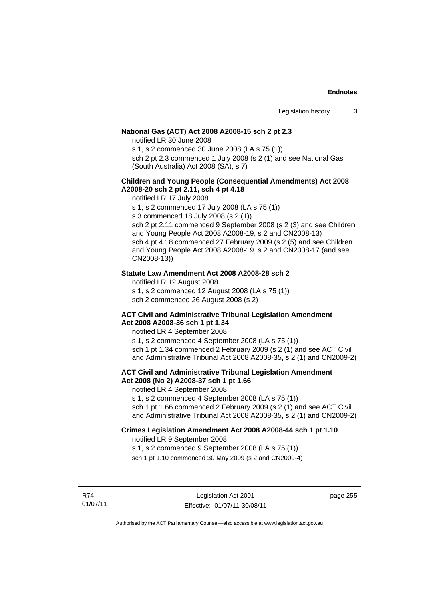## **National Gas (ACT) Act 2008 A2008-15 sch 2 pt 2.3**

notified LR 30 June 2008

s 1, s 2 commenced 30 June 2008 (LA s 75 (1))

sch 2 pt 2.3 commenced 1 July 2008 (s 2 (1) and see National Gas (South Australia) Act 2008 (SA), s 7)

## **Children and Young People (Consequential Amendments) Act 2008 A2008-20 sch 2 pt 2.11, sch 4 pt 4.18**

notified LR 17 July 2008

s 1, s 2 commenced 17 July 2008 (LA s 75 (1))

s 3 commenced 18 July 2008 (s 2 (1))

sch 2 pt 2.11 commenced 9 September 2008 (s 2 (3) and see Children and Young People Act 2008 A2008-19, s 2 and CN2008-13) sch 4 pt 4.18 commenced 27 February 2009 (s 2 (5) and see Children and Young People Act 2008 A2008-19, s 2 and CN2008-17 (and see CN2008-13))

#### **Statute Law Amendment Act 2008 A2008-28 sch 2**

notified LR 12 August 2008

s 1, s 2 commenced 12 August 2008 (LA s 75 (1))

sch 2 commenced 26 August 2008 (s 2)

#### **ACT Civil and Administrative Tribunal Legislation Amendment Act 2008 A2008-36 sch 1 pt 1.34**

notified LR 4 September 2008

s 1, s 2 commenced 4 September 2008 (LA s 75 (1)) sch 1 pt 1.34 commenced 2 February 2009 (s 2 (1) and see ACT Civil and Administrative Tribunal Act 2008 A2008-35, s 2 (1) and CN2009-2)

## **ACT Civil and Administrative Tribunal Legislation Amendment Act 2008 (No 2) A2008-37 sch 1 pt 1.66**

notified LR 4 September 2008

s 1, s 2 commenced 4 September 2008 (LA s 75 (1))

sch 1 pt 1.66 commenced 2 February 2009 (s 2 (1) and see ACT Civil and Administrative Tribunal Act 2008 A2008-35, s 2 (1) and CN2009-2)

#### **Crimes Legislation Amendment Act 2008 A2008-44 sch 1 pt 1.10**  notified LR 9 September 2008

s 1, s 2 commenced 9 September 2008 (LA s 75 (1))

sch 1 pt 1.10 commenced 30 May 2009 (s 2 and CN2009-4)

R74 01/07/11

Legislation Act 2001 Effective: 01/07/11-30/08/11 page 255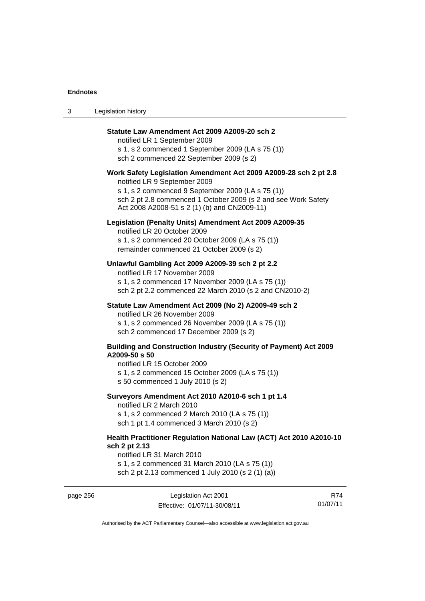3 Legislation history

| Statute Law Amendment Act 2009 A2009-20 sch 2<br>notified LR 1 September 2009<br>s 1, s 2 commenced 1 September 2009 (LA s 75 (1))<br>sch 2 commenced 22 September 2009 (s 2)                                                                                           |
|-------------------------------------------------------------------------------------------------------------------------------------------------------------------------------------------------------------------------------------------------------------------------|
| Work Safety Legislation Amendment Act 2009 A2009-28 sch 2 pt 2.8<br>notified LR 9 September 2009<br>s 1, s 2 commenced 9 September 2009 (LA s 75 (1))<br>sch 2 pt 2.8 commenced 1 October 2009 (s 2 and see Work Safety<br>Act 2008 A2008-51 s 2 (1) (b) and CN2009-11) |
| Legislation (Penalty Units) Amendment Act 2009 A2009-35<br>notified LR 20 October 2009<br>s 1, s 2 commenced 20 October 2009 (LA s 75 (1))<br>remainder commenced 21 October 2009 (s 2)                                                                                 |
| Unlawful Gambling Act 2009 A2009-39 sch 2 pt 2.2<br>notified LR 17 November 2009<br>s 1, s 2 commenced 17 November 2009 (LA s 75 (1))<br>sch 2 pt 2.2 commenced 22 March 2010 (s 2 and CN2010-2)                                                                        |
| Statute Law Amendment Act 2009 (No 2) A2009-49 sch 2<br>notified LR 26 November 2009<br>s 1, s 2 commenced 26 November 2009 (LA s 75 (1))<br>sch 2 commenced 17 December 2009 (s 2)                                                                                     |
| <b>Building and Construction Industry (Security of Payment) Act 2009</b><br>A2009-50 s 50<br>notified LR 15 October 2009<br>s 1, s 2 commenced 15 October 2009 (LA s 75 (1))<br>s 50 commenced 1 July 2010 (s 2)                                                        |
| Surveyors Amendment Act 2010 A2010-6 sch 1 pt 1.4<br>notified LR 2 March 2010<br>s 1, s 2 commenced 2 March 2010 (LA s 75 (1))<br>sch 1 pt 1.4 commenced 3 March 2010 (s 2)                                                                                             |
| Health Practitioner Regulation National Law (ACT) Act 2010 A2010-10<br>sch 2 pt 2.13<br>notified LR 31 March 2010                                                                                                                                                       |

s 1, s 2 commenced 31 March 2010 (LA s 75 (1)) sch 2 pt 2.13 commenced 1 July 2010 (s 2 (1) (a))

page 256 Legislation Act 2001 Effective: 01/07/11-30/08/11

R74 01/07/11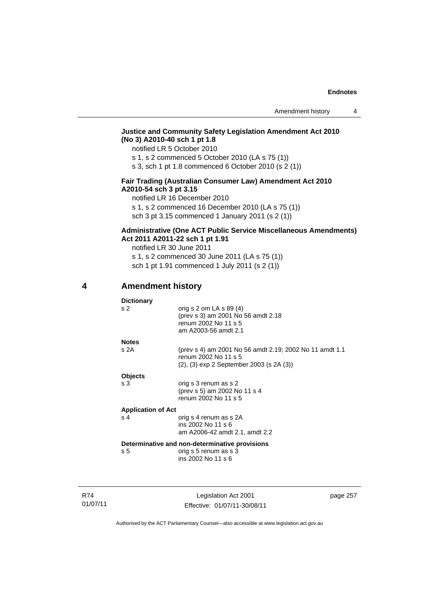## **Justice and Community Safety Legislation Amendment Act 2010 (No 3) A2010-40 sch 1 pt 1.8**

notified LR 5 October 2010

s 1, s 2 commenced 5 October 2010 (LA s 75 (1))

s 3, sch 1 pt 1.8 commenced 6 October 2010 (s 2 (1))

## **Fair Trading (Australian Consumer Law) Amendment Act 2010 A2010-54 sch 3 pt 3.15**

notified LR 16 December 2010

s 1, s 2 commenced 16 December 2010 (LA s 75 (1))

sch 3 pt 3.15 commenced 1 January 2011 (s 2 (1))

## **Administrative (One ACT Public Service Miscellaneous Amendments) Act 2011 A2011-22 sch 1 pt 1.91**

notified LR 30 June 2011 s 1, s 2 commenced 30 June 2011 (LA s 75 (1)) sch 1 pt 1.91 commenced 1 July 2011 (s 2 (1))

## **4 Amendment history**

| <b>Dictionary</b>         |                                                                                                                  |
|---------------------------|------------------------------------------------------------------------------------------------------------------|
| s <sub>2</sub>            | orig s $2$ om LA s $89(4)$<br>(prev s 3) am 2001 No 56 amdt 2.18<br>renum 2002 No 11 s 5<br>am A2003-56 amdt 2.1 |
| <b>Notes</b>              |                                                                                                                  |
| s 2A                      | (prev s 4) am 2001 No 56 amdt 2.19; 2002 No 11 amdt 1.1<br>renum 2002 No 11 s 5                                  |
|                           | (2), (3) exp 2 September 2003 (s 2A (3))                                                                         |
| <b>Objects</b>            |                                                                                                                  |
| s <sub>3</sub>            | orig s 3 renum as s 2<br>(prev s 5) am 2002 No 11 s 4<br>renum 2002 No 11 s 5                                    |
|                           |                                                                                                                  |
| <b>Application of Act</b> |                                                                                                                  |
| s <sub>4</sub>            | orig s 4 renum as s 2A<br>ins 2002 No 11 s 6<br>am A2006-42 amdt 2.1, amdt 2.2                                   |
|                           | Determinative and non-determinative provisions                                                                   |
| s <sub>5</sub>            | orig s 5 renum as s 3<br>ins 2002 No 11 s 6                                                                      |
|                           |                                                                                                                  |

R74 01/07/11

Legislation Act 2001 Effective: 01/07/11-30/08/11 page 257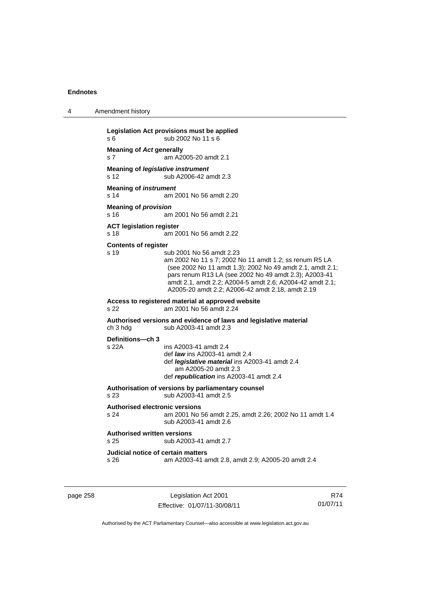4 Amendment history

**Legislation Act provisions must be applied**  s 6 sub 2002 No 11 s 6 **Meaning of** *Act* **generally**  s 7 am A2005-20 amdt 2.1 **Meaning of** *legislative instrument* s 12 sub A2006-42 amdt 2.3 **Meaning of** *instrument*  s 14 am 2001 No 56 amdt 2.20 **Meaning of** *provision*  s 16 am 2001 No 56 amdt 2.21 **ACT legislation register**  s 18 am 2001 No 56 amdt 2.22 **Contents of register**  s 19 sub 2001 No 56 amdt 2.23 am 2002 No 11 s 7; 2002 No 11 amdt 1.2; ss renum R5 LA (see 2002 No 11 amdt 1.3); 2002 No 49 amdt 2.1, amdt 2.1; pars renum R13 LA (see 2002 No 49 amdt 2.3); A2003-41 amdt 2.1, amdt 2.2; A2004-5 amdt 2.6; A2004-42 amdt 2.1; A2005-20 amdt 2.2; A2006-42 amdt 2.18, amdt 2.19 **Access to registered material at approved website**  s 22 am 2001 No 56 amdt 2.24 **Authorised versions and evidence of laws and legislative material**  ch 3 hdg sub A2003-41 amdt 2.3 **Definitions—ch 3**  ins A2003-41 amdt 2.4 def *law* ins A2003-41 amdt 2.4 def *legislative material* ins A2003-41 amdt 2.4 am A2005-20 amdt 2.3 def *republication* ins A2003-41 amdt 2.4 **Authorisation of versions by parliamentary counsel**  s 23 sub A2003-41 amdt 2.5 **Authorised electronic versions**  am 2001 No 56 amdt 2.25, amdt 2.26; 2002 No 11 amdt 1.4 sub A2003-41 amdt 2.6 **Authorised written versions**  s 25 sub A2003-41 amdt 2.7 **Judicial notice of certain matters**  s 26 am A2003-41 amdt 2.8, amdt 2.9; A2005-20 amdt 2.4

page 258 Legislation Act 2001 Effective: 01/07/11-30/08/11

R74 01/07/11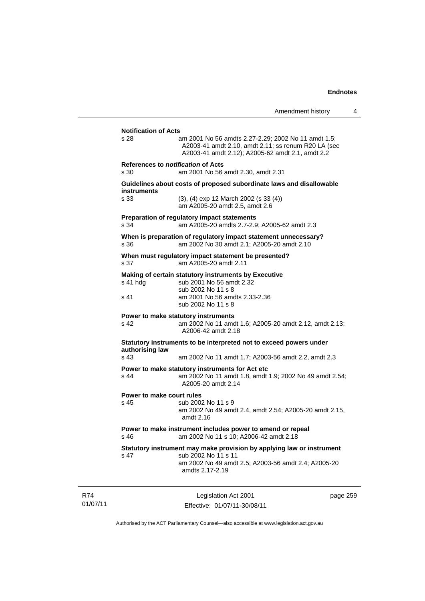|                                                   | Amendment history                                                                                                                                                      | 4 |
|---------------------------------------------------|------------------------------------------------------------------------------------------------------------------------------------------------------------------------|---|
| <b>Notification of Acts</b>                       |                                                                                                                                                                        |   |
| s 28                                              | am 2001 No 56 amdts 2.27-2.29; 2002 No 11 amdt 1.5;<br>A2003-41 amdt 2.10, amdt 2.11; ss renum R20 LA (see<br>A2003-41 amdt 2.12); A2005-62 amdt 2.1, amdt 2.2         |   |
| References to <i>notification</i> of Acts<br>s 30 | am 2001 No 56 amdt 2.30, amdt 2.31                                                                                                                                     |   |
| instruments                                       | Guidelines about costs of proposed subordinate laws and disallowable                                                                                                   |   |
| s 33                                              | $(3)$ , $(4)$ exp 12 March 2002 (s 33 $(4)$ )<br>am A2005-20 amdt 2.5, amdt 2.6                                                                                        |   |
| s 34                                              | Preparation of regulatory impact statements<br>am A2005-20 amdts 2.7-2.9; A2005-62 amdt 2.3                                                                            |   |
| s 36                                              | When is preparation of regulatory impact statement unnecessary?<br>am 2002 No 30 amdt 2.1; A2005-20 amdt 2.10                                                          |   |
| s 37                                              | When must regulatory impact statement be presented?<br>am A2005-20 amdt 2.11                                                                                           |   |
| s 41 hdg                                          | Making of certain statutory instruments by Executive<br>sub 2001 No 56 amdt 2.32<br>sub 2002 No 11 s 8                                                                 |   |
| s 41                                              | am 2001 No 56 amdts 2.33-2.36<br>sub 2002 No 11 s 8                                                                                                                    |   |
| s 42                                              | Power to make statutory instruments<br>am 2002 No 11 amdt 1.6; A2005-20 amdt 2.12, amdt 2.13;<br>A2006-42 amdt 2.18                                                    |   |
| authorising law                                   | Statutory instruments to be interpreted not to exceed powers under                                                                                                     |   |
| s 43                                              | am 2002 No 11 amdt 1.7; A2003-56 amdt 2.2, amdt 2.3                                                                                                                    |   |
| s 44                                              | Power to make statutory instruments for Act etc<br>am 2002 No 11 amdt 1.8, amdt 1.9; 2002 No 49 amdt 2.54;<br>A2005-20 amdt 2.14                                       |   |
| Power to make court rules<br>s 45                 | sub 2002 No 11 s 9<br>am 2002 No 49 amdt 2.4, amdt 2.54; A2005-20 amdt 2.15,<br>amdt $2.16$                                                                            |   |
| s 46                                              | Power to make instrument includes power to amend or repeal<br>am 2002 No 11 s 10; A2006-42 amdt 2.18                                                                   |   |
| s 47                                              | Statutory instrument may make provision by applying law or instrument<br>sub 2002 No 11 s 11<br>am 2002 No 49 amdt 2.5; A2003-56 amdt 2.4; A2005-20<br>amdts 2.17-2.19 |   |
|                                                   |                                                                                                                                                                        |   |

R74 01/07/11

Legislation Act 2001 Effective: 01/07/11-30/08/11 page 259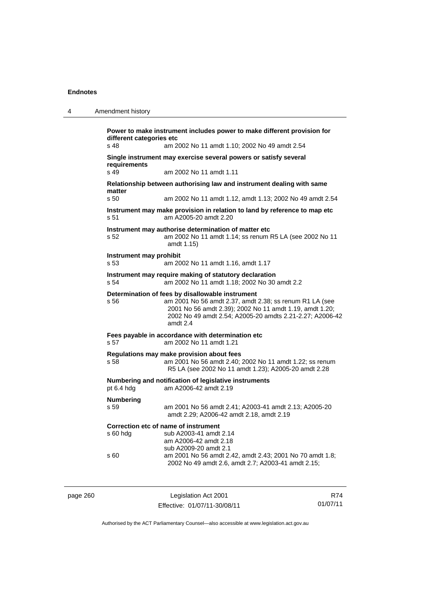| 4 | Amendment history                                                                                                                                                                                                                                      |  |
|---|--------------------------------------------------------------------------------------------------------------------------------------------------------------------------------------------------------------------------------------------------------|--|
|   | Power to make instrument includes power to make different provision for<br>different categories etc<br>s 48<br>am 2002 No 11 amdt 1.10: 2002 No 49 amdt 2.54                                                                                           |  |
|   | Single instrument may exercise several powers or satisfy several<br>requirements<br>s 49<br>am 2002 No 11 amdt 1.11                                                                                                                                    |  |
|   | Relationship between authorising law and instrument dealing with same<br>matter<br>s 50<br>am 2002 No 11 amdt 1.12, amdt 1.13; 2002 No 49 amdt 2.54                                                                                                    |  |
|   | Instrument may make provision in relation to land by reference to map etc<br>am A2005-20 amdt 2.20<br>s 51                                                                                                                                             |  |
|   | Instrument may authorise determination of matter etc<br>am 2002 No 11 amdt 1.14; ss renum R5 LA (see 2002 No 11<br>s 52<br>amdt 1.15)                                                                                                                  |  |
|   | Instrument may prohibit<br>s 53<br>am 2002 No 11 amdt 1.16, amdt 1.17                                                                                                                                                                                  |  |
|   | Instrument may require making of statutory declaration<br>s 54<br>am 2002 No 11 amdt 1.18; 2002 No 30 amdt 2.2                                                                                                                                         |  |
|   | Determination of fees by disallowable instrument<br>am 2001 No 56 amdt 2.37, amdt 2.38; ss renum R1 LA (see<br>s 56<br>2001 No 56 amdt 2.39); 2002 No 11 amdt 1.19, amdt 1.20;<br>2002 No 49 amdt 2.54; A2005-20 amdts 2.21-2.27; A2006-42<br>amdt 2.4 |  |
|   | Fees payable in accordance with determination etc<br>am 2002 No 11 amdt 1.21<br>s 57                                                                                                                                                                   |  |
|   | Regulations may make provision about fees<br>s 58<br>am 2001 No 56 amdt 2.40; 2002 No 11 amdt 1.22; ss renum<br>R5 LA (see 2002 No 11 amdt 1.23); A2005-20 amdt 2.28                                                                                   |  |
|   | Numbering and notification of legislative instruments<br>pt 6.4 hdg<br>am A2006-42 amdt 2.19                                                                                                                                                           |  |
|   | <b>Numbering</b><br>s 59<br>am 2001 No 56 amdt 2.41; A2003-41 amdt 2.13; A2005-20<br>amdt 2.29; A2006-42 amdt 2.18, amdt 2.19                                                                                                                          |  |
|   | Correction etc of name of instrument<br>s 60 hdg<br>sub A2003-41 amdt 2.14<br>am A2006-42 amdt 2.18<br>sub A2009-20 amdt 2.1                                                                                                                           |  |
|   | s 60<br>am 2001 No 56 amdt 2.42, amdt 2.43; 2001 No 70 amdt 1.8;<br>2002 No 49 amdt 2.6, amdt 2.7; A2003-41 amdt 2.15;                                                                                                                                 |  |
|   |                                                                                                                                                                                                                                                        |  |

| page 260 |  |  |
|----------|--|--|
|          |  |  |

Legislation Act 2001 Effective: 01/07/11-30/08/11

R74 01/07/11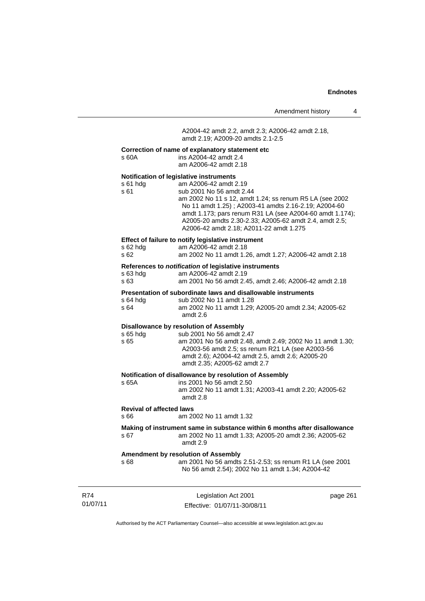A2004-42 amdt 2.2, amdt 2.3; A2006-42 amdt 2.18, amdt 2.19; A2009-20 amdts 2.1-2.5

## **Correction of name of explanatory statement etc**

| s 60A                                   | Correction of name of explanatory statement etc<br>ins A2004-42 amdt 2.4<br>am A2006-42 amdt 2.18                                                                                                                                                                                                                                                                                |          |
|-----------------------------------------|----------------------------------------------------------------------------------------------------------------------------------------------------------------------------------------------------------------------------------------------------------------------------------------------------------------------------------------------------------------------------------|----------|
| s 61 hdg<br>s 61                        | Notification of legislative instruments<br>am A2006-42 amdt 2.19<br>sub 2001 No 56 amdt 2.44<br>am 2002 No 11 s 12, amdt 1.24; ss renum R5 LA (see 2002<br>No 11 amdt 1.25); A2003-41 amdts 2.16-2.19; A2004-60<br>amdt 1.173; pars renum R31 LA (see A2004-60 amdt 1.174);<br>A2005-20 amdts 2.30-2.33; A2005-62 amdt 2.4, amdt 2.5;<br>A2006-42 amdt 2.18; A2011-22 amdt 1.275 |          |
| s 62 hdg<br>s 62                        | Effect of failure to notify legislative instrument<br>am A2006-42 amdt 2.18<br>am 2002 No 11 amdt 1.26, amdt 1.27; A2006-42 amdt 2.18                                                                                                                                                                                                                                            |          |
| s 63 hdg<br>s 63                        | References to notification of legislative instruments<br>am A2006-42 amdt 2.19<br>am 2001 No 56 amdt 2.45, amdt 2.46; A2006-42 amdt 2.18                                                                                                                                                                                                                                         |          |
| s 64 hdg<br>s 64                        | Presentation of subordinate laws and disallowable instruments<br>sub 2002 No 11 amdt 1.28<br>am 2002 No 11 amdt 1.29; A2005-20 amdt 2.34; A2005-62<br>amdt 2.6                                                                                                                                                                                                                   |          |
| $s$ 65 hdg<br>s 65                      | <b>Disallowance by resolution of Assembly</b><br>sub 2001 No 56 amdt 2.47<br>am 2001 No 56 amdt 2.48, amdt 2.49; 2002 No 11 amdt 1.30;<br>A2003-56 amdt 2.5; ss renum R21 LA (see A2003-56<br>amdt 2.6); A2004-42 amdt 2.5, amdt 2.6; A2005-20<br>amdt 2.35; A2005-62 amdt 2.7                                                                                                   |          |
| s 65A                                   | Notification of disallowance by resolution of Assembly<br>ins 2001 No 56 amdt 2.50<br>am 2002 No 11 amdt 1.31; A2003-41 amdt 2.20; A2005-62<br>amdt 2.8                                                                                                                                                                                                                          |          |
| <b>Revival of affected laws</b><br>s 66 | am 2002 No 11 amdt 1.32                                                                                                                                                                                                                                                                                                                                                          |          |
| s 67                                    | Making of instrument same in substance within 6 months after disallowance<br>am 2002 No 11 amdt 1.33; A2005-20 amdt 2.36; A2005-62<br>amdt 2.9                                                                                                                                                                                                                                   |          |
| s 68                                    | <b>Amendment by resolution of Assembly</b><br>am 2001 No 56 amdts 2.51-2.53; ss renum R1 LA (see 2001<br>No 56 amdt 2.54); 2002 No 11 amdt 1.34; A2004-42                                                                                                                                                                                                                        |          |
|                                         | Logiclation Act 2001                                                                                                                                                                                                                                                                                                                                                             | ngga 261 |

R74 01/07/11

Legislation Act 2001 Effective: 01/07/11-30/08/11 page 261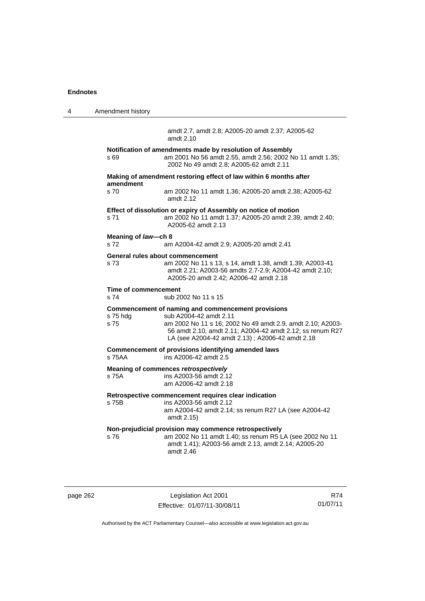| 4 | Amendment history            |                                                                                                                                                                                                                                                            |
|---|------------------------------|------------------------------------------------------------------------------------------------------------------------------------------------------------------------------------------------------------------------------------------------------------|
|   |                              | amdt 2.7, amdt 2.8; A2005-20 amdt 2.37; A2005-62<br>amdt 2.10                                                                                                                                                                                              |
|   | s 69                         | Notification of amendments made by resolution of Assembly<br>am 2001 No 56 amdt 2.55, amdt 2.56; 2002 No 11 amdt 1.35;<br>2002 No 49 amdt 2.8; A2005-62 amdt 2.11                                                                                          |
|   | amendment                    | Making of amendment restoring effect of law within 6 months after                                                                                                                                                                                          |
|   | s <sub>70</sub>              | am 2002 No 11 amdt 1.36; A2005-20 amdt 2.38; A2005-62<br>amdt $2.12$                                                                                                                                                                                       |
|   | s 71                         | Effect of dissolution or expiry of Assembly on notice of motion<br>am 2002 No 11 amdt 1.37; A2005-20 amdt 2.39, amdt 2.40;<br>A2005-62 amdt 2.13                                                                                                           |
|   | Meaning of law-ch 8<br>s 72  |                                                                                                                                                                                                                                                            |
|   |                              | am A2004-42 amdt 2.9; A2005-20 amdt 2.41                                                                                                                                                                                                                   |
|   | s 73                         | General rules about commencement<br>am 2002 No 11 s 13, s 14, amdt 1.38, amdt 1.39; A2003-41<br>amdt 2.21; A2003-56 amdts 2.7-2.9; A2004-42 amdt 2.10;<br>A2005-20 amdt 2.42; A2006-42 amdt 2.18                                                           |
|   | Time of commencement<br>s 74 | sub 2002 No 11 s 15                                                                                                                                                                                                                                        |
|   | s 75 hdg<br>s 75             | Commencement of naming and commencement provisions<br>sub A2004-42 amdt 2.11<br>am 2002 No 11 s 16; 2002 No 49 amdt 2.9, amdt 2.10; A2003-<br>56 amdt 2.10, amdt 2.11; A2004-42 amdt 2.12; ss renum R27<br>LA (see A2004-42 amdt 2.13); A2006-42 amdt 2.18 |
|   | s 75AA                       | Commencement of provisions identifying amended laws<br>ins A2006-42 amdt 2.5                                                                                                                                                                               |
|   | s 75A                        | Meaning of commences retrospectively<br>ins A2003-56 amdt 2.12<br>am A2006-42 amdt 2.18                                                                                                                                                                    |
|   | s 75B                        | Retrospective commencement requires clear indication<br>ins A2003-56 amdt 2.12<br>am A2004-42 amdt 2.14; ss renum R27 LA (see A2004-42<br>amdt 2.15)                                                                                                       |
|   | s 76                         | Non-prejudicial provision may commence retrospectively<br>am 2002 No 11 amdt 1.40; ss renum R5 LA (see 2002 No 11<br>amdt 1.41); A2003-56 amdt 2.13, amdt 2.14; A2005-20<br>amdt 2.46                                                                      |

| aae | 26 |
|-----|----|
|     |    |

Legislation Act 2001 Effective: 01/07/11-30/08/11

R74 01/07/11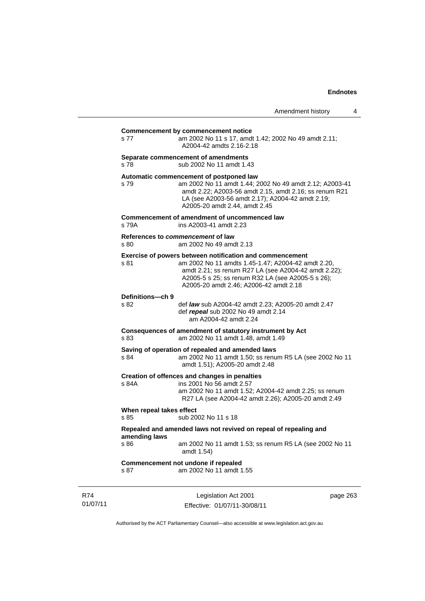| s 77                             | am 2002 No 11 s 17, amdt 1.42; 2002 No 49 amdt 2.11;<br>A2004-42 amdts 2.16-2.18                                                                                                                                                                                      |
|----------------------------------|-----------------------------------------------------------------------------------------------------------------------------------------------------------------------------------------------------------------------------------------------------------------------|
| s 78                             | Separate commencement of amendments<br>sub 2002 No 11 amdt 1.43                                                                                                                                                                                                       |
| s 79                             | Automatic commencement of postponed law<br>am 2002 No 11 amdt 1.44; 2002 No 49 amdt 2.12; A2003-41<br>amdt 2.22; A2003-56 amdt 2.15, amdt 2.16; ss renum R21<br>LA (see A2003-56 amdt 2.17); A2004-42 amdt 2.19;<br>A2005-20 amdt 2.44, amdt 2.45                     |
| s 79A                            | Commencement of amendment of uncommenced law<br>ins A2003-41 amdt 2.23                                                                                                                                                                                                |
| s 80                             | References to commencement of law<br>am 2002 No 49 amdt 2.13                                                                                                                                                                                                          |
| s 81                             | Exercise of powers between notification and commencement<br>am 2002 No 11 amdts 1.45-1.47; A2004-42 amdt 2.20,<br>amdt 2.21; ss renum R27 LA (see A2004-42 amdt 2.22);<br>A2005-5 s 25; ss renum R32 LA (see A2005-5 s 26);<br>A2005-20 amdt 2.46: A2006-42 amdt 2.18 |
| Definitions-ch 9<br>s 82         | def law sub A2004-42 amdt 2.23; A2005-20 amdt 2.47<br>def repeal sub 2002 No 49 amdt 2.14<br>am A2004-42 amdt 2.24                                                                                                                                                    |
| s 83                             | Consequences of amendment of statutory instrument by Act<br>am 2002 No 11 amdt 1.48, amdt 1.49                                                                                                                                                                        |
| s 84                             | Saving of operation of repealed and amended laws<br>am 2002 No 11 amdt 1.50; ss renum R5 LA (see 2002 No 11<br>amdt 1.51); A2005-20 amdt 2.48                                                                                                                         |
| s 84A                            | Creation of offences and changes in penalties<br>ins 2001 No 56 amdt 2.57<br>am 2002 No 11 amdt 1.52; A2004-42 amdt 2.25; ss renum<br>R27 LA (see A2004-42 amdt 2.26); A2005-20 amdt 2.49                                                                             |
| When repeal takes effect<br>s 85 | sub 2002 No 11 s 18                                                                                                                                                                                                                                                   |
| amending laws<br>s 86            | Repealed and amended laws not revived on repeal of repealing and<br>am 2002 No 11 amdt 1.53; ss renum R5 LA (see 2002 No 11<br>amdt 1.54)                                                                                                                             |
| s 87                             | Commencement not undone if repealed<br>am 2002 No 11 amdt 1.55                                                                                                                                                                                                        |

R74 01/07/11

Legislation Act 2001 Effective: 01/07/11-30/08/11 page 263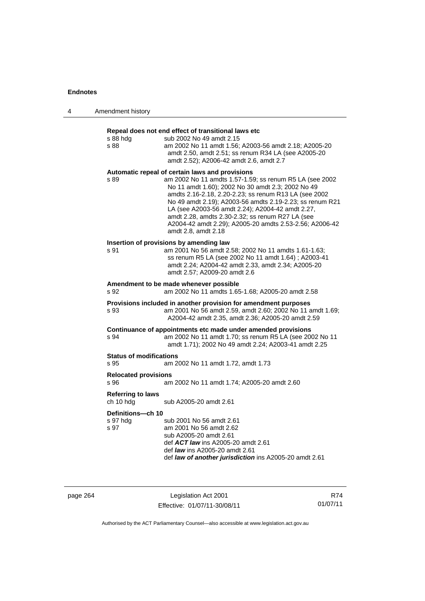| 4 | Amendment history                      |                                                                                                                                                                                                                                                                                                                                                                                                                                                                                |
|---|----------------------------------------|--------------------------------------------------------------------------------------------------------------------------------------------------------------------------------------------------------------------------------------------------------------------------------------------------------------------------------------------------------------------------------------------------------------------------------------------------------------------------------|
|   | s 88 hdg<br>s 88                       | Repeal does not end effect of transitional laws etc<br>sub 2002 No 49 amdt 2.15<br>am 2002 No 11 amdt 1.56; A2003-56 amdt 2.18; A2005-20<br>amdt 2.50, amdt 2.51; ss renum R34 LA (see A2005-20<br>amdt 2.52); A2006-42 amdt 2.6, amdt 2.7                                                                                                                                                                                                                                     |
|   | s 89                                   | Automatic repeal of certain laws and provisions<br>am 2002 No 11 amdts 1.57-1.59; ss renum R5 LA (see 2002<br>No 11 amdt 1.60); 2002 No 30 amdt 2.3; 2002 No 49<br>amdts 2.16-2.18, 2.20-2.23; ss renum R13 LA (see 2002<br>No 49 amdt 2.19); A2003-56 amdts 2.19-2.23; ss renum R21<br>LA (see A2003-56 amdt 2.24); A2004-42 amdt 2.27,<br>amdt 2.28, amdts 2.30-2.32; ss renum R27 LA (see<br>A2004-42 amdt 2.29); A2005-20 amdts 2.53-2.56; A2006-42<br>amdt 2.8, amdt 2.18 |
|   | s 91                                   | Insertion of provisions by amending law<br>am 2001 No 56 amdt 2.58; 2002 No 11 amdts 1.61-1.63;<br>ss renum R5 LA (see 2002 No 11 amdt 1.64); A2003-41<br>amdt 2.24; A2004-42 amdt 2.33, amdt 2.34; A2005-20<br>amdt 2.57; A2009-20 amdt 2.6                                                                                                                                                                                                                                   |
|   | s 92                                   | Amendment to be made whenever possible<br>am 2002 No 11 amdts 1.65-1.68; A2005-20 amdt 2.58                                                                                                                                                                                                                                                                                                                                                                                    |
|   | s 93                                   | Provisions included in another provision for amendment purposes<br>am 2001 No 56 amdt 2.59, amdt 2.60; 2002 No 11 amdt 1.69;<br>A2004-42 amdt 2.35, amdt 2.36; A2005-20 amdt 2.59                                                                                                                                                                                                                                                                                              |
|   | s 94                                   | Continuance of appointments etc made under amended provisions<br>am 2002 No 11 amdt 1.70; ss renum R5 LA (see 2002 No 11<br>amdt 1.71); 2002 No 49 amdt 2.24; A2003-41 amdt 2.25                                                                                                                                                                                                                                                                                               |
|   | <b>Status of modifications</b><br>s 95 | am 2002 No 11 amdt 1.72, amdt 1.73                                                                                                                                                                                                                                                                                                                                                                                                                                             |
|   | <b>Relocated provisions</b><br>s 96    | am 2002 No 11 amdt 1.74; A2005-20 amdt 2.60                                                                                                                                                                                                                                                                                                                                                                                                                                    |
|   | <b>Referring to laws</b><br>ch 10 hdg  | sub A2005-20 amdt 2.61                                                                                                                                                                                                                                                                                                                                                                                                                                                         |
|   | Definitions-ch 10<br>s 97 hdg<br>s 97  | sub 2001 No 56 amdt 2.61<br>am 2001 No 56 amdt 2.62<br>sub A2005-20 amdt 2.61<br>def <b>ACT law</b> ins A2005-20 amdt 2.61<br>def <i>law</i> ins A2005-20 amdt 2.61<br>def law of another jurisdiction ins A2005-20 amdt 2.61                                                                                                                                                                                                                                                  |

page 264 Legislation Act 2001 Effective: 01/07/11-30/08/11

R74 01/07/11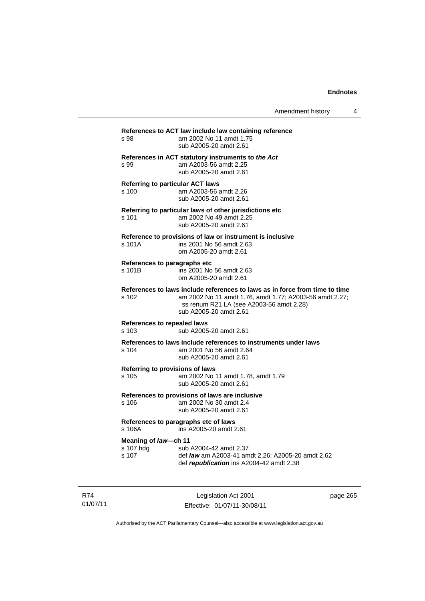| s 98                                        | References to ACT law include law containing reference<br>am 2002 No 11 amdt 1.75<br>sub A2005-20 amdt 2.61                                                                                                  |
|---------------------------------------------|--------------------------------------------------------------------------------------------------------------------------------------------------------------------------------------------------------------|
| s 99                                        | References in ACT statutory instruments to the Act<br>am A2003-56 amdt 2.25<br>sub A2005-20 amdt 2.61                                                                                                        |
| s 100                                       | <b>Referring to particular ACT laws</b><br>am A2003-56 amdt 2.26<br>sub A2005-20 amdt 2.61                                                                                                                   |
| s 101                                       | Referring to particular laws of other jurisdictions etc<br>am 2002 No 49 amdt 2.25<br>sub A2005-20 amdt 2.61                                                                                                 |
| s 101A                                      | Reference to provisions of law or instrument is inclusive<br>ins 2001 No 56 amdt 2.63<br>om A2005-20 amdt 2.61                                                                                               |
| References to paragraphs etc<br>s 101B      | ins 2001 No 56 amdt 2.63<br>om A2005-20 amdt 2.61                                                                                                                                                            |
| s 102                                       | References to laws include references to laws as in force from time to time<br>am 2002 No 11 amdt 1.76, amdt 1.77; A2003-56 amdt 2.27;<br>ss renum R21 LA (see A2003-56 amdt 2.28)<br>sub A2005-20 amdt 2.61 |
| <b>References to repealed laws</b><br>s 103 | sub A2005-20 amdt 2.61                                                                                                                                                                                       |
| s 104                                       | References to laws include references to instruments under laws<br>am 2001 No 56 amdt 2.64<br>sub A2005-20 amdt 2.61                                                                                         |
| s 105                                       | Referring to provisions of laws<br>am 2002 No 11 amdt 1.78, amdt 1.79<br>sub A2005-20 amdt 2.61                                                                                                              |
| s 106                                       | References to provisions of laws are inclusive<br>am 2002 No 30 amdt 2.4<br>sub A2005-20 amdt 2.61                                                                                                           |
| s 106A                                      | References to paragraphs etc of laws<br>ins A2005-20 amdt 2.61                                                                                                                                               |
| Meaning of law-ch 11<br>s 107 hdg<br>s 107  | sub A2004-42 amdt 2.37<br>def law am A2003-41 amdt 2.26; A2005-20 amdt 2.62<br>def republication ins A2004-42 amdt 2.38                                                                                      |

R74 01/07/11

Legislation Act 2001 Effective: 01/07/11-30/08/11 page 265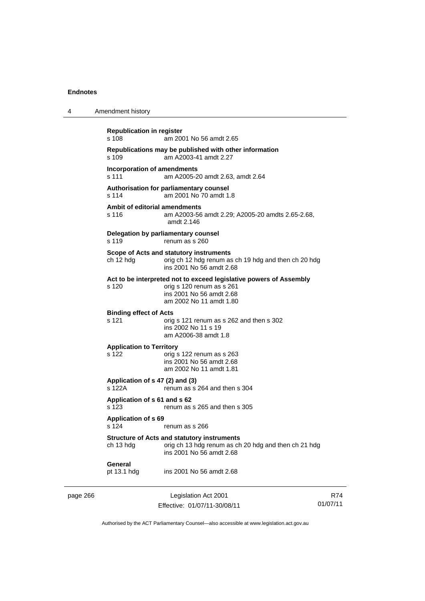| 4        | Amendment history                           |                                                                                                                                                        |                 |
|----------|---------------------------------------------|--------------------------------------------------------------------------------------------------------------------------------------------------------|-----------------|
|          | <b>Republication in register</b><br>s 108   | am 2001 No 56 amdt 2.65                                                                                                                                |                 |
|          | s.109                                       | Republications may be published with other information<br>am A2003-41 amdt 2.27                                                                        |                 |
|          | <b>Incorporation of amendments</b><br>s 111 | am A2005-20 amdt 2.63, amdt 2.64                                                                                                                       |                 |
|          | s 114                                       | Authorisation for parliamentary counsel<br>am 2001 No 70 amdt 1.8                                                                                      |                 |
|          | Ambit of editorial amendments<br>s 116      | am A2003-56 amdt 2.29; A2005-20 amdts 2.65-2.68,<br>amdt 2.146                                                                                         |                 |
|          | s 119                                       | Delegation by parliamentary counsel<br>renum as s 260                                                                                                  |                 |
|          | ch 12 hdg                                   | Scope of Acts and statutory instruments<br>orig ch 12 hdg renum as ch 19 hdg and then ch 20 hdg<br>ins 2001 No 56 amdt 2.68                            |                 |
|          | s 120                                       | Act to be interpreted not to exceed legislative powers of Assembly<br>orig s 120 renum as s 261<br>ins 2001 No 56 amdt 2.68<br>am 2002 No 11 amdt 1.80 |                 |
|          | <b>Binding effect of Acts</b><br>s 121      | orig s 121 renum as s 262 and then s 302<br>ins 2002 No 11 s 19<br>am A2006-38 amdt 1.8                                                                |                 |
|          | <b>Application to Territory</b><br>s 122    | orig s 122 renum as s 263<br>ins 2001 No 56 amdt 2.68<br>am 2002 No 11 amdt 1.81                                                                       |                 |
|          | Application of s 47 (2) and (3)<br>s 122A   | renum as s 264 and then s 304                                                                                                                          |                 |
|          | Application of s 61 and s 62<br>s 123       | renum as s 265 and then s 305                                                                                                                          |                 |
|          | Application of s 69<br>s 124                | renum as s 266                                                                                                                                         |                 |
|          | ch 13 hdg                                   | <b>Structure of Acts and statutory instruments</b><br>orig ch 13 hdg renum as ch 20 hdg and then ch 21 hdg<br>ins 2001 No 56 amdt 2.68                 |                 |
|          | General<br>pt 13.1 hdg                      | ins 2001 No 56 amdt 2.68                                                                                                                               |                 |
| page 266 |                                             | Legislation Act 2001<br>Fffective: 01/07/11-30/08/11                                                                                                   | R74<br>01/07/11 |

Authorised by the ACT Parliamentary Counsel—also accessible at www.legislation.act.gov.au

Effective: 01/07/11-30/08/11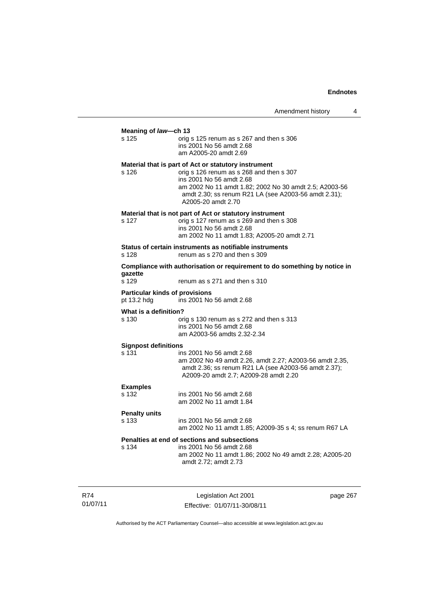| am 2002 No 11 amdt 1.82; 2002 No 30 amdt 2.5; A2003-56                    |
|---------------------------------------------------------------------------|
|                                                                           |
|                                                                           |
| Compliance with authorisation or requirement to do something by notice in |
|                                                                           |
|                                                                           |
|                                                                           |
| am 2002 No 49 amdt 2.26, amdt 2.27; A2003-56 amdt 2.35,                   |
|                                                                           |
| am 2002 No 11 amdt 1.85; A2009-35 s 4; ss renum R67 LA                    |
| am 2002 No 11 amdt 1.86; 2002 No 49 amdt 2.28; A2005-20                   |
|                                                                           |

R74 01/07/11

Legislation Act 2001 Effective: 01/07/11-30/08/11 page 267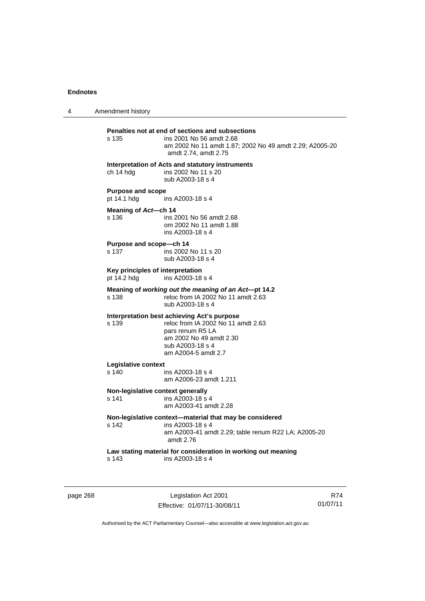4 Amendment history **Penalties not at end of sections and subsections**  ins 2001 No 56 amdt 2.68 am 2002 No 11 amdt 1.87; 2002 No 49 amdt 2.29; A2005-20 amdt 2.74, amdt 2.75 **Interpretation of Acts and statutory instruments**  ch 14 hdg ins 2002 No 11 s 20 sub A2003-18 s 4 **Purpose and scope**<br>pt 14.1 hdg ins A2003-18 s 4 **Meaning of** *Act***—ch 14**  s 136 ins 2001 No 56 amdt 2.68 om 2002 No 11 amdt 1.88 ins A2003-18 s 4 **Purpose and scope—ch 14**  s 137 ins 2002 No 11 s 20 sub A2003-18 s 4 **Key principles of interpretation**  pt 14.2 hdg ins A2003-18 s 4 **Meaning of** *working out the meaning of an Act***—pt 14.2**  s 138 reloc from IA 2002 No 11 amdt 2.63 sub A2003-18 s 4 **Interpretation best achieving Act's purpose**  reloc from IA 2002 No 11 amdt 2.63 pars renum R5 LA am 2002 No 49 amdt 2.30 sub A2003-18 s 4 am A2004-5 amdt 2.7 **Legislative context**  s 140 ins A2003-18 s 4 am A2006-23 amdt 1.211 **Non-legislative context generally**  s 141 ins A2003-18 s 4 am A2003-41 amdt 2.28 **Non-legislative context—material that may be considered**  ins A2003-18 s 4 am A2003-41 amdt 2.29; table renum R22 LA; A2005-20 amdt 2.76 **Law stating material for consideration in working out meaning**  s 143 ins A2003-18 s 4

page 268 Legislation Act 2001 Effective: 01/07/11-30/08/11

R74 01/07/11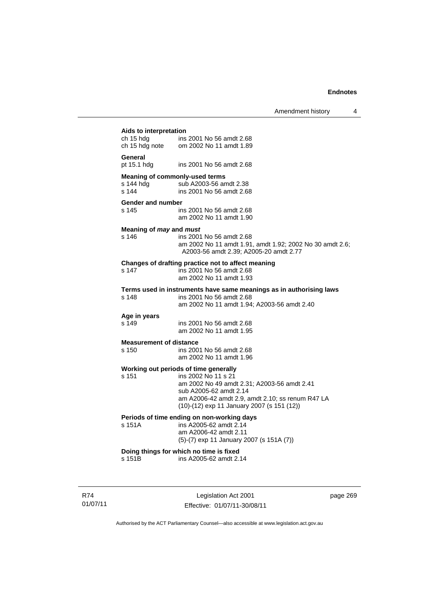Amendment history 4

**Aids to interpretation**  ins 2001 No 56 amdt 2.68 ch 15 hdg note om 2002 No 11 amdt 1.89

#### **General**

pt 15.1 hdg ins 2001 No 56 amdt 2.68

#### **Meaning of commonly-used terms**

s 144 hdg sub A2003-56 amdt 2.38<br>s 144 s ins 2001 No 56 amdt 2.68 ins 2001 No 56 amdt 2.68

#### **Gender and number**

s 145 ins 2001 No 56 amdt 2.68 am 2002 No 11 amdt 1.90

#### **Meaning of** *may* **and** *must*

s 146 ins 2001 No 56 amdt 2.68 am 2002 No 11 amdt 1.91, amdt 1.92; 2002 No 30 amdt 2.6; A2003-56 amdt 2.39; A2005-20 amdt 2.77

# **Changes of drafting practice not to affect meaning**

ins 2001 No 56 amdt 2.68 am 2002 No 11 amdt 1.93

#### **Terms used in instruments have same meanings as in authorising laws**

s 148 ins 2001 No 56 amdt 2.68 am 2002 No 11 amdt 1.94; A2003-56 amdt 2.40

# **Age in years**

ins 2001 No 56 amdt 2.68 am 2002 No 11 amdt 1.95

#### **Measurement of distance**

s 150 ins 2001 No 56 amdt 2.68 am 2002 No 11 amdt 1.96

#### **Working out periods of time generally**

s 151 ins 2002 No 11 s 21 am 2002 No 49 amdt 2.31; A2003-56 amdt 2.41 sub A2005-62 amdt 2.14

 am A2006-42 amdt 2.9, amdt 2.10; ss renum R47 LA (10)-(12) exp 11 January 2007 (s 151 (12))

# **Periods of time ending on non-working days**

s 151A ins A2005-62 amdt 2.14 am A2006-42 amdt 2.11 (5)-(7) exp 11 January 2007 (s 151A (7))

## **Doing things for which no time is fixed**

s 151B ins A2005-62 amdt 2.14

R74 01/07/11

Legislation Act 2001 Effective: 01/07/11-30/08/11 page 269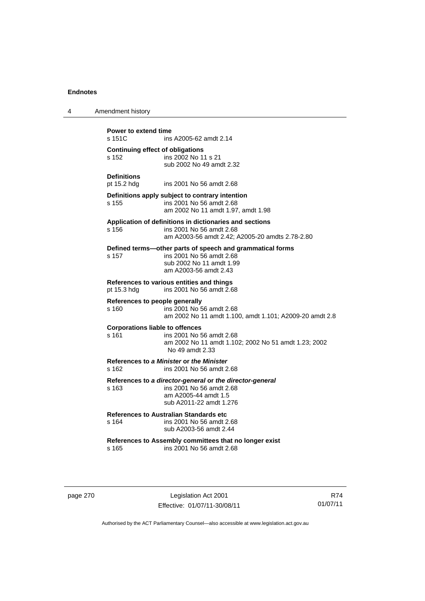| 4 | Amendment history                                |                                                                                                                                            |
|---|--------------------------------------------------|--------------------------------------------------------------------------------------------------------------------------------------------|
|   | Power to extend time<br>s 151C                   | ins A2005-62 amdt 2.14                                                                                                                     |
|   | <b>Continuing effect of obligations</b><br>s 152 | ins 2002 No 11 s 21<br>sub 2002 No 49 amdt 2.32                                                                                            |
|   | <b>Definitions</b><br>pt 15.2 hdg                | ins 2001 No 56 amdt 2.68                                                                                                                   |
|   | s 155                                            | Definitions apply subject to contrary intention<br>ins 2001 No 56 amdt 2.68<br>am 2002 No 11 amdt 1.97, amdt 1.98                          |
|   | s 156                                            | Application of definitions in dictionaries and sections<br>ins 2001 No 56 amdt 2.68<br>am A2003-56 amdt 2.42; A2005-20 amdts 2.78-2.80     |
|   | s 157                                            | Defined terms-other parts of speech and grammatical forms<br>ins 2001 No 56 amdt 2.68<br>sub 2002 No 11 amdt 1.99<br>am A2003-56 amdt 2.43 |
|   | pt 15.3 hdg                                      | References to various entities and things<br>ins 2001 No 56 amdt 2.68                                                                      |
|   | References to people generally<br>s 160          | ins 2001 No 56 amdt 2.68<br>am 2002 No 11 amdt 1.100, amdt 1.101; A2009-20 amdt 2.8                                                        |
|   | <b>Corporations liable to offences</b><br>s 161  | ins 2001 No 56 amdt 2.68<br>am 2002 No 11 amdt 1.102; 2002 No 51 amdt 1.23; 2002<br>No 49 amdt 2.33                                        |
|   | s 162                                            | References to a Minister or the Minister<br>ins 2001 No 56 amdt 2.68                                                                       |
|   | s 163                                            | References to a director-general or the director-general<br>ins 2001 No 56 amdt 2.68<br>am A2005-44 amdt 1.5<br>sub A2011-22 amdt 1.276    |
|   | s 164                                            | References to Australian Standards etc<br>ins 2001 No 56 amdt 2.68<br>sub A2003-56 amdt 2.44                                               |
|   | s 165                                            | References to Assembly committees that no longer exist<br>ins 2001 No 56 amdt 2.68                                                         |

page 270 Legislation Act 2001 Effective: 01/07/11-30/08/11

R74 01/07/11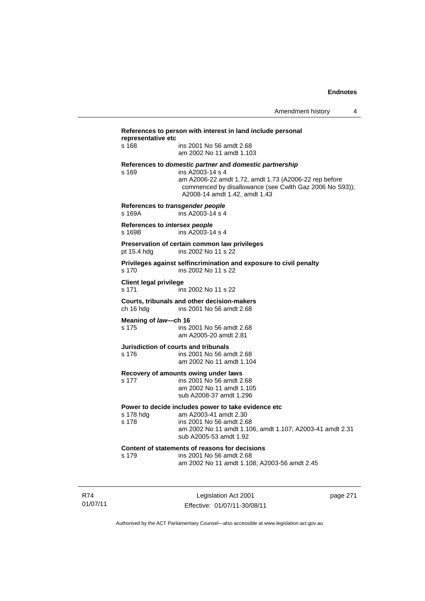| representative etc                      | References to person with interest in land include personal                                                                                                                                                                      |          |
|-----------------------------------------|----------------------------------------------------------------------------------------------------------------------------------------------------------------------------------------------------------------------------------|----------|
| s 168                                   | ins 2001 No 56 amdt 2.68<br>am 2002 No 11 amdt 1.103                                                                                                                                                                             |          |
| s 169                                   | References to domestic partner and domestic partnership<br>ins A2003-14 s 4<br>am A2006-22 amdt 1.72, amdt 1.73 (A2006-22 rep before<br>commenced by disallowance (see Cwlth Gaz 2006 No S93));<br>A2008-14 amdt 1.42, amdt 1.43 |          |
| s 169A                                  | References to transgender people<br>ins A2003-14 s 4                                                                                                                                                                             |          |
| References to intersex people<br>s 169B | ins A2003-14 s 4                                                                                                                                                                                                                 |          |
| pt 15.4 hdg                             | Preservation of certain common law privileges<br>ins 2002 No 11 s 22                                                                                                                                                             |          |
| s 170                                   | Privileges against selfincrimination and exposure to civil penalty<br>ins 2002 No 11 s 22                                                                                                                                        |          |
| <b>Client legal privilege</b><br>s 171  | ins 2002 No 11 s 22                                                                                                                                                                                                              |          |
| ch 16 hdg                               | Courts, tribunals and other decision-makers<br>ins 2001 No 56 amdt 2.68                                                                                                                                                          |          |
| Meaning of law-ch 16<br>s 175           | ins 2001 No 56 amdt 2.68<br>am A2005-20 amdt 2.81                                                                                                                                                                                |          |
| s 176                                   | Jurisdiction of courts and tribunals<br>ins 2001 No 56 amdt 2.68<br>am 2002 No 11 amdt 1.104                                                                                                                                     |          |
| s 177                                   | Recovery of amounts owing under laws<br>ins 2001 No 56 amdt 2.68<br>am 2002 No 11 amdt 1.105<br>sub A2008-37 amdt 1.296                                                                                                          |          |
| s 178 hdg<br>s 178                      | Power to decide includes power to take evidence etc<br>am A2003-41 amdt 2.30<br>ins 2001 No 56 amdt 2.68<br>am 2002 No 11 amdt 1.106, amdt 1.107; A2003-41 amdt 2.31<br>sub A2005-53 amdt 1.92                                   |          |
| s 179                                   | Content of statements of reasons for decisions<br>ins 2001 No 56 amdt 2.68<br>am 2002 No 11 amdt 1.108; A2003-56 amdt 2.45                                                                                                       |          |
|                                         | Legislation Act 2001<br>Effective: 01/07/11-30/08/11                                                                                                                                                                             | page 271 |

Authorised by the ACT Parliamentary Counsel—also accessible at www.legislation.act.gov.au

R74 01/07/11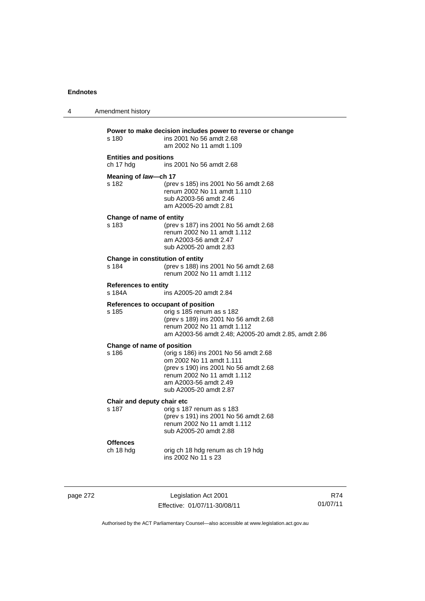| 4 | Amendment history                          |                                                                                                                                                                                                 |
|---|--------------------------------------------|-------------------------------------------------------------------------------------------------------------------------------------------------------------------------------------------------|
|   | s 180                                      | Power to make decision includes power to reverse or change<br>ins 2001 No 56 amdt 2.68<br>am 2002 No 11 amdt 1.109                                                                              |
|   | <b>Entities and positions</b><br>ch 17 hdg | ins 2001 No 56 amdt 2.68                                                                                                                                                                        |
|   | Meaning of law-ch 17<br>s 182              | (prev s 185) ins 2001 No 56 amdt 2.68<br>renum 2002 No 11 amdt 1.110<br>sub A2003-56 amdt 2.46<br>am A2005-20 amdt 2.81                                                                         |
|   | Change of name of entity<br>s 183          | (prev s 187) ins 2001 No 56 amdt 2.68<br>renum 2002 No 11 amdt 1.112<br>am A2003-56 amdt 2.47<br>sub A2005-20 amdt 2.83                                                                         |
|   | Change in constitution of entity<br>s 184  | (prev s 188) ins 2001 No 56 amdt 2.68<br>renum 2002 No 11 amdt 1.112                                                                                                                            |
|   | <b>References to entity</b><br>s 184A      | ins A2005-20 amdt 2.84                                                                                                                                                                          |
|   | s 185                                      | References to occupant of position<br>orig s 185 renum as s 182<br>(prev s 189) ins 2001 No 56 amdt 2.68<br>renum 2002 No 11 amdt 1.112<br>am A2003-56 amdt 2.48; A2005-20 amdt 2.85, amdt 2.86 |
|   | Change of name of position<br>s 186        | (orig s 186) ins 2001 No 56 amdt 2.68<br>om 2002 No 11 amdt 1.111<br>(prev s 190) ins 2001 No 56 amdt 2.68<br>renum 2002 No 11 amdt 1.112<br>am A2003-56 amdt 2.49<br>sub A2005-20 amdt 2.87    |
|   | Chair and deputy chair etc<br>s 187        | orig s 187 renum as s 183<br>(prev s 191) ins 2001 No 56 amdt 2.68<br>renum 2002 No 11 amdt 1.112<br>sub A2005-20 amdt 2.88                                                                     |
|   | <b>Offences</b><br>ch 18 hdg               | orig ch 18 hdg renum as ch 19 hdg<br>ins 2002 No 11 s 23                                                                                                                                        |

page 272 Legislation Act 2001 Effective: 01/07/11-30/08/11

R74 01/07/11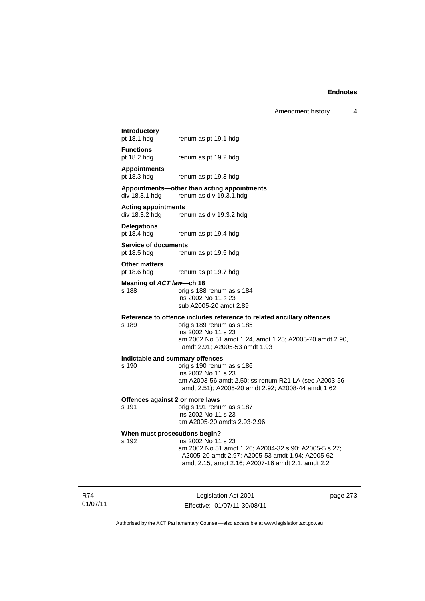Amendment history 4

# **Introductory**

renum as pt 19.1 hdg

**Functions** 

pt 18.2 hdg renum as pt 19.2 hdg

# **Appointments**

renum as pt 19.3 hdg

## **Appointments—other than acting appointments**

div 18.3.1 hdg renum as div 19.3.1.hdg

# **Acting appointments**

renum as div 19.3.2 hdg

**Delegations**  pt 18.4 hdg renum as pt 19.4 hdg

**Service of documents** 

pt 18.5 hdg renum as pt 19.5 hdg

#### **Other matters**

pt 18.6 hdg renum as pt 19.7 hdg

#### **Meaning of** *ACT law***—ch 18**

#### s 188 orig s 188 renum as s 184 ins 2002 No 11 s 23 sub A2005-20 amdt 2.89

# **Reference to offence includes reference to related ancillary offences**

orig s 189 renum as s 185 ins 2002 No 11 s 23 am 2002 No 51 amdt 1.24, amdt 1.25; A2005-20 amdt 2.90, amdt 2.91; A2005-53 amdt 1.93

#### **Indictable and summary offences**

s 190 orig s 190 renum as s 186 ins 2002 No 11 s 23 am A2003-56 amdt 2.50; ss renum R21 LA (see A2003-56 amdt 2.51); A2005-20 amdt 2.92; A2008-44 amdt 1.62

#### **Offences against 2 or more laws**

s 191 orig s 191 renum as s 187 ins 2002 No 11 s 23 am A2005-20 amdts 2.93-2.96

# **When must prosecutions begin?**<br>s 192 **ins 2002** No 11

ins 2002 No 11 s 23 am 2002 No 51 amdt 1.26; A2004-32 s 90; A2005-5 s 27; A2005-20 amdt 2.97; A2005-53 amdt 1.94; A2005-62 amdt 2.15, amdt 2.16; A2007-16 amdt 2.1, amdt 2.2

R74 01/07/11

Legislation Act 2001 Effective: 01/07/11-30/08/11 page 273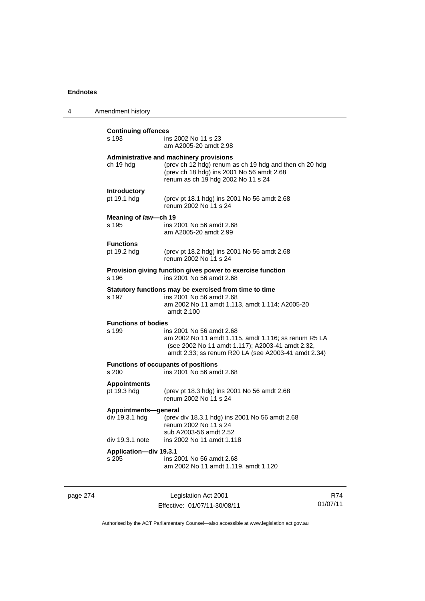| 4 | Amendment history                      |                                                                                                                                                                                             |
|---|----------------------------------------|---------------------------------------------------------------------------------------------------------------------------------------------------------------------------------------------|
|   | <b>Continuing offences</b><br>s 193    | ins 2002 No 11 s 23<br>am A2005-20 amdt 2.98                                                                                                                                                |
|   | ch 19 hdg                              | Administrative and machinery provisions<br>(prev ch 12 hdg) renum as ch 19 hdg and then ch 20 hdg<br>(prev ch 18 hdg) ins 2001 No 56 amdt 2.68<br>renum as ch 19 hdg 2002 No 11 s 24        |
|   | <b>Introductory</b><br>pt 19.1 hdg     | (prev pt 18.1 hdg) ins 2001 No 56 amdt 2.68<br>renum 2002 No 11 s 24                                                                                                                        |
|   | Meaning of law-ch 19<br>s 195          | ins 2001 No 56 amdt 2.68<br>am A2005-20 amdt 2.99                                                                                                                                           |
|   | <b>Functions</b><br>pt 19.2 hdg        | (prev pt 18.2 hdg) ins 2001 No 56 amdt 2.68<br>renum 2002 No 11 s 24                                                                                                                        |
|   | s 196                                  | Provision giving function gives power to exercise function<br>ins 2001 No 56 amdt 2.68                                                                                                      |
|   | s 197                                  | Statutory functions may be exercised from time to time<br>ins 2001 No 56 amdt 2.68<br>am 2002 No 11 amdt 1.113, amdt 1.114; A2005-20<br>amdt 2.100                                          |
|   | <b>Functions of bodies</b><br>s 199    | ins 2001 No 56 amdt 2.68<br>am 2002 No 11 amdt 1.115, amdt 1.116; ss renum R5 LA<br>(see 2002 No 11 amdt 1.117); A2003-41 amdt 2.32,<br>amdt 2.33; ss renum R20 LA (see A2003-41 amdt 2.34) |
|   | s 200                                  | <b>Functions of occupants of positions</b><br>ins 2001 No 56 amdt 2.68                                                                                                                      |
|   | <b>Appointments</b><br>pt 19.3 hdg     | (prev pt 18.3 hdg) ins 2001 No 56 amdt 2.68<br>renum 2002 No 11 s 24                                                                                                                        |
|   | Appointments-general<br>div 19.3.1 hdg | (prev div 18.3.1 hdg) ins 2001 No 56 amdt 2.68<br>renum 2002 No 11 s 24<br>sub A2003-56 amdt 2.52                                                                                           |
|   | div 19.3.1 note                        | ins 2002 No 11 amdt 1.118                                                                                                                                                                   |
|   | Application-div 19.3.1<br>s 205        | ins 2001 No 56 amdt 2.68<br>am 2002 No 11 amdt 1.119, amdt 1.120                                                                                                                            |
|   |                                        |                                                                                                                                                                                             |

page 274 Legislation Act 2001 Effective: 01/07/11-30/08/11

R74 01/07/11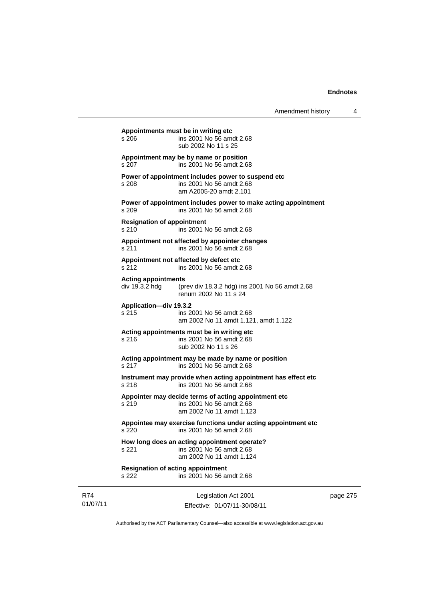page 275

|                 | Appointments must be in writing etc<br>s 206      | ins 2001 No 56 amdt 2.68<br>sub 2002 No 11 s 25                                                              |
|-----------------|---------------------------------------------------|--------------------------------------------------------------------------------------------------------------|
|                 | s 207                                             | Appointment may be by name or position<br>ins 2001 No 56 amdt 2.68                                           |
|                 | s 208                                             | Power of appointment includes power to suspend etc<br>ins 2001 No 56 amdt 2.68<br>am A2005-20 amdt 2.101     |
|                 | s 209                                             | Power of appointment includes power to make acting appointment<br>ins 2001 No 56 amdt 2.68                   |
|                 | <b>Resignation of appointment</b><br>s 210        | ins 2001 No 56 amdt 2.68                                                                                     |
|                 | s 211                                             | Appointment not affected by appointer changes<br>ins 2001 No 56 amdt 2.68                                    |
|                 | s 212                                             | Appointment not affected by defect etc<br>ins 2001 No 56 amdt 2.68                                           |
|                 | <b>Acting appointments</b><br>div 19.3.2 hdg      | (prev div 18.3.2 hdg) ins 2001 No 56 amdt 2.68<br>renum 2002 No 11 s 24                                      |
|                 | Application-div 19.3.2<br>s 215                   | ins 2001 No 56 amdt 2.68<br>am 2002 No 11 amdt 1.121, amdt 1.122                                             |
|                 | s 216                                             | Acting appointments must be in writing etc<br>ins 2001 No 56 amdt 2.68<br>sub 2002 No 11 s 26                |
|                 | s 217                                             | Acting appointment may be made by name or position<br>ins 2001 No 56 amdt 2.68                               |
|                 | s 218                                             | Instrument may provide when acting appointment has effect etc<br>ins 2001 No 56 amdt 2.68                    |
|                 | s 219                                             | Appointer may decide terms of acting appointment etc<br>ins 2001 No 56 amdt 2.68<br>am 2002 No 11 amdt 1.123 |
|                 | s 220                                             | Appointee may exercise functions under acting appointment etc<br>ins 2001 No 56 amdt 2.68                    |
|                 | s 221                                             | How long does an acting appointment operate?<br>ins 2001 No 56 amdt 2.68<br>am 2002 No 11 amdt 1.124         |
|                 | <b>Resignation of acting appointment</b><br>s 222 | ins 2001 No 56 amdt 2.68                                                                                     |
| R74<br>01/07/11 |                                                   | Legislation Act 2001<br>Effective: 01/07/11-30/08/11                                                         |

Authorised by the ACT Parliamentary Counsel—also accessible at www.legislation.act.gov.au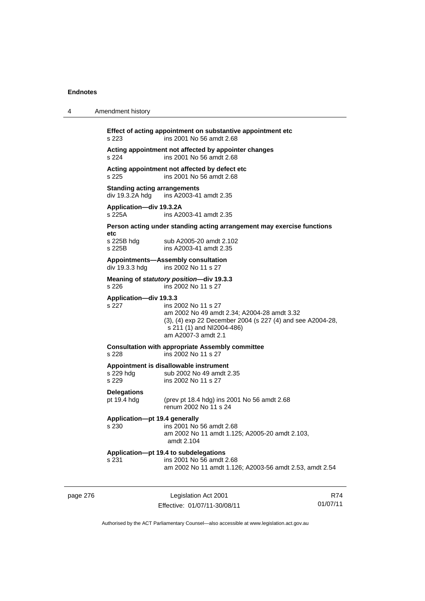| 4        | Amendment history                   |                                                                                                                                                                                      |                 |
|----------|-------------------------------------|--------------------------------------------------------------------------------------------------------------------------------------------------------------------------------------|-----------------|
|          | s 223                               | Effect of acting appointment on substantive appointment etc<br>ins 2001 No 56 amdt 2.68                                                                                              |                 |
|          | s 224                               | Acting appointment not affected by appointer changes<br>ins 2001 No 56 amdt 2.68                                                                                                     |                 |
|          | s 225                               | Acting appointment not affected by defect etc<br>ins 2001 No 56 amdt 2.68                                                                                                            |                 |
|          | <b>Standing acting arrangements</b> | div 19.3.2A hdg ins A2003-41 amdt 2.35                                                                                                                                               |                 |
|          | Application-div 19.3.2A<br>s 225A   | ins A2003-41 amdt 2.35                                                                                                                                                               |                 |
|          |                                     | Person acting under standing acting arrangement may exercise functions                                                                                                               |                 |
|          | etc<br>s 225B hdg<br>s 225B         | sub A2005-20 amdt 2.102<br>ins A2003-41 amdt 2.35                                                                                                                                    |                 |
|          | div 19.3.3 hdg                      | Appointments-Assembly consultation<br>ins 2002 No 11 s 27                                                                                                                            |                 |
|          | s 226                               | Meaning of statutory position-div 19.3.3<br>ins 2002 No 11 s 27                                                                                                                      |                 |
|          | Application-div 19.3.3<br>s 227     | ins 2002 No 11 s 27<br>am 2002 No 49 amdt 2.34; A2004-28 amdt 3.32<br>(3), (4) exp 22 December 2004 (s 227 (4) and see A2004-28,<br>s 211 (1) and NI2004-486)<br>am A2007-3 amdt 2.1 |                 |
|          | s 228                               | <b>Consultation with appropriate Assembly committee</b><br>ins 2002 No 11 s 27                                                                                                       |                 |
|          | s 229 hdg<br>s 229                  | Appointment is disallowable instrument<br>sub 2002 No 49 amdt 2.35<br>ins 2002 No 11 s 27                                                                                            |                 |
|          | <b>Delegations</b><br>pt 19.4 hdg   | (prev pt 18.4 hdg) ins 2001 No 56 amdt 2.68<br>renum 2002 No 11 s 24                                                                                                                 |                 |
|          | Application-pt 19.4 generally       | s 230 ins 2001 No 56 amdt 2.68<br>am 2002 No 11 amdt 1.125; A2005-20 amdt 2.103,<br>amdt 2.104                                                                                       |                 |
|          | s 231                               | Application-pt 19.4 to subdelegations<br>ins 2001 No 56 amdt 2.68<br>am 2002 No 11 amdt 1.126; A2003-56 amdt 2.53, amdt 2.54                                                         |                 |
| page 276 |                                     | Legislation Act 2001<br>Fffective: 01/07/11-30/08/11                                                                                                                                 | R74<br>01/07/11 |

Authorised by the ACT Parliamentary Counsel—also accessible at www.legislation.act.gov.au

Effective: 01/07/11-30/08/11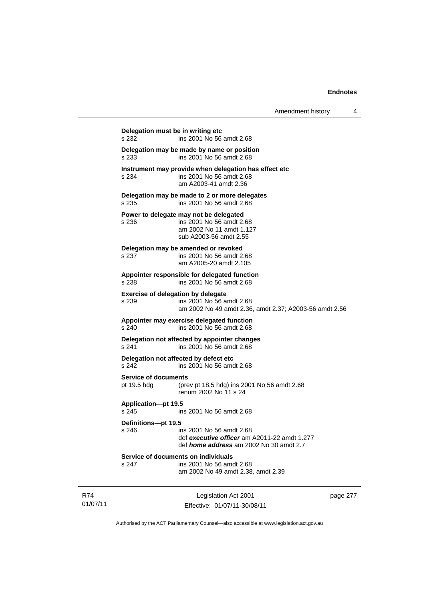|                                            | ins 2001 No 56 amdt 2.68                                                                                                   |
|--------------------------------------------|----------------------------------------------------------------------------------------------------------------------------|
| s 233                                      | Delegation may be made by name or position<br>ins 2001 No 56 amdt 2.68                                                     |
| s 234                                      | Instrument may provide when delegation has effect etc<br>ins 2001 No 56 amdt 2.68<br>am A2003-41 amdt 2.36                 |
| s 235                                      | Delegation may be made to 2 or more delegates<br>ins 2001 No 56 amdt 2.68                                                  |
| s 236                                      | Power to delegate may not be delegated<br>ins 2001 No 56 amdt 2.68<br>am 2002 No 11 amdt 1.127<br>sub A2003-56 amdt 2.55   |
| s 237                                      | Delegation may be amended or revoked<br>ins 2001 No 56 amdt 2.68<br>am A2005-20 amdt 2.105                                 |
| s 238                                      | Appointer responsible for delegated function<br>ins 2001 No 56 amdt 2.68                                                   |
| s 239                                      | Exercise of delegation by delegate<br>ins 2001 No 56 amdt 2.68<br>am 2002 No 49 amdt 2.36, amdt 2.37; A2003-56 amdt 2.56   |
| s 240                                      | Appointer may exercise delegated function<br>ins 2001 No 56 amdt 2.68                                                      |
| s 241                                      | Delegation not affected by appointer changes<br>ins 2001 No 56 amdt 2.68                                                   |
| s 242                                      | Delegation not affected by defect etc<br>ins 2001 No 56 amdt 2.68                                                          |
| <b>Service of documents</b><br>pt 19.5 hdg | (prev pt 18.5 hdg) ins 2001 No 56 amdt 2.68<br>renum 2002 No 11 s 24                                                       |
| Application-pt 19.5<br>s 245               | ins 2001 No 56 amdt 2.68                                                                                                   |
| Definitions-pt 19.5<br>s 246               | ins 2001 No 56 amdt 2.68<br>def executive officer am A2011-22 amdt 1.277<br>def <i>home address</i> am 2002 No 30 amdt 2.7 |
| s 247                                      | Service of documents on individuals<br>ins 2001 No 56 amdt 2.68<br>am 2002 No 49 amdt 2.38, amdt 2.39                      |

R74 01/07/11

Legislation Act 2001 Effective: 01/07/11-30/08/11 page 277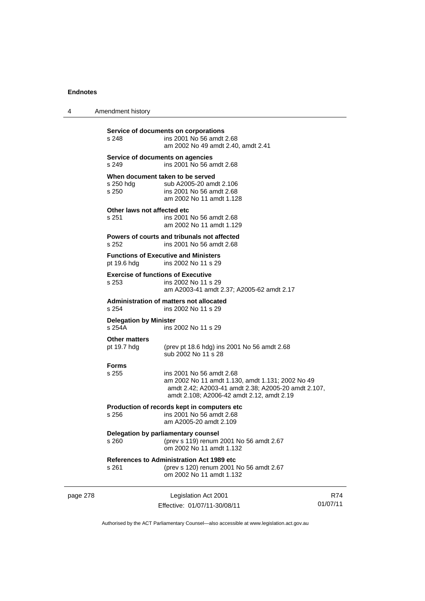page 278

4 Amendment history

| s 248                                   | Service of documents on corporations<br>ins 2001 No 56 amdt 2.68<br>am 2002 No 49 amdt 2.40, amdt 2.41                                                                           |                 |
|-----------------------------------------|----------------------------------------------------------------------------------------------------------------------------------------------------------------------------------|-----------------|
| s 249                                   | Service of documents on agencies<br>ins 2001 No 56 amdt 2.68                                                                                                                     |                 |
| s 250 hdg<br>s 250                      | When document taken to be served<br>sub A2005-20 amdt 2.106<br>ins 2001 No 56 amdt 2.68<br>am 2002 No 11 amdt 1.128                                                              |                 |
| Other laws not affected etc<br>s 251    | ins 2001 No 56 amdt 2.68<br>am 2002 No 11 amdt 1.129                                                                                                                             |                 |
| s 252                                   | Powers of courts and tribunals not affected<br>ins 2001 No 56 amdt 2.68                                                                                                          |                 |
| pt 19.6 hdg                             | <b>Functions of Executive and Ministers</b><br>ins 2002 No 11 s 29                                                                                                               |                 |
| s 253                                   | <b>Exercise of functions of Executive</b><br>ins 2002 No 11 s 29<br>am A2003-41 amdt 2.37; A2005-62 amdt 2.17                                                                    |                 |
| s 254                                   | Administration of matters not allocated<br>ins 2002 No 11 s 29                                                                                                                   |                 |
| <b>Delegation by Minister</b><br>s 254A | ins 2002 No 11 s 29                                                                                                                                                              |                 |
| <b>Other matters</b><br>pt 19.7 hdg     | (prev pt 18.6 hdg) ins 2001 No 56 amdt 2.68<br>sub 2002 No 11 s 28                                                                                                               |                 |
| <b>Forms</b><br>s 255                   | ins 2001 No 56 amdt 2.68<br>am 2002 No 11 amdt 1.130, amdt 1.131; 2002 No 49<br>amdt 2.42; A2003-41 amdt 2.38; A2005-20 amdt 2.107,<br>amdt 2.108; A2006-42 amdt 2.12, amdt 2.19 |                 |
| s 256                                   | Production of records kept in computers etc<br>ins 2001 No 56 amdt 2.68<br>am A2005-20 amdt 2.109                                                                                |                 |
| s 260                                   | Delegation by parliamentary counsel<br>(prev s 119) renum 2001 No 56 amdt 2.67<br>om 2002 No 11 amdt 1.132                                                                       |                 |
| s 261                                   | <b>References to Administration Act 1989 etc</b><br>(prev s 120) renum 2001 No 56 amdt 2.67<br>om 2002 No 11 amdt 1.132                                                          |                 |
|                                         | Legislation Act 2001<br>Effective: 01/07/11-30/08/11                                                                                                                             | R74<br>01/07/11 |

Authorised by the ACT Parliamentary Counsel—also accessible at www.legislation.act.gov.au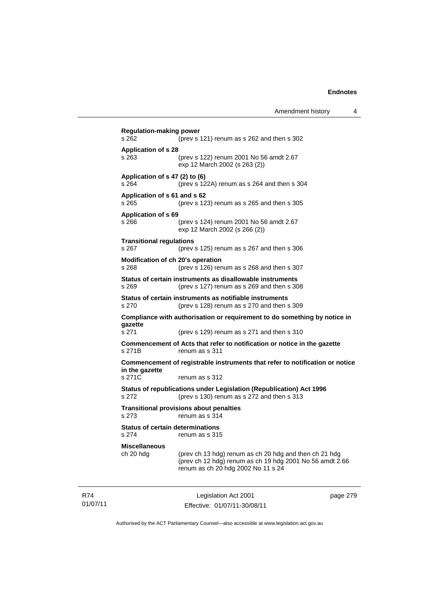| <b>Regulation-making power</b><br>s 262          | (prev s 121) renum as s 262 and then s 302                                                                                                               |
|--------------------------------------------------|----------------------------------------------------------------------------------------------------------------------------------------------------------|
| <b>Application of s 28</b><br>s 263              | (prev s 122) renum 2001 No 56 amdt 2.67<br>exp 12 March 2002 (s 263 (2))                                                                                 |
| Application of s 47 (2) to (6)<br>s 264          | (prev s 122A) renum as s 264 and then s 304                                                                                                              |
| Application of s 61 and s 62<br>s 265            | (prev s $123$ ) renum as s $265$ and then s $305$                                                                                                        |
| Application of s 69<br>s 266                     | (prev s 124) renum 2001 No 56 amdt 2.67<br>exp 12 March 2002 (s 266 (2))                                                                                 |
| <b>Transitional regulations</b><br>s 267         | (prev s $125$ ) renum as s $267$ and then s $306$                                                                                                        |
| Modification of ch 20's operation<br>s 268       | (prev s 126) renum as s 268 and then s 307                                                                                                               |
| s 269                                            | Status of certain instruments as disallowable instruments<br>(prev s 127) renum as s 269 and then s 308                                                  |
| s 270                                            | Status of certain instruments as notifiable instruments<br>(prev s 128) renum as s 270 and then s 309                                                    |
| gazette                                          | Compliance with authorisation or requirement to do something by notice in                                                                                |
| s 271                                            | (prev s 129) renum as s 271 and then s 310                                                                                                               |
| s 271B                                           | Commencement of Acts that refer to notification or notice in the gazette<br>renum as s 311                                                               |
| in the gazette                                   | Commencement of registrable instruments that refer to notification or notice                                                                             |
| s 271C                                           | renum as s 312                                                                                                                                           |
| s 272                                            | Status of republications under Legislation (Republication) Act 1996<br>(prev s 130) renum as s 272 and then s 313                                        |
| s 273                                            | <b>Transitional provisions about penalties</b><br>renum as s 314                                                                                         |
| <b>Status of certain determinations</b><br>s 274 | renum as s 315                                                                                                                                           |
| <b>Miscellaneous</b><br>ch 20 hdg                | (prev ch 13 hdg) renum as ch 20 hdg and then ch 21 hdg<br>(prev ch 12 hdg) renum as ch 19 hdg 2001 No 56 amdt 2.66<br>renum as ch 20 hdg 2002 No 11 s 24 |

R74 01/07/11

Legislation Act 2001 Effective: 01/07/11-30/08/11 page 279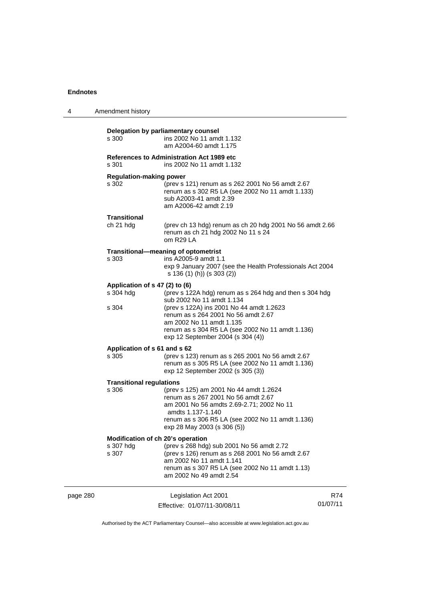| 4        | Amendment history                                       |                                                                                                                                                                                                                                                                                              |                 |
|----------|---------------------------------------------------------|----------------------------------------------------------------------------------------------------------------------------------------------------------------------------------------------------------------------------------------------------------------------------------------------|-----------------|
|          | s 300                                                   | Delegation by parliamentary counsel<br>ins 2002 No 11 amdt 1.132<br>am A2004-60 amdt 1.175                                                                                                                                                                                                   |                 |
|          | s 301                                                   | References to Administration Act 1989 etc<br>ins 2002 No 11 amdt 1.132                                                                                                                                                                                                                       |                 |
|          | <b>Regulation-making power</b><br>s 302                 | (prev s 121) renum as s 262 2001 No 56 amdt 2.67<br>renum as s 302 R5 LA (see 2002 No 11 amdt 1.133)<br>sub A2003-41 amdt 2.39<br>am A2006-42 amdt 2.19                                                                                                                                      |                 |
|          | Transitional<br>ch 21 hdg                               | (prev ch 13 hdg) renum as ch 20 hdg 2001 No 56 amdt 2.66<br>renum as ch 21 hdg 2002 No 11 s 24<br>om R29 LA                                                                                                                                                                                  |                 |
|          | s 303                                                   | Transitional-meaning of optometrist<br>ins A2005-9 amdt 1.1<br>exp 9 January 2007 (see the Health Professionals Act 2004<br>s 136 (1) (h)) (s 303 (2))                                                                                                                                       |                 |
|          | Application of s 47 (2) to (6)<br>s 304 hdg<br>s 304    | (prev s 122A hdg) renum as s 264 hdg and then s 304 hdg<br>sub 2002 No 11 amdt 1.134<br>(prev s 122A) ins 2001 No 44 amdt 1.2623<br>renum as s 264 2001 No 56 amdt 2.67<br>am 2002 No 11 amdt 1.135<br>renum as s 304 R5 LA (see 2002 No 11 amdt 1.136)<br>exp 12 September 2004 (s 304 (4)) |                 |
|          | Application of s 61 and s 62<br>s 305                   | (prev s 123) renum as s 265 2001 No 56 amdt 2.67<br>renum as s 305 R5 LA (see 2002 No 11 amdt 1.136)<br>exp 12 September 2002 (s 305 (3))                                                                                                                                                    |                 |
|          | <b>Transitional regulations</b><br>s 306                | (prev s 125) am 2001 No 44 amdt 1.2624<br>renum as s 267 2001 No 56 amdt 2.67<br>am 2001 No 56 amdts 2.69-2.71; 2002 No 11<br>amdts 1.137-1.140<br>renum as s 306 R5 LA (see 2002 No 11 amdt 1.136)<br>exp 28 May 2003 (s 306 (5))                                                           |                 |
|          | Modification of ch 20's operation<br>s 307 hdg<br>s 307 | (prev s 268 hdg) sub 2001 No 56 amdt 2.72<br>(prev s 126) renum as s 268 2001 No 56 amdt 2.67<br>am 2002 No 11 amdt 1.141<br>renum as s 307 R5 LA (see 2002 No 11 amdt 1.13)<br>am 2002 No 49 amdt 2.54                                                                                      |                 |
| page 280 |                                                         | Legislation Act 2001<br>Effective: 01/07/11-30/08/11                                                                                                                                                                                                                                         | R74<br>01/07/11 |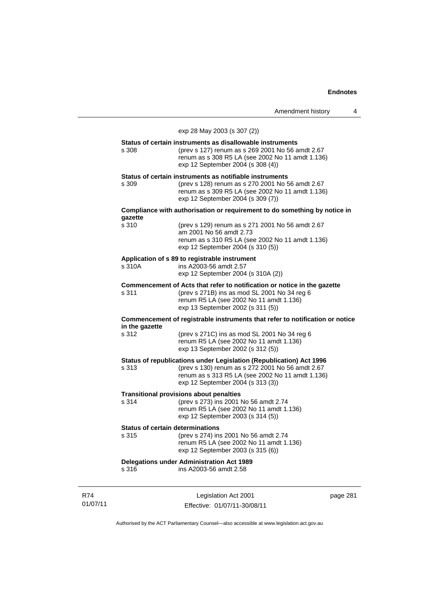Amendment history 4

exp 28 May 2003 (s 307 (2)) **Status of certain instruments as disallowable instruments**  s 308 (prev s 127) renum as s 269 2001 No 56 amdt 2.67 renum as s 308 R5 LA (see 2002 No 11 amdt 1.136) exp 12 September 2004 (s 308 (4)) **Status of certain instruments as notifiable instruments**  s 309 (prev s 128) renum as s 270 2001 No 56 amdt 2.67 renum as s 309 R5 LA (see 2002 No 11 amdt 1.136) exp 12 September 2004 (s 309 (7)) **Compliance with authorisation or requirement to do something by notice in gazette**  (prev s 129) renum as s 271 2001 No 56 amdt 2.67 am 2001 No 56 amdt 2.73 renum as s 310 R5 LA (see 2002 No 11 amdt 1.136) exp 12 September 2004 (s 310 (5)) **Application of s 89 to registrable instrument**  s 310A ins A2003-56 amdt 2.57 exp 12 September 2004 (s 310A (2)) **Commencement of Acts that refer to notification or notice in the gazette**  s 311 (prev s 271B) ins as mod SL 2001 No 34 reg 6 renum R5 LA (see 2002 No 11 amdt 1.136) exp 13 September 2002 (s 311 (5)) **Commencement of registrable instruments that refer to notification or notice in the gazette**  s 312 (prev s 271C) ins as mod SL 2001 No 34 reg 6 renum R5 LA (see 2002 No 11 amdt 1.136) exp 13 September 2002 (s 312 (5)) **Status of republications under Legislation (Republication) Act 1996**  s 313 (prev s 130) renum as s 272 2001 No 56 amdt 2.67 renum as s 313 R5 LA (see 2002 No 11 amdt 1.136) exp 12 September 2004 (s 313 (3)) **Transitional provisions about penalties**<br>s 314 (prev s 273) ins 2001 (prev s 273) ins 2001 No 56 amdt 2.74 renum R5 LA (see 2002 No 11 amdt 1.136) exp 12 September 2003 (s 314 (5)) **Status of certain determinations**<br>s 315 (prev s 274) in: (prev s 274) ins 2001 No 56 amdt 2.74 renum R5 LA (see 2002 No 11 amdt 1.136) exp 12 September 2003 (s 315 (6)) **Delegations under Administration Act 1989**  s 316 ins A2003-56 amdt 2.58

R74 01/07/11

Legislation Act 2001 Effective: 01/07/11-30/08/11 page 281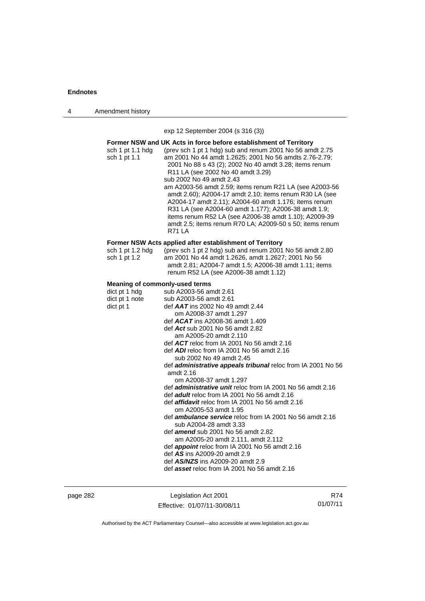4 Amendment history

exp 12 September 2004 (s 316 (3))

| Former NSW and UK Acts in force before establishment of Territory |                                                                                                                                                                                                                                                                                                                                                                                                                                                                                                                                                                                                                            |  |
|-------------------------------------------------------------------|----------------------------------------------------------------------------------------------------------------------------------------------------------------------------------------------------------------------------------------------------------------------------------------------------------------------------------------------------------------------------------------------------------------------------------------------------------------------------------------------------------------------------------------------------------------------------------------------------------------------------|--|
| sch 1 pt 1.1 hdg<br>sch 1 pt 1.1                                  | (prev sch 1 pt 1 hdg) sub and renum 2001 No 56 amdt 2.75<br>am 2001 No 44 amdt 1.2625; 2001 No 56 amdts 2.76-2.79;<br>2001 No 88 s 43 (2); 2002 No 40 amdt 3.28; items renum<br>R11 LA (see 2002 No 40 amdt 3.29)<br>sub 2002 No 49 amdt 2.43<br>am A2003-56 amdt 2.59; items renum R21 LA (see A2003-56<br>amdt 2.60); A2004-17 amdt 2.10; items renum R30 LA (see<br>A2004-17 amdt 2.11); A2004-60 amdt 1.176; items renum<br>R31 LA (see A2004-60 amdt 1.177); A2006-38 amdt 1.9;<br>items renum R52 LA (see A2006-38 amdt 1.10); A2009-39<br>amdt 2.5; items renum R70 LA; A2009-50 s 50; items renum<br><b>R71 LA</b> |  |
|                                                                   | Former NSW Acts applied after establishment of Territory                                                                                                                                                                                                                                                                                                                                                                                                                                                                                                                                                                   |  |
| sch 1 pt 1.2 hdg<br>sch 1 pt 1.2                                  | (prev sch 1 pt 2 hdg) sub and renum 2001 No 56 amdt 2.80<br>am 2001 No 44 amdt 1.2626, amdt 1.2627; 2001 No 56<br>amdt 2.81; A2004-7 amdt 1.5; A2006-38 amdt 1.11; items<br>renum R52 LA (see A2006-38 amdt 1.12)                                                                                                                                                                                                                                                                                                                                                                                                          |  |
| Meaning of commonly-used terms                                    |                                                                                                                                                                                                                                                                                                                                                                                                                                                                                                                                                                                                                            |  |
| dict pt 1 hdg<br>dict pt 1 note                                   | sub A2003-56 amdt 2.61<br>sub A2003-56 amdt 2.61                                                                                                                                                                                                                                                                                                                                                                                                                                                                                                                                                                           |  |
| dict pt 1                                                         | def $AAT$ ins 2002 No 49 amdt 2.44<br>om A2008-37 amdt 1.297<br>def $ACAT$ ins A2008-36 amdt 1.409                                                                                                                                                                                                                                                                                                                                                                                                                                                                                                                         |  |
|                                                                   | def Act sub 2001 No 56 amdt 2.82<br>am A2005-20 amdt 2.110                                                                                                                                                                                                                                                                                                                                                                                                                                                                                                                                                                 |  |
|                                                                   | def $ACT$ reloc from IA 2001 No 56 amdt 2.16                                                                                                                                                                                                                                                                                                                                                                                                                                                                                                                                                                               |  |
|                                                                   | def $ADI$ reloc from IA 2001 No 56 amdt 2.16                                                                                                                                                                                                                                                                                                                                                                                                                                                                                                                                                                               |  |
|                                                                   | sub 2002 No 49 amdt 2.45                                                                                                                                                                                                                                                                                                                                                                                                                                                                                                                                                                                                   |  |
|                                                                   | def administrative appeals tribunal reloc from IA 2001 No 56<br>amdt 2.16                                                                                                                                                                                                                                                                                                                                                                                                                                                                                                                                                  |  |
|                                                                   | om A2008-37 amdt 1.297                                                                                                                                                                                                                                                                                                                                                                                                                                                                                                                                                                                                     |  |
|                                                                   | def <i>administrative unit</i> reloc from IA 2001 No 56 amdt 2.16                                                                                                                                                                                                                                                                                                                                                                                                                                                                                                                                                          |  |
|                                                                   | def <b>adult</b> reloc from IA 2001 No 56 amdt 2.16                                                                                                                                                                                                                                                                                                                                                                                                                                                                                                                                                                        |  |
|                                                                   | def affidavit reloc from IA 2001 No 56 amdt 2.16<br>om A2005-53 amdt 1.95                                                                                                                                                                                                                                                                                                                                                                                                                                                                                                                                                  |  |
|                                                                   | def ambulance service reloc from IA 2001 No 56 amdt 2.16<br>sub A2004-28 amdt 3.33                                                                                                                                                                                                                                                                                                                                                                                                                                                                                                                                         |  |
|                                                                   | def amend sub 2001 No 56 amdt 2.82<br>am A2005-20 amdt 2.111, amdt 2.112                                                                                                                                                                                                                                                                                                                                                                                                                                                                                                                                                   |  |
|                                                                   | def appoint reloc from IA 2001 No 56 amdt 2.16                                                                                                                                                                                                                                                                                                                                                                                                                                                                                                                                                                             |  |
|                                                                   | def AS ins A2009-20 amdt 2.9                                                                                                                                                                                                                                                                                                                                                                                                                                                                                                                                                                                               |  |
|                                                                   | def AS/NZS ins A2009-20 amdt 2.9<br>def asset reloc from IA 2001 No 56 amdt 2.16                                                                                                                                                                                                                                                                                                                                                                                                                                                                                                                                           |  |
|                                                                   |                                                                                                                                                                                                                                                                                                                                                                                                                                                                                                                                                                                                                            |  |

page 282 Legislation Act 2001 Effective: 01/07/11-30/08/11

R74 01/07/11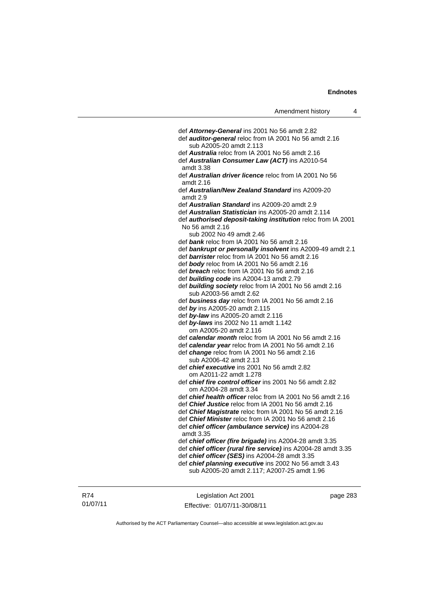| Amendment history |  |
|-------------------|--|
|-------------------|--|

 def *Attorney-General* ins 2001 No 56 amdt 2.82 def *auditor-general* reloc from IA 2001 No 56 amdt 2.16 sub A2005-20 amdt 2.113 def *Australia* reloc from IA 2001 No 56 amdt 2.16 def *Australian Consumer Law (ACT)* ins A2010-54 amdt 3.38 def *Australian driver licence* reloc from IA 2001 No 56 amdt 2.16 def *Australian/New Zealand Standard* ins A2009-20 amdt 2.9 def *Australian Standard* ins A2009-20 amdt 2.9 def *Australian Statistician* ins A2005-20 amdt 2.114 def *authorised deposit-taking institution* reloc from IA 2001 No 56 amdt 2.16 sub 2002 No 49 amdt 2.46 def *bank* reloc from IA 2001 No 56 amdt 2.16 def *bankrupt or personally insolvent* ins A2009-49 amdt 2.1 def *barrister* reloc from IA 2001 No 56 amdt 2.16 def *body* reloc from IA 2001 No 56 amdt 2.16 def *breach* reloc from IA 2001 No 56 amdt 2.16 def *building code* ins A2004-13 amdt 2.79 def *building society* reloc from IA 2001 No 56 amdt 2.16 sub A2003-56 amdt 2.62 def *business day* reloc from IA 2001 No 56 amdt 2.16 def *by* ins A2005-20 amdt 2.115 def *by-law* ins A2005-20 amdt 2.116 def *by-laws* ins 2002 No 11 amdt 1.142 om A2005-20 amdt 2.116 def *calendar month* reloc from IA 2001 No 56 amdt 2.16 def *calendar year* reloc from IA 2001 No 56 amdt 2.16 def *change* reloc from IA 2001 No 56 amdt 2.16 sub A2006-42 amdt 2.13 def *chief executive* ins 2001 No 56 amdt 2.82 om A2011-22 amdt 1.278 def *chief fire control officer* ins 2001 No 56 amdt 2.82 om A2004-28 amdt 3.34 def *chief health officer* reloc from IA 2001 No 56 amdt 2.16 def *Chief Justice* reloc from IA 2001 No 56 amdt 2.16 def *Chief Magistrate* reloc from IA 2001 No 56 amdt 2.16 def *Chief Minister* reloc from IA 2001 No 56 amdt 2.16 def *chief officer (ambulance service)* ins A2004-28 amdt 3.35 def *chief officer (fire brigade)* ins A2004-28 amdt 3.35 def *chief officer (rural fire service)* ins A2004-28 amdt 3.35 def *chief officer (SES)* ins A2004-28 amdt 3.35 def *chief planning executive* ins 2002 No 56 amdt 3.43 sub A2005-20 amdt 2.117; A2007-25 amdt 1.96

Legislation Act 2001 Effective: 01/07/11-30/08/11 page 283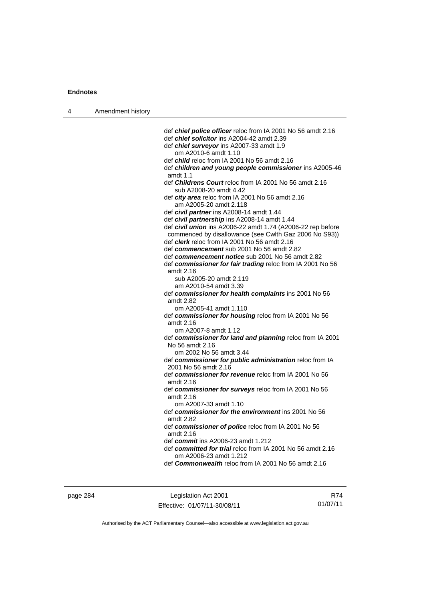| 4 | Amendment history |                                                                                               |
|---|-------------------|-----------------------------------------------------------------------------------------------|
|   |                   |                                                                                               |
|   |                   | def <i>chief police officer</i> reloc from IA 2001 No 56 amdt 2.16                            |
|   |                   | def chief solicitor ins A2004-42 amdt 2.39                                                    |
|   |                   | def chief surveyor ins A2007-33 amdt 1.9                                                      |
|   |                   | om A2010-6 amdt 1.10                                                                          |
|   |                   | def <i>child</i> reloc from IA 2001 No 56 amdt 2.16                                           |
|   |                   | def children and young people commissioner ins A2005-46                                       |
|   |                   | amdt 1.1                                                                                      |
|   |                   | def Childrens Court reloc from IA 2001 No 56 amdt 2.16                                        |
|   |                   | sub A2008-20 amdt 4.42                                                                        |
|   |                   | def city area reloc from IA 2001 No 56 amdt 2.16                                              |
|   |                   | am A2005-20 amdt 2.118                                                                        |
|   |                   | def civil partner ins A2008-14 amdt 1.44                                                      |
|   |                   | def civil partnership ins A2008-14 amdt 1.44                                                  |
|   |                   | def civil union ins A2006-22 amdt 1.74 (A2006-22 rep before                                   |
|   |                   | commenced by disallowance (see Cwlth Gaz 2006 No S93))                                        |
|   |                   | def clerk reloc from IA 2001 No 56 amdt 2.16                                                  |
|   |                   | def commencement sub 2001 No 56 amdt 2.82<br>def commencement notice sub 2001 No 56 amdt 2.82 |
|   |                   | def commissioner for fair trading reloc from IA 2001 No 56                                    |
|   |                   | amdt $2.16$                                                                                   |
|   |                   | sub A2005-20 amdt 2.119                                                                       |
|   |                   | am A2010-54 amdt 3.39                                                                         |
|   |                   | def commissioner for health complaints ins 2001 No 56                                         |
|   |                   | amdt 2.82                                                                                     |
|   |                   | om A2005-41 amdt 1.110                                                                        |
|   |                   | def commissioner for housing reloc from IA 2001 No 56                                         |
|   |                   | amdt 2.16                                                                                     |
|   |                   | om A2007-8 amdt 1.12                                                                          |
|   |                   | def commissioner for land and planning reloc from IA 2001                                     |
|   |                   | No 56 amdt 2.16                                                                               |
|   |                   | om 2002 No 56 amdt 3.44                                                                       |
|   |                   | def commissioner for public administration reloc from IA                                      |
|   |                   | 2001 No 56 amdt 2.16                                                                          |
|   |                   | def commissioner for revenue reloc from IA 2001 No 56                                         |
|   |                   | amdt 2.16                                                                                     |
|   |                   | def commissioner for surveys reloc from IA 2001 No 56                                         |
|   |                   | amdt 2.16                                                                                     |
|   |                   | om A2007-33 amdt 1.10                                                                         |
|   |                   | def commissioner for the environment ins 2001 No 56                                           |
|   |                   | amdt 2.82                                                                                     |
|   |                   | def commissioner of police reloc from IA 2001 No 56                                           |
|   |                   | amdt 2.16<br>def <i>commit</i> ins A2006-23 amdt 1.212                                        |
|   |                   | def committed for trial reloc from IA 2001 No 56 amdt 2.16                                    |
|   |                   | om A2006-23 amdt 1.212                                                                        |
|   |                   | def <b>Commonwealth</b> reloc from IA 2001 No 56 amdt 2.16                                    |
|   |                   |                                                                                               |

page 284 Legislation Act 2001 Effective: 01/07/11-30/08/11

R74 01/07/11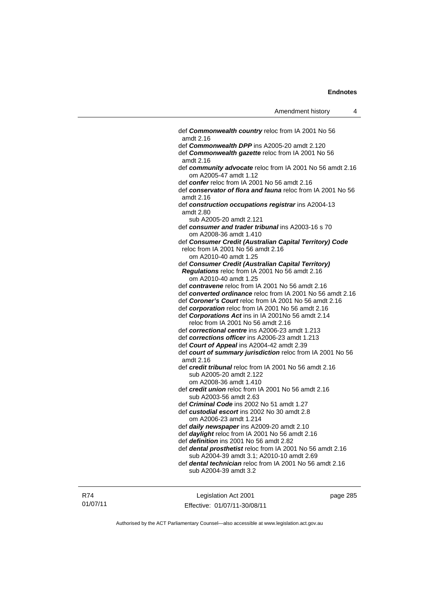| def Commonwealth country reloc from IA 2001 No 56<br>amdt 2.16                     |
|------------------------------------------------------------------------------------|
| def Commonwealth DPP ins A2005-20 amdt 2.120                                       |
| def Commonwealth gazette reloc from IA 2001 No 56<br>amdt 2.16                     |
| def community advocate reloc from IA 2001 No 56 amdt 2.16<br>om A2005-47 amdt 1.12 |
| def confer reloc from IA 2001 No 56 amdt 2.16                                      |
| def conservator of flora and fauna reloc from IA 2001 No 56<br>amdt 2.16           |
| def construction occupations registrar ins A2004-13<br>amdt 2.80                   |
| sub A2005-20 amdt 2.121                                                            |
| def consumer and trader tribunal ins A2003-16 s 70<br>om A2008-36 amdt 1.410       |
| def Consumer Credit (Australian Capital Territory) Code                            |
| reloc from IA 2001 No 56 amdt 2.16                                                 |
| om A2010-40 amdt 1.25                                                              |
| def Consumer Credit (Australian Capital Territory)                                 |
| Regulations reloc from IA 2001 No 56 amdt 2.16                                     |
| om A2010-40 amdt 1.25                                                              |
| def contravene reloc from IA 2001 No 56 amdt 2.16                                  |
| def converted ordinance reloc from IA 2001 No 56 amdt 2.16                         |
| def Coroner's Court reloc from IA 2001 No 56 amdt 2.16                             |
| def corporation reloc from IA 2001 No 56 amdt 2.16                                 |
| def Corporations Act ins in IA 2001No 56 amdt 2.14                                 |
| reloc from IA 2001 No 56 amdt 2.16                                                 |
| def correctional centre ins A2006-23 amdt 1.213                                    |
| def corrections officer ins A2006-23 amdt 1.213                                    |
| def Court of Appeal ins A2004-42 amdt 2.39                                         |
| def court of summary jurisdiction reloc from IA 2001 No 56                         |
| amdt 2.16                                                                          |
| def credit tribunal reloc from IA 2001 No 56 amdt 2.16                             |
| sub A2005-20 amdt 2.122                                                            |
| om A2008-36 amdt 1.410                                                             |
| def credit union reloc from IA 2001 No 56 amdt 2.16                                |
| sub A2003-56 amdt 2.63                                                             |
| def Criminal Code ins 2002 No 51 amdt 1.27                                         |
| def custodial escort ins 2002 No 30 amdt 2.8                                       |
| om A2006-23 amdt 1.214                                                             |
| def daily newspaper ins A2009-20 amdt 2.10                                         |
| def daylight reloc from IA 2001 No 56 amdt 2.16                                    |
| def definition ins 2001 No 56 amdt 2.82                                            |
| def dental prosthetist reloc from IA 2001 No 56 amdt 2.16                          |
| sub A2004-39 amdt 3.1; A2010-10 amdt 2.69                                          |
| def dental technician reloc from IA 2001 No 56 amdt 2.16                           |
| sub A2004-39 amdt 3.2                                                              |
|                                                                                    |
|                                                                                    |

R74 01/07/11

Legislation Act 2001 Effective: 01/07/11-30/08/11 page 285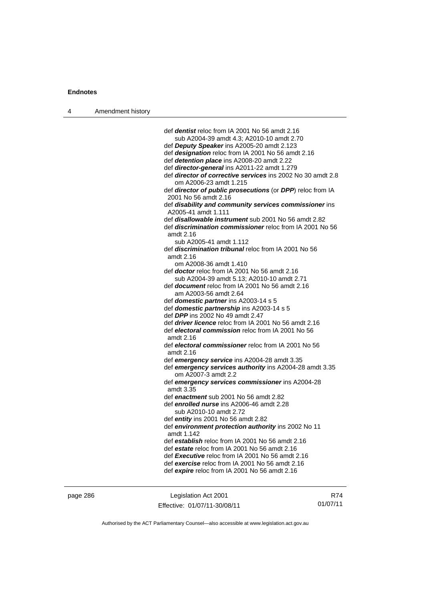| 4 | Amendment history |                                                                                                      |
|---|-------------------|------------------------------------------------------------------------------------------------------|
|   |                   |                                                                                                      |
|   |                   | def <i>dentist</i> reloc from IA 2001 No 56 amdt 2.16                                                |
|   |                   | sub A2004-39 amdt 4.3; A2010-10 amdt 2.70                                                            |
|   |                   | def Deputy Speaker ins A2005-20 amdt 2.123                                                           |
|   |                   | def designation reloc from IA 2001 No 56 amdt 2.16                                                   |
|   |                   | def detention place ins A2008-20 amdt 2.22                                                           |
|   |                   | def director-general ins A2011-22 amdt 1.279                                                         |
|   |                   | def <i>director of corrective services</i> ins 2002 No 30 amdt 2.8<br>om A2006-23 amdt 1.215         |
|   |                   | def director of public prosecutions (or DPP) reloc from IA<br>2001 No 56 amdt 2.16                   |
|   |                   | def disability and community services commissioner ins<br>A2005-41 amdt 1.111                        |
|   |                   | def <b>disallowable instrument</b> sub 2001 No 56 amdt 2.82                                          |
|   |                   | def <i>discrimination commissioner</i> reloc from IA 2001 No 56<br>amdt 2.16                         |
|   |                   | sub A2005-41 amdt 1.112                                                                              |
|   |                   | def <i>discrimination tribunal</i> reloc from IA 2001 No 56<br>amdt 2.16                             |
|   |                   | om A2008-36 amdt 1.410                                                                               |
|   |                   | def <b>doctor</b> reloc from IA 2001 No 56 amdt 2.16                                                 |
|   |                   | sub A2004-39 amdt 5.13; A2010-10 amdt 2.71<br>def <b>document</b> reloc from IA 2001 No 56 amdt 2.16 |
|   |                   | am A2003-56 amdt 2.64                                                                                |
|   |                   | def domestic partner ins A2003-14 s 5                                                                |
|   |                   | def domestic partnership ins A2003-14 s 5                                                            |
|   |                   | def DPP ins 2002 No 49 amdt 2.47                                                                     |
|   |                   | def <i>driver licence</i> reloc from IA 2001 No 56 amdt 2.16                                         |
|   |                   | def electoral commission reloc from IA 2001 No 56<br>amdt 2.16                                       |
|   |                   | def electoral commissioner reloc from IA 2001 No 56<br>amdt 2.16                                     |
|   |                   | def emergency service ins A2004-28 amdt 3.35                                                         |
|   |                   | def emergency services authority ins A2004-28 amdt 3.35<br>om A2007-3 amdt 2.2                       |
|   |                   | def emergency services commissioner ins A2004-28<br>amdt 3.35                                        |
|   |                   | def enactment sub 2001 No 56 amdt 2.82                                                               |
|   |                   | def enrolled nurse ins A2006-46 amdt 2.28<br>sub A2010-10 amdt 2.72                                  |
|   |                   | def entity ins 2001 No 56 amdt 2.82                                                                  |
|   |                   | def environment protection authority ins 2002 No 11<br>amdt 1.142                                    |
|   |                   | def establish reloc from IA 2001 No 56 amdt 2.16                                                     |
|   |                   | def estate reloc from IA 2001 No 56 amdt 2.16                                                        |
|   |                   | def Executive reloc from IA 2001 No 56 amdt 2.16                                                     |
|   |                   | def exercise reloc from IA 2001 No 56 amdt 2.16                                                      |
|   |                   | def expire reloc from IA 2001 No 56 amdt 2.16                                                        |
|   |                   |                                                                                                      |

page 286 Legislation Act 2001 Effective: 01/07/11-30/08/11

R74 01/07/11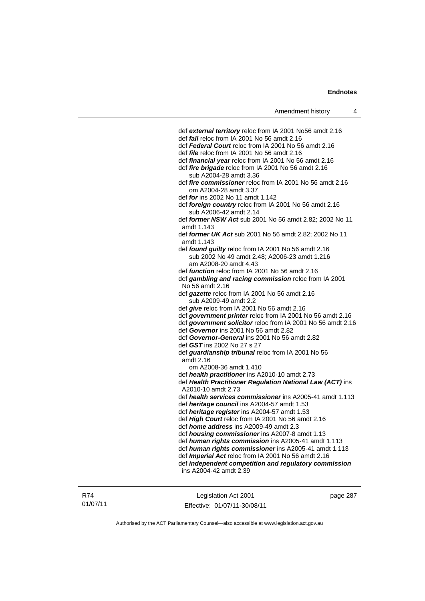def *external territory* reloc from IA 2001 No56 amdt 2.16 def *fail* reloc from IA 2001 No 56 amdt 2.16 def *Federal Court* reloc from IA 2001 No 56 amdt 2.16 def *file* reloc from IA 2001 No 56 amdt 2.16 def *financial year* reloc from IA 2001 No 56 amdt 2.16 def *fire brigade* reloc from IA 2001 No 56 amdt 2.16 sub A2004-28 amdt 3.36 def *fire commissioner* reloc from IA 2001 No 56 amdt 2.16 om A2004-28 amdt 3.37 def *for* ins 2002 No 11 amdt 1.142 def *foreign country* reloc from IA 2001 No 56 amdt 2.16 sub A2006-42 amdt 2.14 def *former NSW Act* sub 2001 No 56 amdt 2.82; 2002 No 11 amdt 1.143 def *former UK Act* sub 2001 No 56 amdt 2.82; 2002 No 11 amdt 1.143 def *found guilty* reloc from IA 2001 No 56 amdt 2.16 sub 2002 No 49 amdt 2.48; A2006-23 amdt 1.216 am A2008-20 amdt 4.43 def *function* reloc from IA 2001 No 56 amdt 2.16 def *gambling and racing commission* reloc from IA 2001 No 56 amdt 2.16 def *gazette* reloc from IA 2001 No 56 amdt 2.16 sub A2009-49 amdt 2.2 def *give* reloc from IA 2001 No 56 amdt 2.16 def *government printer* reloc from IA 2001 No 56 amdt 2.16 def *government solicitor* reloc from IA 2001 No 56 amdt 2.16 def *Governor* ins 2001 No 56 amdt 2.82 def *Governor-General* ins 2001 No 56 amdt 2.82 def *GST* ins 2002 No 27 s 27 def *guardianship tribunal* reloc from IA 2001 No 56 amdt 2.16 om A2008-36 amdt 1.410 def *health practitioner* ins A2010-10 amdt 2.73 def *Health Practitioner Regulation National Law (ACT)* ins A2010-10 amdt 2.73 def *health services commissioner* ins A2005-41 amdt 1.113 def *heritage council* ins A2004-57 amdt 1.53 def *heritage register* ins A2004-57 amdt 1.53 def *High Court* reloc from IA 2001 No 56 amdt 2.16 def *home address* ins A2009-49 amdt 2.3 def *housing commissioner* ins A2007-8 amdt 1.13 def *human rights commission* ins A2005-41 amdt 1.113 def *human rights commissioner* ins A2005-41 amdt 1.113 def *Imperial Act* reloc from IA 2001 No 56 amdt 2.16 def *independent competition and regulatory commission* ins A2004-42 amdt 2.39

R74 01/07/11

Legislation Act 2001 Effective: 01/07/11-30/08/11 page 287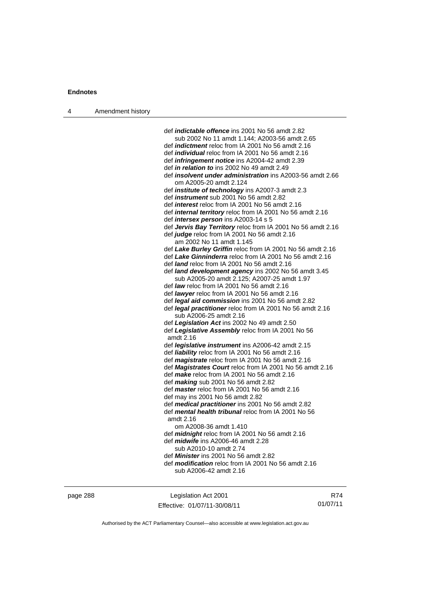| 4 | Amendment history |                                                                                                          |
|---|-------------------|----------------------------------------------------------------------------------------------------------|
|   |                   |                                                                                                          |
|   |                   | def <i>indictable offence</i> ins 2001 No 56 amdt 2.82                                                   |
|   |                   | sub 2002 No 11 amdt 1.144; A2003-56 amdt 2.65                                                            |
|   |                   | def <i>indictment</i> reloc from IA 2001 No 56 amdt 2.16                                                 |
|   |                   | def <i>individual</i> reloc from IA 2001 No 56 amdt 2.16                                                 |
|   |                   | def <i>infringement notice</i> ins A2004-42 amdt 2.39                                                    |
|   |                   | def in relation to ins 2002 No 49 amdt 2.49                                                              |
|   |                   | def <i>insolvent under administration</i> ins A2003-56 amdt 2.66<br>om A2005-20 amdt 2.124               |
|   |                   | def <i>institute</i> of <i>technology</i> ins A2007-3 amdt 2.3                                           |
|   |                   | def <i>instrument</i> sub 2001 No 56 amdt 2.82                                                           |
|   |                   | def <i>interest</i> reloc from IA 2001 No 56 amdt 2.16                                                   |
|   |                   | def internal territory reloc from IA 2001 No 56 amdt 2.16                                                |
|   |                   | def <i>intersex person</i> ins A2003-14 s 5                                                              |
|   |                   | def Jervis Bay Territory reloc from IA 2001 No 56 amdt 2.16                                              |
|   |                   | def judge reloc from IA 2001 No 56 amdt 2.16                                                             |
|   |                   | am 2002 No 11 amdt 1.145                                                                                 |
|   |                   | def Lake Burley Griffin reloc from IA 2001 No 56 amdt 2.16                                               |
|   |                   | def Lake Ginninderra reloc from IA 2001 No 56 amdt 2.16                                                  |
|   |                   | def <i>land</i> reloc from IA 2001 No 56 amdt 2.16                                                       |
|   |                   | def land development agency ins 2002 No 56 amdt 3.45                                                     |
|   |                   | sub A2005-20 amdt 2.125; A2007-25 amdt 1.97                                                              |
|   |                   | def law reloc from IA 2001 No 56 amdt 2.16                                                               |
|   |                   | def lawyer reloc from IA 2001 No 56 amdt 2.16                                                            |
|   |                   | def legal aid commission ins 2001 No 56 amdt 2.82                                                        |
|   |                   | def legal practitioner reloc from IA 2001 No 56 amdt 2.16                                                |
|   |                   | sub A2006-25 amdt 2.16<br>def Legislation Act ins 2002 No 49 amdt 2.50                                   |
|   |                   | def Legislative Assembly reloc from IA 2001 No 56                                                        |
|   |                   | amdt 2.16                                                                                                |
|   |                   | def <i>legislative instrument</i> ins A2006-42 amdt 2.15                                                 |
|   |                   | def liability reloc from IA 2001 No 56 amdt 2.16                                                         |
|   |                   | def <i>magistrate</i> reloc from IA 2001 No 56 amdt 2.16                                                 |
|   |                   | def <b>Magistrates Court</b> reloc from IA 2001 No 56 amdt 2.16                                          |
|   |                   | def <i>make</i> reloc from IA 2001 No 56 amdt 2.16                                                       |
|   |                   | def $making$ sub 2001 No 56 amdt 2.82                                                                    |
|   |                   | def <i>master</i> reloc from IA 2001 No 56 amdt 2.16                                                     |
|   |                   | def may ins 2001 No 56 amdt 2.82                                                                         |
|   |                   | def medical practitioner ins 2001 No 56 amdt 2.82<br>def mental health tribunal reloc from IA 2001 No 56 |
|   |                   | amdt 2.16                                                                                                |
|   |                   | om A2008-36 amdt 1.410                                                                                   |
|   |                   | dot midnight roles from $10, 2001$ No ER amdt 2.18                                                       |

 def *midnight* reloc from IA 2001 No 56 amdt 2.16 def *midwife* ins A2006-46 amdt 2.28

- sub A2010-10 amdt 2.74
- def *Minister* ins 2001 No 56 amdt 2.82 def *modification* reloc from IA 2001 No 56 amdt 2.16
	- sub A2006-42 amdt 2.16

| page 288 |  |
|----------|--|
|----------|--|

page 288 Legislation Act 2001 Effective: 01/07/11-30/08/11

R74 01/07/11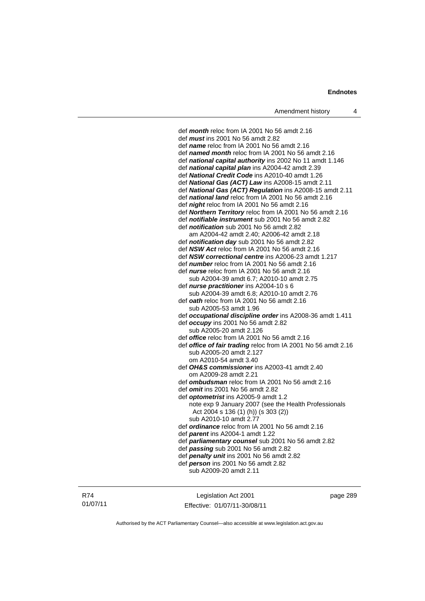def *month* reloc from IA 2001 No 56 amdt 2.16 def *must* ins 2001 No 56 amdt 2.82 def *name* reloc from IA 2001 No 56 amdt 2.16 def *named month* reloc from IA 2001 No 56 amdt 2.16 def *national capital authority* ins 2002 No 11 amdt 1.146 def *national capital plan* ins A2004-42 amdt 2.39 def *National Credit Code* ins A2010-40 amdt 1.26 def *National Gas (ACT) Law* ins A2008-15 amdt 2.11 def *National Gas (ACT) Regulation* ins A2008-15 amdt 2.11 def *national land* reloc from IA 2001 No 56 amdt 2.16 def *night* reloc from IA 2001 No 56 amdt 2.16 def *Northern Territory* reloc from IA 2001 No 56 amdt 2.16 def *notifiable instrument* sub 2001 No 56 amdt 2.82 def *notification* sub 2001 No 56 amdt 2.82 am A2004-42 amdt 2.40; A2006-42 amdt 2.18 def *notification day* sub 2001 No 56 amdt 2.82 def *NSW Act* reloc from IA 2001 No 56 amdt 2.16 def *NSW correctional centre* ins A2006-23 amdt 1.217 def *number* reloc from IA 2001 No 56 amdt 2.16 def *nurse* reloc from IA 2001 No 56 amdt 2.16 sub A2004-39 amdt 6.7; A2010-10 amdt 2.75 def *nurse practitioner* ins A2004-10 s 6 sub A2004-39 amdt 6.8; A2010-10 amdt 2.76 def *oath* reloc from IA 2001 No 56 amdt 2.16 sub A2005-53 amdt 1.96 def *occupational discipline order* ins A2008-36 amdt 1.411 def *occupy* ins 2001 No 56 amdt 2.82 sub A2005-20 amdt 2.126 def *office* reloc from IA 2001 No 56 amdt 2.16 def *office of fair trading* reloc from IA 2001 No 56 amdt 2.16 sub A2005-20 amdt 2.127 om A2010-54 amdt 3.40 def *OH&S commissioner* ins A2003-41 amdt 2.40 om A2009-28 amdt 2.21 def *ombudsman* reloc from IA 2001 No 56 amdt 2.16 def *omit* ins 2001 No 56 amdt 2.82 def *optometrist* ins A2005-9 amdt 1.2 note exp 9 January 2007 (see the Health Professionals Act 2004 s 136 (1) (h)) (s 303 (2)) sub A2010-10 amdt 2.77 def *ordinance* reloc from IA 2001 No 56 amdt 2.16 def *parent* ins A2004-1 amdt 1.22 def *parliamentary counsel* sub 2001 No 56 amdt 2.82 def *passing* sub 2001 No 56 amdt 2.82 def *penalty unit* ins 2001 No 56 amdt 2.82 def *person* ins 2001 No 56 amdt 2.82 sub A2009-20 amdt 2.11

R74 01/07/11

Legislation Act 2001 Effective: 01/07/11-30/08/11 page 289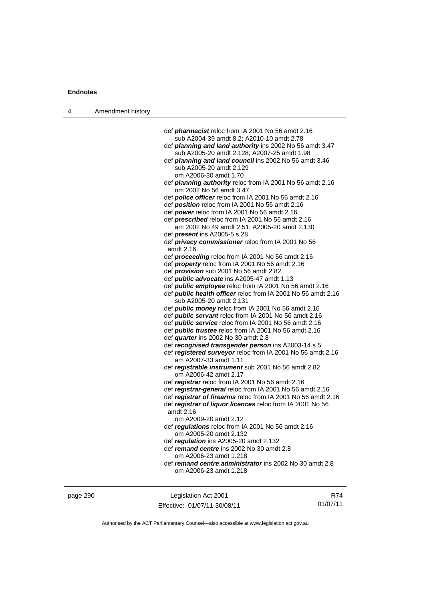| 4 | Amendment history |                                                                                                              |
|---|-------------------|--------------------------------------------------------------------------------------------------------------|
|   |                   |                                                                                                              |
|   |                   | def <i>pharmacist</i> reloc from IA 2001 No 56 amdt 2.16                                                     |
|   |                   | sub A2004-39 amdt 8.2; A2010-10 amdt 2.78                                                                    |
|   |                   | def planning and land authority ins 2002 No 56 amdt 3.47                                                     |
|   |                   | sub A2005-20 amdt 2.128; A2007-25 amdt 1.98                                                                  |
|   |                   | def <i>planning and land council</i> ins 2002 No 56 amdt 3.46                                                |
|   |                   | sub A2005-20 amdt 2.129                                                                                      |
|   |                   | om A2006-30 amdt 1.70                                                                                        |
|   |                   | def <i>planning authority</i> reloc from IA 2001 No 56 amdt 2.16                                             |
|   |                   | om 2002 No 56 amdt 3.47                                                                                      |
|   |                   | def police officer reloc from IA 2001 No 56 amdt 2.16                                                        |
|   |                   | def position reloc from IA 2001 No 56 amdt 2.16                                                              |
|   |                   | def power reloc from IA 2001 No 56 amdt 2.16                                                                 |
|   |                   | def <i>prescribed</i> reloc from IA 2001 No 56 amdt 2.16                                                     |
|   |                   | am 2002 No 49 amdt 2.51; A2005-20 amdt 2.130                                                                 |
|   |                   | def <i>present</i> ins A2005-5 s 28                                                                          |
|   |                   | def privacy commissioner reloc from IA 2001 No 56<br>amdt 2.16                                               |
|   |                   | def <i>proceeding</i> reloc from IA 2001 No 56 amdt 2.16                                                     |
|   |                   | def <i>property</i> reloc from IA 2001 No 56 amdt 2.16                                                       |
|   |                   | def <i>provision</i> sub 2001 No 56 amdt 2.82                                                                |
|   |                   | def <i>public advocate</i> ins A2005-47 amdt 1.13                                                            |
|   |                   | def <i>public</i> employee reloc from IA 2001 No 56 amdt 2.16                                                |
|   |                   | def <b>public health officer</b> reloc from IA 2001 No 56 amdt 2.16                                          |
|   |                   | sub A2005-20 amdt 2.131                                                                                      |
|   |                   | def <i>public money</i> reloc from IA 2001 No 56 amdt 2.16                                                   |
|   |                   | def <i>public servant</i> reloc from IA 2001 No 56 amdt 2.16                                                 |
|   |                   | def <i>public service</i> reloc from IA 2001 No 56 amdt 2.16                                                 |
|   |                   | def <i>public trustee</i> reloc from IA 2001 No 56 amdt 2.16                                                 |
|   |                   | def quarter ins 2002 No 30 amdt 2.8                                                                          |
|   |                   | def recognised transgender person ins A2003-14 s 5                                                           |
|   |                   | def registered surveyor reloc from IA 2001 No 56 amdt 2.16                                                   |
|   |                   | am A2007-33 amdt 1.11                                                                                        |
|   |                   | def registrable instrument sub 2001 No 56 amdt 2.82                                                          |
|   |                   | om A2006-42 amdt 2.17                                                                                        |
|   |                   | def registrar reloc from IA 2001 No 56 amdt 2.16<br>def registrar-general reloc from IA 2001 No 56 amdt 2.16 |
|   |                   | def registrar of firearms reloc from IA 2001 No 56 amdt 2.16                                                 |
|   |                   | def registrar of liquor licences reloc from IA 2001 No 56                                                    |
|   |                   | amdt 2.16                                                                                                    |
|   |                   | om A2009-20 amdt 2.12                                                                                        |
|   |                   | def regulations reloc from IA 2001 No 56 amdt 2.16                                                           |
|   |                   | om A2005-20 amdt 2.132                                                                                       |
|   |                   | def regulation ins A2005-20 amdt 2.132                                                                       |
|   |                   | def remand centre ins 2002 No 30 amdt 2.8                                                                    |
|   |                   | om A2006-23 amdt 1.218                                                                                       |
|   |                   | def remand centre administrator ins 2002 No 30 amdt 2.8                                                      |
|   |                   | om A2006-23 amdt 1.218                                                                                       |
|   |                   |                                                                                                              |
|   |                   |                                                                                                              |

Authorised by the ACT Parliamentary Counsel—also accessible at www.legislation.act.gov.au

R74 01/07/11

Effective: 01/07/11-30/08/11

page 290 Legislation Act 2001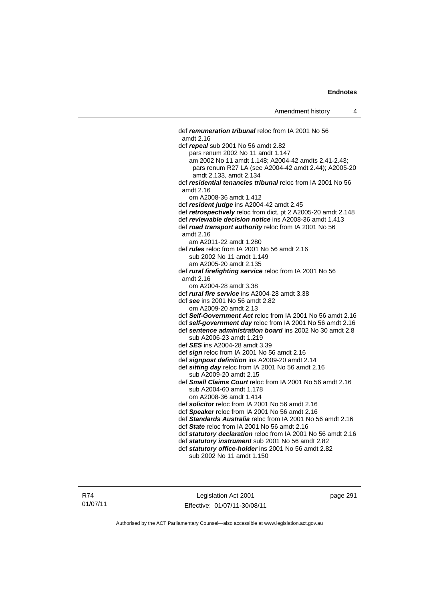def *remuneration tribunal* reloc from IA 2001 No 56 amdt 2.16 def *repeal* sub 2001 No 56 amdt 2.82 pars renum 2002 No 11 amdt 1.147 am 2002 No 11 amdt 1.148; A2004-42 amdts 2.41-2.43; pars renum R27 LA (see A2004-42 amdt 2.44); A2005-20 amdt 2.133, amdt 2.134 def *residential tenancies tribunal* reloc from IA 2001 No 56 amdt 2.16 om A2008-36 amdt 1.412 def *resident judge* ins A2004-42 amdt 2.45 def *retrospectively* reloc from dict, pt 2 A2005-20 amdt 2.148 def *reviewable decision notice* ins A2008-36 amdt 1.413 def *road transport authority* reloc from IA 2001 No 56 amdt 2.16 am A2011-22 amdt 1.280 def *rules* reloc from IA 2001 No 56 amdt 2.16 sub 2002 No 11 amdt 1.149 am A2005-20 amdt 2.135 def *rural firefighting service* reloc from IA 2001 No 56 amdt 2.16 om A2004-28 amdt 3.38 def *rural fire service* ins A2004-28 amdt 3.38 def *see* ins 2001 No 56 amdt 2.82 om A2009-20 amdt 2.13 def *Self-Government Act* reloc from IA 2001 No 56 amdt 2.16 def *self-government day* reloc from IA 2001 No 56 amdt 2.16 def *sentence administration board* ins 2002 No 30 amdt 2.8 sub A2006-23 amdt 1.219 def *SES* ins A2004-28 amdt 3.39 def *sign* reloc from IA 2001 No 56 amdt 2.16 def *signpost definition* ins A2009-20 amdt 2.14 def *sitting day* reloc from IA 2001 No 56 amdt 2.16 sub A2009-20 amdt 2.15 def *Small Claims Court* reloc from IA 2001 No 56 amdt 2.16 sub A2004-60 amdt 1.178 om A2008-36 amdt 1.414 def *solicitor* reloc from IA 2001 No 56 amdt 2.16 def *Speaker* reloc from IA 2001 No 56 amdt 2.16 def *Standards Australia* reloc from IA 2001 No 56 amdt 2.16 def *State* reloc from IA 2001 No 56 amdt 2.16 def *statutory declaration* reloc from IA 2001 No 56 amdt 2.16 def *statutory instrument* sub 2001 No 56 amdt 2.82 def *statutory office-holder* ins 2001 No 56 amdt 2.82 sub 2002 No 11 amdt 1.150

R74 01/07/11

Legislation Act 2001 Effective: 01/07/11-30/08/11 page 291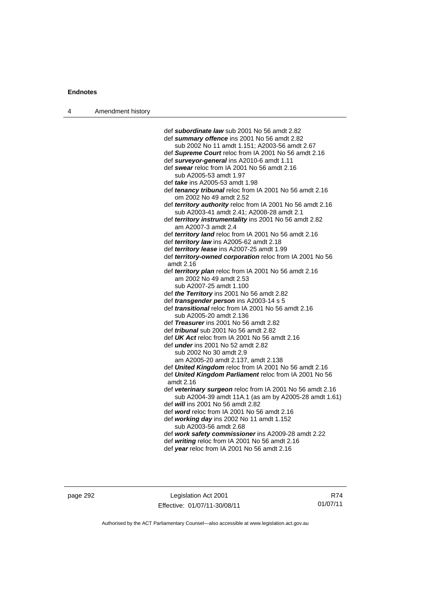| 4 | Amendment history |                                                                                                                    |
|---|-------------------|--------------------------------------------------------------------------------------------------------------------|
|   |                   |                                                                                                                    |
|   |                   | def subordinate law sub 2001 No 56 amdt 2.82                                                                       |
|   |                   | def summary offence ins 2001 No 56 amdt 2.82                                                                       |
|   |                   | sub 2002 No 11 amdt 1.151; A2003-56 amdt 2.67                                                                      |
|   |                   | def Supreme Court reloc from IA 2001 No 56 amdt 2.16                                                               |
|   |                   | def surveyor-general ins A2010-6 amdt 1.11                                                                         |
|   |                   | def swear reloc from IA 2001 No 56 amdt 2.16                                                                       |
|   |                   | sub A2005-53 amdt 1.97                                                                                             |
|   |                   | def <i>take</i> ins A2005-53 amdt 1.98                                                                             |
|   |                   | def tenancy tribunal reloc from IA 2001 No 56 amdt 2.16<br>om 2002 No 49 amdt 2.52                                 |
|   |                   | def territory authority reloc from IA 2001 No 56 amdt 2.16<br>sub A2003-41 amdt 2.41; A2008-28 amdt 2.1            |
|   |                   | def territory instrumentality ins 2001 No 56 amdt 2.82<br>am A2007-3 amdt 2.4                                      |
|   |                   | def territory land reloc from IA 2001 No 56 amdt 2.16                                                              |
|   |                   | def territory law ins A2005-62 amdt 2.18                                                                           |
|   |                   | def territory lease ins A2007-25 amdt 1.99                                                                         |
|   |                   | def territory-owned corporation reloc from IA 2001 No 56                                                           |
|   |                   | amdt 2.16                                                                                                          |
|   |                   | def territory plan reloc from IA 2001 No 56 amdt 2.16                                                              |
|   |                   | am 2002 No 49 amdt 2.53                                                                                            |
|   |                   | sub A2007-25 amdt 1.100                                                                                            |
|   |                   | def the Territory ins 2001 No 56 amdt 2.82                                                                         |
|   |                   | def <i>transgender person</i> ins A2003-14 s 5                                                                     |
|   |                   | def <i>transitional</i> reloc from IA 2001 No 56 amdt 2.16                                                         |
|   |                   | sub A2005-20 amdt 2.136                                                                                            |
|   |                   | def Treasurer ins 2001 No 56 amdt 2.82                                                                             |
|   |                   | def <i>tribunal</i> sub 2001 No 56 amdt 2.82                                                                       |
|   |                   | def UK Act reloc from IA 2001 No 56 amdt 2.16                                                                      |
|   |                   | def <i>under</i> ins 2001 No 52 amdt 2.82                                                                          |
|   |                   | sub 2002 No 30 amdt 2.9                                                                                            |
|   |                   | am A2005-20 amdt 2.137, amdt 2.138                                                                                 |
|   |                   | def United Kingdom reloc from IA 2001 No 56 amdt 2.16                                                              |
|   |                   | def United Kingdom Parliament reloc from IA 2001 No 56                                                             |
|   |                   | amdt 2.16                                                                                                          |
|   |                   | def veterinary surgeon reloc from IA 2001 No 56 amdt 2.16<br>sub A2004-39 amdt 11A.1 (as am by A2005-28 amdt 1.61) |
|   |                   | def <i>will</i> ins 2001 No 56 amdt 2.82                                                                           |
|   |                   | def word reloc from IA 2001 No 56 amdt 2.16                                                                        |
|   |                   | def working day ins 2002 No 11 amdt 1.152                                                                          |
|   |                   | sub A2003-56 amdt 2.68                                                                                             |
|   |                   | def work safety commissioner ins A2009-28 amdt 2.22                                                                |
|   |                   | def writing reloc from IA 2001 No 56 amdt 2.16                                                                     |
|   |                   | def year reloc from IA 2001 No 56 amdt 2.16                                                                        |
|   |                   |                                                                                                                    |
|   |                   |                                                                                                                    |

page 292 Legislation Act 2001 Effective: 01/07/11-30/08/11

R74 01/07/11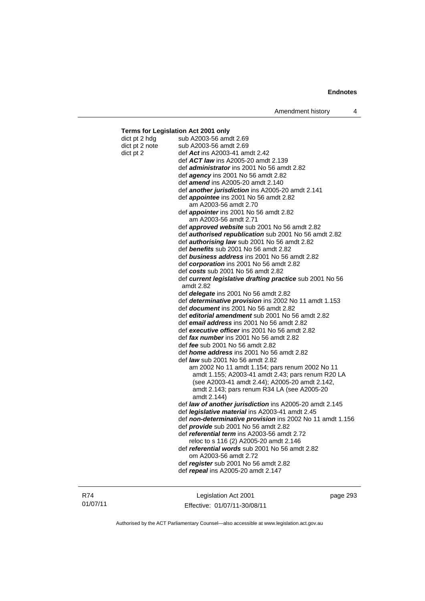#### **Terms for Legislation Act 2001 only**  dict pt 2 hdg sub A2003-56 amdt 2.69 dict pt 2 note sub A2003-56 amdt 2.69 dict pt 2 def *Act* ins A2003-41 amdt 2.42 def *ACT law* ins A2005-20 amdt 2.139 def *administrator* ins 2001 No 56 amdt 2.82 def *agency* ins 2001 No 56 amdt 2.82 def *amend* ins A2005-20 amdt 2.140 def *another jurisdiction* ins A2005-20 amdt 2.141 def *appointee* ins 2001 No 56 amdt 2.82 am A2003-56 amdt 2.70 def *appointer* ins 2001 No 56 amdt 2.82 am A2003-56 amdt 2.71 def *approved website* sub 2001 No 56 amdt 2.82 def *authorised republication* sub 2001 No 56 amdt 2.82 def *authorising law* sub 2001 No 56 amdt 2.82 def *benefits* sub 2001 No 56 amdt 2.82 def *business address* ins 2001 No 56 amdt 2.82 def *corporation* ins 2001 No 56 amdt 2.82 def *costs* sub 2001 No 56 amdt 2.82 def *current legislative drafting practice* sub 2001 No 56 amdt 2.82 def *delegate* ins 2001 No 56 amdt 2.82 def *determinative provision* ins 2002 No 11 amdt 1.153 def *document* ins 2001 No 56 amdt 2.82 def *editorial amendment* sub 2001 No 56 amdt 2.82 def *email address* ins 2001 No 56 amdt 2.82 def *executive officer* ins 2001 No 56 amdt 2.82 def *fax number* ins 2001 No 56 amdt 2.82 def *fee* sub 2001 No 56 amdt 2.82 def *home address* ins 2001 No 56 amdt 2.82 def *law* sub 2001 No 56 amdt 2.82 am 2002 No 11 amdt 1.154; pars renum 2002 No 11 amdt 1.155; A2003-41 amdt 2.43; pars renum R20 LA (see A2003-41 amdt 2.44); A2005-20 amdt 2.142, amdt 2.143; pars renum R34 LA (see A2005-20 amdt 2.144) def *law of another jurisdiction* ins A2005-20 amdt 2.145 def *legislative material* ins A2003-41 amdt 2.45 def *non-determinative provision* ins 2002 No 11 amdt 1.156 def *provide* sub 2001 No 56 amdt 2.82 def *referential term* ins A2003-56 amdt 2.72 reloc to s 116 (2) A2005-20 amdt 2.146 def *referential words* sub 2001 No 56 amdt 2.82 om A2003-56 amdt 2.72 def *register* sub 2001 No 56 amdt 2.82

R74 01/07/11

Legislation Act 2001 Effective: 01/07/11-30/08/11

def *repeal* ins A2005-20 amdt 2.147

page 293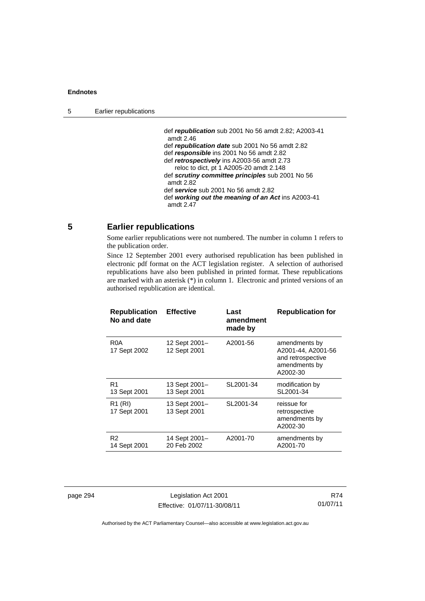def *republication* sub 2001 No 56 amdt 2.82; A2003-41 amdt 2.46 def *republication date* sub 2001 No 56 amdt 2.82 def *responsible* ins 2001 No 56 amdt 2.82 def *retrospectively* ins A2003-56 amdt 2.73 reloc to dict, pt 1 A2005-20 amdt 2.148 def *scrutiny committee principles* sub 2001 No 56 amdt 2.82 def *service* sub 2001 No 56 amdt 2.82 def *working out the meaning of an Act* ins A2003-41 amdt 2.47

## **5 Earlier republications**

Some earlier republications were not numbered. The number in column 1 refers to the publication order.

Since 12 September 2001 every authorised republication has been published in electronic pdf format on the ACT legislation register. A selection of authorised republications have also been published in printed format. These republications are marked with an asterisk (\*) in column 1. Electronic and printed versions of an authorised republication are identical.

| <b>Republication</b><br>No and date | <b>Effective</b>              | Last<br>amendment<br>made by | <b>Republication for</b>                                                              |
|-------------------------------------|-------------------------------|------------------------------|---------------------------------------------------------------------------------------|
| R <sub>0</sub> A<br>17 Sept 2002    | 12 Sept 2001-<br>12 Sept 2001 | A2001-56                     | amendments by<br>A2001-44, A2001-56<br>and retrospective<br>amendments by<br>A2002-30 |
| R1<br>13 Sept 2001                  | 13 Sept 2001-<br>13 Sept 2001 | SL2001-34                    | modification by<br>SL2001-34                                                          |
| R <sub>1</sub> (RI)<br>17 Sept 2001 | 13 Sept 2001-<br>13 Sept 2001 | SL2001-34                    | reissue for<br>retrospective<br>amendments by<br>A2002-30                             |
| R <sub>2</sub><br>14 Sept 2001      | 14 Sept 2001-<br>20 Feb 2002  | A2001-70                     | amendments by<br>A2001-70                                                             |

page 294 Legislation Act 2001 Effective: 01/07/11-30/08/11

R74 01/07/11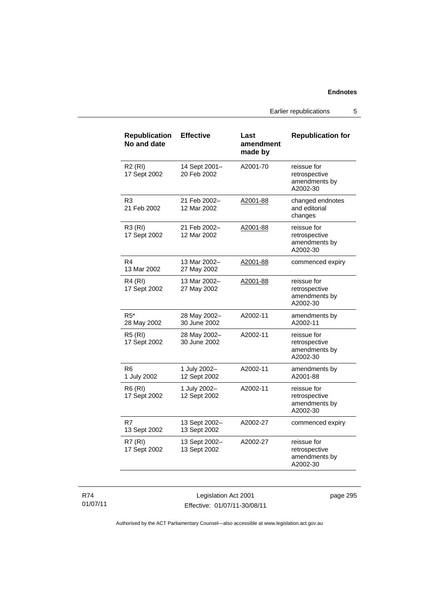Earlier republications 5

| <b>Republication</b><br>No and date | <b>Effective</b>              | Last<br>amendment<br>made by | <b>Republication for</b>                                  |
|-------------------------------------|-------------------------------|------------------------------|-----------------------------------------------------------|
| <b>R2 (RI)</b><br>17 Sept 2002      | 14 Sept 2001-<br>20 Feb 2002  | A2001-70                     | reissue for<br>retrospective<br>amendments by<br>A2002-30 |
| R <sub>3</sub><br>21 Feb 2002       | 21 Feb 2002-<br>12 Mar 2002   | A2001-88                     | changed endnotes<br>and editorial<br>changes              |
| R3 (RI)<br>17 Sept 2002             | 21 Feb 2002-<br>12 Mar 2002   | A2001-88                     | reissue for<br>retrospective<br>amendments by<br>A2002-30 |
| R4<br>13 Mar 2002                   | 13 Mar 2002-<br>27 May 2002   | A2001-88                     | commenced expiry                                          |
| <b>R4 (RI)</b><br>17 Sept 2002      | 13 Mar 2002-<br>27 May 2002   | A2001-88                     | reissue for<br>retrospective<br>amendments by<br>A2002-30 |
| $R5*$<br>28 May 2002                | 28 May 2002-<br>30 June 2002  | A2002-11                     | amendments by<br>A2002-11                                 |
| <b>R5 (RI)</b><br>17 Sept 2002      | 28 May 2002-<br>30 June 2002  | A2002-11                     | reissue for<br>retrospective<br>amendments by<br>A2002-30 |
| R6<br>1 July 2002                   | 1 July 2002-<br>12 Sept 2002  | A2002-11                     | amendments by<br>A2001-88                                 |
| R6 (RI)<br>17 Sept 2002             | 1 July 2002-<br>12 Sept 2002  | A2002-11                     | reissue for<br>retrospective<br>amendments by<br>A2002-30 |
| R7<br>13 Sept 2002                  | 13 Sept 2002-<br>13 Sept 2002 | A2002-27                     | commenced expiry                                          |
| <b>R7 (RI)</b><br>17 Sept 2002      | 13 Sept 2002-<br>13 Sept 2002 | A2002-27                     | reissue for<br>retrospective<br>amendments by<br>A2002-30 |

R74 01/07/11

Legislation Act 2001 Effective: 01/07/11-30/08/11 page 295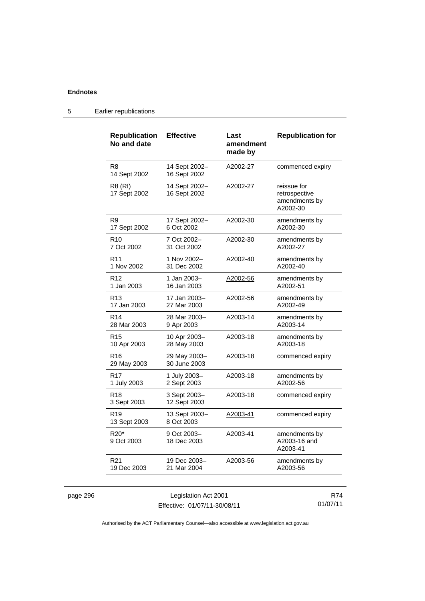| <b>Republication</b><br>No and date | <b>Effective</b>              | Last<br>amendment<br>made by | <b>Republication for</b>                                  |
|-------------------------------------|-------------------------------|------------------------------|-----------------------------------------------------------|
| R <sub>8</sub><br>14 Sept 2002      | 14 Sept 2002-<br>16 Sept 2002 | A2002-27                     | commenced expiry                                          |
| R8 (RI)<br>17 Sept 2002             | 14 Sept 2002-<br>16 Sept 2002 | A2002-27                     | reissue for<br>retrospective<br>amendments by<br>A2002-30 |
| R <sub>9</sub>                      | 17 Sept 2002-                 | A2002-30                     | amendments by                                             |
| 17 Sept 2002                        | 6 Oct 2002                    |                              | A2002-30                                                  |
| R <sub>10</sub>                     | 7 Oct 2002-                   | A2002-30                     | amendments by                                             |
| 7 Oct 2002                          | 31 Oct 2002                   |                              | A2002-27                                                  |
| R <sub>11</sub>                     | 1 Nov 2002-                   | A2002-40                     | amendments by                                             |
| 1 Nov 2002                          | 31 Dec 2002                   |                              | A2002-40                                                  |
| R <sub>12</sub>                     | 1 Jan 2003-                   | A2002-56                     | amendments by                                             |
| 1 Jan 2003                          | 16 Jan 2003                   |                              | A2002-51                                                  |
| R <sub>13</sub>                     | 17 Jan 2003–                  | A2002-56                     | amendments by                                             |
| 17 Jan 2003                         | 27 Mar 2003                   |                              | A2002-49                                                  |
| R <sub>14</sub>                     | 28 Mar 2003-                  | A2003-14                     | amendments by                                             |
| 28 Mar 2003                         | 9 Apr 2003                    |                              | A2003-14                                                  |
| R <sub>15</sub>                     | 10 Apr 2003-                  | A2003-18                     | amendments by                                             |
| 10 Apr 2003                         | 28 May 2003                   |                              | A2003-18                                                  |
| R <sub>16</sub><br>29 May 2003      | 29 May 2003-<br>30 June 2003  | A2003-18                     | commenced expiry                                          |
| R <sub>17</sub>                     | 1 July 2003-                  | A2003-18                     | amendments by                                             |
| 1 July 2003                         | 2 Sept 2003                   |                              | A2002-56                                                  |
| R <sub>18</sub><br>3 Sept 2003      | 3 Sept 2003-<br>12 Sept 2003  | A2003-18                     | commenced expiry                                          |
| R <sub>19</sub><br>13 Sept 2003     | 13 Sept 2003-<br>8 Oct 2003   | A2003-41                     | commenced expiry                                          |
| $R20*$<br>9 Oct 2003                | 9 Oct 2003-<br>18 Dec 2003    | A2003-41                     | amendments by<br>A2003-16 and<br>A2003-41                 |
| R <sub>21</sub>                     | 19 Dec 2003–                  | A2003-56                     | amendments by                                             |
| 19 Dec 2003                         | 21 Mar 2004                   |                              | A2003-56                                                  |

## 5 Earlier republications

| page 296 |  |
|----------|--|
|          |  |

**particle 206** Legislation Act 2001 Effective: 01/07/11-30/08/11

R74 01/07/11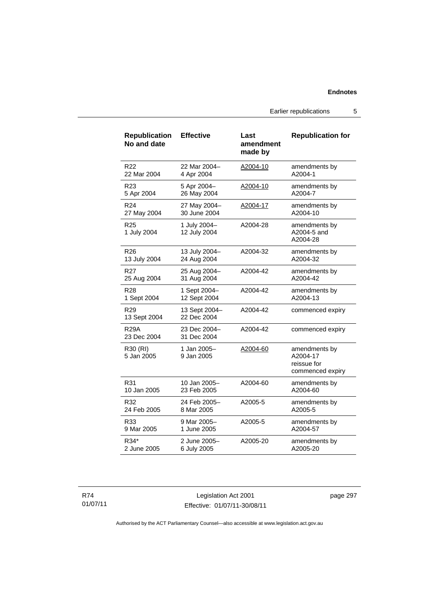Earlier republications 5

| <b>Republication</b><br>No and date | <b>Effective</b>             | Last<br>amendment<br>made by | <b>Republication for</b>                                     |
|-------------------------------------|------------------------------|------------------------------|--------------------------------------------------------------|
| R22                                 | 22 Mar 2004-                 | A2004-10                     | amendments by                                                |
| 22 Mar 2004                         | 4 Apr 2004                   |                              | A2004-1                                                      |
| R23                                 | 5 Apr 2004-                  | A2004-10                     | amendments by                                                |
| 5 Apr 2004                          | 26 May 2004                  |                              | A2004-7                                                      |
| R <sub>24</sub>                     | 27 May 2004-                 | A2004-17                     | amendments by                                                |
| 27 May 2004                         | 30 June 2004                 |                              | A2004-10                                                     |
| R <sub>25</sub><br>1 July 2004      | 1 July 2004-<br>12 July 2004 | A2004-28                     | amendments by<br>A2004-5 and<br>A2004-28                     |
| R <sub>26</sub>                     | 13 July 2004-                | A2004-32                     | amendments by                                                |
| 13 July 2004                        | 24 Aug 2004                  |                              | A2004-32                                                     |
| R27                                 | 25 Aug 2004-                 | A2004-42                     | amendments by                                                |
| 25 Aug 2004                         | 31 Aug 2004                  |                              | A2004-42                                                     |
| R28                                 | 1 Sept 2004-                 | A2004-42                     | amendments by                                                |
| 1 Sept 2004                         | 12 Sept 2004                 |                              | A2004-13                                                     |
| R <sub>29</sub><br>13 Sept 2004     | 13 Sept 2004-<br>22 Dec 2004 | A2004-42                     | commenced expiry                                             |
| <b>R29A</b><br>23 Dec 2004          | 23 Dec 2004-<br>31 Dec 2004  | A2004-42                     | commenced expiry                                             |
| R30 (RI)<br>5 Jan 2005              | 1 Jan 2005-<br>9 Jan 2005    | A2004-60                     | amendments by<br>A2004-17<br>reissue for<br>commenced expiry |
| R31                                 | 10 Jan 2005-                 | A2004-60                     | amendments by                                                |
| 10 Jan 2005                         | 23 Feb 2005                  |                              | A2004-60                                                     |
| R32                                 | 24 Feb 2005-                 | A2005-5                      | amendments by                                                |
| 24 Feb 2005                         | 8 Mar 2005                   |                              | A2005-5                                                      |
| R33                                 | 9 Mar 2005-                  | A2005-5                      | amendments by                                                |
| 9 Mar 2005                          | 1 June 2005                  |                              | A2004-57                                                     |
| R34*                                | 2 June 2005-                 | A2005-20                     | amendments by                                                |
| 2 June 2005                         | 6 July 2005                  |                              | A2005-20                                                     |

R74 01/07/11

Legislation Act 2001 Effective: 01/07/11-30/08/11 page 297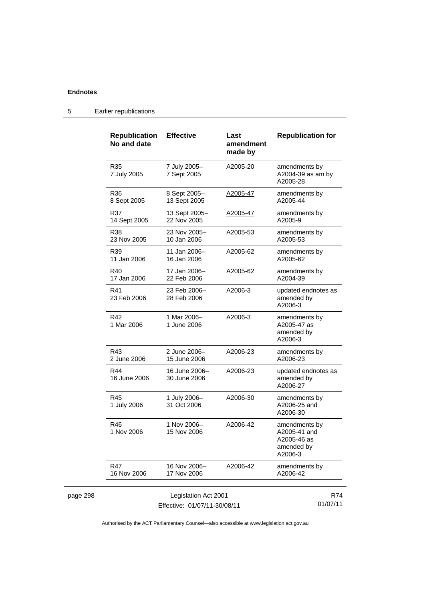page 298

| R35<br>7 July 2005<br>R36<br>8 Sept 2005<br>R37<br>14 Sept 2005<br>R38<br>23 Nov 2005<br>R39<br>11 Jan 2006<br>R40<br>17 Jan 2006<br>R41<br>23 Feb 2006<br>R42<br>1 Mar 2006<br>R43<br>2 June 2006<br>R44<br>16 June 2006 | 7 July 2005-<br>7 Sept 2005<br>8 Sept 2005-<br>13 Sept 2005<br>13 Sept 2005-<br>22 Nov 2005<br>23 Nov 2005-<br>10 Jan 2006<br>11 Jan 2006–<br>16 Jan 2006<br>17 Jan 2006-<br>22 Feb 2006<br>23 Feb 2006-<br>28 Feb 2006<br>1 Mar 2006-<br>1 June 2006 | A2005-20<br>A2005-47<br>A2005-47<br>A2005-53<br>A2005-62<br>A2005-62<br>A2006-3<br>A2006-3 | amendments by<br>A2004-39 as am by<br>A2005-28<br>amendments by<br>A2005-44<br>amendments by<br>A2005-9<br>amendments by<br>A2005-53<br>amendments by<br>A2005-62<br>amendments by<br>A2004-39<br>amended by<br>A2006-3<br>amendments by<br>A2005-47 as |
|---------------------------------------------------------------------------------------------------------------------------------------------------------------------------------------------------------------------------|-------------------------------------------------------------------------------------------------------------------------------------------------------------------------------------------------------------------------------------------------------|--------------------------------------------------------------------------------------------|---------------------------------------------------------------------------------------------------------------------------------------------------------------------------------------------------------------------------------------------------------|
|                                                                                                                                                                                                                           |                                                                                                                                                                                                                                                       |                                                                                            |                                                                                                                                                                                                                                                         |
|                                                                                                                                                                                                                           |                                                                                                                                                                                                                                                       |                                                                                            |                                                                                                                                                                                                                                                         |
|                                                                                                                                                                                                                           |                                                                                                                                                                                                                                                       |                                                                                            |                                                                                                                                                                                                                                                         |
|                                                                                                                                                                                                                           |                                                                                                                                                                                                                                                       |                                                                                            | updated endnotes as                                                                                                                                                                                                                                     |
|                                                                                                                                                                                                                           |                                                                                                                                                                                                                                                       |                                                                                            |                                                                                                                                                                                                                                                         |
|                                                                                                                                                                                                                           |                                                                                                                                                                                                                                                       |                                                                                            |                                                                                                                                                                                                                                                         |
|                                                                                                                                                                                                                           |                                                                                                                                                                                                                                                       |                                                                                            |                                                                                                                                                                                                                                                         |
|                                                                                                                                                                                                                           |                                                                                                                                                                                                                                                       |                                                                                            | amended by<br>A2006-3                                                                                                                                                                                                                                   |
|                                                                                                                                                                                                                           | 2 June 2006-<br>15 June 2006                                                                                                                                                                                                                          | A2006-23                                                                                   | amendments by<br>A2006-23                                                                                                                                                                                                                               |
|                                                                                                                                                                                                                           | 16 June 2006–<br>30 June 2006                                                                                                                                                                                                                         | A2006-23                                                                                   | updated endnotes as<br>amended by<br>A2006-27                                                                                                                                                                                                           |
| R45<br>1 July 2006                                                                                                                                                                                                        | 1 July 2006-<br>31 Oct 2006                                                                                                                                                                                                                           | A2006-30                                                                                   | amendments by<br>A2006-25 and<br>A2006-30                                                                                                                                                                                                               |
| R46<br>1 Nov 2006                                                                                                                                                                                                         | 1 Nov 2006-<br>15 Nov 2006                                                                                                                                                                                                                            | A2006-42                                                                                   | amendments by<br>A2005-41 and<br>A2005-46 as<br>amended by<br>A2006-3                                                                                                                                                                                   |
| R47<br>16 Nov 2006                                                                                                                                                                                                        | 16 Nov 2006-<br>17 Nov 2006                                                                                                                                                                                                                           | A2006-42                                                                                   | amendments by<br>A2006-42                                                                                                                                                                                                                               |

5 Earlier republications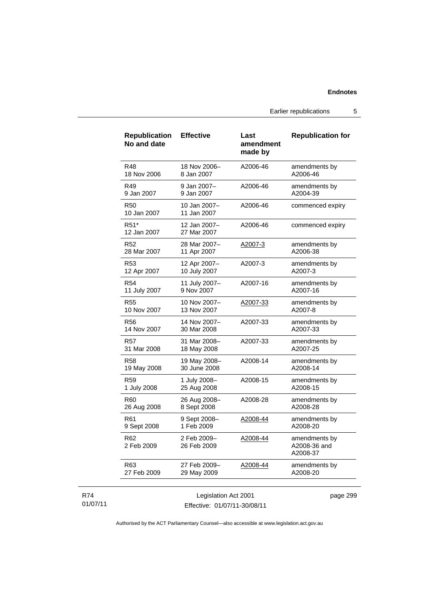Earlier republications 5

| <b>Republication</b><br>No and date | <b>Effective</b>            | Last<br>amendment<br>made by | <b>Republication for</b>                  |
|-------------------------------------|-----------------------------|------------------------------|-------------------------------------------|
| R48                                 | 18 Nov 2006-                | A2006-46                     | amendments by                             |
| 18 Nov 2006                         | 8 Jan 2007                  |                              | A2006-46                                  |
| R49                                 | 9 Jan 2007-                 | A2006-46                     | amendments by                             |
| 9 Jan 2007                          | 9 Jan 2007                  |                              | A2004-39                                  |
| <b>R50</b><br>10 Jan 2007           | 10 Jan 2007-<br>11 Jan 2007 | A2006-46                     | commenced expiry                          |
| R51*<br>12 Jan 2007                 | 12 Jan 2007-<br>27 Mar 2007 | A2006-46                     | commenced expiry                          |
| R <sub>52</sub>                     | 28 Mar 2007-                | A2007-3                      | amendments by                             |
| 28 Mar 2007                         | 11 Apr 2007                 |                              | A2006-38                                  |
| R53                                 | 12 Apr 2007-                | A2007-3                      | amendments by                             |
| 12 Apr 2007                         | 10 July 2007                |                              | A2007-3                                   |
| R54                                 | 11 July 2007-               | A2007-16                     | amendments by                             |
| 11 July 2007                        | 9 Nov 2007                  |                              | A2007-16                                  |
| <b>R55</b>                          | 10 Nov 2007-                | A2007-33                     | amendments by                             |
| 10 Nov 2007                         | 13 Nov 2007                 |                              | A2007-8                                   |
| R56                                 | 14 Nov 2007-                | A2007-33                     | amendments by                             |
| 14 Nov 2007                         | 30 Mar 2008                 |                              | A2007-33                                  |
| <b>R57</b>                          | 31 Mar 2008-                | A2007-33                     | amendments by                             |
| 31 Mar 2008                         | 18 May 2008                 |                              | A2007-25                                  |
| R58                                 | 19 May 2008-                | A2008-14                     | amendments by                             |
| 19 May 2008                         | 30 June 2008                |                              | A2008-14                                  |
| R59                                 | 1 July 2008-                | A2008-15                     | amendments by                             |
| 1 July 2008                         | 25 Aug 2008                 |                              | A2008-15                                  |
| R60                                 | 26 Aug 2008-                | A2008-28                     | amendments by                             |
| 26 Aug 2008                         | 8 Sept 2008                 |                              | A2008-28                                  |
| R <sub>61</sub>                     | 9 Sept 2008-                | A2008-44                     | amendments by                             |
| 9 Sept 2008                         | 1 Feb 2009                  |                              | A2008-20                                  |
| R62<br>2 Feb 2009                   | 2 Feb 2009-<br>26 Feb 2009  | A2008-44                     | amendments by<br>A2008-36 and<br>A2008-37 |
| R63                                 | 27 Feb 2009-                | A2008-44                     | amendments by                             |
| 27 Feb 2009                         | 29 May 2009                 |                              | A2008-20                                  |
|                                     |                             |                              |                                           |

#### R74 01/07/11

Legislation Act 2001 Effective: 01/07/11-30/08/11 page 299